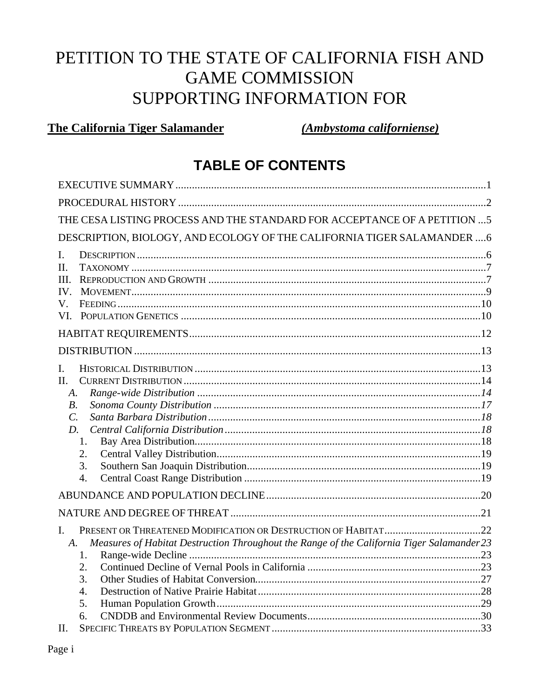# PETITION TO THE STATE OF CALIFORNIA FISH AND **GAME COMMISSION** SUPPORTING INFORMATION FOR

# **The California Tiger Salamander**

(Ambystoma californiense)

# **TABLE OF CONTENTS**

| THE CESA LISTING PROCESS AND THE STANDARD FOR ACCEPTANCE OF A PETITION  5                        |  |
|--------------------------------------------------------------------------------------------------|--|
| DESCRIPTION, BIOLOGY, AND ECOLOGY OF THE CALIFORNIA TIGER SALAMANDER  6                          |  |
| L.                                                                                               |  |
| H.                                                                                               |  |
| HH.                                                                                              |  |
| $IV_{-}$                                                                                         |  |
| V.                                                                                               |  |
| VI.                                                                                              |  |
|                                                                                                  |  |
|                                                                                                  |  |
| L.                                                                                               |  |
| II.                                                                                              |  |
| A.                                                                                               |  |
| $B$ .                                                                                            |  |
| $\mathcal{C}$ .                                                                                  |  |
| D.                                                                                               |  |
| 1.                                                                                               |  |
| 2.                                                                                               |  |
| 3.                                                                                               |  |
| $\overline{4}$ .                                                                                 |  |
|                                                                                                  |  |
|                                                                                                  |  |
| $\mathbf{I}$ .                                                                                   |  |
| Measures of Habitat Destruction Throughout the Range of the California Tiger Salamander 23<br>A. |  |
| 1.                                                                                               |  |
| 2.                                                                                               |  |
| 3.                                                                                               |  |
| 4.                                                                                               |  |
| 5.                                                                                               |  |
| 6.                                                                                               |  |
| II.                                                                                              |  |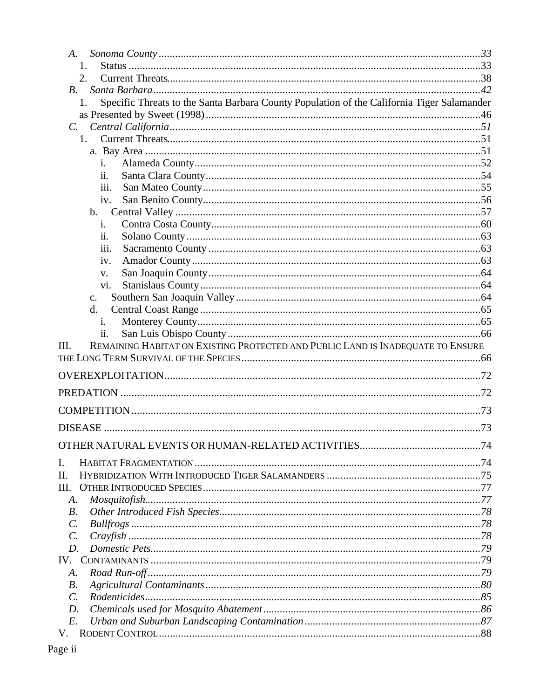| A.                                                                                               |  |
|--------------------------------------------------------------------------------------------------|--|
| 1.                                                                                               |  |
| 2.                                                                                               |  |
| $B_{\cdot}$                                                                                      |  |
| Specific Threats to the Santa Barbara County Population of the California Tiger Salamander<br>1. |  |
|                                                                                                  |  |
| $C_{\cdot}$<br>1.                                                                                |  |
|                                                                                                  |  |
| $\mathbf{i}$ .                                                                                   |  |
| ii.                                                                                              |  |
| 111.                                                                                             |  |
| iv.                                                                                              |  |
| $\mathbf{b}$ .                                                                                   |  |
| i.                                                                                               |  |
| ii.                                                                                              |  |
| 111.                                                                                             |  |
| iv.                                                                                              |  |
| V.                                                                                               |  |
| vi.                                                                                              |  |
| $C_{\bullet}$                                                                                    |  |
| d.                                                                                               |  |
| $\mathbf{i}$ .<br>ii.                                                                            |  |
| REMAINING HABITAT ON EXISTING PROTECTED AND PUBLIC LAND IS INADEQUATE TO ENSURE<br>III.          |  |
|                                                                                                  |  |
|                                                                                                  |  |
|                                                                                                  |  |
|                                                                                                  |  |
|                                                                                                  |  |
|                                                                                                  |  |
|                                                                                                  |  |
|                                                                                                  |  |
|                                                                                                  |  |
|                                                                                                  |  |
| I.<br>Π.                                                                                         |  |
|                                                                                                  |  |
| A.<br><i>B</i> .                                                                                 |  |
| $\mathcal{C}$ .                                                                                  |  |
| $\mathcal{C}$ .                                                                                  |  |
| $D$ .                                                                                            |  |
|                                                                                                  |  |
| A.                                                                                               |  |
| <i>B</i> .                                                                                       |  |
| Ш.<br>IV.<br>$\mathcal{C}$ .                                                                     |  |
| D.                                                                                               |  |
| E.<br>V.                                                                                         |  |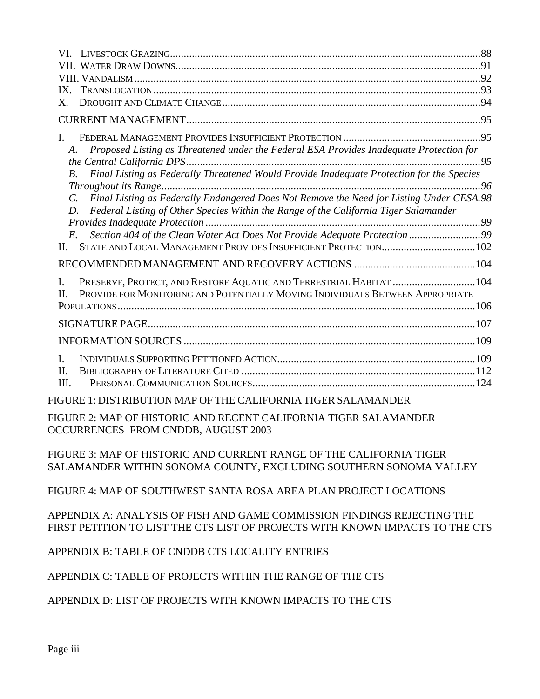| IX.                                                                                                         |  |
|-------------------------------------------------------------------------------------------------------------|--|
| Х.                                                                                                          |  |
|                                                                                                             |  |
| I.                                                                                                          |  |
| Proposed Listing as Threatened under the Federal ESA Provides Inadequate Protection for<br>A.               |  |
|                                                                                                             |  |
| Final Listing as Federally Threatened Would Provide Inadequate Protection for the Species<br>$B$ .          |  |
| Final Listing as Federally Endangered Does Not Remove the Need for Listing Under CESA.98<br>$\mathcal{C}$ . |  |
| Federal Listing of Other Species Within the Range of the California Tiger Salamander<br>D.                  |  |
|                                                                                                             |  |
| Section 404 of the Clean Water Act Does Not Provide Adequate Protection 99<br>E.                            |  |
| II.                                                                                                         |  |
|                                                                                                             |  |
| PRESERVE, PROTECT, AND RESTORE AQUATIC AND TERRESTRIAL HABITAT  104<br>L                                    |  |
| PROVIDE FOR MONITORING AND POTENTIALLY MOVING INDIVIDUALS BETWEEN APPROPRIATE<br>II.                        |  |
|                                                                                                             |  |
|                                                                                                             |  |
|                                                                                                             |  |
| $\mathbf{I}$                                                                                                |  |
| II.                                                                                                         |  |
| III.                                                                                                        |  |
| FIGURE 1: DISTRIBUTION MAP OF THE CALIFORNIA TIGER SALAMANDER                                               |  |
| EICHDE 2. MAD OF HISTORIC AND DECENT CALIEODNIA TICED SAL AMANDED                                           |  |

FIGURE 2: MAP OF HISTORIC AND RECENT CALIFORNIA TIGER SALAMANDER OCCURRENCES FROM CNDDB, AUGUST 2003

FIGURE 3: MAP OF HISTORIC AND CURRENT RANGE OF THE CALIFORNIA TIGER SALAMANDER WITHIN SONOMA COUNTY, EXCLUDING SOUTHERN SONOMA VALLEY

FIGURE 4: MAP OF SOUTHWEST SANTA ROSA AREA PLAN PROJECT LOCATIONS

APPENDIX A: ANALYSIS OF FISH AND GAME COMMISSION FINDINGS REJECTING THE FIRST PETITION TO LIST THE CTS LIST OF PROJECTS WITH KNOWN IMPACTS TO THE CTS

APPENDIX B: TABLE OF CNDDB CTS LOCALITY ENTRIES

APPENDIX C: TABLE OF PROJECTS WITHIN THE RANGE OF THE CTS

APPENDIX D: LIST OF PROJECTS WITH KNOWN IMPACTS TO THE CTS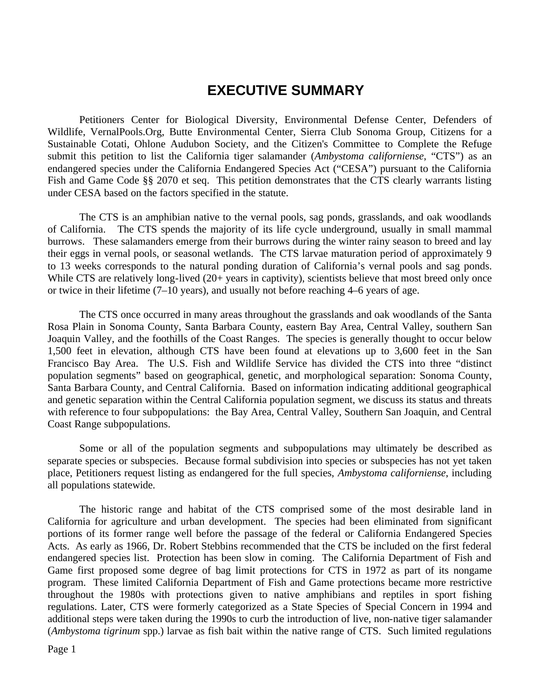# **EXECUTIVE SUMMARY**

Petitioners Center for Biological Diversity, Environmental Defense Center, Defenders of Wildlife, VernalPools.Org, Butte Environmental Center, Sierra Club Sonoma Group, Citizens for a Sustainable Cotati, Ohlone Audubon Society, and the Citizen's Committee to Complete the Refuge submit this petition to list the California tiger salamander (*Ambystoma californiense*, "CTS") as an endangered species under the California Endangered Species Act ("CESA") pursuant to the California Fish and Game Code §§ 2070 et seq. This petition demonstrates that the CTS clearly warrants listing under CESA based on the factors specified in the statute.

The CTS is an amphibian native to the vernal pools, sag ponds, grasslands, and oak woodlands of California. The CTS spends the majority of its life cycle underground, usually in small mammal burrows. These salamanders emerge from their burrows during the winter rainy season to breed and lay their eggs in vernal pools, or seasonal wetlands. The CTS larvae maturation period of approximately 9 to 13 weeks corresponds to the natural ponding duration of California's vernal pools and sag ponds. While CTS are relatively long-lived (20+ years in captivity), scientists believe that most breed only once or twice in their lifetime (7–10 years), and usually not before reaching 4–6 years of age.

The CTS once occurred in many areas throughout the grasslands and oak woodlands of the Santa Rosa Plain in Sonoma County, Santa Barbara County, eastern Bay Area, Central Valley, southern San Joaquin Valley, and the foothills of the Coast Ranges. The species is generally thought to occur below 1,500 feet in elevation, although CTS have been found at elevations up to 3,600 feet in the San Francisco Bay Area. The U.S. Fish and Wildlife Service has divided the CTS into three "distinct population segments" based on geographical, genetic, and morphological separation: Sonoma County, Santa Barbara County, and Central California. Based on information indicating additional geographical and genetic separation within the Central California population segment, we discuss its status and threats with reference to four subpopulations: the Bay Area, Central Valley, Southern San Joaquin, and Central Coast Range subpopulations.

Some or all of the population segments and subpopulations may ultimately be described as separate species or subspecies. Because formal subdivision into species or subspecies has not yet taken place, Petitioners request listing as endangered for the full species, *Ambystoma californiense*, including all populations statewide.

The historic range and habitat of the CTS comprised some of the most desirable land in California for agriculture and urban development. The species had been eliminated from significant portions of its former range well before the passage of the federal or California Endangered Species Acts. As early as 1966, Dr. Robert Stebbins recommended that the CTS be included on the first federal endangered species list. Protection has been slow in coming. The California Department of Fish and Game first proposed some degree of bag limit protections for CTS in 1972 as part of its nongame program. These limited California Department of Fish and Game protections became more restrictive throughout the 1980s with protections given to native amphibians and reptiles in sport fishing regulations. Later, CTS were formerly categorized as a State Species of Special Concern in 1994 and additional steps were taken during the 1990s to curb the introduction of live, non-native tiger salamander (*Ambystoma tigrinum* spp.) larvae as fish bait within the native range of CTS. Such limited regulations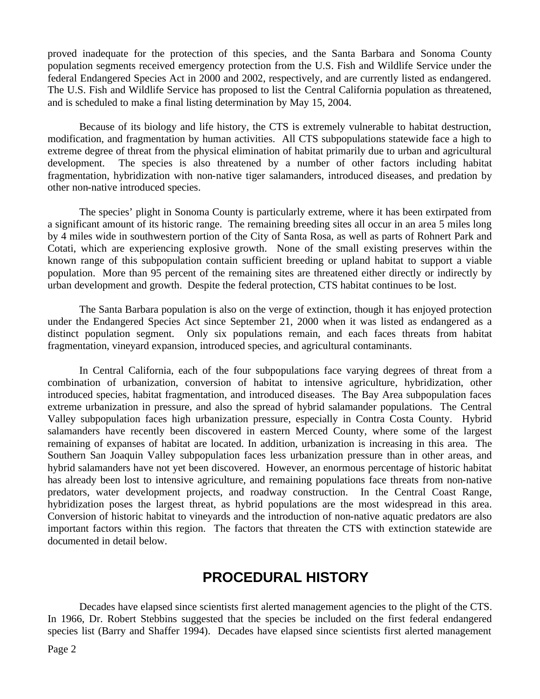proved inadequate for the protection of this species, and the Santa Barbara and Sonoma County population segments received emergency protection from the U.S. Fish and Wildlife Service under the federal Endangered Species Act in 2000 and 2002, respectively, and are currently listed as endangered. The U.S. Fish and Wildlife Service has proposed to list the Central California population as threatened, and is scheduled to make a final listing determination by May 15, 2004.

Because of its biology and life history, the CTS is extremely vulnerable to habitat destruction, modification, and fragmentation by human activities. All CTS subpopulations statewide face a high to extreme degree of threat from the physical elimination of habitat primarily due to urban and agricultural development. The species is also threatened by a number of other factors including habitat fragmentation, hybridization with non-native tiger salamanders, introduced diseases, and predation by other non-native introduced species.

The species' plight in Sonoma County is particularly extreme, where it has been extirpated from a significant amount of its historic range. The remaining breeding sites all occur in an area 5 miles long by 4 miles wide in southwestern portion of the City of Santa Rosa, as well as parts of Rohnert Park and Cotati, which are experiencing explosive growth. None of the small existing preserves within the known range of this subpopulation contain sufficient breeding or upland habitat to support a viable population. More than 95 percent of the remaining sites are threatened either directly or indirectly by urban development and growth. Despite the federal protection, CTS habitat continues to be lost.

The Santa Barbara population is also on the verge of extinction, though it has enjoyed protection under the Endangered Species Act since September 21, 2000 when it was listed as endangered as a distinct population segment. Only six populations remain, and each faces threats from habitat fragmentation, vineyard expansion, introduced species, and agricultural contaminants.

In Central California, each of the four subpopulations face varying degrees of threat from a combination of urbanization, conversion of habitat to intensive agriculture, hybridization, other introduced species, habitat fragmentation, and introduced diseases. The Bay Area subpopulation faces extreme urbanization in pressure, and also the spread of hybrid salamander populations. The Central Valley subpopulation faces high urbanization pressure, especially in Contra Costa County. Hybrid salamanders have recently been discovered in eastern Merced County, where some of the largest remaining of expanses of habitat are located. In addition, urbanization is increasing in this area. The Southern San Joaquin Valley subpopulation faces less urbanization pressure than in other areas, and hybrid salamanders have not yet been discovered. However, an enormous percentage of historic habitat has already been lost to intensive agriculture, and remaining populations face threats from non-native predators, water development projects, and roadway construction. In the Central Coast Range, hybridization poses the largest threat, as hybrid populations are the most widespread in this area. Conversion of historic habitat to vineyards and the introduction of non-native aquatic predators are also important factors within this region. The factors that threaten the CTS with extinction statewide are documented in detail below.

# **PROCEDURAL HISTORY**

Decades have elapsed since scientists first alerted management agencies to the plight of the CTS. In 1966, Dr. Robert Stebbins suggested that the species be included on the first federal endangered species list (Barry and Shaffer 1994). Decades have elapsed since scientists first alerted management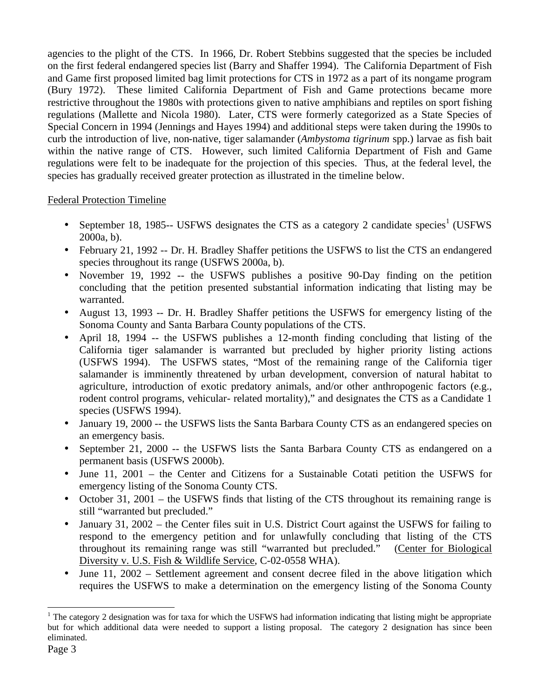agencies to the plight of the CTS. In 1966, Dr. Robert Stebbins suggested that the species be included on the first federal endangered species list (Barry and Shaffer 1994). The California Department of Fish and Game first proposed limited bag limit protections for CTS in 1972 as a part of its nongame program (Bury 1972). These limited California Department of Fish and Game protections became more restrictive throughout the 1980s with protections given to native amphibians and reptiles on sport fishing regulations (Mallette and Nicola 1980). Later, CTS were formerly categorized as a State Species of Special Concern in 1994 (Jennings and Hayes 1994) and additional steps were taken during the 1990s to curb the introduction of live, non-native, tiger salamander (*Ambystoma tigrinum* spp.) larvae as fish bait within the native range of CTS. However, such limited California Department of Fish and Game regulations were felt to be inadequate for the projection of this species. Thus, at the federal level, the species has gradually received greater protection as illustrated in the timeline below.

#### Federal Protection Timeline

- September 18, 1985-- USFWS designates the CTS as a category 2 candidate species<sup>1</sup> (USFWS 2000a, b).
- February 21, 1992 -- Dr. H. Bradley Shaffer petitions the USFWS to list the CTS an endangered species throughout its range (USFWS 2000a, b).
- November 19, 1992 -- the USFWS publishes a positive 90-Day finding on the petition concluding that the petition presented substantial information indicating that listing may be warranted.
- August 13, 1993 -- Dr. H. Bradley Shaffer petitions the USFWS for emergency listing of the Sonoma County and Santa Barbara County populations of the CTS.
- April 18, 1994 -- the USFWS publishes a 12-month finding concluding that listing of the California tiger salamander is warranted but precluded by higher priority listing actions (USFWS 1994). The USFWS states, "Most of the remaining range of the California tiger salamander is imminently threatened by urban development, conversion of natural habitat to agriculture, introduction of exotic predatory animals, and/or other anthropogenic factors (e.g., rodent control programs, vehicular- related mortality)," and designates the CTS as a Candidate 1 species (USFWS 1994).
- January 19, 2000 -- the USFWS lists the Santa Barbara County CTS as an endangered species on an emergency basis.
- September 21, 2000 -- the USFWS lists the Santa Barbara County CTS as endangered on a permanent basis (USFWS 2000b).
- June 11, 2001 the Center and Citizens for a Sustainable Cotati petition the USFWS for emergency listing of the Sonoma County CTS.
- October 31, 2001 the USFWS finds that listing of the CTS throughout its remaining range is still "warranted but precluded."
- January 31, 2002 the Center files suit in U.S. District Court against the USFWS for failing to respond to the emergency petition and for unlawfully concluding that listing of the CTS throughout its remaining range was still "warranted but precluded." (Center for Biological Diversity v. U.S. Fish & Wildlife Service, C-02-0558 WHA).
- June 11, 2002 Settlement agreement and consent decree filed in the above litigation which requires the USFWS to make a determination on the emergency listing of the Sonoma County

 $\overline{a}$ 

<sup>&</sup>lt;sup>1</sup> The category 2 designation was for taxa for which the USFWS had information indicating that listing might be appropriate but for which additional data were needed to support a listing proposal. The category 2 designation has since been eliminated.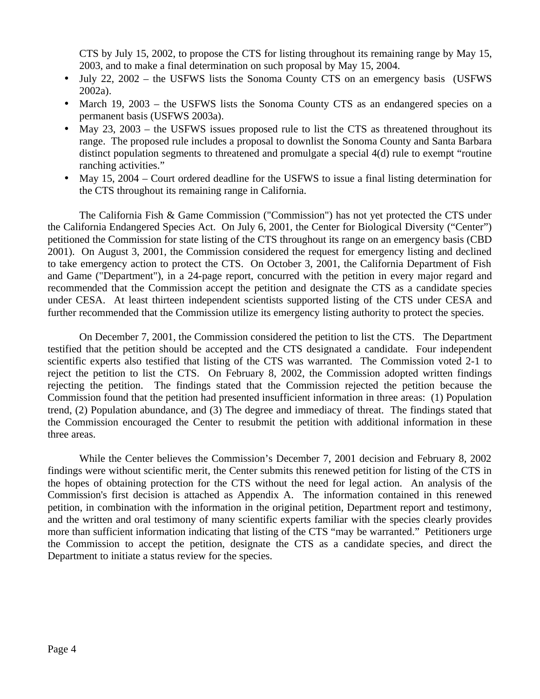CTS by July 15, 2002, to propose the CTS for listing throughout its remaining range by May 15, 2003, and to make a final determination on such proposal by May 15, 2004.

- July 22, 2002 the USFWS lists the Sonoma County CTS on an emergency basis (USFWS) 2002a).
- March 19, 2003 the USFWS lists the Sonoma County CTS as an endangered species on a permanent basis (USFWS 2003a).
- May 23, 2003 the USFWS issues proposed rule to list the CTS as threatened throughout its range. The proposed rule includes a proposal to downlist the Sonoma County and Santa Barbara distinct population segments to threatened and promulgate a special 4(d) rule to exempt "routine ranching activities."
- May 15, 2004 Court ordered deadline for the USFWS to issue a final listing determination for the CTS throughout its remaining range in California.

The California Fish & Game Commission ("Commission") has not yet protected the CTS under the California Endangered Species Act. On July 6, 2001, the Center for Biological Diversity ("Center") petitioned the Commission for state listing of the CTS throughout its range on an emergency basis (CBD 2001). On August 3, 2001, the Commission considered the request for emergency listing and declined to take emergency action to protect the CTS. On October 3, 2001, the California Department of Fish and Game ("Department"), in a 24-page report, concurred with the petition in every major regard and recommended that the Commission accept the petition and designate the CTS as a candidate species under CESA. At least thirteen independent scientists supported listing of the CTS under CESA and further recommended that the Commission utilize its emergency listing authority to protect the species.

On December 7, 2001, the Commission considered the petition to list the CTS. The Department testified that the petition should be accepted and the CTS designated a candidate. Four independent scientific experts also testified that listing of the CTS was warranted. The Commission voted 2-1 to reject the petition to list the CTS. On February 8, 2002, the Commission adopted written findings rejecting the petition. The findings stated that the Commission rejected the petition because the Commission found that the petition had presented insufficient information in three areas: (1) Population trend, (2) Population abundance, and (3) The degree and immediacy of threat. The findings stated that the Commission encouraged the Center to resubmit the petition with additional information in these three areas.

While the Center believes the Commission's December 7, 2001 decision and February 8, 2002 findings were without scientific merit, the Center submits this renewed petition for listing of the CTS in the hopes of obtaining protection for the CTS without the need for legal action. An analysis of the Commission's first decision is attached as Appendix A. The information contained in this renewed petition, in combination with the information in the original petition, Department report and testimony, and the written and oral testimony of many scientific experts familiar with the species clearly provides more than sufficient information indicating that listing of the CTS "may be warranted." Petitioners urge the Commission to accept the petition, designate the CTS as a candidate species, and direct the Department to initiate a status review for the species.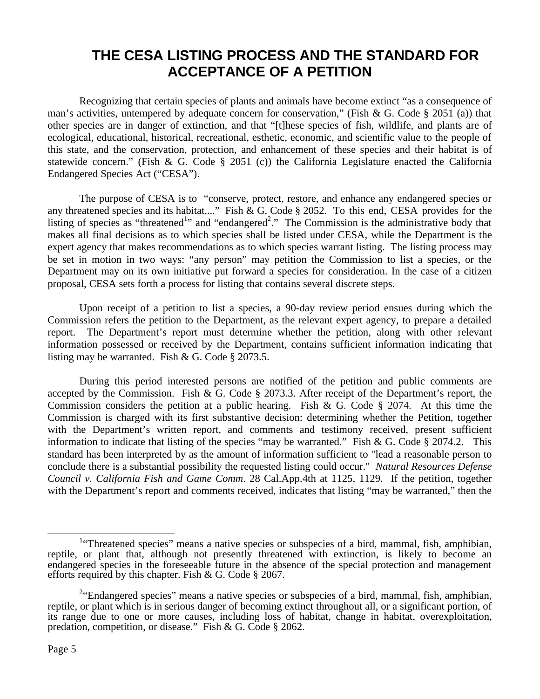# **THE CESA LISTING PROCESS AND THE STANDARD FOR ACCEPTANCE OF A PETITION**

Recognizing that certain species of plants and animals have become extinct "as a consequence of man's activities, untempered by adequate concern for conservation," (Fish & G. Code § 2051 (a)) that other species are in danger of extinction, and that "[t]hese species of fish, wildlife, and plants are of ecological, educational, historical, recreational, esthetic, economic, and scientific value to the people of this state, and the conservation, protection, and enhancement of these species and their habitat is of statewide concern." (Fish & G. Code § 2051 (c)) the California Legislature enacted the California Endangered Species Act ("CESA").

The purpose of CESA is to "conserve, protect, restore, and enhance any endangered species or any threatened species and its habitat...." Fish & G. Code § 2052. To this end, CESA provides for the listing of species as "threatened<sup>1</sup>" and "endangered<sup>2</sup>." The Commission is the administrative body that makes all final decisions as to which species shall be listed under CESA, while the Department is the expert agency that makes recommendations as to which species warrant listing. The listing process may be set in motion in two ways: "any person" may petition the Commission to list a species, or the Department may on its own initiative put forward a species for consideration. In the case of a citizen proposal, CESA sets forth a process for listing that contains several discrete steps.

Upon receipt of a petition to list a species, a 90-day review period ensues during which the Commission refers the petition to the Department, as the relevant expert agency, to prepare a detailed report. The Department's report must determine whether the petition, along with other relevant information possessed or received by the Department, contains sufficient information indicating that listing may be warranted. Fish & G. Code § 2073.5.

During this period interested persons are notified of the petition and public comments are accepted by the Commission. Fish & G. Code § 2073.3. After receipt of the Department's report, the Commission considers the petition at a public hearing. Fish & G. Code  $\S$  2074. At this time the Commission is charged with its first substantive decision: determining whether the Petition, together with the Department's written report, and comments and testimony received, present sufficient information to indicate that listing of the species "may be warranted." Fish & G. Code § 2074.2. This standard has been interpreted by as the amount of information sufficient to "lead a reasonable person to conclude there is a substantial possibility the requested listing could occur." *Natural Resources Defense Council v. California Fish and Game Comm*. 28 Cal.App.4th at 1125, 1129. If the petition, together with the Department's report and comments received, indicates that listing "may be warranted," then the

 $\overline{a}$ 

<sup>&</sup>lt;sup>1</sup>"Threatened species" means a native species or subspecies of a bird, mammal, fish, amphibian, reptile, or plant that, although not presently threatened with extinction, is likely to become an endangered species in the foreseeable future in the absence of the special protection and management efforts required by this chapter. Fish & G. Code § 2067.

 $2^{2}$ "Endangered species" means a native species or subspecies of a bird, mammal, fish, amphibian, reptile, or plant which is in serious danger of becoming extinct throughout all, or a significant portion, of its range due to one or more causes, including loss of habitat, change in habitat, overexploitation, predation, competition, or disease." Fish & G. Code § 2062.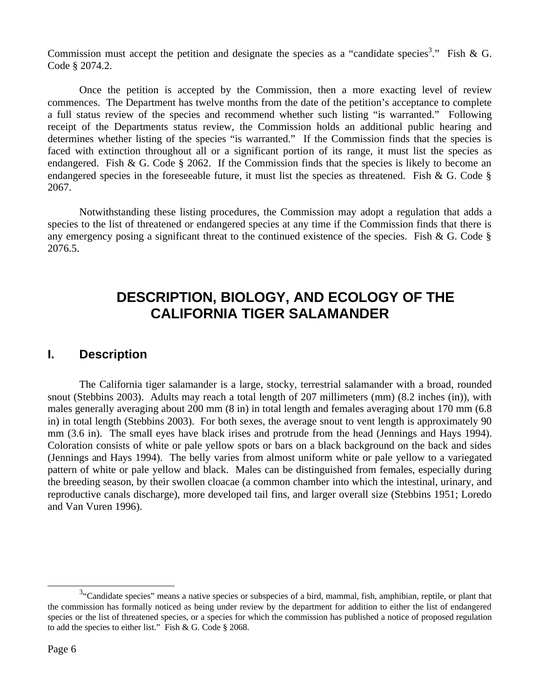Commission must accept the petition and designate the species as a "candidate species<sup>3</sup>." Fish & G. Code § 2074.2.

Once the petition is accepted by the Commission, then a more exacting level of review commences. The Department has twelve months from the date of the petition's acceptance to complete a full status review of the species and recommend whether such listing "is warranted." Following receipt of the Departments status review, the Commission holds an additional public hearing and determines whether listing of the species "is warranted." If the Commission finds that the species is faced with extinction throughout all or a significant portion of its range, it must list the species as endangered. Fish & G. Code  $\S$  2062. If the Commission finds that the species is likely to become an endangered species in the foreseeable future, it must list the species as threatened. Fish & G. Code  $\S$ 2067.

Notwithstanding these listing procedures, the Commission may adopt a regulation that adds a species to the list of threatened or endangered species at any time if the Commission finds that there is any emergency posing a significant threat to the continued existence of the species. Fish & G. Code  $\S$ 2076.5.

# **DESCRIPTION, BIOLOGY, AND ECOLOGY OF THE CALIFORNIA TIGER SALAMANDER**

#### **I. Description**

The California tiger salamander is a large, stocky, terrestrial salamander with a broad, rounded snout (Stebbins 2003). Adults may reach a total length of 207 millimeters (mm) (8.2 inches (in)), with males generally averaging about 200 mm (8 in) in total length and females averaging about 170 mm (6.8 in) in total length (Stebbins 2003). For both sexes, the average snout to vent length is approximately 90 mm (3.6 in). The small eyes have black irises and protrude from the head (Jennings and Hays 1994). Coloration consists of white or pale yellow spots or bars on a black background on the back and sides (Jennings and Hays 1994). The belly varies from almost uniform white or pale yellow to a variegated pattern of white or pale yellow and black. Males can be distinguished from females, especially during the breeding season, by their swollen cloacae (a common chamber into which the intestinal, urinary, and reproductive canals discharge), more developed tail fins, and larger overall size (Stebbins 1951; Loredo and Van Vuren 1996).

 $\overline{a}$ 

 $3$ . Candidate species" means a native species or subspecies of a bird, mammal, fish, amphibian, reptile, or plant that the commission has formally noticed as being under review by the department for addition to either the list of endangered species or the list of threatened species, or a species for which the commission has published a notice of proposed regulation to add the species to either list." Fish & G. Code § 2068.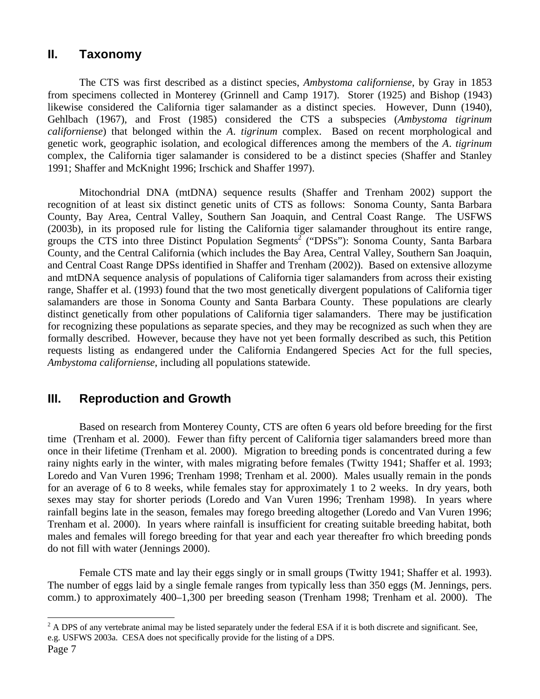### **II. Taxonomy**

The CTS was first described as a distinct species, *Ambystoma californiense*, by Gray in 1853 from specimens collected in Monterey (Grinnell and Camp 1917). Storer (1925) and Bishop (1943) likewise considered the California tiger salamander as a distinct species. However, Dunn (1940), Gehlbach (1967), and Frost (1985) considered the CTS a subspecies (*Ambystoma tigrinum californiense*) that belonged within the *A*. *tigrinum* complex. Based on recent morphological and genetic work, geographic isolation, and ecological differences among the members of the *A*. *tigrinum* complex, the California tiger salamander is considered to be a distinct species (Shaffer and Stanley 1991; Shaffer and McKnight 1996; Irschick and Shaffer 1997).

Mitochondrial DNA (mtDNA) sequence results (Shaffer and Trenham 2002) support the recognition of at least six distinct genetic units of CTS as follows: Sonoma County, Santa Barbara County, Bay Area, Central Valley, Southern San Joaquin, and Central Coast Range. The USFWS (2003b), in its proposed rule for listing the California tiger salamander throughout its entire range, groups the CTS into three Distinct Population Segments<sup>2</sup> ("DPSs"): Sonoma County, Santa Barbara County, and the Central California (which includes the Bay Area, Central Valley, Southern San Joaquin, and Central Coast Range DPSs identified in Shaffer and Trenham (2002)). Based on extensive allozyme and mtDNA sequence analysis of populations of California tiger salamanders from across their existing range, Shaffer et al. (1993) found that the two most genetically divergent populations of California tiger salamanders are those in Sonoma County and Santa Barbara County. These populations are clearly distinct genetically from other populations of California tiger salamanders. There may be justification for recognizing these populations as separate species, and they may be recognized as such when they are formally described. However, because they have not yet been formally described as such, this Petition requests listing as endangered under the California Endangered Species Act for the full species, *Ambystoma californiense*, including all populations statewide.

### **III. Reproduction and Growth**

Based on research from Monterey County, CTS are often 6 years old before breeding for the first time (Trenham et al. 2000). Fewer than fifty percent of California tiger salamanders breed more than once in their lifetime (Trenham et al. 2000). Migration to breeding ponds is concentrated during a few rainy nights early in the winter, with males migrating before females (Twitty 1941; Shaffer et al. 1993; Loredo and Van Vuren 1996; Trenham 1998; Trenham et al. 2000). Males usually remain in the ponds for an average of 6 to 8 weeks, while females stay for approximately 1 to 2 weeks. In dry years, both sexes may stay for shorter periods (Loredo and Van Vuren 1996; Trenham 1998). In years where rainfall begins late in the season, females may forego breeding altogether (Loredo and Van Vuren 1996; Trenham et al. 2000). In years where rainfall is insufficient for creating suitable breeding habitat, both males and females will forego breeding for that year and each year thereafter fro which breeding ponds do not fill with water (Jennings 2000).

Female CTS mate and lay their eggs singly or in small groups (Twitty 1941; Shaffer et al. 1993). The number of eggs laid by a single female ranges from typically less than 350 eggs (M. Jennings, pers. comm.) to approximately 400–1,300 per breeding season (Trenham 1998; Trenham et al. 2000). The

 $\frac{1}{2}$  A DPS of any vertebrate animal may be listed separately under the federal ESA if it is both discrete and significant. See, e.g. USFWS 2003a. CESA does not specifically provide for the listing of a DPS.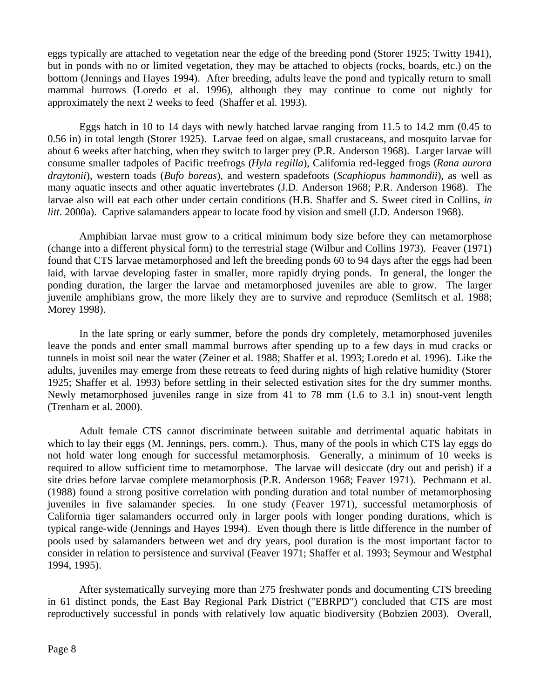eggs typically are attached to vegetation near the edge of the breeding pond (Storer 1925; Twitty 1941), but in ponds with no or limited vegetation, they may be attached to objects (rocks, boards, etc.) on the bottom (Jennings and Hayes 1994). After breeding, adults leave the pond and typically return to small mammal burrows (Loredo et al. 1996), although they may continue to come out nightly for approximately the next 2 weeks to feed (Shaffer et al. 1993).

Eggs hatch in 10 to 14 days with newly hatched larvae ranging from 11.5 to 14.2 mm (0.45 to 0.56 in) in total length (Storer 1925). Larvae feed on algae, small crustaceans, and mosquito larvae for about 6 weeks after hatching, when they switch to larger prey (P.R. Anderson 1968). Larger larvae will consume smaller tadpoles of Pacific treefrogs (*Hyla regilla*), California red-legged frogs (*Rana aurora draytonii*), western toads (*Bufo boreas*), and western spadefoots (*Scaphiopus hammondii*), as well as many aquatic insects and other aquatic invertebrates (J.D. Anderson 1968; P.R. Anderson 1968). The larvae also will eat each other under certain conditions (H.B. Shaffer and S. Sweet cited in Collins, *in litt*. 2000a). Captive salamanders appear to locate food by vision and smell (J.D. Anderson 1968).

Amphibian larvae must grow to a critical minimum body size before they can metamorphose (change into a different physical form) to the terrestrial stage (Wilbur and Collins 1973). Feaver (1971) found that CTS larvae metamorphosed and left the breeding ponds 60 to 94 days after the eggs had been laid, with larvae developing faster in smaller, more rapidly drying ponds. In general, the longer the ponding duration, the larger the larvae and metamorphosed juveniles are able to grow. The larger juvenile amphibians grow, the more likely they are to survive and reproduce (Semlitsch et al. 1988; Morey 1998).

In the late spring or early summer, before the ponds dry completely, metamorphosed juveniles leave the ponds and enter small mammal burrows after spending up to a few days in mud cracks or tunnels in moist soil near the water (Zeiner et al. 1988; Shaffer et al. 1993; Loredo et al. 1996). Like the adults, juveniles may emerge from these retreats to feed during nights of high relative humidity (Storer 1925; Shaffer et al. 1993) before settling in their selected estivation sites for the dry summer months. Newly metamorphosed juveniles range in size from 41 to 78 mm (1.6 to 3.1 in) snout-vent length (Trenham et al. 2000).

Adult female CTS cannot discriminate between suitable and detrimental aquatic habitats in which to lay their eggs (M. Jennings, pers. comm.). Thus, many of the pools in which CTS lay eggs do not hold water long enough for successful metamorphosis. Generally, a minimum of 10 weeks is required to allow sufficient time to metamorphose. The larvae will desiccate (dry out and perish) if a site dries before larvae complete metamorphosis (P.R. Anderson 1968; Feaver 1971). Pechmann et al. (1988) found a strong positive correlation with ponding duration and total number of metamorphosing juveniles in five salamander species. In one study (Feaver 1971), successful metamorphosis of California tiger salamanders occurred only in larger pools with longer ponding durations, which is typical range-wide (Jennings and Hayes 1994). Even though there is little difference in the number of pools used by salamanders between wet and dry years, pool duration is the most important factor to consider in relation to persistence and survival (Feaver 1971; Shaffer et al. 1993; Seymour and Westphal 1994, 1995).

After systematically surveying more than 275 freshwater ponds and documenting CTS breeding in 61 distinct ponds, the East Bay Regional Park District ("EBRPD") concluded that CTS are most reproductively successful in ponds with relatively low aquatic biodiversity (Bobzien 2003). Overall,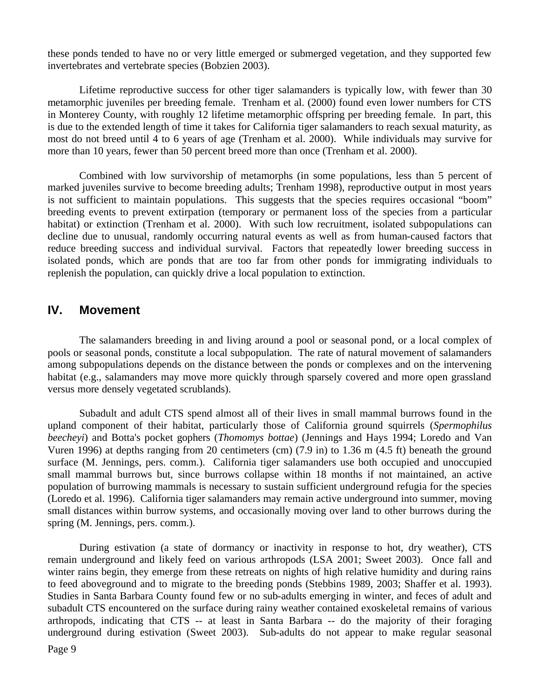these ponds tended to have no or very little emerged or submerged vegetation, and they supported few invertebrates and vertebrate species (Bobzien 2003).

Lifetime reproductive success for other tiger salamanders is typically low, with fewer than 30 metamorphic juveniles per breeding female. Trenham et al. (2000) found even lower numbers for CTS in Monterey County, with roughly 12 lifetime metamorphic offspring per breeding female. In part, this is due to the extended length of time it takes for California tiger salamanders to reach sexual maturity, as most do not breed until 4 to 6 years of age (Trenham et al. 2000). While individuals may survive for more than 10 years, fewer than 50 percent breed more than once (Trenham et al. 2000).

Combined with low survivorship of metamorphs (in some populations, less than 5 percent of marked juveniles survive to become breeding adults; Trenham 1998), reproductive output in most years is not sufficient to maintain populations. This suggests that the species requires occasional "boom" breeding events to prevent extirpation (temporary or permanent loss of the species from a particular habitat) or extinction (Trenham et al. 2000). With such low recruitment, isolated subpopulations can decline due to unusual, randomly occurring natural events as well as from human-caused factors that reduce breeding success and individual survival. Factors that repeatedly lower breeding success in isolated ponds, which are ponds that are too far from other ponds for immigrating individuals to replenish the population, can quickly drive a local population to extinction.

#### **IV. Movement**

The salamanders breeding in and living around a pool or seasonal pond, or a local complex of pools or seasonal ponds, constitute a local subpopulation. The rate of natural movement of salamanders among subpopulations depends on the distance between the ponds or complexes and on the intervening habitat (e.g., salamanders may move more quickly through sparsely covered and more open grassland versus more densely vegetated scrublands).

Subadult and adult CTS spend almost all of their lives in small mammal burrows found in the upland component of their habitat, particularly those of California ground squirrels (*Spermophilus beecheyi*) and Botta's pocket gophers (*Thomomys bottae*) (Jennings and Hays 1994; Loredo and Van Vuren 1996) at depths ranging from 20 centimeters (cm) (7.9 in) to 1.36 m (4.5 ft) beneath the ground surface (M. Jennings, pers. comm.). California tiger salamanders use both occupied and unoccupied small mammal burrows but, since burrows collapse within 18 months if not maintained, an active population of burrowing mammals is necessary to sustain sufficient underground refugia for the species (Loredo et al. 1996). California tiger salamanders may remain active underground into summer, moving small distances within burrow systems, and occasionally moving over land to other burrows during the spring (M. Jennings, pers. comm.).

During estivation (a state of dormancy or inactivity in response to hot, dry weather), CTS remain underground and likely feed on various arthropods (LSA 2001; Sweet 2003). Once fall and winter rains begin, they emerge from these retreats on nights of high relative humidity and during rains to feed aboveground and to migrate to the breeding ponds (Stebbins 1989, 2003; Shaffer et al. 1993). Studies in Santa Barbara County found few or no sub-adults emerging in winter, and feces of adult and subadult CTS encountered on the surface during rainy weather contained exoskeletal remains of various arthropods, indicating that CTS -- at least in Santa Barbara -- do the majority of their foraging underground during estivation (Sweet 2003). Sub-adults do not appear to make regular seasonal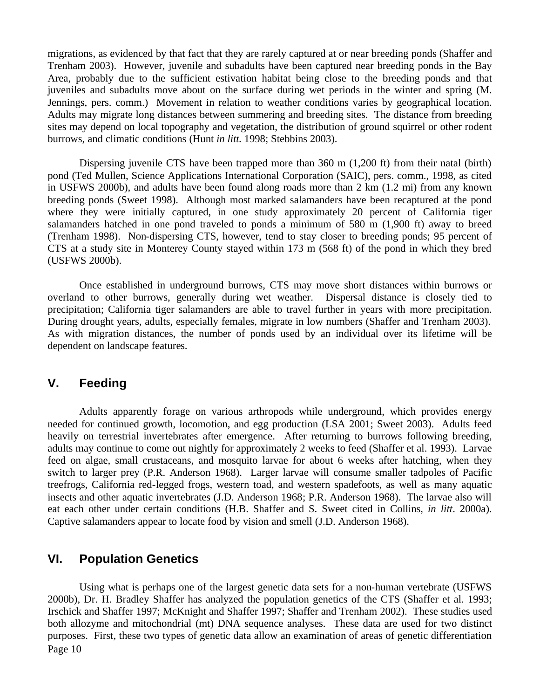migrations, as evidenced by that fact that they are rarely captured at or near breeding ponds (Shaffer and Trenham 2003). However, juvenile and subadults have been captured near breeding ponds in the Bay Area, probably due to the sufficient estivation habitat being close to the breeding ponds and that juveniles and subadults move about on the surface during wet periods in the winter and spring (M. Jennings, pers. comm.) Movement in relation to weather conditions varies by geographical location. Adults may migrate long distances between summering and breeding sites. The distance from breeding sites may depend on local topography and vegetation, the distribution of ground squirrel or other rodent burrows, and climatic conditions (Hunt *in litt*. 1998; Stebbins 2003).

Dispersing juvenile CTS have been trapped more than 360 m (1,200 ft) from their natal (birth) pond (Ted Mullen, Science Applications International Corporation (SAIC), pers. comm., 1998, as cited in USFWS 2000b), and adults have been found along roads more than 2 km (1.2 mi) from any known breeding ponds (Sweet 1998). Although most marked salamanders have been recaptured at the pond where they were initially captured, in one study approximately 20 percent of California tiger salamanders hatched in one pond traveled to ponds a minimum of 580 m (1,900 ft) away to breed (Trenham 1998). Non-dispersing CTS, however, tend to stay closer to breeding ponds; 95 percent of CTS at a study site in Monterey County stayed within 173 m (568 ft) of the pond in which they bred (USFWS 2000b).

Once established in underground burrows, CTS may move short distances within burrows or overland to other burrows, generally during wet weather. Dispersal distance is closely tied to precipitation; California tiger salamanders are able to travel further in years with more precipitation. During drought years, adults, especially females, migrate in low numbers (Shaffer and Trenham 2003). As with migration distances, the number of ponds used by an individual over its lifetime will be dependent on landscape features.

#### **V. Feeding**

Adults apparently forage on various arthropods while underground, which provides energy needed for continued growth, locomotion, and egg production (LSA 2001; Sweet 2003). Adults feed heavily on terrestrial invertebrates after emergence. After returning to burrows following breeding, adults may continue to come out nightly for approximately 2 weeks to feed (Shaffer et al. 1993). Larvae feed on algae, small crustaceans, and mosquito larvae for about 6 weeks after hatching, when they switch to larger prey (P.R. Anderson 1968). Larger larvae will consume smaller tadpoles of Pacific treefrogs, California red-legged frogs, western toad, and western spadefoots, as well as many aquatic insects and other aquatic invertebrates (J.D. Anderson 1968; P.R. Anderson 1968). The larvae also will eat each other under certain conditions (H.B. Shaffer and S. Sweet cited in Collins, *in litt*. 2000a). Captive salamanders appear to locate food by vision and smell (J.D. Anderson 1968).

#### **VI. Population Genetics**

Page 10 Using what is perhaps one of the largest genetic data sets for a non-human vertebrate (USFWS 2000b), Dr. H. Bradley Shaffer has analyzed the population genetics of the CTS (Shaffer et al. 1993; Irschick and Shaffer 1997; McKnight and Shaffer 1997; Shaffer and Trenham 2002). These studies used both allozyme and mitochondrial (mt) DNA sequence analyses. These data are used for two distinct purposes. First, these two types of genetic data allow an examination of areas of genetic differentiation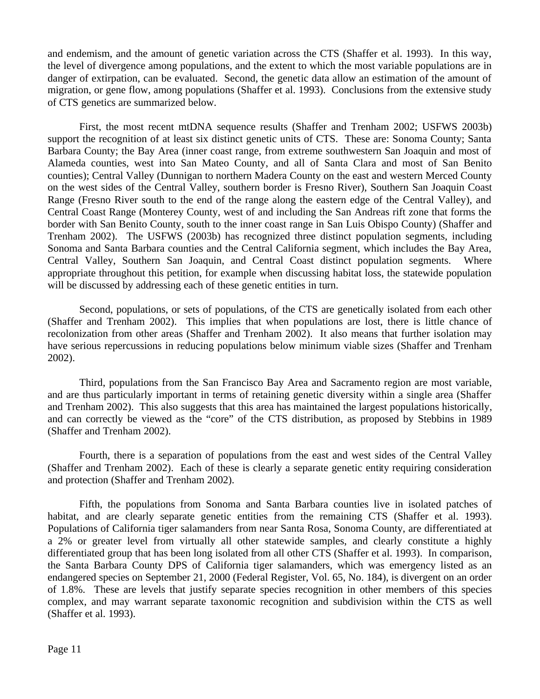and endemism, and the amount of genetic variation across the CTS (Shaffer et al. 1993). In this way, the level of divergence among populations, and the extent to which the most variable populations are in danger of extirpation, can be evaluated. Second, the genetic data allow an estimation of the amount of migration, or gene flow, among populations (Shaffer et al. 1993). Conclusions from the extensive study of CTS genetics are summarized below.

First, the most recent mtDNA sequence results (Shaffer and Trenham 2002; USFWS 2003b) support the recognition of at least six distinct genetic units of CTS. These are: Sonoma County; Santa Barbara County; the Bay Area (inner coast range, from extreme southwestern San Joaquin and most of Alameda counties, west into San Mateo County, and all of Santa Clara and most of San Benito counties); Central Valley (Dunnigan to northern Madera County on the east and western Merced County on the west sides of the Central Valley, southern border is Fresno River), Southern San Joaquin Coast Range (Fresno River south to the end of the range along the eastern edge of the Central Valley), and Central Coast Range (Monterey County, west of and including the San Andreas rift zone that forms the border with San Benito County, south to the inner coast range in San Luis Obispo County) (Shaffer and Trenham 2002). The USFWS (2003b) has recognized three distinct population segments, including Sonoma and Santa Barbara counties and the Central California segment, which includes the Bay Area, Central Valley, Southern San Joaquin, and Central Coast distinct population segments. Where appropriate throughout this petition, for example when discussing habitat loss, the statewide population will be discussed by addressing each of these genetic entities in turn.

Second, populations, or sets of populations, of the CTS are genetically isolated from each other (Shaffer and Trenham 2002). This implies that when populations are lost, there is little chance of recolonization from other areas (Shaffer and Trenham 2002). It also means that further isolation may have serious repercussions in reducing populations below minimum viable sizes (Shaffer and Trenham 2002).

Third, populations from the San Francisco Bay Area and Sacramento region are most variable, and are thus particularly important in terms of retaining genetic diversity within a single area (Shaffer and Trenham 2002). This also suggests that this area has maintained the largest populations historically, and can correctly be viewed as the "core" of the CTS distribution, as proposed by Stebbins in 1989 (Shaffer and Trenham 2002).

Fourth, there is a separation of populations from the east and west sides of the Central Valley (Shaffer and Trenham 2002). Each of these is clearly a separate genetic entity requiring consideration and protection (Shaffer and Trenham 2002).

Fifth, the populations from Sonoma and Santa Barbara counties live in isolated patches of habitat, and are clearly separate genetic entities from the remaining CTS (Shaffer et al. 1993). Populations of California tiger salamanders from near Santa Rosa, Sonoma County, are differentiated at a 2% or greater level from virtually all other statewide samples, and clearly constitute a highly differentiated group that has been long isolated from all other CTS (Shaffer et al. 1993). In comparison, the Santa Barbara County DPS of California tiger salamanders, which was emergency listed as an endangered species on September 21, 2000 (Federal Register, Vol. 65, No. 184), is divergent on an order of 1.8%. These are levels that justify separate species recognition in other members of this species complex, and may warrant separate taxonomic recognition and subdivision within the CTS as well (Shaffer et al. 1993).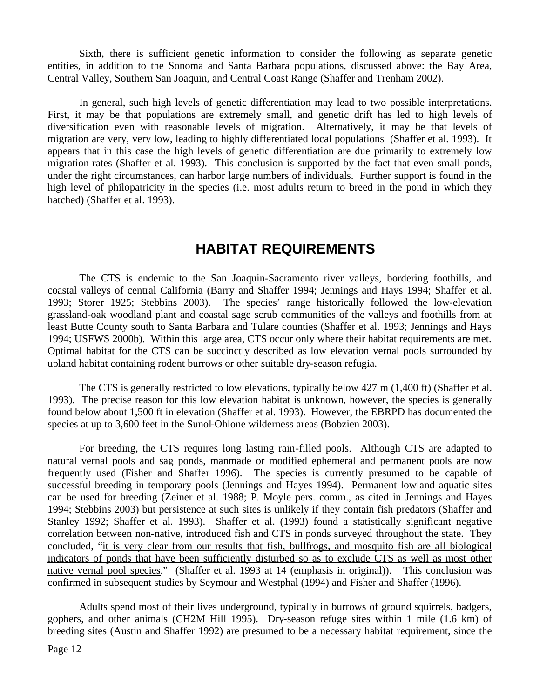Sixth, there is sufficient genetic information to consider the following as separate genetic entities, in addition to the Sonoma and Santa Barbara populations, discussed above: the Bay Area, Central Valley, Southern San Joaquin, and Central Coast Range (Shaffer and Trenham 2002).

In general, such high levels of genetic differentiation may lead to two possible interpretations. First, it may be that populations are extremely small, and genetic drift has led to high levels of diversification even with reasonable levels of migration. Alternatively, it may be that levels of migration are very, very low, leading to highly differentiated local populations (Shaffer et al. 1993). It appears that in this case the high levels of genetic differentiation are due primarily to extremely low migration rates (Shaffer et al. 1993). This conclusion is supported by the fact that even small ponds, under the right circumstances, can harbor large numbers of individuals. Further support is found in the high level of philopatricity in the species (i.e. most adults return to breed in the pond in which they hatched) (Shaffer et al. 1993).

# **HABITAT REQUIREMENTS**

The CTS is endemic to the San Joaquin-Sacramento river valleys, bordering foothills, and coastal valleys of central California (Barry and Shaffer 1994; Jennings and Hays 1994; Shaffer et al. 1993; Storer 1925; Stebbins 2003). The species' range historically followed the low-elevation grassland-oak woodland plant and coastal sage scrub communities of the valleys and foothills from at least Butte County south to Santa Barbara and Tulare counties (Shaffer et al. 1993; Jennings and Hays 1994; USFWS 2000b). Within this large area, CTS occur only where their habitat requirements are met. Optimal habitat for the CTS can be succinctly described as low elevation vernal pools surrounded by upland habitat containing rodent burrows or other suitable dry-season refugia.

The CTS is generally restricted to low elevations, typically below 427 m (1,400 ft) (Shaffer et al. 1993). The precise reason for this low elevation habitat is unknown, however, the species is generally found below about 1,500 ft in elevation (Shaffer et al. 1993). However, the EBRPD has documented the species at up to 3,600 feet in the Sunol-Ohlone wilderness areas (Bobzien 2003).

For breeding, the CTS requires long lasting rain-filled pools. Although CTS are adapted to natural vernal pools and sag ponds, manmade or modified ephemeral and permanent pools are now frequently used (Fisher and Shaffer 1996). The species is currently presumed to be capable of successful breeding in temporary pools (Jennings and Hayes 1994). Permanent lowland aquatic sites can be used for breeding (Zeiner et al. 1988; P. Moyle pers. comm., as cited in Jennings and Hayes 1994; Stebbins 2003) but persistence at such sites is unlikely if they contain fish predators (Shaffer and Stanley 1992; Shaffer et al. 1993). Shaffer et al. (1993) found a statistically significant negative correlation between non-native, introduced fish and CTS in ponds surveyed throughout the state. They concluded, "it is very clear from our results that fish, bullfrogs, and mosquito fish are all biological indicators of ponds that have been sufficiently disturbed so as to exclude CTS as well as most other native vernal pool species." (Shaffer et al. 1993 at 14 (emphasis in original)). This conclusion was confirmed in subsequent studies by Seymour and Westphal (1994) and Fisher and Shaffer (1996).

Adults spend most of their lives underground, typically in burrows of ground squirrels, badgers, gophers, and other animals (CH2M Hill 1995). Dry-season refuge sites within 1 mile (1.6 km) of breeding sites (Austin and Shaffer 1992) are presumed to be a necessary habitat requirement, since the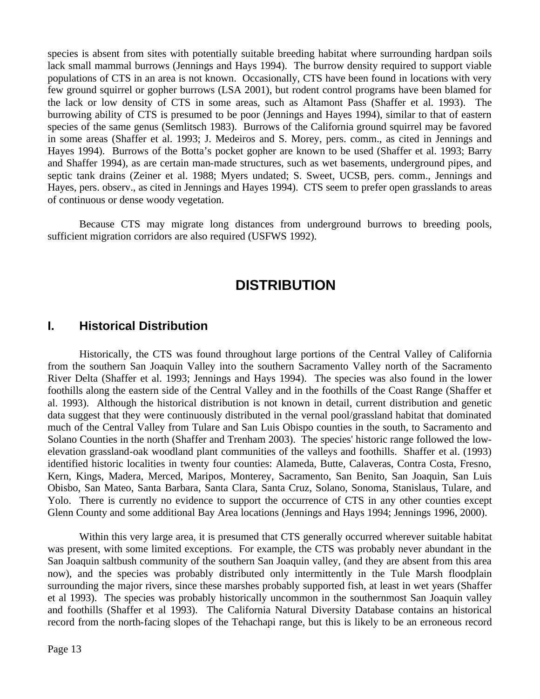species is absent from sites with potentially suitable breeding habitat where surrounding hardpan soils lack small mammal burrows (Jennings and Hays 1994). The burrow density required to support viable populations of CTS in an area is not known. Occasionally, CTS have been found in locations with very few ground squirrel or gopher burrows (LSA 2001), but rodent control programs have been blamed for the lack or low density of CTS in some areas, such as Altamont Pass (Shaffer et al. 1993). The burrowing ability of CTS is presumed to be poor (Jennings and Hayes 1994), similar to that of eastern species of the same genus (Semlitsch 1983). Burrows of the California ground squirrel may be favored in some areas (Shaffer et al. 1993; J. Medeiros and S. Morey, pers. comm., as cited in Jennings and Hayes 1994). Burrows of the Botta's pocket gopher are known to be used (Shaffer et al. 1993; Barry and Shaffer 1994), as are certain man-made structures, such as wet basements, underground pipes, and septic tank drains (Zeiner et al. 1988; Myers undated; S. Sweet, UCSB, pers. comm., Jennings and Hayes, pers. observ., as cited in Jennings and Hayes 1994). CTS seem to prefer open grasslands to areas of continuous or dense woody vegetation.

Because CTS may migrate long distances from underground burrows to breeding pools, sufficient migration corridors are also required (USFWS 1992).

# **DISTRIBUTION**

#### **I. Historical Distribution**

Historically, the CTS was found throughout large portions of the Central Valley of California from the southern San Joaquin Valley into the southern Sacramento Valley north of the Sacramento River Delta (Shaffer et al. 1993; Jennings and Hays 1994). The species was also found in the lower foothills along the eastern side of the Central Valley and in the foothills of the Coast Range (Shaffer et al. 1993). Although the historical distribution is not known in detail, current distribution and genetic data suggest that they were continuously distributed in the vernal pool/grassland habitat that dominated much of the Central Valley from Tulare and San Luis Obispo counties in the south, to Sacramento and Solano Counties in the north (Shaffer and Trenham 2003). The species' historic range followed the lowelevation grassland-oak woodland plant communities of the valleys and foothills. Shaffer et al. (1993) identified historic localities in twenty four counties: Alameda, Butte, Calaveras, Contra Costa, Fresno, Kern, Kings, Madera, Merced, Maripos, Monterey, Sacramento, San Benito, San Joaquin, San Luis Obisbo, San Mateo, Santa Barbara, Santa Clara, Santa Cruz, Solano, Sonoma, Stanislaus, Tulare, and Yolo. There is currently no evidence to support the occurrence of CTS in any other counties except Glenn County and some additional Bay Area locations (Jennings and Hays 1994; Jennings 1996, 2000).

Within this very large area, it is presumed that CTS generally occurred wherever suitable habitat was present, with some limited exceptions. For example, the CTS was probably never abundant in the San Joaquin saltbush community of the southern San Joaquin valley, (and they are absent from this area now), and the species was probably distributed only intermittently in the Tule Marsh floodplain surrounding the major rivers, since these marshes probably supported fish, at least in wet years (Shaffer et al 1993). The species was probably historically uncommon in the southernmost San Joaquin valley and foothills (Shaffer et al 1993). The California Natural Diversity Database contains an historical record from the north-facing slopes of the Tehachapi range, but this is likely to be an erroneous record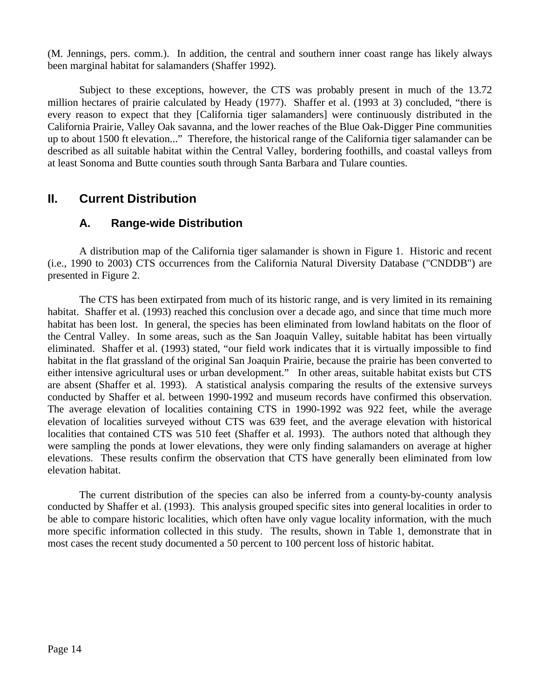(M. Jennings, pers. comm.). In addition, the central and southern inner coast range has likely always been marginal habitat for salamanders (Shaffer 1992).

Subject to these exceptions, however, the CTS was probably present in much of the 13.72 million hectares of prairie calculated by Heady (1977). Shaffer et al. (1993 at 3) concluded, "there is every reason to expect that they [California tiger salamanders] were continuously distributed in the California Prairie, Valley Oak savanna, and the lower reaches of the Blue Oak-Digger Pine communities up to about 1500 ft elevation..." Therefore, the historical range of the California tiger salamander can be described as all suitable habitat within the Central Valley, bordering foothills, and coastal valleys from at least Sonoma and Butte counties south through Santa Barbara and Tulare counties.

### **II. Current Distribution**

#### **A. Range-wide Distribution**

A distribution map of the California tiger salamander is shown in Figure 1. Historic and recent (i.e., 1990 to 2003) CTS occurrences from the California Natural Diversity Database ("CNDDB") are presented in Figure 2.

The CTS has been extirpated from much of its historic range, and is very limited in its remaining habitat. Shaffer et al. (1993) reached this conclusion over a decade ago, and since that time much more habitat has been lost. In general, the species has been eliminated from lowland habitats on the floor of the Central Valley. In some areas, such as the San Joaquin Valley, suitable habitat has been virtually eliminated. Shaffer et al. (1993) stated, "our field work indicates that it is virtually impossible to find habitat in the flat grassland of the original San Joaquin Prairie, because the prairie has been converted to either intensive agricultural uses or urban development." In other areas, suitable habitat exists but CTS are absent (Shaffer et al. 1993). A statistical analysis comparing the results of the extensive surveys conducted by Shaffer et al. between 1990-1992 and museum records have confirmed this observation. The average elevation of localities containing CTS in 1990-1992 was 922 feet, while the average elevation of localities surveyed without CTS was 639 feet, and the average elevation with historical localities that contained CTS was 510 feet (Shaffer et al. 1993). The authors noted that although they were sampling the ponds at lower elevations, they were only finding salamanders on average at higher elevations. These results confirm the observation that CTS have generally been eliminated from low elevation habitat.

The current distribution of the species can also be inferred from a county-by-county analysis conducted by Shaffer et al. (1993). This analysis grouped specific sites into general localities in order to be able to compare historic localities, which often have only vague locality information, with the much more specific information collected in this study. The results, shown in Table 1, demonstrate that in most cases the recent study documented a 50 percent to 100 percent loss of historic habitat.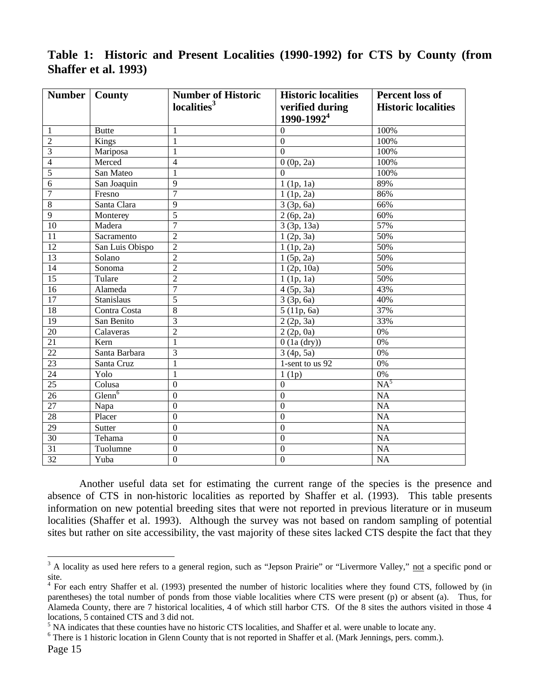|                 | <b>Shaffer et al. 1993</b> ) | <b>Table 1. Instance and Frescht Locanties (1990-1994) for CTS by County (1100</b> |                                                                 |                                                      |  |
|-----------------|------------------------------|------------------------------------------------------------------------------------|-----------------------------------------------------------------|------------------------------------------------------|--|
| Number   County |                              | <b>Number of Historic</b><br>localities <sup>3</sup>                               | <b>Historic localities</b><br>verified during<br>$1990 - 19924$ | <b>Percent loss of</b><br><b>Historic localities</b> |  |

|                             |  | Table 1: Historic and Present Localities (1990-1992) for CTS by County (from |  |  |  |
|-----------------------------|--|------------------------------------------------------------------------------|--|--|--|
| <b>Shaffer et al. 1993)</b> |  |                                                                              |  |  |  |

|                 |                       |                  | rencu uuring<br>1990-1992 <sup>4</sup> | motoric localities |
|-----------------|-----------------------|------------------|----------------------------------------|--------------------|
| 1               | <b>Butte</b>          | $\mathbf{1}$     | $\Omega$                               | 100%               |
| $\overline{2}$  | Kings                 | $\mathbf{1}$     | $\overline{0}$                         | 100%               |
| $\overline{3}$  | Mariposa              | $\mathbf{1}$     | $\mathbf{0}$                           | 100%               |
| $\overline{4}$  | Merced                | $\overline{4}$   | 0(0p, 2a)                              | 100%               |
| $\overline{5}$  | San Mateo             | 1                | $\Omega$                               | 100%               |
| $\overline{6}$  | San Joaquin           | $\overline{9}$   | $1$ (1p, 1a)                           | 89%                |
| $\overline{7}$  | Fresno                | $\overline{7}$   | $1$ (1p, 2a)                           | 86%                |
| $\overline{8}$  | Santa Clara           | 9                | 3(3p, 6a)                              | 66%                |
| $\overline{9}$  | Monterey              | $\overline{5}$   | 2(6p, 2a)                              | 60%                |
| 10              | Madera                | $\overline{7}$   | 3(3p, 13a)                             | 57%                |
| $\overline{11}$ | Sacramento            | $\overline{2}$   | 1(2p, 3a)                              | 50%                |
| 12              | San Luis Obispo       | $\overline{2}$   | $1$ (1p, 2a)                           | 50%                |
| 13              | Solano                | $\overline{2}$   | 1(5p, 2a)                              | 50%                |
| 14              | Sonoma                | $\overline{2}$   | 1(2p, 10a)                             | 50%                |
| 15              | Tulare                | $\overline{2}$   | $1$ (1p, 1a)                           | 50%                |
| 16              | Alameda               | $\overline{7}$   | $\overline{4(5p, 3a)}$                 | 43%                |
| 17              | Stanislaus            | 5                | 3 (3p, 6a)                             | 40%                |
| 18              | Contra Costa          | $\overline{8}$   | 5(11p, 6a)                             | 37%                |
| 19              | San Benito            | $\overline{3}$   | $\overline{2}$ (2p, 3a)                | 33%                |
| 20              | Calaveras             | $\overline{2}$   | 2(2p, 0a)                              | $\overline{0\%}$   |
| $\overline{21}$ | Kern                  | 1                | $0$ (1a (dry))                         | $\overline{0\%}$   |
| $\overline{22}$ | Santa Barbara         | 3                | 3(4p, 5a)                              | 0%                 |
| 23              | Santa Cruz            | 1                | $1$ -sent to us 92                     | $\overline{0\%}$   |
| $\overline{24}$ | Yolo                  | 1                | 1(1p)                                  | $\overline{0\%}$   |
| 25              | Colusa                | $\overline{0}$   | $\boldsymbol{0}$                       | NA <sup>5</sup>    |
| 26              | $G$ lenn <sup>6</sup> | $\overline{0}$   | $\overline{0}$                         | $\overline{NA}$    |
| 27              | Napa                  | $\boldsymbol{0}$ | $\mathbf{0}$                           | <b>NA</b>          |
| 28              | Placer                | $\overline{0}$   | $\overline{0}$                         | $\overline{NA}$    |
| 29              | Sutter                | $\overline{0}$   | $\overline{0}$                         | $\overline{NA}$    |
| 30              | Tehama                | $\overline{0}$   | $\overline{0}$                         | NA                 |
| 31              | Tuolumne              | $\overline{0}$   | $\boldsymbol{0}$                       | NA                 |
| $\overline{32}$ | Yuba                  | $\mathbf{0}$     | $\overline{0}$                         | NA                 |

Another useful data set for estimating the current range of the species is the presence and absence of CTS in non-historic localities as reported by Shaffer et al. (1993). This table presents information on new potential breeding sites that were not reported in previous literature or in museum localities (Shaffer et al. 1993). Although the survey was not based on random sampling of potential sites but rather on site accessibility, the vast majority of these sites lacked CTS despite the fact that they

<sup>&</sup>lt;sup>3</sup> A locality as used here refers to a general region, such as "Jepson Prairie" or "Livermore Valley," <u>not</u> a specific pond or site.

<sup>&</sup>lt;sup>4</sup> For each entry Shaffer et al. (1993) presented the number of historic localities where they found CTS, followed by (in parentheses) the total number of ponds from those viable localities where CTS were present (p) or absent (a). Thus, for Alameda County, there are 7 historical localities, 4 of which still harbor CTS. Of the 8 sites the authors visited in those 4 locations, 5 contained CTS and 3 did not.

<sup>&</sup>lt;sup>5</sup> NA indicates that these counties have no historic CTS localities, and Shaffer et al. were unable to locate any.

<sup>&</sup>lt;sup>6</sup> There is 1 historic location in Glenn County that is not reported in Shaffer et al. (Mark Jennings, pers. comm.).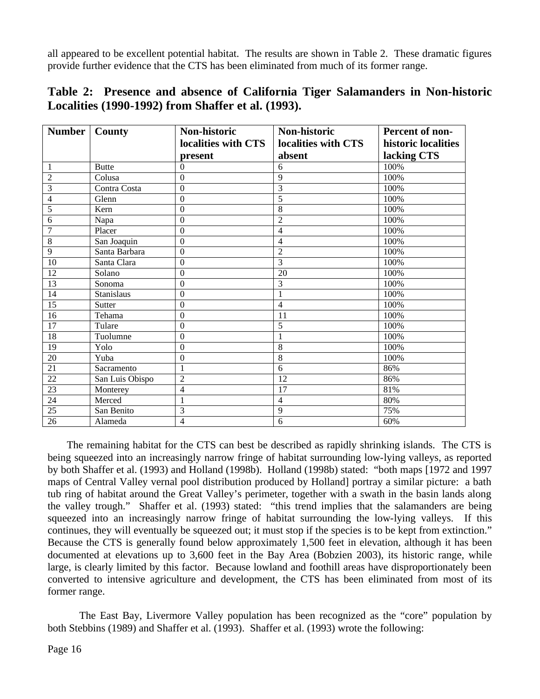all appeared to be excellent potential habitat. The results are shown in Table 2. These dramatic figures provide further evidence that the CTS has been eliminated from much of its former range.

| <b>Number</b>   | <b>County</b>   | Non-historic        | Non-historic             | Percent of non-     |
|-----------------|-----------------|---------------------|--------------------------|---------------------|
|                 |                 | localities with CTS | localities with CTS      | historic localities |
|                 |                 | present             | absent                   | lacking CTS         |
| 1               | <b>Butte</b>    | $\Omega$            | 6                        | 100%                |
| $\overline{2}$  | Colusa          | $\mathbf{0}$        | $\overline{9}$           | 100%                |
| $\overline{3}$  | Contra Costa    | $\mathbf{0}$        | $\overline{3}$           | 100%                |
| $\overline{4}$  | Glenn           | $\overline{0}$      | 5                        | 100%                |
| 5               | Kern            | $\overline{0}$      | 8                        | 100%                |
| 6               | Napa            | $\boldsymbol{0}$    | $\overline{2}$           | 100%                |
| $\overline{7}$  | Placer          | $\mathbf{0}$        | $\overline{\mathcal{L}}$ | 100%                |
| $\overline{8}$  | San Joaquin     | $\mathbf{0}$        | $\overline{4}$           | 100%                |
| 9               | Santa Barbara   | $\overline{0}$      | $\overline{2}$           | 100%                |
| 10              | Santa Clara     | $\boldsymbol{0}$    | $\overline{3}$           | 100%                |
| 12              | Solano          | $\mathbf{0}$        | 20                       | 100%                |
| 13              | Sonoma          | $\mathbf{0}$        | $\overline{3}$           | 100%                |
| 14              | Stanislaus      | $\Omega$            | 1                        | 100%                |
| $\overline{15}$ | <b>Sutter</b>   | $\overline{0}$      | $\overline{4}$           | 100%                |
| 16              | Tehama          | $\theta$            | 11                       | 100%                |
| 17              | Tulare          | $\mathbf{0}$        | $\overline{5}$           | 100%                |
| 18              | Tuolumne        | $\theta$            | $\mathbf{1}$             | 100%                |
| 19              | Yolo            | $\overline{0}$      | $\overline{8}$           | 100%                |
| $\overline{20}$ | Yuba            | $\boldsymbol{0}$    | $\overline{8}$           | 100%                |
| 21              | Sacramento      | $\mathbf{1}$        | $\overline{6}$           | 86%                 |
| $22\,$          | San Luis Obispo | $\overline{2}$      | 12                       | 86%                 |
| 23              | Monterey        | $\overline{4}$      | 17                       | 81%                 |
| 24              | Merced          | $\mathbf{1}$        | $\overline{4}$           | 80%                 |
| $\overline{25}$ | San Benito      | 3                   | $\overline{9}$           | 75%                 |
| 26              | Alameda         | $\overline{4}$      | 6                        | 60%                 |

**Table 2: Presence and absence of California Tiger Salamanders in Non-historic Localities (1990-1992) from Shaffer et al. (1993).**

 The remaining habitat for the CTS can best be described as rapidly shrinking islands. The CTS is being squeezed into an increasingly narrow fringe of habitat surrounding low-lying valleys, as reported by both Shaffer et al. (1993) and Holland (1998b). Holland (1998b) stated: "both maps [1972 and 1997 maps of Central Valley vernal pool distribution produced by Holland] portray a similar picture: a bath tub ring of habitat around the Great Valley's perimeter, together with a swath in the basin lands along the valley trough." Shaffer et al. (1993) stated: "this trend implies that the salamanders are being squeezed into an increasingly narrow fringe of habitat surrounding the low-lying valleys. If this continues, they will eventually be squeezed out; it must stop if the species is to be kept from extinction." Because the CTS is generally found below approximately 1,500 feet in elevation, although it has been documented at elevations up to 3,600 feet in the Bay Area (Bobzien 2003), its historic range, while large, is clearly limited by this factor. Because lowland and foothill areas have disproportionately been converted to intensive agriculture and development, the CTS has been eliminated from most of its former range.

The East Bay, Livermore Valley population has been recognized as the "core" population by both Stebbins (1989) and Shaffer et al. (1993). Shaffer et al. (1993) wrote the following: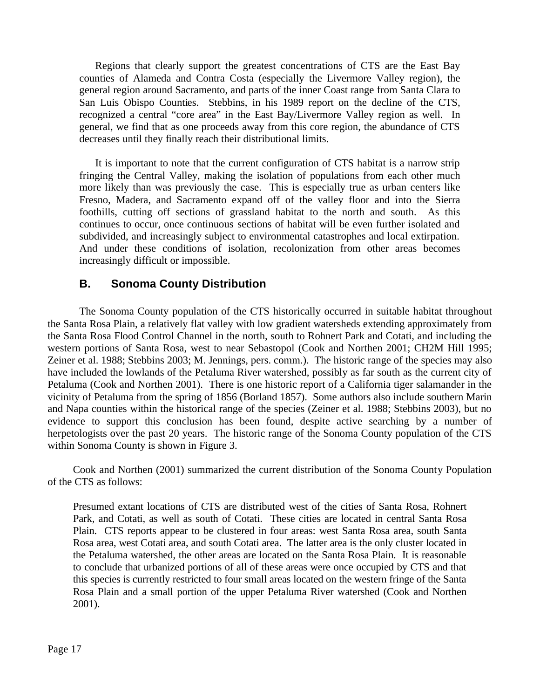Regions that clearly support the greatest concentrations of CTS are the East Bay counties of Alameda and Contra Costa (especially the Livermore Valley region), the general region around Sacramento, and parts of the inner Coast range from Santa Clara to San Luis Obispo Counties. Stebbins, in his 1989 report on the decline of the CTS, recognized a central "core area" in the East Bay/Livermore Valley region as well. In general, we find that as one proceeds away from this core region, the abundance of CTS decreases until they finally reach their distributional limits.

It is important to note that the current configuration of CTS habitat is a narrow strip fringing the Central Valley, making the isolation of populations from each other much more likely than was previously the case. This is especially true as urban centers like Fresno, Madera, and Sacramento expand off of the valley floor and into the Sierra foothills, cutting off sections of grassland habitat to the north and south. As this continues to occur, once continuous sections of habitat will be even further isolated and subdivided, and increasingly subject to environmental catastrophes and local extirpation. And under these conditions of isolation, recolonization from other areas becomes increasingly difficult or impossible.

#### **B. Sonoma County Distribution**

The Sonoma County population of the CTS historically occurred in suitable habitat throughout the Santa Rosa Plain, a relatively flat valley with low gradient watersheds extending approximately from the Santa Rosa Flood Control Channel in the north, south to Rohnert Park and Cotati, and including the western portions of Santa Rosa, west to near Sebastopol (Cook and Northen 2001; CH2M Hill 1995; Zeiner et al. 1988; Stebbins 2003; M. Jennings, pers. comm.). The historic range of the species may also have included the lowlands of the Petaluma River watershed, possibly as far south as the current city of Petaluma (Cook and Northen 2001). There is one historic report of a California tiger salamander in the vicinity of Petaluma from the spring of 1856 (Borland 1857). Some authors also include southern Marin and Napa counties within the historical range of the species (Zeiner et al. 1988; Stebbins 2003), but no evidence to support this conclusion has been found, despite active searching by a number of herpetologists over the past 20 years. The historic range of the Sonoma County population of the CTS within Sonoma County is shown in Figure 3.

Cook and Northen (2001) summarized the current distribution of the Sonoma County Population of the CTS as follows:

Presumed extant locations of CTS are distributed west of the cities of Santa Rosa, Rohnert Park, and Cotati, as well as south of Cotati. These cities are located in central Santa Rosa Plain. CTS reports appear to be clustered in four areas: west Santa Rosa area, south Santa Rosa area, west Cotati area, and south Cotati area. The latter area is the only cluster located in the Petaluma watershed, the other areas are located on the Santa Rosa Plain. It is reasonable to conclude that urbanized portions of all of these areas were once occupied by CTS and that this species is currently restricted to four small areas located on the western fringe of the Santa Rosa Plain and a small portion of the upper Petaluma River watershed (Cook and Northen 2001).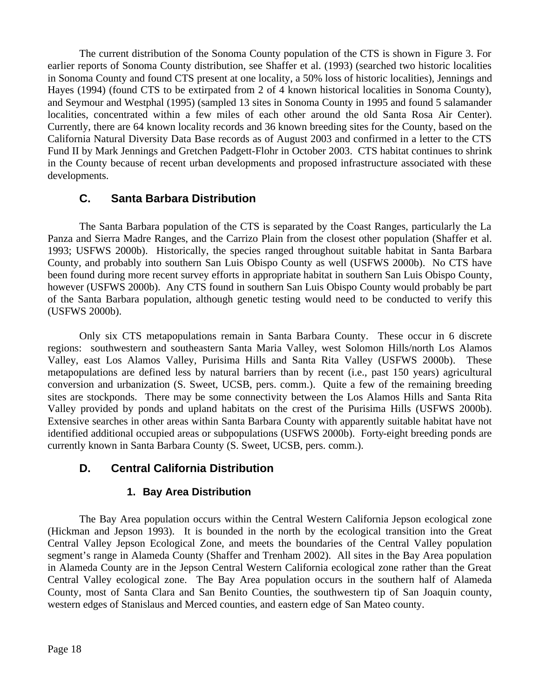The current distribution of the Sonoma County population of the CTS is shown in Figure 3. For earlier reports of Sonoma County distribution, see Shaffer et al. (1993) (searched two historic localities in Sonoma County and found CTS present at one locality, a 50% loss of historic localities), Jennings and Hayes (1994) (found CTS to be extirpated from 2 of 4 known historical localities in Sonoma County), and Seymour and Westphal (1995) (sampled 13 sites in Sonoma County in 1995 and found 5 salamander localities, concentrated within a few miles of each other around the old Santa Rosa Air Center). Currently, there are 64 known locality records and 36 known breeding sites for the County, based on the California Natural Diversity Data Base records as of August 2003 and confirmed in a letter to the CTS Fund II by Mark Jennings and Gretchen Padgett-Flohr in October 2003. CTS habitat continues to shrink in the County because of recent urban developments and proposed infrastructure associated with these developments.

#### **C. Santa Barbara Distribution**

The Santa Barbara population of the CTS is separated by the Coast Ranges, particularly the La Panza and Sierra Madre Ranges, and the Carrizo Plain from the closest other population (Shaffer et al. 1993; USFWS 2000b). Historically, the species ranged throughout suitable habitat in Santa Barbara County, and probably into southern San Luis Obispo County as well (USFWS 2000b). No CTS have been found during more recent survey efforts in appropriate habitat in southern San Luis Obispo County, however (USFWS 2000b). Any CTS found in southern San Luis Obispo County would probably be part of the Santa Barbara population, although genetic testing would need to be conducted to verify this (USFWS 2000b).

Only six CTS metapopulations remain in Santa Barbara County. These occur in 6 discrete regions: southwestern and southeastern Santa Maria Valley, west Solomon Hills/north Los Alamos Valley, east Los Alamos Valley, Purisima Hills and Santa Rita Valley (USFWS 2000b). These metapopulations are defined less by natural barriers than by recent (i.e., past 150 years) agricultural conversion and urbanization (S. Sweet, UCSB, pers. comm.). Quite a few of the remaining breeding sites are stockponds. There may be some connectivity between the Los Alamos Hills and Santa Rita Valley provided by ponds and upland habitats on the crest of the Purisima Hills (USFWS 2000b). Extensive searches in other areas within Santa Barbara County with apparently suitable habitat have not identified additional occupied areas or subpopulations (USFWS 2000b). Forty-eight breeding ponds are currently known in Santa Barbara County (S. Sweet, UCSB, pers. comm.).

### **D. Central California Distribution**

#### **1. Bay Area Distribution**

The Bay Area population occurs within the Central Western California Jepson ecological zone (Hickman and Jepson 1993). It is bounded in the north by the ecological transition into the Great Central Valley Jepson Ecological Zone, and meets the boundaries of the Central Valley population segment's range in Alameda County (Shaffer and Trenham 2002). All sites in the Bay Area population in Alameda County are in the Jepson Central Western California ecological zone rather than the Great Central Valley ecological zone. The Bay Area population occurs in the southern half of Alameda County, most of Santa Clara and San Benito Counties, the southwestern tip of San Joaquin county, western edges of Stanislaus and Merced counties, and eastern edge of San Mateo county.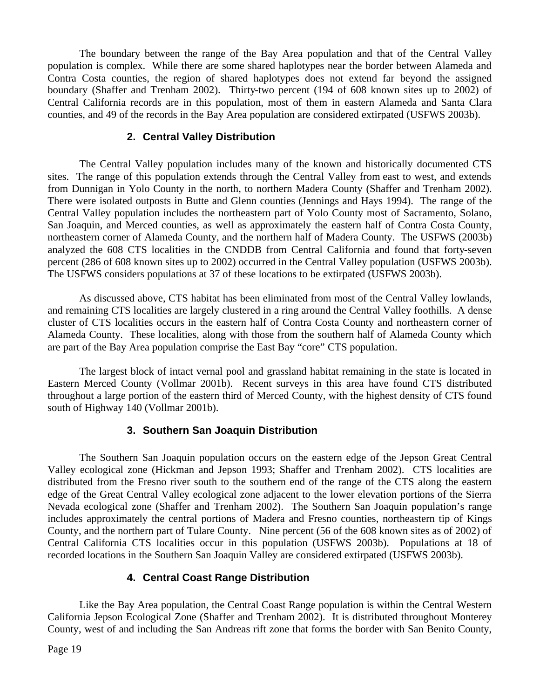The boundary between the range of the Bay Area population and that of the Central Valley population is complex. While there are some shared haplotypes near the border between Alameda and Contra Costa counties, the region of shared haplotypes does not extend far beyond the assigned boundary (Shaffer and Trenham 2002). Thirty-two percent (194 of 608 known sites up to 2002) of Central California records are in this population, most of them in eastern Alameda and Santa Clara counties, and 49 of the records in the Bay Area population are considered extirpated (USFWS 2003b).

#### **2. Central Valley Distribution**

The Central Valley population includes many of the known and historically documented CTS sites. The range of this population extends through the Central Valley from east to west, and extends from Dunnigan in Yolo County in the north, to northern Madera County (Shaffer and Trenham 2002). There were isolated outposts in Butte and Glenn counties (Jennings and Hays 1994). The range of the Central Valley population includes the northeastern part of Yolo County most of Sacramento, Solano, San Joaquin, and Merced counties, as well as approximately the eastern half of Contra Costa County, northeastern corner of Alameda County, and the northern half of Madera County. The USFWS (2003b) analyzed the 608 CTS localities in the CNDDB from Central California and found that forty-seven percent (286 of 608 known sites up to 2002) occurred in the Central Valley population (USFWS 2003b). The USFWS considers populations at 37 of these locations to be extirpated (USFWS 2003b).

As discussed above, CTS habitat has been eliminated from most of the Central Valley lowlands, and remaining CTS localities are largely clustered in a ring around the Central Valley foothills. A dense cluster of CTS localities occurs in the eastern half of Contra Costa County and northeastern corner of Alameda County. These localities, along with those from the southern half of Alameda County which are part of the Bay Area population comprise the East Bay "core" CTS population.

The largest block of intact vernal pool and grassland habitat remaining in the state is located in Eastern Merced County (Vollmar 2001b). Recent surveys in this area have found CTS distributed throughout a large portion of the eastern third of Merced County, with the highest density of CTS found south of Highway 140 (Vollmar 2001b).

#### **3. Southern San Joaquin Distribution**

The Southern San Joaquin population occurs on the eastern edge of the Jepson Great Central Valley ecological zone (Hickman and Jepson 1993; Shaffer and Trenham 2002). CTS localities are distributed from the Fresno river south to the southern end of the range of the CTS along the eastern edge of the Great Central Valley ecological zone adjacent to the lower elevation portions of the Sierra Nevada ecological zone (Shaffer and Trenham 2002). The Southern San Joaquin population's range includes approximately the central portions of Madera and Fresno counties, northeastern tip of Kings County, and the northern part of Tulare County. Nine percent (56 of the 608 known sites as of 2002) of Central California CTS localities occur in this population (USFWS 2003b). Populations at 18 of recorded locations in the Southern San Joaquin Valley are considered extirpated (USFWS 2003b).

#### **4. Central Coast Range Distribution**

Like the Bay Area population, the Central Coast Range population is within the Central Western California Jepson Ecological Zone (Shaffer and Trenham 2002). It is distributed throughout Monterey County, west of and including the San Andreas rift zone that forms the border with San Benito County,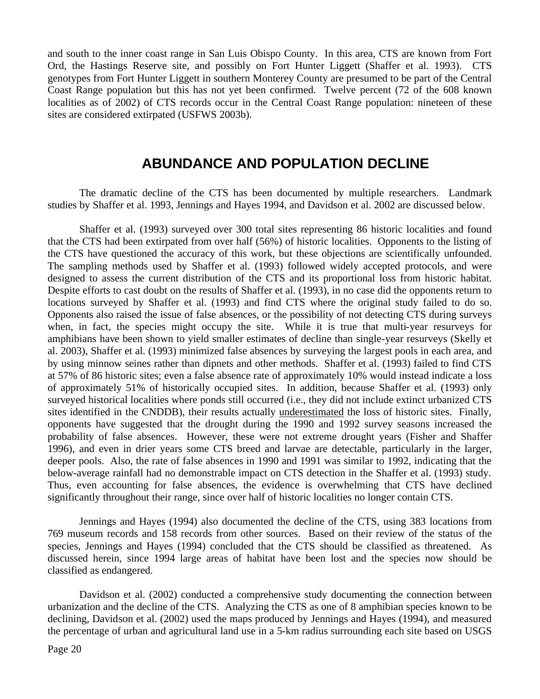and south to the inner coast range in San Luis Obispo County. In this area, CTS are known from Fort Ord, the Hastings Reserve site, and possibly on Fort Hunter Liggett (Shaffer et al. 1993). CTS genotypes from Fort Hunter Liggett in southern Monterey County are presumed to be part of the Central Coast Range population but this has not yet been confirmed. Twelve percent (72 of the 608 known localities as of 2002) of CTS records occur in the Central Coast Range population: nineteen of these sites are considered extirpated (USFWS 2003b).

# **ABUNDANCE AND POPULATION DECLINE**

The dramatic decline of the CTS has been documented by multiple researchers. Landmark studies by Shaffer et al. 1993, Jennings and Hayes 1994, and Davidson et al. 2002 are discussed below.

Shaffer et al. (1993) surveyed over 300 total sites representing 86 historic localities and found that the CTS had been extirpated from over half (56%) of historic localities. Opponents to the listing of the CTS have questioned the accuracy of this work, but these objections are scientifically unfounded. The sampling methods used by Shaffer et al. (1993) followed widely accepted protocols, and were designed to assess the current distribution of the CTS and its proportional loss from historic habitat. Despite efforts to cast doubt on the results of Shaffer et al. (1993), in no case did the opponents return to locations surveyed by Shaffer et al. (1993) and find CTS where the original study failed to do so. Opponents also raised the issue of false absences, or the possibility of not detecting CTS during surveys when, in fact, the species might occupy the site. While it is true that multi-year resurveys for amphibians have been shown to yield smaller estimates of decline than single-year resurveys (Skelly et al. 2003), Shaffer et al. (1993) minimized false absences by surveying the largest pools in each area, and by using minnow seines rather than dipnets and other methods. Shaffer et al. (1993) failed to find CTS at 57% of 86 historic sites; even a false absence rate of approximately 10% would instead indicate a loss of approximately 51% of historically occupied sites. In addition, because Shaffer et al. (1993) only surveyed historical localities where ponds still occurred (i.e., they did not include extinct urbanized CTS sites identified in the CNDDB), their results actually underestimated the loss of historic sites. Finally, opponents have suggested that the drought during the 1990 and 1992 survey seasons increased the probability of false absences. However, these were not extreme drought years (Fisher and Shaffer 1996), and even in drier years some CTS breed and larvae are detectable, particularly in the larger, deeper pools. Also, the rate of false absences in 1990 and 1991 was similar to 1992, indicating that the below-average rainfall had no demonstrable impact on CTS detection in the Shaffer et al. (1993) study. Thus, even accounting for false absences, the evidence is overwhelming that CTS have declined significantly throughout their range, since over half of historic localities no longer contain CTS.

Jennings and Hayes (1994) also documented the decline of the CTS, using 383 locations from 769 museum records and 158 records from other sources. Based on their review of the status of the species, Jennings and Hayes (1994) concluded that the CTS should be classified as threatened. As discussed herein, since 1994 large areas of habitat have been lost and the species now should be classified as endangered.

Davidson et al. (2002) conducted a comprehensive study documenting the connection between urbanization and the decline of the CTS. Analyzing the CTS as one of 8 amphibian species known to be declining, Davidson et al. (2002) used the maps produced by Jennings and Hayes (1994), and measured the percentage of urban and agricultural land use in a 5-km radius surrounding each site based on USGS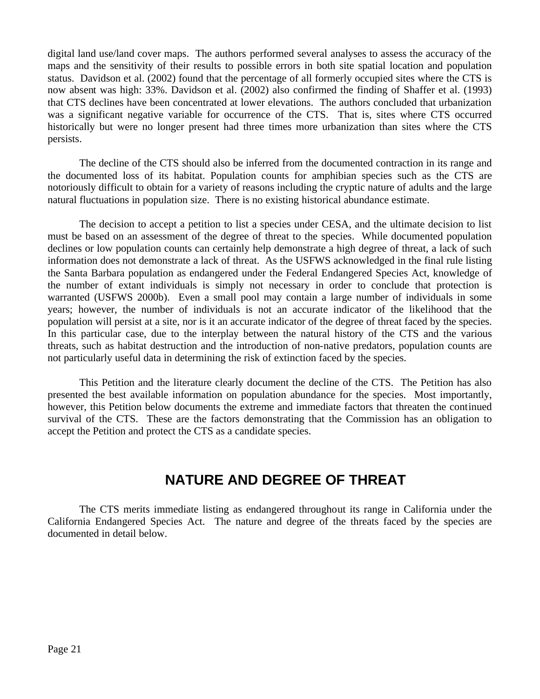digital land use/land cover maps. The authors performed several analyses to assess the accuracy of the maps and the sensitivity of their results to possible errors in both site spatial location and population status. Davidson et al. (2002) found that the percentage of all formerly occupied sites where the CTS is now absent was high: 33%. Davidson et al. (2002) also confirmed the finding of Shaffer et al. (1993) that CTS declines have been concentrated at lower elevations. The authors concluded that urbanization was a significant negative variable for occurrence of the CTS. That is, sites where CTS occurred historically but were no longer present had three times more urbanization than sites where the CTS persists.

The decline of the CTS should also be inferred from the documented contraction in its range and the documented loss of its habitat. Population counts for amphibian species such as the CTS are notoriously difficult to obtain for a variety of reasons including the cryptic nature of adults and the large natural fluctuations in population size. There is no existing historical abundance estimate.

The decision to accept a petition to list a species under CESA, and the ultimate decision to list must be based on an assessment of the degree of threat to the species. While documented population declines or low population counts can certainly help demonstrate a high degree of threat, a lack of such information does not demonstrate a lack of threat. As the USFWS acknowledged in the final rule listing the Santa Barbara population as endangered under the Federal Endangered Species Act, knowledge of the number of extant individuals is simply not necessary in order to conclude that protection is warranted (USFWS 2000b). Even a small pool may contain a large number of individuals in some years; however, the number of individuals is not an accurate indicator of the likelihood that the population will persist at a site, nor is it an accurate indicator of the degree of threat faced by the species. In this particular case, due to the interplay between the natural history of the CTS and the various threats, such as habitat destruction and the introduction of non-native predators, population counts are not particularly useful data in determining the risk of extinction faced by the species.

This Petition and the literature clearly document the decline of the CTS. The Petition has also presented the best available information on population abundance for the species. Most importantly, however, this Petition below documents the extreme and immediate factors that threaten the continued survival of the CTS. These are the factors demonstrating that the Commission has an obligation to accept the Petition and protect the CTS as a candidate species.

# **NATURE AND DEGREE OF THREAT**

The CTS merits immediate listing as endangered throughout its range in California under the California Endangered Species Act. The nature and degree of the threats faced by the species are documented in detail below.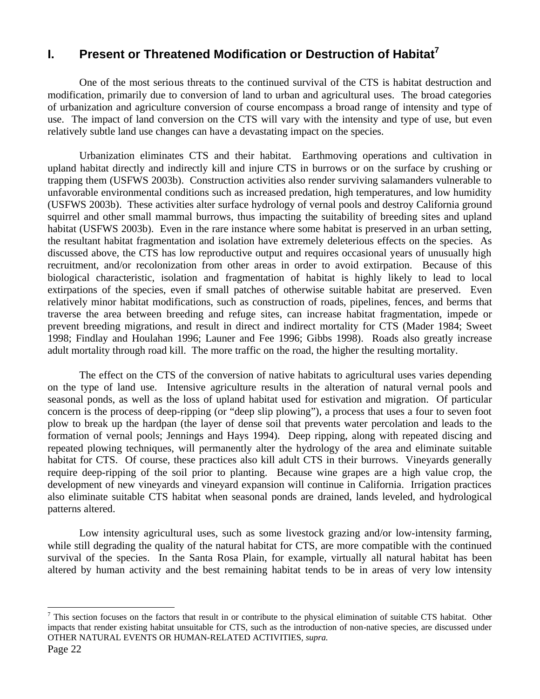# **I. Present or Threatened Modification or Destruction of Habitat<sup>7</sup>**

One of the most serious threats to the continued survival of the CTS is habitat destruction and modification, primarily due to conversion of land to urban and agricultural uses. The broad categories of urbanization and agriculture conversion of course encompass a broad range of intensity and type of use. The impact of land conversion on the CTS will vary with the intensity and type of use, but even relatively subtle land use changes can have a devastating impact on the species.

Urbanization eliminates CTS and their habitat. Earthmoving operations and cultivation in upland habitat directly and indirectly kill and injure CTS in burrows or on the surface by crushing or trapping them (USFWS 2003b). Construction activities also render surviving salamanders vulnerable to unfavorable environmental conditions such as increased predation, high temperatures, and low humidity (USFWS 2003b). These activities alter surface hydrology of vernal pools and destroy California ground squirrel and other small mammal burrows, thus impacting the suitability of breeding sites and upland habitat (USFWS 2003b). Even in the rare instance where some habitat is preserved in an urban setting, the resultant habitat fragmentation and isolation have extremely deleterious effects on the species. As discussed above, the CTS has low reproductive output and requires occasional years of unusually high recruitment, and/or recolonization from other areas in order to avoid extirpation. Because of this biological characteristic, isolation and fragmentation of habitat is highly likely to lead to local extirpations of the species, even if small patches of otherwise suitable habitat are preserved. Even relatively minor habitat modifications, such as construction of roads, pipelines, fences, and berms that traverse the area between breeding and refuge sites, can increase habitat fragmentation, impede or prevent breeding migrations, and result in direct and indirect mortality for CTS (Mader 1984; Sweet 1998; Findlay and Houlahan 1996; Launer and Fee 1996; Gibbs 1998). Roads also greatly increase adult mortality through road kill. The more traffic on the road, the higher the resulting mortality.

The effect on the CTS of the conversion of native habitats to agricultural uses varies depending on the type of land use. Intensive agriculture results in the alteration of natural vernal pools and seasonal ponds, as well as the loss of upland habitat used for estivation and migration. Of particular concern is the process of deep-ripping (or "deep slip plowing"), a process that uses a four to seven foot plow to break up the hardpan (the layer of dense soil that prevents water percolation and leads to the formation of vernal pools; Jennings and Hays 1994). Deep ripping, along with repeated discing and repeated plowing techniques, will permanently alter the hydrology of the area and eliminate suitable habitat for CTS. Of course, these practices also kill adult CTS in their burrows. Vineyards generally require deep-ripping of the soil prior to planting. Because wine grapes are a high value crop, the development of new vineyards and vineyard expansion will continue in California. Irrigation practices also eliminate suitable CTS habitat when seasonal ponds are drained, lands leveled, and hydrological patterns altered.

Low intensity agricultural uses, such as some livestock grazing and/or low-intensity farming, while still degrading the quality of the natural habitat for CTS, are more compatible with the continued survival of the species. In the Santa Rosa Plain, for example, virtually all natural habitat has been altered by human activity and the best remaining habitat tends to be in areas of very low intensity

1

 $<sup>7</sup>$  This section focuses on the factors that result in or contribute to the physical elimination of suitable CTS habitat. Other</sup> impacts that render existing habitat unsuitable for CTS, such as the introduction of non-native species, are discussed under OTHER NATURAL EVENTS OR HUMAN-RELATED ACTIVITIES, *supra*.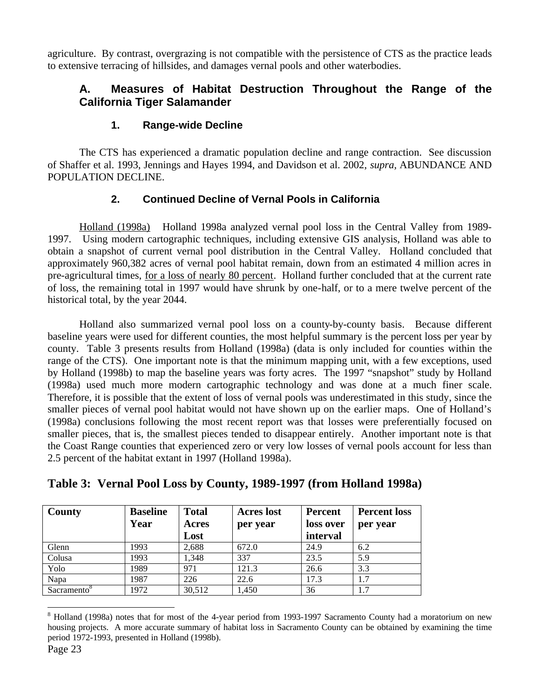agriculture. By contrast, overgrazing is not compatible with the persistence of CTS as the practice leads to extensive terracing of hillsides, and damages vernal pools and other waterbodies.

### **A. Measures of Habitat Destruction Throughout the Range of the California Tiger Salamander**

#### **1. Range-wide Decline**

The CTS has experienced a dramatic population decline and range contraction. See discussion of Shaffer et al. 1993, Jennings and Hayes 1994, and Davidson et al. 2002, *supra,* ABUNDANCE AND POPULATION DECLINE.

#### **2. Continued Decline of Vernal Pools in California**

Holland (1998a) Holland 1998a analyzed vernal pool loss in the Central Valley from 1989- 1997. Using modern cartographic techniques, including extensive GIS analysis, Holland was able to obtain a snapshot of current vernal pool distribution in the Central Valley. Holland concluded that approximately 960,382 acres of vernal pool habitat remain, down from an estimated 4 million acres in pre-agricultural times, for a loss of nearly 80 percent. Holland further concluded that at the current rate of loss, the remaining total in 1997 would have shrunk by one-half, or to a mere twelve percent of the historical total, by the year 2044.

Holland also summarized vernal pool loss on a county-by-county basis. Because different baseline years were used for different counties, the most helpful summary is the percent loss per year by county. Table 3 presents results from Holland (1998a) (data is only included for counties within the range of the CTS). One important note is that the minimum mapping unit, with a few exceptions, used by Holland (1998b) to map the baseline years was forty acres. The 1997 "snapshot" study by Holland (1998a) used much more modern cartographic technology and was done at a much finer scale. Therefore, it is possible that the extent of loss of vernal pools was underestimated in this study, since the smaller pieces of vernal pool habitat would not have shown up on the earlier maps. One of Holland's (1998a) conclusions following the most recent report was that losses were preferentially focused on smaller pieces, that is, the smallest pieces tended to disappear entirely. Another important note is that the Coast Range counties that experienced zero or very low losses of vernal pools account for less than 2.5 percent of the habitat extant in 1997 (Holland 1998a).

| County                  | <b>Baseline</b><br>Year | <b>Total</b><br>Acres<br>Lost | <b>Acres</b> lost<br>per year | <b>Percent</b><br>loss over<br>interval | <b>Percent loss</b><br>per year |
|-------------------------|-------------------------|-------------------------------|-------------------------------|-----------------------------------------|---------------------------------|
| Glenn                   | 1993                    | 2,688                         | 672.0                         | 24.9                                    | 6.2                             |
| Colusa                  | 1993                    | 1,348                         | 337                           | 23.5                                    | 5.9                             |
| Yolo                    | 1989                    | 971                           | 121.3                         | 26.6                                    | 3.3                             |
| Napa                    | 1987                    | 226                           | 22.6                          | 17.3                                    | 1.7                             |
| Sacramento <sup>o</sup> | 1972                    | 30,512                        | 1,450                         | 36                                      | 1.7                             |

**Table 3: Vernal Pool Loss by County, 1989-1997 (from Holland 1998a)**

 $\overline{a}$ 

<sup>&</sup>lt;sup>8</sup> Holland (1998a) notes that for most of the 4-year period from 1993-1997 Sacramento County had a moratorium on new housing projects. A more accurate summary of habitat loss in Sacramento County can be obtained by examining the time period 1972-1993, presented in Holland (1998b).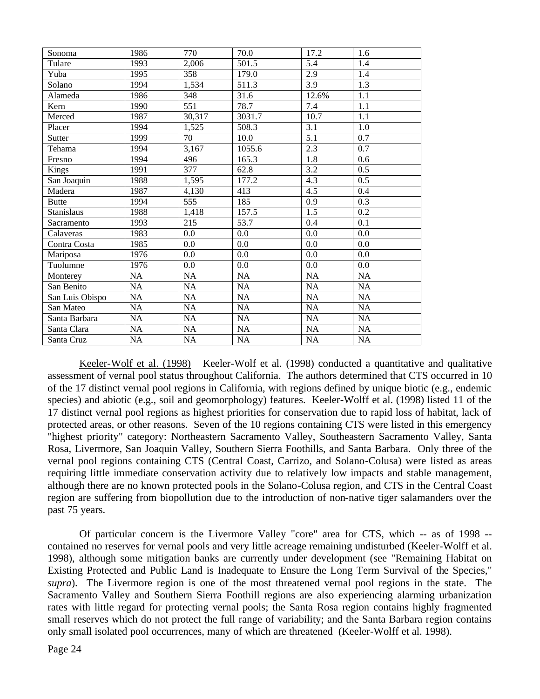| Sonoma          | 1986            | 770              | 70.0            | 17.2      | 1.6              |
|-----------------|-----------------|------------------|-----------------|-----------|------------------|
| Tulare          | 1993            | 2,006            | 501.5           | 5.4       | 1.4              |
| Yuba            | 1995            | 358              | 179.0           | 2.9       | 1.4              |
| Solano          | 1994            | 1,534            | 511.3           | 3.9       | 1.3              |
| Alameda         | 1986            | 348              | 31.6            | 12.6%     | 1.1              |
| Kern            | 1990            | 551              | 78.7            | 7.4       | 1.1              |
| Merced          | 1987            | 30,317           | 3031.7          | 10.7      | 1.1              |
| Placer          | 1994            | 1,525            | 508.3           | 3.1       | 1.0              |
| Sutter          | 1999            | 70               | 10.0            | 5.1       | 0.7              |
| Tehama          | 1994            | 3,167            | 1055.6          | 2.3       | 0.7              |
| Fresno          | 1994            | 496              | 165.3           | 1.8       | 0.6              |
| Kings           | 1991            | 377              | 62.8            | 3.2       | 0.5              |
| San Joaquin     | 1988            | 1,595            | 177.2           | 4.3       | 0.5              |
| Madera          | 1987            | 4,130            | 413             | 4.5       | 0.4              |
| <b>Butte</b>    | 1994            | 555              | 185             | 0.9       | 0.3              |
| Stanislaus      | 1988            | 1,418            | 157.5           | 1.5       | 0.2              |
| Sacramento      | 1993            | $\overline{215}$ | 53.7            | 0.4       | $\overline{0.1}$ |
| Calaveras       | 1983            | 0.0              | 0.0             | 0.0       | 0.0              |
| Contra Costa    | 1985            | 0.0              | 0.0             | 0.0       | 0.0              |
| Mariposa        | 1976            | 0.0              | 0.0             | 0.0       | 0.0              |
| Tuolumne        | 1976            | 0.0              | 0.0             | 0.0       | 0.0              |
| Monterey        | NA              | <b>NA</b>        | NA              | <b>NA</b> | NA               |
| San Benito      | NA              | NA               | $\overline{NA}$ | NA        | NA               |
| San Luis Obispo | NA              | <b>NA</b>        | <b>NA</b>       | <b>NA</b> | <b>NA</b>        |
| San Mateo       | $\overline{NA}$ | NA               | $\overline{NA}$ | NA        | NA               |
| Santa Barbara   | NA              | NA               | NA              | NA        | NA               |
| Santa Clara     | <b>NA</b>       | <b>NA</b>        | <b>NA</b>       | <b>NA</b> | <b>NA</b>        |
| Santa Cruz      | NA              | NA               | <b>NA</b>       | NA        | NA               |

Keeler-Wolf et al. (1998) Keeler-Wolf et al. (1998) conducted a quantitative and qualitative assessment of vernal pool status throughout California. The authors determined that CTS occurred in 10 of the 17 distinct vernal pool regions in California, with regions defined by unique biotic (e.g., endemic species) and abiotic (e.g., soil and geomorphology) features. Keeler-Wolff et al. (1998) listed 11 of the 17 distinct vernal pool regions as highest priorities for conservation due to rapid loss of habitat, lack of protected areas, or other reasons. Seven of the 10 regions containing CTS were listed in this emergency "highest priority" category: Northeastern Sacramento Valley, Southeastern Sacramento Valley, Santa Rosa, Livermore, San Joaquin Valley, Southern Sierra Foothills, and Santa Barbara. Only three of the vernal pool regions containing CTS (Central Coast, Carrizo, and Solano-Colusa) were listed as areas requiring little immediate conservation activity due to relatively low impacts and stable management, although there are no known protected pools in the Solano-Colusa region, and CTS in the Central Coast region are suffering from biopollution due to the introduction of non-native tiger salamanders over the past 75 years.

Of particular concern is the Livermore Valley "core" area for CTS, which -- as of 1998 - contained no reserves for vernal pools and very little acreage remaining undisturbed (Keeler-Wolff et al. 1998), although some mitigation banks are currently under development (see "Remaining Habitat on Existing Protected and Public Land is Inadequate to Ensure the Long Term Survival of the Species," *supra*). The Livermore region is one of the most threatened vernal pool regions in the state. The Sacramento Valley and Southern Sierra Foothill regions are also experiencing alarming urbanization rates with little regard for protecting vernal pools; the Santa Rosa region contains highly fragmented small reserves which do not protect the full range of variability; and the Santa Barbara region contains only small isolated pool occurrences, many of which are threatened (Keeler-Wolff et al. 1998).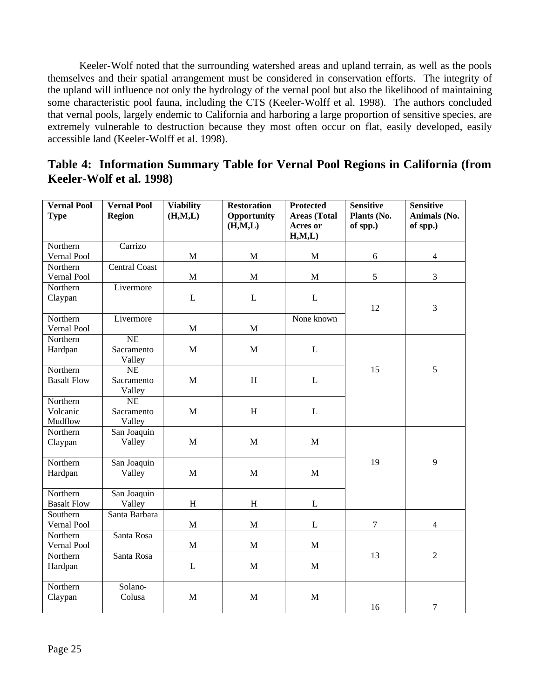Keeler-Wolf noted that the surrounding watershed areas and upland terrain, as well as the pools themselves and their spatial arrangement must be considered in conservation efforts. The integrity of the upland will influence not only the hydrology of the vernal pool but also the likelihood of maintaining some characteristic pool fauna, including the CTS (Keeler-Wolff et al. 1998). The authors concluded that vernal pools, largely endemic to California and harboring a large proportion of sensitive species, are extremely vulnerable to destruction because they most often occur on flat, easily developed, easily accessible land (Keeler-Wolff et al. 1998).

| Table 4: Information Summary Table for Vernal Pool Regions in California (from |  |  |
|--------------------------------------------------------------------------------|--|--|
| Keeler-Wolf et al. 1998)                                                       |  |  |

| <b>Vernal Pool</b><br><b>Type</b> | <b>Vernal Pool</b><br><b>Region</b> | Viability<br>(H, M, L) | <b>Restoration</b><br>Opportunity<br>(H, M, L) | <b>Protected</b><br><b>Areas</b> (Total<br>Acres or<br>H, M, L | <b>Sensitive</b><br>Plants (No.<br>of spp.) | <b>Sensitive</b><br>Animals (No.<br>of spp.) |
|-----------------------------------|-------------------------------------|------------------------|------------------------------------------------|----------------------------------------------------------------|---------------------------------------------|----------------------------------------------|
| Northern                          | Carrizo                             |                        |                                                |                                                                |                                             |                                              |
| Vernal Pool                       |                                     | $\mathbf M$            | $\mathbf M$                                    | $\mathbf M$                                                    | 6                                           | $\overline{4}$                               |
| Northern                          | <b>Central Coast</b>                |                        |                                                |                                                                |                                             |                                              |
| Vernal Pool                       |                                     | $\mathbf M$            | $\mathbf M$                                    | $\mathbf M$                                                    | $\mathfrak s$                               | $\mathfrak{Z}$                               |
| Northern                          | Livermore                           |                        |                                                |                                                                |                                             |                                              |
| Claypan                           |                                     | $\mathbf L$            | L                                              | L                                                              |                                             |                                              |
|                                   |                                     |                        |                                                |                                                                | 12                                          | 3                                            |
| Northern                          | Livermore                           |                        |                                                | None known                                                     |                                             |                                              |
| Vernal Pool                       |                                     | $\mathbf M$            | $\mathbf{M}$                                   |                                                                |                                             |                                              |
| Northern                          | $\overline{\text{NE}}$              |                        |                                                |                                                                |                                             |                                              |
| Hardpan                           | Sacramento                          | $\mathbf{M}$           | $\mathbf{M}$                                   | $\mathbf{L}$                                                   |                                             |                                              |
|                                   | Valley                              |                        |                                                |                                                                |                                             |                                              |
| Northern                          | <b>NE</b>                           |                        |                                                |                                                                | 15                                          | 5                                            |
| <b>Basalt Flow</b>                | Sacramento                          | M                      | H                                              | $\mathbf{L}$                                                   |                                             |                                              |
| Northern                          | Valley<br>NE                        |                        |                                                |                                                                |                                             |                                              |
| Volcanic                          | Sacramento                          | $\mathbf M$            | $\, {\rm H}$                                   | $\mathbf{L}$                                                   |                                             |                                              |
| Mudflow                           | Valley                              |                        |                                                |                                                                |                                             |                                              |
| Northern                          | San Joaquin                         |                        |                                                |                                                                |                                             |                                              |
| Claypan                           | Valley                              | M                      | $\mathbf{M}$                                   | $\mathbf{M}$                                                   |                                             |                                              |
|                                   |                                     |                        |                                                |                                                                |                                             |                                              |
| Northern                          | San Joaquin                         |                        |                                                |                                                                | 19                                          | 9                                            |
| Hardpan                           | Valley                              | M                      | $\mathbf{M}$                                   | M                                                              |                                             |                                              |
|                                   |                                     |                        |                                                |                                                                |                                             |                                              |
| Northern                          | San Joaquin                         |                        |                                                |                                                                |                                             |                                              |
| <b>Basalt Flow</b>                | Valley                              | H                      | H                                              | $\mathbf{L}$                                                   |                                             |                                              |
| Southern                          | Santa Barbara                       |                        |                                                |                                                                |                                             |                                              |
| Vernal Pool                       |                                     | $\mathbf M$            | M                                              | $\mathbf L$                                                    | $\tau$                                      | $\overline{4}$                               |
| Northern                          | Santa Rosa                          |                        |                                                |                                                                |                                             |                                              |
| Vernal Pool                       |                                     | $\mathbf M$            | M                                              | M                                                              |                                             |                                              |
| Northern                          | Santa Rosa                          |                        |                                                |                                                                | 13                                          | $\overline{2}$                               |
| Hardpan                           |                                     | L                      | $\mathbf M$                                    | M                                                              |                                             |                                              |
| Northern                          | Solano-                             |                        |                                                |                                                                |                                             |                                              |
| Claypan                           | Colusa                              | $\mathbf M$            | M                                              | $\mathbf M$                                                    |                                             |                                              |
|                                   |                                     |                        |                                                |                                                                | 16                                          | $\boldsymbol{7}$                             |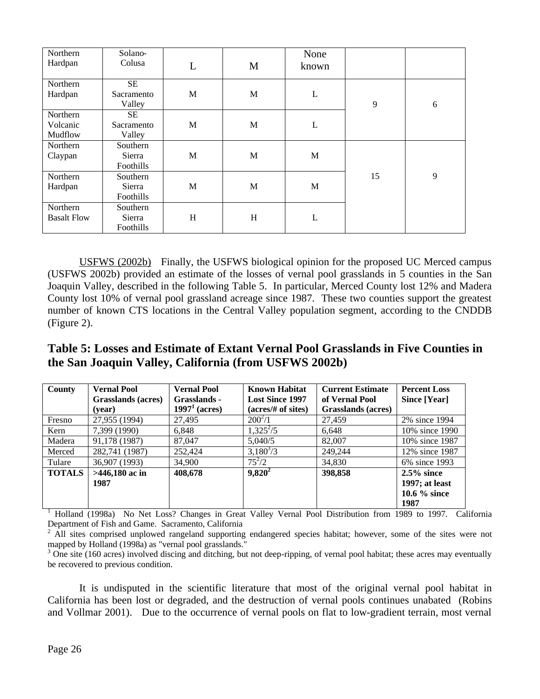| Northern           | Solano-    |   |              | None  |    |   |
|--------------------|------------|---|--------------|-------|----|---|
| Hardpan            | Colusa     | L | M            | known |    |   |
| Northern           | SE         |   |              |       |    |   |
| Hardpan            | Sacramento | M | M            | L     |    |   |
|                    | Valley     |   |              |       | 9  | 6 |
| Northern           | SE         |   |              |       |    |   |
| Volcanic           | Sacramento | M | M            | L     |    |   |
| Mudflow            | Valley     |   |              |       |    |   |
| Northern           | Southern   |   |              |       |    |   |
| Claypan            | Sierra     | M | $\mathbf{M}$ | M     |    |   |
|                    | Foothills  |   |              |       |    |   |
| Northern           | Southern   |   |              |       | 15 | 9 |
| Hardpan            | Sierra     | M | M            | M     |    |   |
|                    | Foothills  |   |              |       |    |   |
| Northern           | Southern   |   |              |       |    |   |
| <b>Basalt Flow</b> | Sierra     | H | H            | L     |    |   |
|                    | Foothills  |   |              |       |    |   |

USFWS (2002b) Finally, the USFWS biological opinion for the proposed UC Merced campus (USFWS 2002b) provided an estimate of the losses of vernal pool grasslands in 5 counties in the San Joaquin Valley, described in the following Table 5. In particular, Merced County lost 12% and Madera County lost 10% of vernal pool grassland acreage since 1987. These two counties support the greatest number of known CTS locations in the Central Valley population segment, according to the CNDDB (Figure 2).

## **Table 5: Losses and Estimate of Extant Vernal Pool Grasslands in Five Counties in the San Joaquin Valley, California (from USFWS 2002b)**

| County        | <b>Vernal Pool</b> | <b>Vernal Pool</b> | <b>Known Habitat</b><br><b>Current Estimate</b> |                    | <b>Percent Loss</b> |
|---------------|--------------------|--------------------|-------------------------------------------------|--------------------|---------------------|
|               | Grasslands (acres) | Grasslands -       | <b>Lost Since 1997</b>                          | of Vernal Pool     | Since [Year]        |
|               | (year)             | $19971$ (acres)    | (acres/# of sites)                              | Grasslands (acres) |                     |
| Fresno        | 27,955 (1994)      | 27,495             | $200^2/1$                                       | 27,459             | 2% since 1994       |
| Kern          | 7,399 (1990)       | 6.848              | $1,325^2/5$                                     | 6.648              | 10% since 1990      |
| Madera        | 91,178 (1987)      | 87,047             | 5.040/5                                         | 82,007             | 10% since 1987      |
| Merced        | 282,741 (1987)     | 252,424            | $3,180^{3}/3$                                   | 249,244            | 12% since 1987      |
| Tulare        | 36,907 (1993)      | 34,900             | $75^2/2$                                        | 34,830             | 6\% since 1993      |
| <b>TOTALS</b> | $>446,180$ ac in   | 408,678            | $9,820^2$                                       | 398,858            | $2.5\%$ since       |
|               | 1987               |                    |                                                 |                    | $1997$ ; at least   |
|               |                    |                    |                                                 |                    | 10.6 $\%$ since     |
|               |                    |                    |                                                 |                    | 1987                |

1 Holland (1998a) No Net Loss? Changes in Great Valley Vernal Pool Distribution from 1989 to 1997. California Department of Fish and Game. Sacramento, California

2 All sites comprised unplowed rangeland supporting endangered species habitat; however, some of the sites were not mapped by Holland (1998a) as "vernal pool grasslands."

<sup>3</sup> One site (160 acres) involved discing and ditching, but not deep-ripping, of vernal pool habitat; these acres may eventually be recovered to previous condition.

It is undisputed in the scientific literature that most of the original vernal pool habitat in California has been lost or degraded, and the destruction of vernal pools continues unabated (Robins and Vollmar 2001). Due to the occurrence of vernal pools on flat to low-gradient terrain, most vernal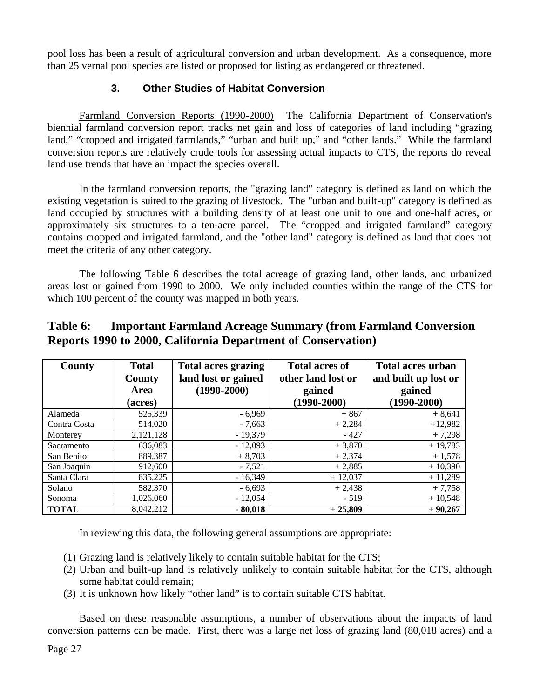pool loss has been a result of agricultural conversion and urban development. As a consequence, more than 25 vernal pool species are listed or proposed for listing as endangered or threatened.

#### **3. Other Studies of Habitat Conversion**

Farmland Conversion Reports (1990-2000) The California Department of Conservation's biennial farmland conversion report tracks net gain and loss of categories of land including "grazing land," "cropped and irrigated farmlands," "urban and built up," and "other lands." While the farmland conversion reports are relatively crude tools for assessing actual impacts to CTS, the reports do reveal land use trends that have an impact the species overall.

In the farmland conversion reports, the "grazing land" category is defined as land on which the existing vegetation is suited to the grazing of livestock. The "urban and built-up" category is defined as land occupied by structures with a building density of at least one unit to one and one-half acres, or approximately six structures to a ten-acre parcel. The "cropped and irrigated farmland" category contains cropped and irrigated farmland, and the "other land" category is defined as land that does not meet the criteria of any other category.

The following Table 6 describes the total acreage of grazing land, other lands, and urbanized areas lost or gained from 1990 to 2000. We only included counties within the range of the CTS for which 100 percent of the county was mapped in both years.

#### **Table 6: Important Farmland Acreage Summary (from Farmland Conversion Reports 1990 to 2000, California Department of Conservation)**

| County       | <b>Total</b> | <b>Total acres grazing</b> | <b>Total acres of</b> | <b>Total acres urban</b> |  |
|--------------|--------------|----------------------------|-----------------------|--------------------------|--|
|              | County       | land lost or gained        | other land lost or    | and built up lost or     |  |
|              | Area         | $(1990 - 2000)$            | gained                | gained                   |  |
|              | (acres)      |                            | $(1990 - 2000)$       | $(1990 - 2000)$          |  |
| Alameda      | 525,339      | - 6,969                    | $+867$                | $+8,641$                 |  |
| Contra Costa | 514,020      | $-7,663$                   | $+2,284$              | $+12,982$                |  |
| Monterey     | 2,121,128    | $-19.379$                  | $-427$                | $+7,298$                 |  |
| Sacramento   | 636,083      | $-12.093$                  | $+3,870$              | $+19,783$                |  |
| San Benito   | 889,387      | $+8,703$                   | $+2,374$              | $+1,578$                 |  |
| San Joaquin  | 912,600      | $-7.521$                   | $+2,885$              | $+10,390$                |  |
| Santa Clara  | 835,225      | $-16.349$                  | $+12,037$             | $+11,289$                |  |
| Solano       | 582,370      | $-6,693$                   | $+2,438$              | $+7,758$                 |  |
| Sonoma       | 1,026,060    | $-12,054$                  | $-519$                | $+10,548$                |  |
| <b>TOTAL</b> | 8,042,212    | $-80,018$                  | $+25,809$             | $+90,267$                |  |

In reviewing this data, the following general assumptions are appropriate:

- (1) Grazing land is relatively likely to contain suitable habitat for the CTS;
- (2) Urban and built-up land is relatively unlikely to contain suitable habitat for the CTS, although some habitat could remain;
- (3) It is unknown how likely "other land" is to contain suitable CTS habitat.

Based on these reasonable assumptions, a number of observations about the impacts of land conversion patterns can be made. First, there was a large net loss of grazing land (80,018 acres) and a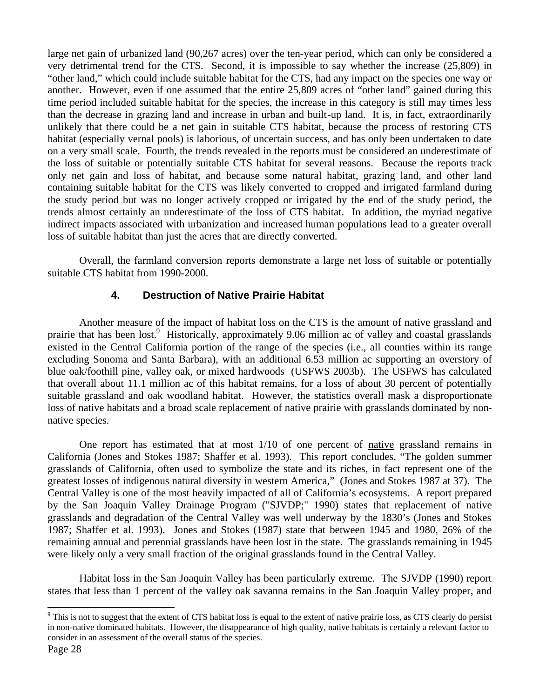large net gain of urbanized land (90,267 acres) over the ten-year period, which can only be considered a very detrimental trend for the CTS. Second, it is impossible to say whether the increase (25,809) in "other land," which could include suitable habitat for the CTS, had any impact on the species one way or another. However, even if one assumed that the entire 25,809 acres of "other land" gained during this time period included suitable habitat for the species, the increase in this category is still may times less than the decrease in grazing land and increase in urban and built-up land. It is, in fact, extraordinarily unlikely that there could be a net gain in suitable CTS habitat, because the process of restoring CTS habitat (especially vernal pools) is laborious, of uncertain success, and has only been undertaken to date on a very small scale. Fourth, the trends revealed in the reports must be considered an underestimate of the loss of suitable or potentially suitable CTS habitat for several reasons. Because the reports track only net gain and loss of habitat, and because some natural habitat, grazing land, and other land containing suitable habitat for the CTS was likely converted to cropped and irrigated farmland during the study period but was no longer actively cropped or irrigated by the end of the study period, the trends almost certainly an underestimate of the loss of CTS habitat. In addition, the myriad negative indirect impacts associated with urbanization and increased human populations lead to a greater overall loss of suitable habitat than just the acres that are directly converted.

Overall, the farmland conversion reports demonstrate a large net loss of suitable or potentially suitable CTS habitat from 1990-2000.

#### **4. Destruction of Native Prairie Habitat**

Another measure of the impact of habitat loss on the CTS is the amount of native grassland and prairie that has been lost.<sup>9</sup> Historically, approximately 9.06 million ac of valley and coastal grasslands existed in the Central California portion of the range of the species (i.e., all counties within its range excluding Sonoma and Santa Barbara), with an additional 6.53 million ac supporting an overstory of blue oak/foothill pine, valley oak, or mixed hardwoods (USFWS 2003b). The USFWS has calculated that overall about 11.1 million ac of this habitat remains, for a loss of about 30 percent of potentially suitable grassland and oak woodland habitat. However, the statistics overall mask a disproportionate loss of native habitats and a broad scale replacement of native prairie with grasslands dominated by nonnative species.

One report has estimated that at most 1/10 of one percent of native grassland remains in California (Jones and Stokes 1987; Shaffer et al. 1993). This report concludes, "The golden summer grasslands of California, often used to symbolize the state and its riches, in fact represent one of the greatest losses of indigenous natural diversity in western America," (Jones and Stokes 1987 at 37). The Central Valley is one of the most heavily impacted of all of California's ecosystems. A report prepared by the San Joaquin Valley Drainage Program ("SJVDP;" 1990) states that replacement of native grasslands and degradation of the Central Valley was well underway by the 1830's (Jones and Stokes 1987; Shaffer et al. 1993). Jones and Stokes (1987) state that between 1945 and 1980, 26% of the remaining annual and perennial grasslands have been lost in the state. The grasslands remaining in 1945 were likely only a very small fraction of the original grasslands found in the Central Valley.

Habitat loss in the San Joaquin Valley has been particularly extreme. The SJVDP (1990) report states that less than 1 percent of the valley oak savanna remains in the San Joaquin Valley proper, and

 $\overline{a}$ 

<sup>&</sup>lt;sup>9</sup> This is not to suggest that the extent of CTS habitat loss is equal to the extent of native prairie loss, as CTS clearly do persist in non-native dominated habitats. However, the disappearance of high quality, native habitats is certainly a relevant factor to consider in an assessment of the overall status of the species.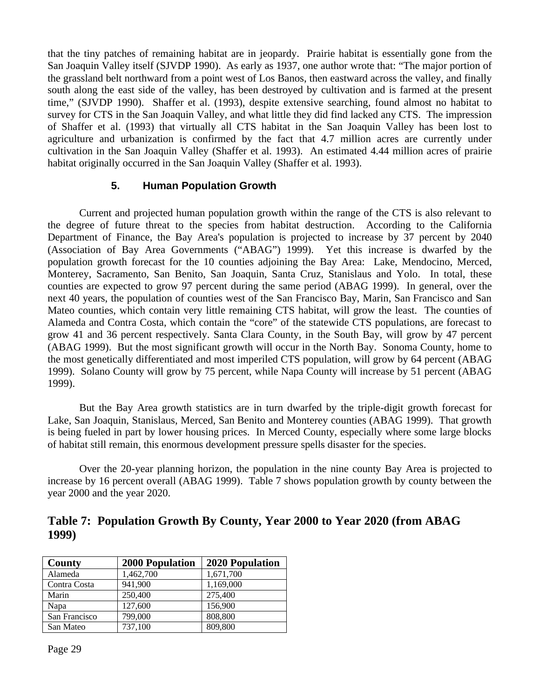that the tiny patches of remaining habitat are in jeopardy. Prairie habitat is essentially gone from the San Joaquin Valley itself (SJVDP 1990). As early as 1937, one author wrote that: "The major portion of the grassland belt northward from a point west of Los Banos, then eastward across the valley, and finally south along the east side of the valley, has been destroyed by cultivation and is farmed at the present time," (SJVDP 1990). Shaffer et al. (1993), despite extensive searching, found almost no habitat to survey for CTS in the San Joaquin Valley, and what little they did find lacked any CTS. The impression of Shaffer et al. (1993) that virtually all CTS habitat in the San Joaquin Valley has been lost to agriculture and urbanization is confirmed by the fact that 4.7 million acres are currently under cultivation in the San Joaquin Valley (Shaffer et al. 1993). An estimated 4.44 million acres of prairie habitat originally occurred in the San Joaquin Valley (Shaffer et al. 1993).

#### **5. Human Population Growth**

Current and projected human population growth within the range of the CTS is also relevant to the degree of future threat to the species from habitat destruction. According to the California Department of Finance, the Bay Area's population is projected to increase by 37 percent by 2040 (Association of Bay Area Governments ("ABAG") 1999). Yet this increase is dwarfed by the population growth forecast for the 10 counties adjoining the Bay Area: Lake, Mendocino, Merced, Monterey, Sacramento, San Benito, San Joaquin, Santa Cruz, Stanislaus and Yolo. In total, these counties are expected to grow 97 percent during the same period (ABAG 1999). In general, over the next 40 years, the population of counties west of the San Francisco Bay, Marin, San Francisco and San Mateo counties, which contain very little remaining CTS habitat, will grow the least. The counties of Alameda and Contra Costa, which contain the "core" of the statewide CTS populations, are forecast to grow 41 and 36 percent respectively. Santa Clara County, in the South Bay, will grow by 47 percent (ABAG 1999). But the most significant growth will occur in the North Bay. Sonoma County, home to the most genetically differentiated and most imperiled CTS population, will grow by 64 percent (ABAG 1999). Solano County will grow by 75 percent, while Napa County will increase by 51 percent (ABAG 1999).

But the Bay Area growth statistics are in turn dwarfed by the triple-digit growth forecast for Lake, San Joaquin, Stanislaus, Merced, San Benito and Monterey counties (ABAG 1999). That growth is being fueled in part by lower housing prices. In Merced County, especially where some large blocks of habitat still remain, this enormous development pressure spells disaster for the species.

Over the 20-year planning horizon, the population in the nine county Bay Area is projected to increase by 16 percent overall (ABAG 1999). Table 7 shows population growth by county between the year 2000 and the year 2020.

**Table 7: Population Growth By County, Year 2000 to Year 2020 (from ABAG 1999)**

| County        | <b>2000 Population</b> | <b>2020 Population</b> |
|---------------|------------------------|------------------------|
| Alameda       | 1,462,700              | 1,671,700              |
| Contra Costa  | 941,900                | 1,169,000              |
| Marin         | 250,400                | 275,400                |
| Napa          | 127,600                | 156,900                |
| San Francisco | 799,000                | 808,800                |
| San Mateo     | 737,100                | 809,800                |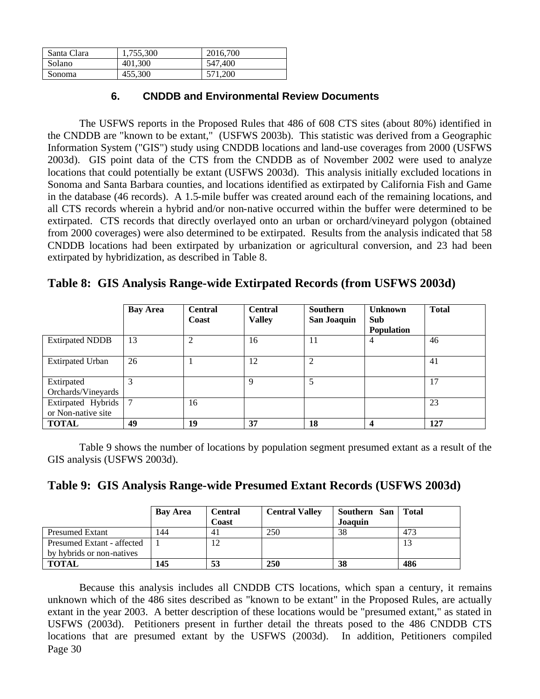| Santa Clara | 1.755.300 | 2016.700 |
|-------------|-----------|----------|
| Solano      | 401,300   | 547,400  |
| Sonoma      | 455,300   | 571,200  |

#### **6. CNDDB and Environmental Review Documents**

The USFWS reports in the Proposed Rules that 486 of 608 CTS sites (about 80%) identified in the CNDDB are "known to be extant," (USFWS 2003b). This statistic was derived from a Geographic Information System ("GIS") study using CNDDB locations and land-use coverages from 2000 (USFWS 2003d). GIS point data of the CTS from the CNDDB as of November 2002 were used to analyze locations that could potentially be extant (USFWS 2003d). This analysis initially excluded locations in Sonoma and Santa Barbara counties, and locations identified as extirpated by California Fish and Game in the database (46 records). A 1.5-mile buffer was created around each of the remaining locations, and all CTS records wherein a hybrid and/or non-native occurred within the buffer were determined to be extirpated. CTS records that directly overlayed onto an urban or orchard/vineyard polygon (obtained from 2000 coverages) were also determined to be extirpated. Results from the analysis indicated that 58 CNDDB locations had been extirpated by urbanization or agricultural conversion, and 23 had been extirpated by hybridization, as described in Table 8.

### **Table 8: GIS Analysis Range-wide Extirpated Records (from USFWS 2003d)**

|                                          | <b>Bay Area</b> | <b>Central</b><br>Coast | <b>Central</b><br><b>Valley</b> | <b>Southern</b><br>San Joaquin | <b>Unknown</b><br><b>Sub</b><br><b>Population</b> | <b>Total</b> |
|------------------------------------------|-----------------|-------------------------|---------------------------------|--------------------------------|---------------------------------------------------|--------------|
| <b>Extirpated NDDB</b>                   | 13              | 2                       | 16                              | 11                             | 4                                                 | 46           |
| <b>Extirpated Urban</b>                  | 26              |                         | 12                              | 2                              |                                                   | 41           |
| Extirpated<br>Orchards/Vineyards         | 3               |                         | 9                               | 5                              |                                                   | 17           |
| Extirpated Hybrids<br>or Non-native site | $\mathcal{I}$   | 16                      |                                 |                                |                                                   | 23           |
| <b>TOTAL</b>                             | 49              | 19                      | 37                              | 18                             |                                                   | 127          |

Table 9 shows the number of locations by population segment presumed extant as a result of the GIS analysis (USFWS 2003d).

|  |  | Table 9: GIS Analysis Range-wide Presumed Extant Records (USFWS 2003d) |  |  |  |
|--|--|------------------------------------------------------------------------|--|--|--|
|--|--|------------------------------------------------------------------------|--|--|--|

|                            | <b>Bay Area</b> | <b>Central</b><br>Coast | <b>Central Valley</b> | Southern San<br>Joaquin | <b>Total</b> |
|----------------------------|-----------------|-------------------------|-----------------------|-------------------------|--------------|
| <b>Presumed Extant</b>     | l 44            | 4 <sub>1</sub>          | 250                   | 38                      | 473          |
| Presumed Extant - affected |                 | 12                      |                       |                         |              |
| by hybrids or non-natives  |                 |                         |                       |                         |              |
| <b>TOTAL</b>               | 145             | 53                      | 250                   | 38                      | 486          |

Page 30 Because this analysis includes all CNDDB CTS locations, which span a century, it remains unknown which of the 486 sites described as "known to be extant" in the Proposed Rules, are actually extant in the year 2003. A better description of these locations would be "presumed extant," as stated in USFWS (2003d). Petitioners present in further detail the threats posed to the 486 CNDDB CTS locations that are presumed extant by the USFWS (2003d). In addition, Petitioners compiled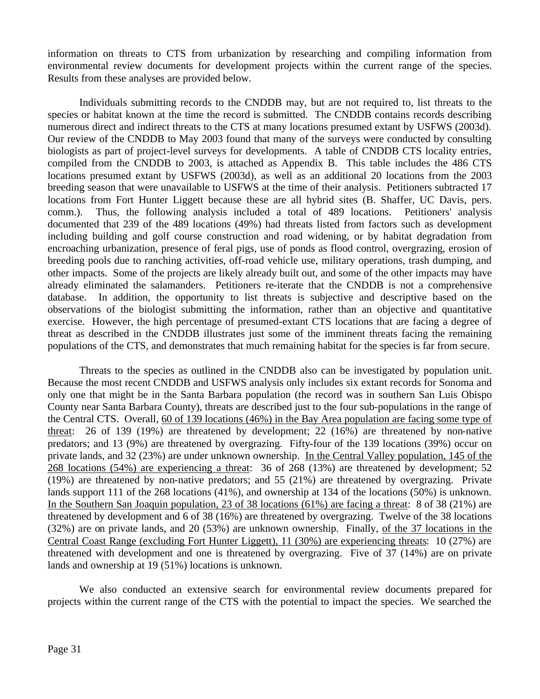information on threats to CTS from urbanization by researching and compiling information from environmental review documents for development projects within the current range of the species. Results from these analyses are provided below.

Individuals submitting records to the CNDDB may, but are not required to, list threats to the species or habitat known at the time the record is submitted. The CNDDB contains records describing numerous direct and indirect threats to the CTS at many locations presumed extant by USFWS (2003d). Our review of the CNDDB to May 2003 found that many of the surveys were conducted by consulting biologists as part of project-level surveys for developments. A table of CNDDB CTS locality entries, compiled from the CNDDB to 2003, is attached as Appendix B. This table includes the 486 CTS locations presumed extant by USFWS (2003d), as well as an additional 20 locations from the 2003 breeding season that were unavailable to USFWS at the time of their analysis. Petitioners subtracted 17 locations from Fort Hunter Liggett because these are all hybrid sites (B. Shaffer, UC Davis, pers. comm.). Thus, the following analysis included a total of 489 locations. Petitioners' analysis documented that 239 of the 489 locations (49%) had threats listed from factors such as development including building and golf course construction and road widening, or by habitat degradation from encroaching urbanization, presence of feral pigs, use of ponds as flood control, overgrazing, erosion of breeding pools due to ranching activities, off-road vehicle use, military operations, trash dumping, and other impacts. Some of the projects are likely already built out, and some of the other impacts may have already eliminated the salamanders. Petitioners re-iterate that the CNDDB is not a comprehensive database. In addition, the opportunity to list threats is subjective and descriptive based on the observations of the biologist submitting the information, rather than an objective and quantitative exercise. However, the high percentage of presumed-extant CTS locations that are facing a degree of threat as described in the CNDDB illustrates just some of the imminent threats facing the remaining populations of the CTS, and demonstrates that much remaining habitat for the species is far from secure.

Threats to the species as outlined in the CNDDB also can be investigated by population unit. Because the most recent CNDDB and USFWS analysis only includes six extant records for Sonoma and only one that might be in the Santa Barbara population (the record was in southern San Luis Obispo County near Santa Barbara County), threats are described just to the four sub-populations in the range of the Central CTS. Overall, 60 of 139 locations (46%) in the Bay Area population are facing some type of threat: 26 of 139 (19%) are threatened by development; 22 (16%) are threatened by non-native predators; and 13 (9%) are threatened by overgrazing. Fifty-four of the 139 locations (39%) occur on private lands, and 32 (23%) are under unknown ownership. In the Central Valley population, 145 of the 268 locations (54%) are experiencing a threat: 36 of 268 (13%) are threatened by development; 52 (19%) are threatened by non-native predators; and 55 (21%) are threatened by overgrazing. Private lands support 111 of the 268 locations (41%), and ownership at 134 of the locations (50%) is unknown. In the Southern San Joaquin population, 23 of 38 locations (61%) are facing a threat: 8 of 38 (21%) are threatened by development and 6 of 38 (16%) are threatened by overgrazing. Twelve of the 38 locations (32%) are on private lands, and 20 (53%) are unknown ownership. Finally, of the 37 locations in the Central Coast Range (excluding Fort Hunter Liggett), 11 (30%) are experiencing threats: 10 (27%) are threatened with development and one is threatened by overgrazing. Five of 37 (14%) are on private lands and ownership at 19 (51%) locations is unknown.

We also conducted an extensive search for environmental review documents prepared for projects within the current range of the CTS with the potential to impact the species. We searched the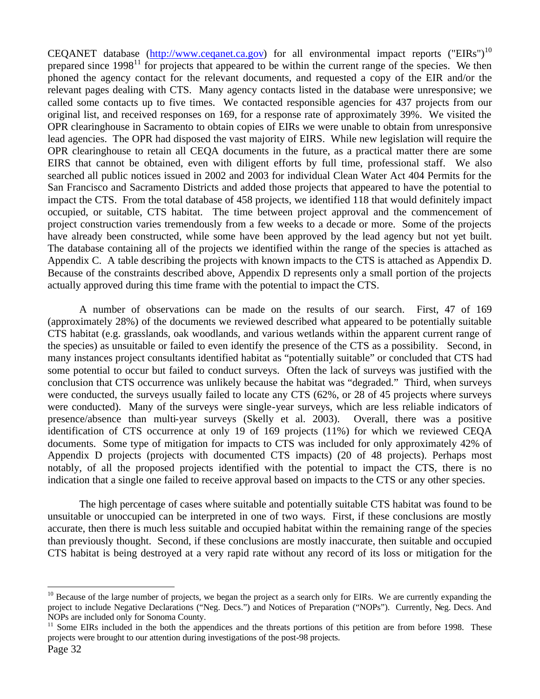CEQANET database (http://www.ceqanet.ca.gov) for all environmental impact reports ("EIRs")<sup>10</sup> prepared since  $1998<sup>11</sup>$  for projects that appeared to be within the current range of the species. We then phoned the agency contact for the relevant documents, and requested a copy of the EIR and/or the relevant pages dealing with CTS. Many agency contacts listed in the database were unresponsive; we called some contacts up to five times. We contacted responsible agencies for 437 projects from our original list, and received responses on 169, for a response rate of approximately 39%. We visited the OPR clearinghouse in Sacramento to obtain copies of EIRs we were unable to obtain from unresponsive lead agencies. The OPR had disposed the vast majority of EIRS. While new legislation will require the OPR clearinghouse to retain all CEQA documents in the future, as a practical matter there are some EIRS that cannot be obtained, even with diligent efforts by full time, professional staff. We also searched all public notices issued in 2002 and 2003 for individual Clean Water Act 404 Permits for the San Francisco and Sacramento Districts and added those projects that appeared to have the potential to impact the CTS. From the total database of 458 projects, we identified 118 that would definitely impact occupied, or suitable, CTS habitat. The time between project approval and the commencement of project construction varies tremendously from a few weeks to a decade or more. Some of the projects have already been constructed, while some have been approved by the lead agency but not yet built. The database containing all of the projects we identified within the range of the species is attached as Appendix C. A table describing the projects with known impacts to the CTS is attached as Appendix D. Because of the constraints described above, Appendix D represents only a small portion of the projects actually approved during this time frame with the potential to impact the CTS.

A number of observations can be made on the results of our search. First, 47 of 169 (approximately 28%) of the documents we reviewed described what appeared to be potentially suitable CTS habitat (e.g. grasslands, oak woodlands, and various wetlands within the apparent current range of the species) as unsuitable or failed to even identify the presence of the CTS as a possibility. Second, in many instances project consultants identified habitat as "potentially suitable" or concluded that CTS had some potential to occur but failed to conduct surveys. Often the lack of surveys was justified with the conclusion that CTS occurrence was unlikely because the habitat was "degraded." Third, when surveys were conducted, the surveys usually failed to locate any CTS (62%, or 28 of 45 projects where surveys were conducted). Many of the surveys were single-year surveys, which are less reliable indicators of presence/absence than multi-year surveys (Skelly et al. 2003). Overall, there was a positive identification of CTS occurrence at only 19 of 169 projects (11%) for which we reviewed CEQA documents. Some type of mitigation for impacts to CTS was included for only approximately 42% of Appendix D projects (projects with documented CTS impacts) (20 of 48 projects). Perhaps most notably, of all the proposed projects identified with the potential to impact the CTS, there is no indication that a single one failed to receive approval based on impacts to the CTS or any other species.

The high percentage of cases where suitable and potentially suitable CTS habitat was found to be unsuitable or unoccupied can be interpreted in one of two ways. First, if these conclusions are mostly accurate, then there is much less suitable and occupied habitat within the remaining range of the species than previously thought. Second, if these conclusions are mostly inaccurate, then suitable and occupied CTS habitat is being destroyed at a very rapid rate without any record of its loss or mitigation for the

<u>.</u>

<sup>&</sup>lt;sup>10</sup> Because of the large number of projects, we began the project as a search only for EIRs. We are currently expanding the project to include Negative Declarations ("Neg. Decs.") and Notices of Preparation ("NOPs"). Currently, Neg. Decs. And NOPs are included only for Sonoma County.

 $11$  Some EIRs included in the both the appendices and the threats portions of this petition are from before 1998. These projects were brought to our attention during investigations of the post-98 projects.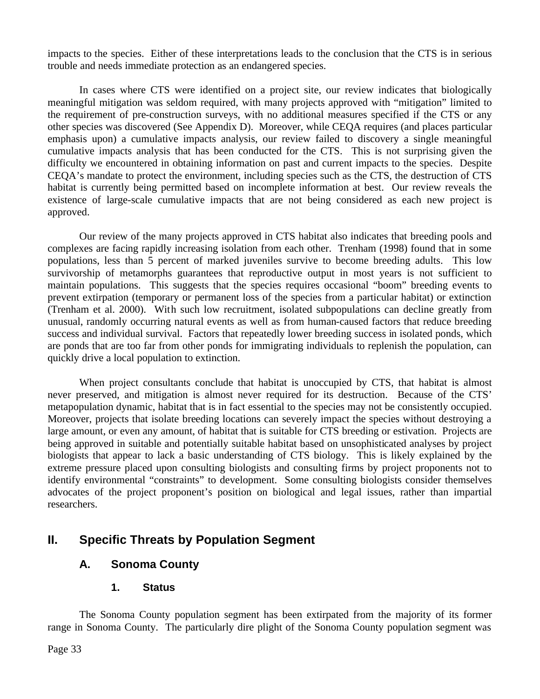impacts to the species. Either of these interpretations leads to the conclusion that the CTS is in serious trouble and needs immediate protection as an endangered species.

In cases where CTS were identified on a project site, our review indicates that biologically meaningful mitigation was seldom required, with many projects approved with "mitigation" limited to the requirement of pre-construction surveys, with no additional measures specified if the CTS or any other species was discovered (See Appendix D). Moreover, while CEQA requires (and places particular emphasis upon) a cumulative impacts analysis, our review failed to discovery a single meaningful cumulative impacts analysis that has been conducted for the CTS. This is not surprising given the difficulty we encountered in obtaining information on past and current impacts to the species. Despite CEQA's mandate to protect the environment, including species such as the CTS, the destruction of CTS habitat is currently being permitted based on incomplete information at best. Our review reveals the existence of large-scale cumulative impacts that are not being considered as each new project is approved.

Our review of the many projects approved in CTS habitat also indicates that breeding pools and complexes are facing rapidly increasing isolation from each other. Trenham (1998) found that in some populations, less than 5 percent of marked juveniles survive to become breeding adults. This low survivorship of metamorphs guarantees that reproductive output in most years is not sufficient to maintain populations. This suggests that the species requires occasional "boom" breeding events to prevent extirpation (temporary or permanent loss of the species from a particular habitat) or extinction (Trenham et al. 2000). With such low recruitment, isolated subpopulations can decline greatly from unusual, randomly occurring natural events as well as from human-caused factors that reduce breeding success and individual survival. Factors that repeatedly lower breeding success in isolated ponds, which are ponds that are too far from other ponds for immigrating individuals to replenish the population, can quickly drive a local population to extinction.

When project consultants conclude that habitat is unoccupied by CTS, that habitat is almost never preserved, and mitigation is almost never required for its destruction. Because of the CTS' metapopulation dynamic, habitat that is in fact essential to the species may not be consistently occupied. Moreover, projects that isolate breeding locations can severely impact the species without destroying a large amount, or even any amount, of habitat that is suitable for CTS breeding or estivation. Projects are being approved in suitable and potentially suitable habitat based on unsophisticated analyses by project biologists that appear to lack a basic understanding of CTS biology. This is likely explained by the extreme pressure placed upon consulting biologists and consulting firms by project proponents not to identify environmental "constraints" to development. Some consulting biologists consider themselves advocates of the project proponent's position on biological and legal issues, rather than impartial researchers.

# **II. Specific Threats by Population Segment**

### **A. Sonoma County**

**1. Status**

The Sonoma County population segment has been extirpated from the majority of its former range in Sonoma County. The particularly dire plight of the Sonoma County population segment was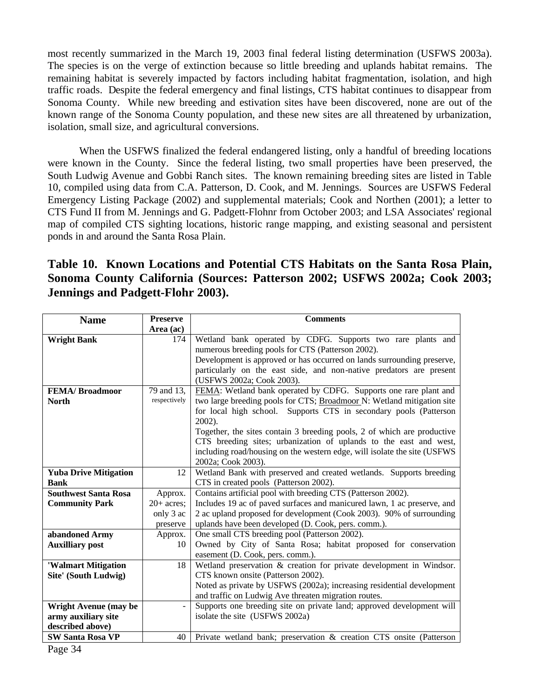most recently summarized in the March 19, 2003 final federal listing determination (USFWS 2003a). The species is on the verge of extinction because so little breeding and uplands habitat remains. The remaining habitat is severely impacted by factors including habitat fragmentation, isolation, and high traffic roads. Despite the federal emergency and final listings, CTS habitat continues to disappear from Sonoma County. While new breeding and estivation sites have been discovered, none are out of the known range of the Sonoma County population, and these new sites are all threatened by urbanization, isolation, small size, and agricultural conversions.

When the USFWS finalized the federal endangered listing, only a handful of breeding locations were known in the County. Since the federal listing, two small properties have been preserved, the South Ludwig Avenue and Gobbi Ranch sites. The known remaining breeding sites are listed in Table 10, compiled using data from C.A. Patterson, D. Cook, and M. Jennings. Sources are USFWS Federal Emergency Listing Package (2002) and supplemental materials; Cook and Northen (2001); a letter to CTS Fund II from M. Jennings and G. Padgett-Flohnr from October 2003; and LSA Associates' regional map of compiled CTS sighting locations, historic range mapping, and existing seasonal and persistent ponds in and around the Santa Rosa Plain.

# **Table 10. Known Locations and Potential CTS Habitats on the Santa Rosa Plain, Sonoma County California (Sources: Patterson 2002; USFWS 2002a; Cook 2003; Jennings and Padgett-Flohr 2003).**

| <b>Name</b>                  | <b>Preserve</b> | <b>Comments</b>                                                          |  |  |  |  |
|------------------------------|-----------------|--------------------------------------------------------------------------|--|--|--|--|
|                              | Area (ac)       |                                                                          |  |  |  |  |
| <b>Wright Bank</b>           | 174             | Wetland bank operated by CDFG. Supports two rare plants and              |  |  |  |  |
|                              |                 | numerous breeding pools for CTS (Patterson 2002).                        |  |  |  |  |
|                              |                 | Development is approved or has occurred on lands surrounding preserve,   |  |  |  |  |
|                              |                 | particularly on the east side, and non-native predators are present      |  |  |  |  |
|                              |                 | (USFWS 2002a; Cook 2003).                                                |  |  |  |  |
| <b>FEMA/Broadmoor</b>        | 79 and 13,      | FEMA: Wetland bank operated by CDFG. Supports one rare plant and         |  |  |  |  |
| <b>North</b>                 | respectively    | two large breeding pools for CTS; Broadmoor N: Wetland mitigation site   |  |  |  |  |
|                              |                 | for local high school. Supports CTS in secondary pools (Patterson        |  |  |  |  |
|                              |                 | 2002).                                                                   |  |  |  |  |
|                              |                 | Together, the sites contain 3 breeding pools, 2 of which are productive  |  |  |  |  |
|                              |                 | CTS breeding sites; urbanization of uplands to the east and west,        |  |  |  |  |
|                              |                 | including road/housing on the western edge, will isolate the site (USFWS |  |  |  |  |
|                              |                 | 2002a; Cook 2003).                                                       |  |  |  |  |
| <b>Yuba Drive Mitigation</b> | 12              | Wetland Bank with preserved and created wetlands. Supports breeding      |  |  |  |  |
| <b>Bank</b>                  |                 | CTS in created pools (Patterson 2002).                                   |  |  |  |  |
| <b>Southwest Santa Rosa</b>  | Approx.         | Contains artificial pool with breeding CTS (Patterson 2002).             |  |  |  |  |
| <b>Community Park</b>        | $20+$ acres;    | Includes 19 ac of paved surfaces and manicured lawn, 1 ac preserve, and  |  |  |  |  |
|                              | only 3 ac       | 2 ac upland proposed for development (Cook 2003). 90% of surrounding     |  |  |  |  |
|                              | preserve        | uplands have been developed (D. Cook, pers. comm.).                      |  |  |  |  |
| abandoned Army               | Approx.         | One small CTS breeding pool (Patterson 2002).                            |  |  |  |  |
| <b>Auxilliary post</b>       | 10              | Owned by City of Santa Rosa; habitat proposed for conservation           |  |  |  |  |
|                              |                 | easement (D. Cook, pers. comm.).                                         |  |  |  |  |
| 'Walmart Mitigation          | 18              | Wetland preservation & creation for private development in Windsor.      |  |  |  |  |
| Site' (South Ludwig)         |                 | CTS known onsite (Patterson 2002).                                       |  |  |  |  |
|                              |                 | Noted as private by USFWS (2002a); increasing residential development    |  |  |  |  |
|                              |                 | and traffic on Ludwig Ave threaten migration routes.                     |  |  |  |  |
| <b>Wright Avenue (may be</b> |                 | Supports one breeding site on private land; approved development will    |  |  |  |  |
| army auxiliary site          |                 | isolate the site (USFWS 2002a)                                           |  |  |  |  |
| described above)             |                 |                                                                          |  |  |  |  |
| <b>SW Santa Rosa VP</b>      | 40              | Private wetland bank; preservation & creation CTS onsite (Patterson      |  |  |  |  |
| Page 34                      |                 |                                                                          |  |  |  |  |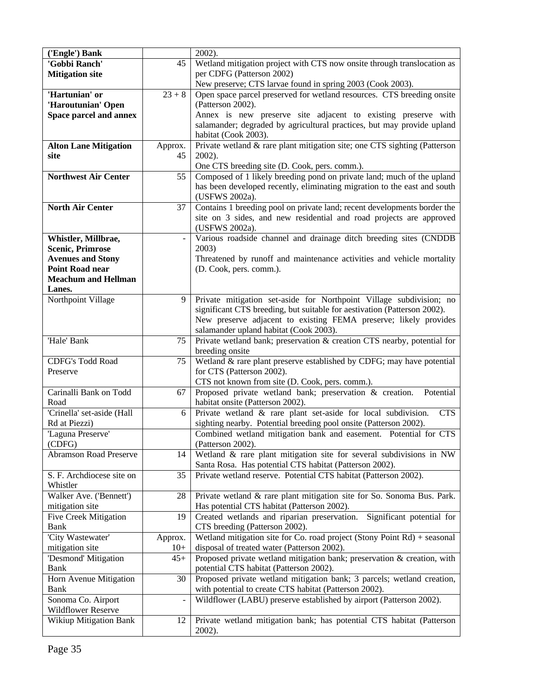| ('Engle') Bank                |               | 2002).                                                                         |
|-------------------------------|---------------|--------------------------------------------------------------------------------|
| 'Gobbi Ranch'                 | 45            | Wetland mitigation project with CTS now onsite through translocation as        |
| <b>Mitigation site</b>        |               | per CDFG (Patterson 2002)                                                      |
|                               |               | New preserve; CTS larvae found in spring 2003 (Cook 2003).                     |
| 'Hartunian' or                | $23 + 8$      | Open space parcel preserved for wetland resources. CTS breeding onsite         |
| 'Haroutunian' Open            |               | (Patterson 2002).                                                              |
| Space parcel and annex        |               | Annex is new preserve site adjacent to existing preserve with                  |
|                               |               | salamander; degraded by agricultural practices, but may provide upland         |
|                               |               | habitat (Cook 2003).                                                           |
| <b>Alton Lane Mitigation</b>  | Approx.       | Private wetland & rare plant mitigation site; one CTS sighting (Patterson      |
| site                          | 45            | 2002).                                                                         |
|                               |               | One CTS breeding site (D. Cook, pers. comm.).                                  |
| <b>Northwest Air Center</b>   | 55            | Composed of 1 likely breeding pond on private land; much of the upland         |
|                               |               | has been developed recently, eliminating migration to the east and south       |
|                               |               | (USFWS 2002a).                                                                 |
| <b>North Air Center</b>       | 37            | Contains 1 breeding pool on private land; recent developments border the       |
|                               |               | site on 3 sides, and new residential and road projects are approved            |
|                               |               | (USFWS 2002a).                                                                 |
| Whistler, Millbrae,           |               | Various roadside channel and drainage ditch breeding sites (CNDDB              |
| <b>Scenic, Primrose</b>       |               | 2003)                                                                          |
| <b>Avenues and Stony</b>      |               | Threatened by runoff and maintenance activities and vehicle mortality          |
| <b>Point Road near</b>        |               | (D. Cook, pers. comm.).                                                        |
| <b>Meachum and Hellman</b>    |               |                                                                                |
| Lanes.                        |               |                                                                                |
| Northpoint Village            | $\mathbf Q$   | Private mitigation set-aside for Northpoint Village subdivision; no            |
|                               |               | significant CTS breeding, but suitable for aestivation (Patterson 2002).       |
|                               |               | New preserve adjacent to existing FEMA preserve; likely provides               |
|                               |               | salamander upland habitat (Cook 2003).                                         |
| 'Hale' Bank                   | 75            | Private wetland bank; preservation & creation CTS nearby, potential for        |
|                               |               | breeding onsite                                                                |
| <b>CDFG's Todd Road</b>       | 75            | Wetland & rare plant preserve established by CDFG; may have potential          |
| Preserve                      |               | for CTS (Patterson 2002).                                                      |
|                               |               | CTS not known from site (D. Cook, pers. comm.).                                |
| Carinalli Bank on Todd        | 67            | Proposed private wetland bank; preservation & creation.<br>Potential           |
| Road                          |               | habitat onsite (Patterson 2002).                                               |
| 'Crinella' set-aside (Hall    | 6             | Private wetland $\&$ rare plant set-aside for local subdivision.<br><b>CTS</b> |
| Rd at Piezzi)                 |               | sighting nearby. Potential breeding pool onsite (Patterson 2002).              |
| 'Laguna Preserve'             |               | Combined wetland mitigation bank and easement. Potential for CTS               |
| (CDFG)                        |               | (Patterson 2002).                                                              |
| <b>Abramson Road Preserve</b> | 14            | Wetland & rare plant mitigation site for several subdivisions in NW            |
|                               |               | Santa Rosa. Has potential CTS habitat (Patterson 2002).                        |
| S. F. Archdiocese site on     | 35            | Private wetland reserve. Potential CTS habitat (Patterson 2002).               |
| Whistler                      |               |                                                                                |
| Walker Ave. ('Bennett')       | 28            | Private wetland & rare plant mitigation site for So. Sonoma Bus. Park.         |
| mitigation site               |               | Has potential CTS habitat (Patterson 2002).                                    |
| <b>Five Creek Mitigation</b>  | 19            | Created wetlands and riparian preservation. Significant potential for          |
| Bank                          |               | CTS breeding (Patterson 2002).                                                 |
| 'City Wastewater'             | Approx.       | Wetland mitigation site for Co. road project (Stony Point Rd) + seasonal       |
| mitigation site               | $10+$         | disposal of treated water (Patterson 2002).                                    |
| 'Desmond' Mitigation          | $45+$         | Proposed private wetland mitigation bank; preservation & creation, with        |
| Bank                          |               | potential CTS habitat (Patterson 2002).                                        |
| Horn Avenue Mitigation        | 30            | Proposed private wetland mitigation bank; 3 parcels; wetland creation,         |
| Bank                          |               | with potential to create CTS habitat (Patterson 2002).                         |
| Sonoma Co. Airport            | $\frac{1}{2}$ | Wildflower (LABU) preserve established by airport (Patterson 2002).            |
| Wildflower Reserve            |               |                                                                                |
| <b>Wikiup Mitigation Bank</b> | 12            | Private wetland mitigation bank; has potential CTS habitat (Patterson          |
|                               |               | 2002).                                                                         |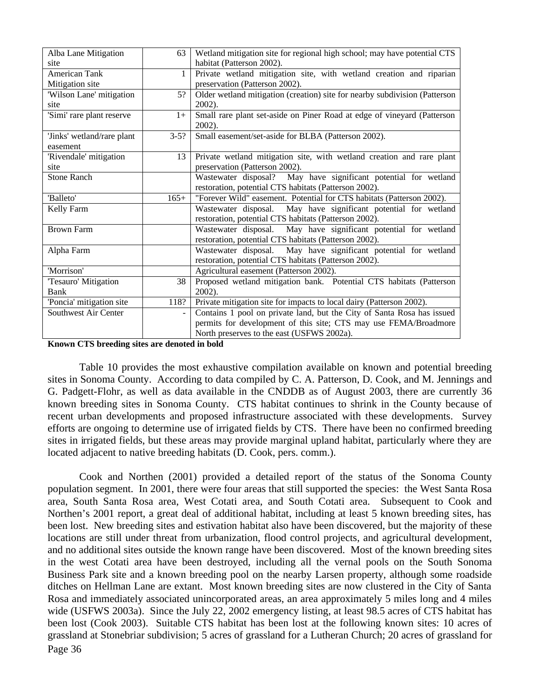| Alba Lane Mitigation       | 63       | Wetland mitigation site for regional high school; may have potential CTS   |  |  |  |
|----------------------------|----------|----------------------------------------------------------------------------|--|--|--|
| site                       |          | habitat (Patterson 2002).                                                  |  |  |  |
| <b>American Tank</b>       | 1        | Private wetland mitigation site, with wetland creation and riparian        |  |  |  |
| Mitigation site            |          | preservation (Patterson 2002).                                             |  |  |  |
| 'Wilson Lane' mitigation   | 5?       | Older wetland mitigation (creation) site for nearby subdivision (Patterson |  |  |  |
| site                       |          | $2002$ ).                                                                  |  |  |  |
| 'Simi' rare plant reserve  | $1+$     | Small rare plant set-aside on Piner Road at edge of vineyard (Patterson    |  |  |  |
|                            |          | 2002).                                                                     |  |  |  |
| 'Jinks' wetland/rare plant | $3 - 5?$ | Small easement/set-aside for BLBA (Patterson 2002).                        |  |  |  |
| easement                   |          |                                                                            |  |  |  |
| 'Rivendale' mitigation     | 13       | Private wetland mitigation site, with wetland creation and rare plant      |  |  |  |
| site                       |          | preservation (Patterson 2002).                                             |  |  |  |
| <b>Stone Ranch</b>         |          | May have significant potential for wetland<br>Wastewater disposal?         |  |  |  |
|                            |          | restoration, potential CTS habitats (Patterson 2002).                      |  |  |  |
| 'Balleto'                  | $165+$   | "Forever Wild" easement. Potential for CTS habitats (Patterson 2002).      |  |  |  |
| Kelly Farm                 |          | Wastewater disposal. May have significant potential for wetland            |  |  |  |
|                            |          | restoration, potential CTS habitats (Patterson 2002).                      |  |  |  |
| <b>Brown Farm</b>          |          | Wastewater disposal. May have significant potential for wetland            |  |  |  |
|                            |          | restoration, potential CTS habitats (Patterson 2002).                      |  |  |  |
| Alpha Farm                 |          | Wastewater disposal. May have significant potential for wetland            |  |  |  |
|                            |          | restoration, potential CTS habitats (Patterson 2002).                      |  |  |  |
| 'Morrison'                 |          | Agricultural easement (Patterson 2002).                                    |  |  |  |
| 'Tesauro' Mitigation       | 38       | Proposed wetland mitigation bank. Potential CTS habitats (Patterson        |  |  |  |
| Bank                       |          | $2002$ ).                                                                  |  |  |  |
| 'Poncia' mitigation site   | 118?     | Private mitigation site for impacts to local dairy (Patterson 2002).       |  |  |  |
| Southwest Air Center       |          | Contains 1 pool on private land, but the City of Santa Rosa has issued     |  |  |  |
|                            |          | permits for development of this site; CTS may use FEMA/Broadmore           |  |  |  |
|                            |          | North preserves to the east (USFWS 2002a).                                 |  |  |  |

**Known CTS breeding sites are denoted in bold**

Table 10 provides the most exhaustive compilation available on known and potential breeding sites in Sonoma County. According to data compiled by C. A. Patterson, D. Cook, and M. Jennings and G. Padgett-Flohr, as well as data available in the CNDDB as of August 2003, there are currently 36 known breeding sites in Sonoma County. CTS habitat continues to shrink in the County because of recent urban developments and proposed infrastructure associated with these developments. Survey efforts are ongoing to determine use of irrigated fields by CTS. There have been no confirmed breeding sites in irrigated fields, but these areas may provide marginal upland habitat, particularly where they are located adjacent to native breeding habitats (D. Cook, pers. comm.).

Page 36 Cook and Northen (2001) provided a detailed report of the status of the Sonoma County population segment. In 2001, there were four areas that still supported the species: the West Santa Rosa area, South Santa Rosa area, West Cotati area, and South Cotati area. Subsequent to Cook and Northen's 2001 report, a great deal of additional habitat, including at least 5 known breeding sites, has been lost. New breeding sites and estivation habitat also have been discovered, but the majority of these locations are still under threat from urbanization, flood control projects, and agricultural development, and no additional sites outside the known range have been discovered. Most of the known breeding sites in the west Cotati area have been destroyed, including all the vernal pools on the South Sonoma Business Park site and a known breeding pool on the nearby Larsen property, although some roadside ditches on Hellman Lane are extant. Most known breeding sites are now clustered in the City of Santa Rosa and immediately associated unincorporated areas, an area approximately 5 miles long and 4 miles wide (USFWS 2003a). Since the July 22, 2002 emergency listing, at least 98.5 acres of CTS habitat has been lost (Cook 2003). Suitable CTS habitat has been lost at the following known sites: 10 acres of grassland at Stonebriar subdivision; 5 acres of grassland for a Lutheran Church; 20 acres of grassland for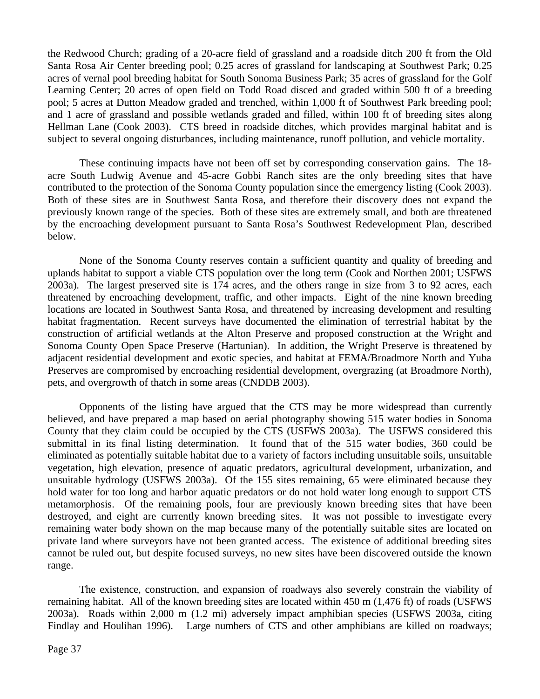the Redwood Church; grading of a 20-acre field of grassland and a roadside ditch 200 ft from the Old Santa Rosa Air Center breeding pool; 0.25 acres of grassland for landscaping at Southwest Park; 0.25 acres of vernal pool breeding habitat for South Sonoma Business Park; 35 acres of grassland for the Golf Learning Center; 20 acres of open field on Todd Road disced and graded within 500 ft of a breeding pool; 5 acres at Dutton Meadow graded and trenched, within 1,000 ft of Southwest Park breeding pool; and 1 acre of grassland and possible wetlands graded and filled, within 100 ft of breeding sites along Hellman Lane (Cook 2003). CTS breed in roadside ditches, which provides marginal habitat and is subject to several ongoing disturbances, including maintenance, runoff pollution, and vehicle mortality.

These continuing impacts have not been off set by corresponding conservation gains. The 18 acre South Ludwig Avenue and 45-acre Gobbi Ranch sites are the only breeding sites that have contributed to the protection of the Sonoma County population since the emergency listing (Cook 2003). Both of these sites are in Southwest Santa Rosa, and therefore their discovery does not expand the previously known range of the species. Both of these sites are extremely small, and both are threatened by the encroaching development pursuant to Santa Rosa's Southwest Redevelopment Plan, described below.

None of the Sonoma County reserves contain a sufficient quantity and quality of breeding and uplands habitat to support a viable CTS population over the long term (Cook and Northen 2001; USFWS 2003a). The largest preserved site is 174 acres, and the others range in size from 3 to 92 acres, each threatened by encroaching development, traffic, and other impacts. Eight of the nine known breeding locations are located in Southwest Santa Rosa, and threatened by increasing development and resulting habitat fragmentation. Recent surveys have documented the elimination of terrestrial habitat by the construction of artificial wetlands at the Alton Preserve and proposed construction at the Wright and Sonoma County Open Space Preserve (Hartunian). In addition, the Wright Preserve is threatened by adjacent residential development and exotic species, and habitat at FEMA/Broadmore North and Yuba Preserves are compromised by encroaching residential development, overgrazing (at Broadmore North), pets, and overgrowth of thatch in some areas (CNDDB 2003).

Opponents of the listing have argued that the CTS may be more widespread than currently believed, and have prepared a map based on aerial photography showing 515 water bodies in Sonoma County that they claim could be occupied by the CTS (USFWS 2003a). The USFWS considered this submittal in its final listing determination. It found that of the 515 water bodies, 360 could be eliminated as potentially suitable habitat due to a variety of factors including unsuitable soils, unsuitable vegetation, high elevation, presence of aquatic predators, agricultural development, urbanization, and unsuitable hydrology (USFWS 2003a). Of the 155 sites remaining, 65 were eliminated because they hold water for too long and harbor aquatic predators or do not hold water long enough to support CTS metamorphosis. Of the remaining pools, four are previously known breeding sites that have been destroyed, and eight are currently known breeding sites. It was not possible to investigate every remaining water body shown on the map because many of the potentially suitable sites are located on private land where surveyors have not been granted access. The existence of additional breeding sites cannot be ruled out, but despite focused surveys, no new sites have been discovered outside the known range.

The existence, construction, and expansion of roadways also severely constrain the viability of remaining habitat. All of the known breeding sites are located within 450 m (1,476 ft) of roads (USFWS 2003a). Roads within 2,000 m (1.2 mi) adversely impact amphibian species (USFWS 2003a, citing Findlay and Houlihan 1996). Large numbers of CTS and other amphibians are killed on roadways;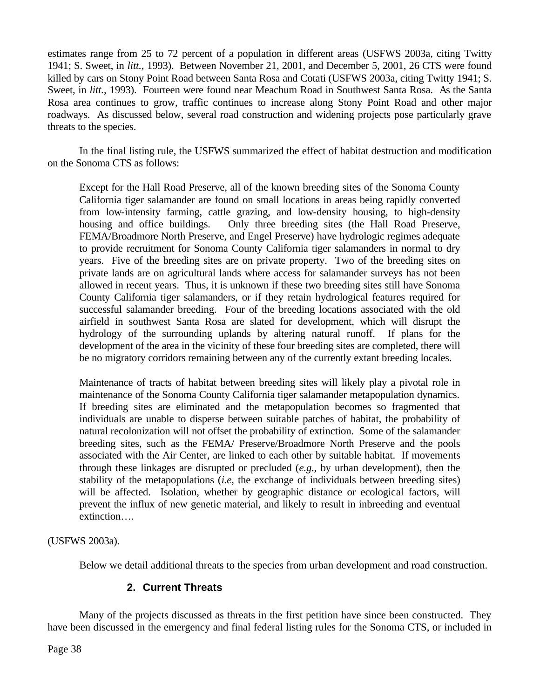estimates range from 25 to 72 percent of a population in different areas (USFWS 2003a, citing Twitty 1941; S. Sweet, in *litt.,* 1993). Between November 21, 2001, and December 5, 2001, 26 CTS were found killed by cars on Stony Point Road between Santa Rosa and Cotati (USFWS 2003a, citing Twitty 1941; S. Sweet, in *litt.,* 1993). Fourteen were found near Meachum Road in Southwest Santa Rosa. As the Santa Rosa area continues to grow, traffic continues to increase along Stony Point Road and other major roadways. As discussed below, several road construction and widening projects pose particularly grave threats to the species.

In the final listing rule, the USFWS summarized the effect of habitat destruction and modification on the Sonoma CTS as follows:

Except for the Hall Road Preserve, all of the known breeding sites of the Sonoma County California tiger salamander are found on small locations in areas being rapidly converted from low-intensity farming, cattle grazing, and low-density housing, to high-density housing and office buildings. Only three breeding sites (the Hall Road Preserve, FEMA/Broadmore North Preserve, and Engel Preserve) have hydrologic regimes adequate to provide recruitment for Sonoma County California tiger salamanders in normal to dry years. Five of the breeding sites are on private property. Two of the breeding sites on private lands are on agricultural lands where access for salamander surveys has not been allowed in recent years. Thus, it is unknown if these two breeding sites still have Sonoma County California tiger salamanders, or if they retain hydrological features required for successful salamander breeding. Four of the breeding locations associated with the old airfield in southwest Santa Rosa are slated for development, which will disrupt the hydrology of the surrounding uplands by altering natural runoff. If plans for the development of the area in the vicinity of these four breeding sites are completed, there will be no migratory corridors remaining between any of the currently extant breeding locales.

Maintenance of tracts of habitat between breeding sites will likely play a pivotal role in maintenance of the Sonoma County California tiger salamander metapopulation dynamics. If breeding sites are eliminated and the metapopulation becomes so fragmented that individuals are unable to disperse between suitable patches of habitat, the probability of natural recolonization will not offset the probability of extinction. Some of the salamander breeding sites, such as the FEMA/ Preserve/Broadmore North Preserve and the pools associated with the Air Center, are linked to each other by suitable habitat. If movements through these linkages are disrupted or precluded (*e.g.,* by urban development), then the stability of the metapopulations (*i.e*, the exchange of individuals between breeding sites) will be affected. Isolation, whether by geographic distance or ecological factors, will prevent the influx of new genetic material, and likely to result in inbreeding and eventual extinction….

(USFWS 2003a).

Below we detail additional threats to the species from urban development and road construction.

## **2. Current Threats**

Many of the projects discussed as threats in the first petition have since been constructed. They have been discussed in the emergency and final federal listing rules for the Sonoma CTS, or included in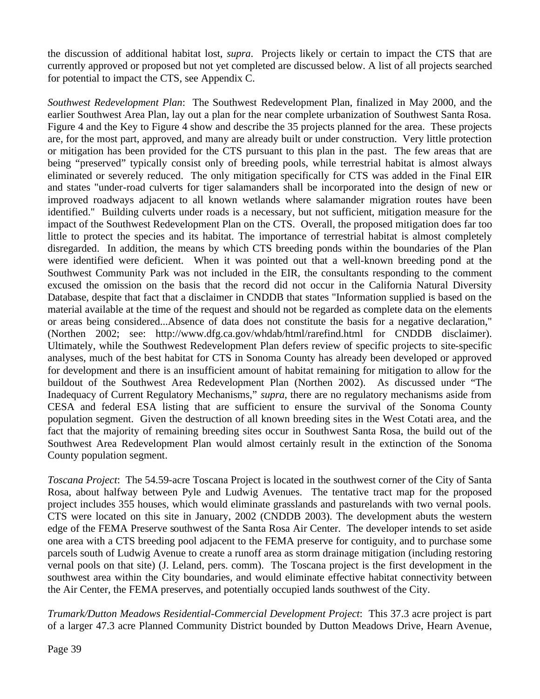the discussion of additional habitat lost, *supra*. Projects likely or certain to impact the CTS that are currently approved or proposed but not yet completed are discussed below. A list of all projects searched for potential to impact the CTS, see Appendix C.

*Southwest Redevelopment Plan*: The Southwest Redevelopment Plan, finalized in May 2000, and the earlier Southwest Area Plan, lay out a plan for the near complete urbanization of Southwest Santa Rosa. Figure 4 and the Key to Figure 4 show and describe the 35 projects planned for the area. These projects are, for the most part, approved, and many are already built or under construction. Very little protection or mitigation has been provided for the CTS pursuant to this plan in the past. The few areas that are being "preserved" typically consist only of breeding pools, while terrestrial habitat is almost always eliminated or severely reduced. The only mitigation specifically for CTS was added in the Final EIR and states "under-road culverts for tiger salamanders shall be incorporated into the design of new or improved roadways adjacent to all known wetlands where salamander migration routes have been identified." Building culverts under roads is a necessary, but not sufficient, mitigation measure for the impact of the Southwest Redevelopment Plan on the CTS. Overall, the proposed mitigation does far too little to protect the species and its habitat. The importance of terrestrial habitat is almost completely disregarded. In addition, the means by which CTS breeding ponds within the boundaries of the Plan were identified were deficient. When it was pointed out that a well-known breeding pond at the Southwest Community Park was not included in the EIR, the consultants responding to the comment excused the omission on the basis that the record did not occur in the California Natural Diversity Database, despite that fact that a disclaimer in CNDDB that states "Information supplied is based on the material available at the time of the request and should not be regarded as complete data on the elements or areas being considered...Absence of data does not constitute the basis for a negative declaration," (Northen 2002; see: http://www.dfg.ca.gov/whdab/html/rarefind.html for CNDDB disclaimer). Ultimately, while the Southwest Redevelopment Plan defers review of specific projects to site-specific analyses, much of the best habitat for CTS in Sonoma County has already been developed or approved for development and there is an insufficient amount of habitat remaining for mitigation to allow for the buildout of the Southwest Area Redevelopment Plan (Northen 2002). As discussed under "The Inadequacy of Current Regulatory Mechanisms," *supra*, there are no regulatory mechanisms aside from CESA and federal ESA listing that are sufficient to ensure the survival of the Sonoma County population segment. Given the destruction of all known breeding sites in the West Cotati area, and the fact that the majority of remaining breeding sites occur in Southwest Santa Rosa, the build out of the Southwest Area Redevelopment Plan would almost certainly result in the extinction of the Sonoma County population segment.

*Toscana Project*: The 54.59-acre Toscana Project is located in the southwest corner of the City of Santa Rosa, about halfway between Pyle and Ludwig Avenues. The tentative tract map for the proposed project includes 355 houses, which would eliminate grasslands and pasturelands with two vernal pools. CTS were located on this site in January, 2002 (CNDDB 2003). The development abuts the western edge of the FEMA Preserve southwest of the Santa Rosa Air Center. The developer intends to set aside one area with a CTS breeding pool adjacent to the FEMA preserve for contiguity, and to purchase some parcels south of Ludwig Avenue to create a runoff area as storm drainage mitigation (including restoring vernal pools on that site) (J. Leland, pers. comm). The Toscana project is the first development in the southwest area within the City boundaries, and would eliminate effective habitat connectivity between the Air Center, the FEMA preserves, and potentially occupied lands southwest of the City.

*Trumark/Dutton Meadows Residential-Commercial Development Project*: This 37.3 acre project is part of a larger 47.3 acre Planned Community District bounded by Dutton Meadows Drive, Hearn Avenue,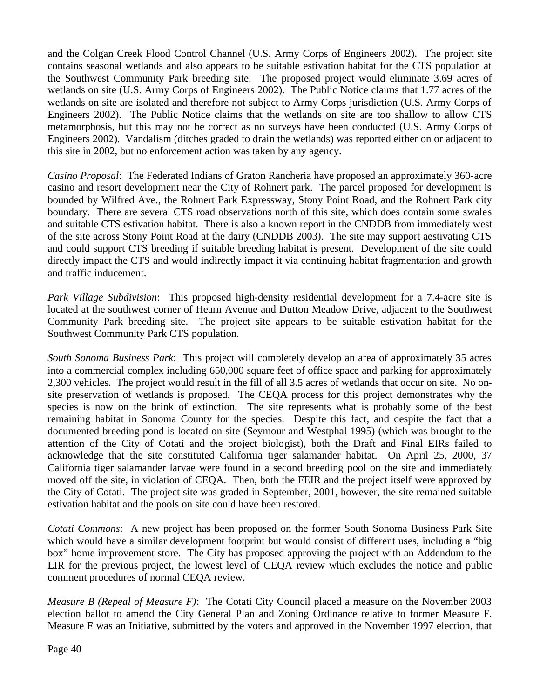and the Colgan Creek Flood Control Channel (U.S. Army Corps of Engineers 2002). The project site contains seasonal wetlands and also appears to be suitable estivation habitat for the CTS population at the Southwest Community Park breeding site. The proposed project would eliminate 3.69 acres of wetlands on site (U.S. Army Corps of Engineers 2002). The Public Notice claims that 1.77 acres of the wetlands on site are isolated and therefore not subject to Army Corps jurisdiction (U.S. Army Corps of Engineers 2002). The Public Notice claims that the wetlands on site are too shallow to allow CTS metamorphosis, but this may not be correct as no surveys have been conducted (U.S. Army Corps of Engineers 2002). Vandalism (ditches graded to drain the wetlands) was reported either on or adjacent to this site in 2002, but no enforcement action was taken by any agency.

*Casino Proposal*: The Federated Indians of Graton Rancheria have proposed an approximately 360-acre casino and resort development near the City of Rohnert park. The parcel proposed for development is bounded by Wilfred Ave., the Rohnert Park Expressway, Stony Point Road, and the Rohnert Park city boundary. There are several CTS road observations north of this site, which does contain some swales and suitable CTS estivation habitat. There is also a known report in the CNDDB from immediately west of the site across Stony Point Road at the dairy (CNDDB 2003). The site may support aestivating CTS and could support CTS breeding if suitable breeding habitat is present. Development of the site could directly impact the CTS and would indirectly impact it via continuing habitat fragmentation and growth and traffic inducement.

*Park Village Subdivision*: This proposed high-density residential development for a 7.4-acre site is located at the southwest corner of Hearn Avenue and Dutton Meadow Drive, adjacent to the Southwest Community Park breeding site. The project site appears to be suitable estivation habitat for the Southwest Community Park CTS population.

*South Sonoma Business Park*: This project will completely develop an area of approximately 35 acres into a commercial complex including 650,000 square feet of office space and parking for approximately 2,300 vehicles. The project would result in the fill of all 3.5 acres of wetlands that occur on site. No onsite preservation of wetlands is proposed. The CEQA process for this project demonstrates why the species is now on the brink of extinction. The site represents what is probably some of the best remaining habitat in Sonoma County for the species. Despite this fact, and despite the fact that a documented breeding pond is located on site (Seymour and Westphal 1995) (which was brought to the attention of the City of Cotati and the project biologist), both the Draft and Final EIRs failed to acknowledge that the site constituted California tiger salamander habitat. On April 25, 2000, 37 California tiger salamander larvae were found in a second breeding pool on the site and immediately moved off the site, in violation of CEQA. Then, both the FEIR and the project itself were approved by the City of Cotati. The project site was graded in September, 2001, however, the site remained suitable estivation habitat and the pools on site could have been restored.

*Cotati Commons*: A new project has been proposed on the former South Sonoma Business Park Site which would have a similar development footprint but would consist of different uses, including a "big box" home improvement store. The City has proposed approving the project with an Addendum to the EIR for the previous project, the lowest level of CEQA review which excludes the notice and public comment procedures of normal CEQA review.

*Measure B (Repeal of Measure F)*: The Cotati City Council placed a measure on the November 2003 election ballot to amend the City General Plan and Zoning Ordinance relative to former Measure F. Measure F was an Initiative, submitted by the voters and approved in the November 1997 election, that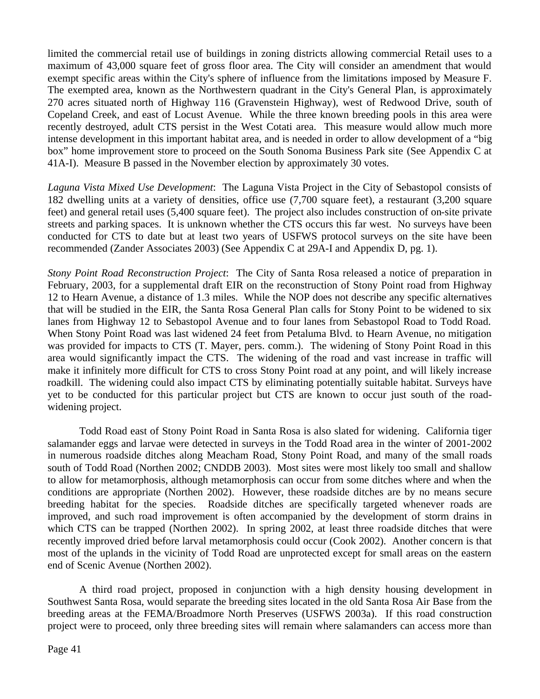limited the commercial retail use of buildings in zoning districts allowing commercial Retail uses to a maximum of 43,000 square feet of gross floor area. The City will consider an amendment that would exempt specific areas within the City's sphere of influence from the limitations imposed by Measure F. The exempted area, known as the Northwestern quadrant in the City's General Plan, is approximately 270 acres situated north of Highway 116 (Gravenstein Highway), west of Redwood Drive, south of Copeland Creek, and east of Locust Avenue. While the three known breeding pools in this area were recently destroyed, adult CTS persist in the West Cotati area. This measure would allow much more intense development in this important habitat area, and is needed in order to allow development of a "big box" home improvement store to proceed on the South Sonoma Business Park site (See Appendix C at 41A-I). Measure B passed in the November election by approximately 30 votes.

*Laguna Vista Mixed Use Development*: The Laguna Vista Project in the City of Sebastopol consists of 182 dwelling units at a variety of densities, office use (7,700 square feet), a restaurant (3,200 square feet) and general retail uses (5,400 square feet). The project also includes construction of on-site private streets and parking spaces. It is unknown whether the CTS occurs this far west. No surveys have been conducted for CTS to date but at least two years of USFWS protocol surveys on the site have been recommended (Zander Associates 2003) (See Appendix C at 29A-I and Appendix D, pg. 1).

*Stony Point Road Reconstruction Project*: The City of Santa Rosa released a notice of preparation in February, 2003, for a supplemental draft EIR on the reconstruction of Stony Point road from Highway 12 to Hearn Avenue, a distance of 1.3 miles. While the NOP does not describe any specific alternatives that will be studied in the EIR, the Santa Rosa General Plan calls for Stony Point to be widened to six lanes from Highway 12 to Sebastopol Avenue and to four lanes from Sebastopol Road to Todd Road. When Stony Point Road was last widened 24 feet from Petaluma Blvd. to Hearn Avenue, no mitigation was provided for impacts to CTS (T. Mayer, pers. comm.). The widening of Stony Point Road in this area would significantly impact the CTS. The widening of the road and vast increase in traffic will make it infinitely more difficult for CTS to cross Stony Point road at any point, and will likely increase roadkill. The widening could also impact CTS by eliminating potentially suitable habitat. Surveys have yet to be conducted for this particular project but CTS are known to occur just south of the roadwidening project.

Todd Road east of Stony Point Road in Santa Rosa is also slated for widening. California tiger salamander eggs and larvae were detected in surveys in the Todd Road area in the winter of 2001-2002 in numerous roadside ditches along Meacham Road, Stony Point Road, and many of the small roads south of Todd Road (Northen 2002; CNDDB 2003). Most sites were most likely too small and shallow to allow for metamorphosis, although metamorphosis can occur from some ditches where and when the conditions are appropriate (Northen 2002). However, these roadside ditches are by no means secure breeding habitat for the species. Roadside ditches are specifically targeted whenever roads are improved, and such road improvement is often accompanied by the development of storm drains in which CTS can be trapped (Northen 2002). In spring 2002, at least three roadside ditches that were recently improved dried before larval metamorphosis could occur (Cook 2002). Another concern is that most of the uplands in the vicinity of Todd Road are unprotected except for small areas on the eastern end of Scenic Avenue (Northen 2002).

A third road project, proposed in conjunction with a high density housing development in Southwest Santa Rosa, would separate the breeding sites located in the old Santa Rosa Air Base from the breeding areas at the FEMA/Broadmore North Preserves (USFWS 2003a). If this road construction project were to proceed, only three breeding sites will remain where salamanders can access more than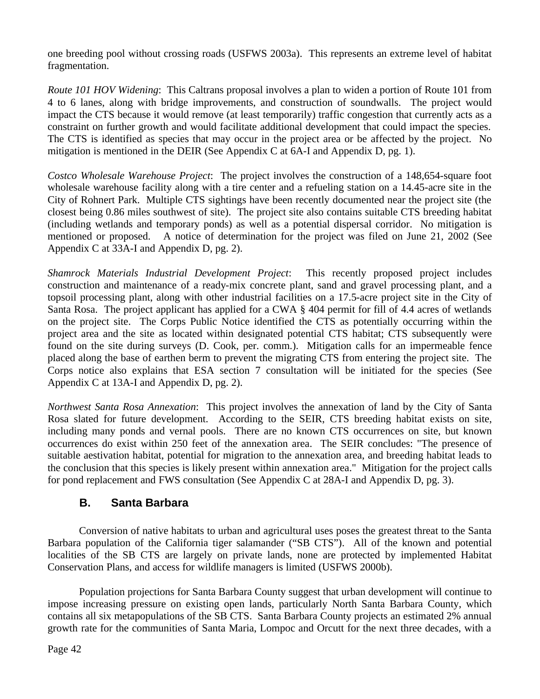one breeding pool without crossing roads (USFWS 2003a). This represents an extreme level of habitat fragmentation.

*Route 101 HOV Widening*: This Caltrans proposal involves a plan to widen a portion of Route 101 from 4 to 6 lanes, along with bridge improvements, and construction of soundwalls. The project would impact the CTS because it would remove (at least temporarily) traffic congestion that currently acts as a constraint on further growth and would facilitate additional development that could impact the species. The CTS is identified as species that may occur in the project area or be affected by the project. No mitigation is mentioned in the DEIR (See Appendix C at 6A-I and Appendix D, pg. 1).

*Costco Wholesale Warehouse Project*: The project involves the construction of a 148,654-square foot wholesale warehouse facility along with a tire center and a refueling station on a 14.45-acre site in the City of Rohnert Park. Multiple CTS sightings have been recently documented near the project site (the closest being 0.86 miles southwest of site). The project site also contains suitable CTS breeding habitat (including wetlands and temporary ponds) as well as a potential dispersal corridor. No mitigation is mentioned or proposed. A notice of determination for the project was filed on June 21, 2002 (See Appendix C at 33A-I and Appendix D, pg. 2).

*Shamrock Materials Industrial Development Project*: This recently proposed project includes construction and maintenance of a ready-mix concrete plant, sand and gravel processing plant, and a topsoil processing plant, along with other industrial facilities on a 17.5-acre project site in the City of Santa Rosa. The project applicant has applied for a CWA § 404 permit for fill of 4.4 acres of wetlands on the project site. The Corps Public Notice identified the CTS as potentially occurring within the project area and the site as located within designated potential CTS habitat; CTS subsequently were found on the site during surveys (D. Cook, per. comm.). Mitigation calls for an impermeable fence placed along the base of earthen berm to prevent the migrating CTS from entering the project site. The Corps notice also explains that ESA section 7 consultation will be initiated for the species (See Appendix C at 13A-I and Appendix D, pg. 2).

*Northwest Santa Rosa Annexation*: This project involves the annexation of land by the City of Santa Rosa slated for future development. According to the SEIR, CTS breeding habitat exists on site, including many ponds and vernal pools. There are no known CTS occurrences on site, but known occurrences do exist within 250 feet of the annexation area. The SEIR concludes: "The presence of suitable aestivation habitat, potential for migration to the annexation area, and breeding habitat leads to the conclusion that this species is likely present within annexation area." Mitigation for the project calls for pond replacement and FWS consultation (See Appendix C at 28A-I and Appendix D, pg. 3).

## **B. Santa Barbara**

Conversion of native habitats to urban and agricultural uses poses the greatest threat to the Santa Barbara population of the California tiger salamander ("SB CTS"). All of the known and potential localities of the SB CTS are largely on private lands, none are protected by implemented Habitat Conservation Plans, and access for wildlife managers is limited (USFWS 2000b).

Population projections for Santa Barbara County suggest that urban development will continue to impose increasing pressure on existing open lands, particularly North Santa Barbara County, which contains all six metapopulations of the SB CTS. Santa Barbara County projects an estimated 2% annual growth rate for the communities of Santa Maria, Lompoc and Orcutt for the next three decades, with a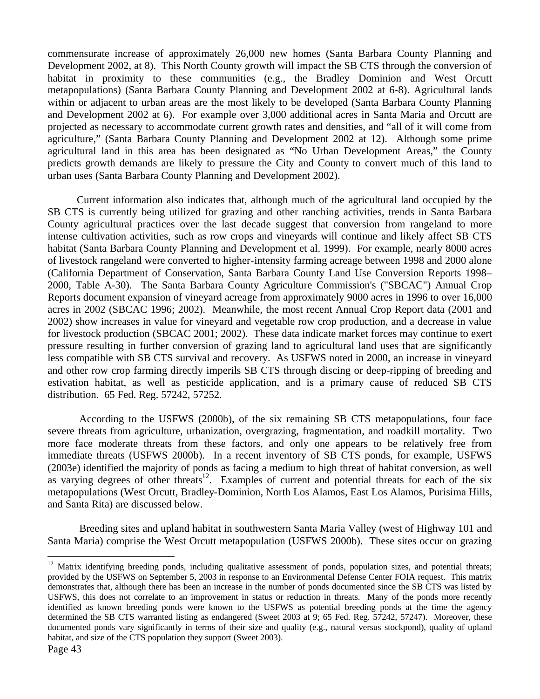commensurate increase of approximately 26,000 new homes (Santa Barbara County Planning and Development 2002, at 8). This North County growth will impact the SB CTS through the conversion of habitat in proximity to these communities (e.g., the Bradley Dominion and West Orcutt metapopulations) (Santa Barbara County Planning and Development 2002 at 6-8). Agricultural lands within or adjacent to urban areas are the most likely to be developed (Santa Barbara County Planning and Development 2002 at 6). For example over 3,000 additional acres in Santa Maria and Orcutt are projected as necessary to accommodate current growth rates and densities, and "all of it will come from agriculture," (Santa Barbara County Planning and Development 2002 at 12). Although some prime agricultural land in this area has been designated as "No Urban Development Areas," the County predicts growth demands are likely to pressure the City and County to convert much of this land to urban uses (Santa Barbara County Planning and Development 2002).

Current information also indicates that, although much of the agricultural land occupied by the SB CTS is currently being utilized for grazing and other ranching activities, trends in Santa Barbara County agricultural practices over the last decade suggest that conversion from rangeland to more intense cultivation activities, such as row crops and vineyards will continue and likely affect SB CTS habitat (Santa Barbara County Planning and Development et al. 1999). For example, nearly 8000 acres of livestock rangeland were converted to higher-intensity farming acreage between 1998 and 2000 alone (California Department of Conservation, Santa Barbara County Land Use Conversion Reports 1998– 2000, Table A-30). The Santa Barbara County Agriculture Commission's ("SBCAC") Annual Crop Reports document expansion of vineyard acreage from approximately 9000 acres in 1996 to over 16,000 acres in 2002 (SBCAC 1996; 2002). Meanwhile, the most recent Annual Crop Report data (2001 and 2002) show increases in value for vineyard and vegetable row crop production, and a decrease in value for livestock production (SBCAC 2001; 2002). These data indicate market forces may continue to exert pressure resulting in further conversion of grazing land to agricultural land uses that are significantly less compatible with SB CTS survival and recovery. As USFWS noted in 2000, an increase in vineyard and other row crop farming directly imperils SB CTS through discing or deep-ripping of breeding and estivation habitat, as well as pesticide application, and is a primary cause of reduced SB CTS distribution. 65 Fed. Reg. 57242, 57252.

According to the USFWS (2000b), of the six remaining SB CTS metapopulations, four face severe threats from agriculture, urbanization, overgrazing, fragmentation, and roadkill mortality. Two more face moderate threats from these factors, and only one appears to be relatively free from immediate threats (USFWS 2000b). In a recent inventory of SB CTS ponds, for example, USFWS (2003e) identified the majority of ponds as facing a medium to high threat of habitat conversion, as well as varying degrees of other threats<sup>12</sup>. Examples of current and potential threats for each of the six metapopulations (West Orcutt, Bradley-Dominion, North Los Alamos, East Los Alamos, Purisima Hills, and Santa Rita) are discussed below.

Breeding sites and upland habitat in southwestern Santa Maria Valley (west of Highway 101 and Santa Maria) comprise the West Orcutt metapopulation (USFWS 2000b). These sites occur on grazing

 $\overline{a}$ 

 $12$  Matrix identifying breeding ponds, including qualitative assessment of ponds, population sizes, and potential threats; provided by the USFWS on September 5, 2003 in response to an Environmental Defense Center FOIA request. This matrix demonstrates that, although there has been an increase in the number of ponds documented since the SB CTS was listed by USFWS, this does not correlate to an improvement in status or reduction in threats. Many of the ponds more recently identified as known breeding ponds were known to the USFWS as potential breeding ponds at the time the agency determined the SB CTS warranted listing as endangered (Sweet 2003 at 9; 65 Fed. Reg. 57242, 57247). Moreover, these documented ponds vary significantly in terms of their size and quality (e.g., natural versus stockpond), quality of upland habitat, and size of the CTS population they support (Sweet 2003).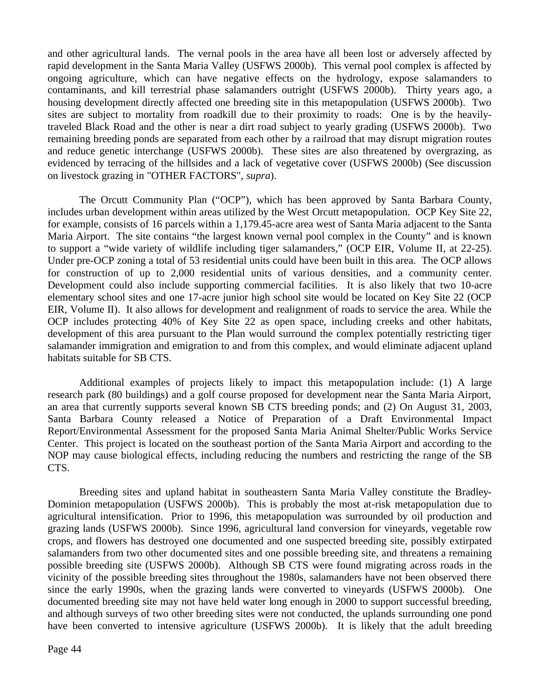and other agricultural lands. The vernal pools in the area have all been lost or adversely affected by rapid development in the Santa Maria Valley (USFWS 2000b). This vernal pool complex is affected by ongoing agriculture, which can have negative effects on the hydrology, expose salamanders to contaminants, and kill terrestrial phase salamanders outright (USFWS 2000b). Thirty years ago, a housing development directly affected one breeding site in this metapopulation (USFWS 2000b). Two sites are subject to mortality from roadkill due to their proximity to roads: One is by the heavilytraveled Black Road and the other is near a dirt road subject to yearly grading (USFWS 2000b). Two remaining breeding ponds are separated from each other by a railroad that may disrupt migration routes and reduce genetic interchange (USFWS 2000b). These sites are also threatened by overgrazing, as evidenced by terracing of the hillsides and a lack of vegetative cover (USFWS 2000b) (See discussion on livestock grazing in "OTHER FACTORS", *supra*).

The Orcutt Community Plan ("OCP"), which has been approved by Santa Barbara County, includes urban development within areas utilized by the West Orcutt metapopulation. OCP Key Site 22, for example, consists of 16 parcels within a 1,179.45-acre area west of Santa Maria adjacent to the Santa Maria Airport. The site contains "the largest known vernal pool complex in the County" and is known to support a "wide variety of wildlife including tiger salamanders," (OCP EIR, Volume II, at 22-25). Under pre-OCP zoning a total of 53 residential units could have been built in this area. The OCP allows for construction of up to 2,000 residential units of various densities, and a community center. Development could also include supporting commercial facilities. It is also likely that two 10-acre elementary school sites and one 17-acre junior high school site would be located on Key Site 22 (OCP EIR, Volume II). It also allows for development and realignment of roads to service the area. While the OCP includes protecting 40% of Key Site 22 as open space, including creeks and other habitats, development of this area pursuant to the Plan would surround the complex potentially restricting tiger salamander immigration and emigration to and from this complex, and would eliminate adjacent upland habitats suitable for SB CTS.

Additional examples of projects likely to impact this metapopulation include: (1) A large research park (80 buildings) and a golf course proposed for development near the Santa Maria Airport, an area that currently supports several known SB CTS breeding ponds; and (2) On August 31, 2003, Santa Barbara County released a Notice of Preparation of a Draft Environmental Impact Report/Environmental Assessment for the proposed Santa Maria Animal Shelter/Public Works Service Center. This project is located on the southeast portion of the Santa Maria Airport and according to the NOP may cause biological effects, including reducing the numbers and restricting the range of the SB CTS.

Breeding sites and upland habitat in southeastern Santa Maria Valley constitute the Bradley-Dominion metapopulation (USFWS 2000b). This is probably the most at-risk metapopulation due to agricultural intensification. Prior to 1996, this metapopulation was surrounded by oil production and grazing lands (USFWS 2000b). Since 1996, agricultural land conversion for vineyards, vegetable row crops, and flowers has destroyed one documented and one suspected breeding site, possibly extirpated salamanders from two other documented sites and one possible breeding site, and threatens a remaining possible breeding site (USFWS 2000b). Although SB CTS were found migrating across roads in the vicinity of the possible breeding sites throughout the 1980s, salamanders have not been observed there since the early 1990s, when the grazing lands were converted to vineyards (USFWS 2000b). One documented breeding site may not have held water long enough in 2000 to support successful breeding, and although surveys of two other breeding sites were not conducted, the uplands surrounding one pond have been converted to intensive agriculture (USFWS 2000b). It is likely that the adult breeding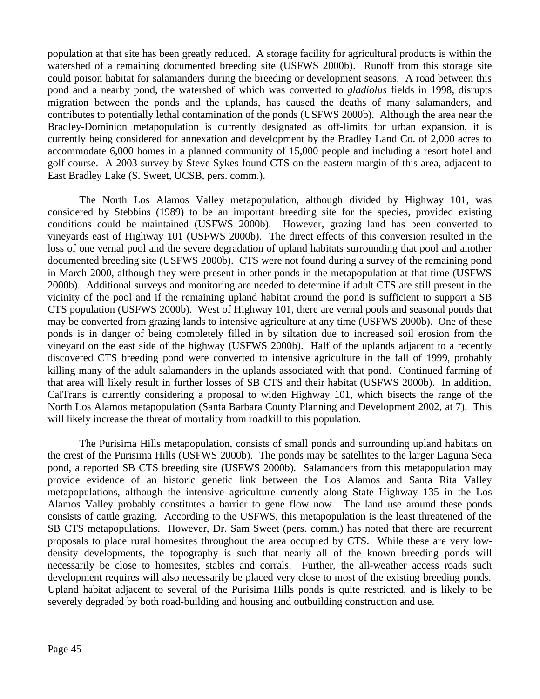population at that site has been greatly reduced. A storage facility for agricultural products is within the watershed of a remaining documented breeding site (USFWS 2000b). Runoff from this storage site could poison habitat for salamanders during the breeding or development seasons. A road between this pond and a nearby pond, the watershed of which was converted to *gladiolus* fields in 1998, disrupts migration between the ponds and the uplands, has caused the deaths of many salamanders, and contributes to potentially lethal contamination of the ponds (USFWS 2000b). Although the area near the Bradley-Dominion metapopulation is currently designated as off-limits for urban expansion, it is currently being considered for annexation and development by the Bradley Land Co. of 2,000 acres to accommodate 6,000 homes in a planned community of 15,000 people and including a resort hotel and golf course. A 2003 survey by Steve Sykes found CTS on the eastern margin of this area, adjacent to East Bradley Lake (S. Sweet, UCSB, pers. comm.).

The North Los Alamos Valley metapopulation, although divided by Highway 101, was considered by Stebbins (1989) to be an important breeding site for the species, provided existing conditions could be maintained (USFWS 2000b). However, grazing land has been converted to vineyards east of Highway 101 (USFWS 2000b). The direct effects of this conversion resulted in the loss of one vernal pool and the severe degradation of upland habitats surrounding that pool and another documented breeding site (USFWS 2000b). CTS were not found during a survey of the remaining pond in March 2000, although they were present in other ponds in the metapopulation at that time (USFWS 2000b). Additional surveys and monitoring are needed to determine if adult CTS are still present in the vicinity of the pool and if the remaining upland habitat around the pond is sufficient to support a SB CTS population (USFWS 2000b). West of Highway 101, there are vernal pools and seasonal ponds that may be converted from grazing lands to intensive agriculture at any time (USFWS 2000b). One of these ponds is in danger of being completely filled in by siltation due to increased soil erosion from the vineyard on the east side of the highway (USFWS 2000b). Half of the uplands adjacent to a recently discovered CTS breeding pond were converted to intensive agriculture in the fall of 1999, probably killing many of the adult salamanders in the uplands associated with that pond. Continued farming of that area will likely result in further losses of SB CTS and their habitat (USFWS 2000b). In addition, CalTrans is currently considering a proposal to widen Highway 101, which bisects the range of the North Los Alamos metapopulation (Santa Barbara County Planning and Development 2002, at 7). This will likely increase the threat of mortality from roadkill to this population.

The Purisima Hills metapopulation, consists of small ponds and surrounding upland habitats on the crest of the Purisima Hills (USFWS 2000b). The ponds may be satellites to the larger Laguna Seca pond, a reported SB CTS breeding site (USFWS 2000b). Salamanders from this metapopulation may provide evidence of an historic genetic link between the Los Alamos and Santa Rita Valley metapopulations, although the intensive agriculture currently along State Highway 135 in the Los Alamos Valley probably constitutes a barrier to gene flow now. The land use around these ponds consists of cattle grazing. According to the USFWS, this metapopulation is the least threatened of the SB CTS metapopulations. However, Dr. Sam Sweet (pers. comm.) has noted that there are recurrent proposals to place rural homesites throughout the area occupied by CTS. While these are very lowdensity developments, the topography is such that nearly all of the known breeding ponds will necessarily be close to homesites, stables and corrals. Further, the all-weather access roads such development requires will also necessarily be placed very close to most of the existing breeding ponds. Upland habitat adjacent to several of the Purisima Hills ponds is quite restricted, and is likely to be severely degraded by both road-building and housing and outbuilding construction and use.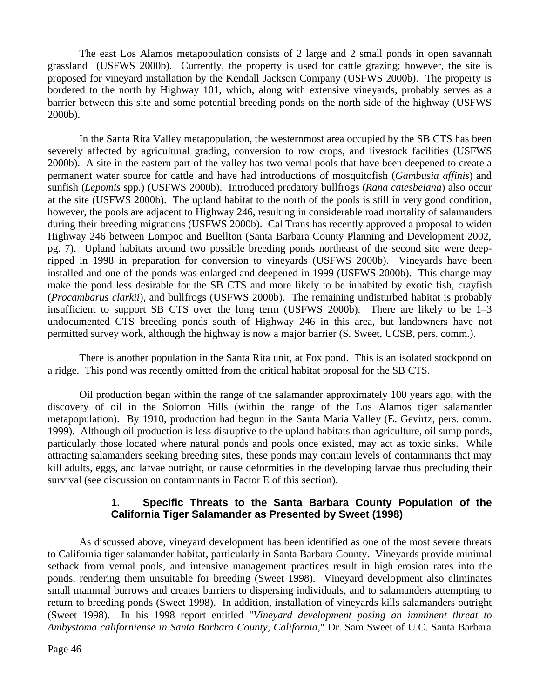The east Los Alamos metapopulation consists of 2 large and 2 small ponds in open savannah grassland (USFWS 2000b). Currently, the property is used for cattle grazing; however, the site is proposed for vineyard installation by the Kendall Jackson Company (USFWS 2000b). The property is bordered to the north by Highway 101, which, along with extensive vineyards, probably serves as a barrier between this site and some potential breeding ponds on the north side of the highway (USFWS 2000b).

 In the Santa Rita Valley metapopulation, the westernmost area occupied by the SB CTS has been severely affected by agricultural grading, conversion to row crops, and livestock facilities (USFWS 2000b). A site in the eastern part of the valley has two vernal pools that have been deepened to create a permanent water source for cattle and have had introductions of mosquitofish (*Gambusia affinis*) and sunfish (*Lepomis* spp.) (USFWS 2000b). Introduced predatory bullfrogs (*Rana catesbeiana*) also occur at the site (USFWS 2000b). The upland habitat to the north of the pools is still in very good condition, however, the pools are adjacent to Highway 246, resulting in considerable road mortality of salamanders during their breeding migrations (USFWS 2000b). Cal Trans has recently approved a proposal to widen Highway 246 between Lompoc and Buellton (Santa Barbara County Planning and Development 2002, pg. 7). Upland habitats around two possible breeding ponds northeast of the second site were deepripped in 1998 in preparation for conversion to vineyards (USFWS 2000b). Vineyards have been installed and one of the ponds was enlarged and deepened in 1999 (USFWS 2000b). This change may make the pond less desirable for the SB CTS and more likely to be inhabited by exotic fish, crayfish (*Procambarus clarkii*), and bullfrogs (USFWS 2000b). The remaining undisturbed habitat is probably insufficient to support SB CTS over the long term (USFWS 2000b). There are likely to be 1–3 undocumented CTS breeding ponds south of Highway 246 in this area, but landowners have not permitted survey work, although the highway is now a major barrier (S. Sweet, UCSB, pers. comm.).

There is another population in the Santa Rita unit, at Fox pond. This is an isolated stockpond on a ridge. This pond was recently omitted from the critical habitat proposal for the SB CTS.

Oil production began within the range of the salamander approximately 100 years ago, with the discovery of oil in the Solomon Hills (within the range of the Los Alamos tiger salamander metapopulation). By 1910, production had begun in the Santa Maria Valley (E. Gevirtz, pers. comm. 1999). Although oil production is less disruptive to the upland habitats than agriculture, oil sump ponds, particularly those located where natural ponds and pools once existed, may act as toxic sinks. While attracting salamanders seeking breeding sites, these ponds may contain levels of contaminants that may kill adults, eggs, and larvae outright, or cause deformities in the developing larvae thus precluding their survival (see discussion on contaminants in Factor E of this section).

#### **1. Specific Threats to the Santa Barbara County Population of the California Tiger Salamander as Presented by Sweet (1998)**

As discussed above, vineyard development has been identified as one of the most severe threats to California tiger salamander habitat, particularly in Santa Barbara County. Vineyards provide minimal setback from vernal pools, and intensive management practices result in high erosion rates into the ponds, rendering them unsuitable for breeding (Sweet 1998). Vineyard development also eliminates small mammal burrows and creates barriers to dispersing individuals, and to salamanders attempting to return to breeding ponds (Sweet 1998). In addition, installation of vineyards kills salamanders outright (Sweet 1998). In his 1998 report entitled "*Vineyard development posing an imminent threat to Ambystoma californiense in Santa Barbara County, California*," Dr. Sam Sweet of U.C. Santa Barbara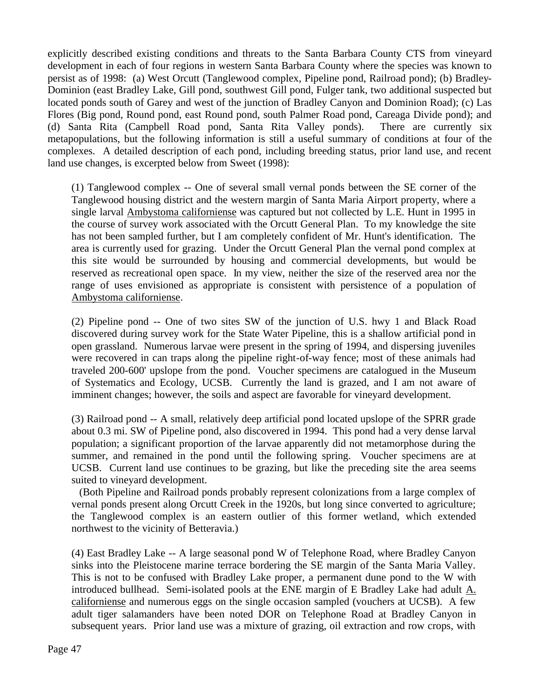explicitly described existing conditions and threats to the Santa Barbara County CTS from vineyard development in each of four regions in western Santa Barbara County where the species was known to persist as of 1998: (a) West Orcutt (Tanglewood complex, Pipeline pond, Railroad pond); (b) Bradley-Dominion (east Bradley Lake, Gill pond, southwest Gill pond, Fulger tank, two additional suspected but located ponds south of Garey and west of the junction of Bradley Canyon and Dominion Road); (c) Las Flores (Big pond, Round pond, east Round pond, south Palmer Road pond, Careaga Divide pond); and (d) Santa Rita (Campbell Road pond, Santa Rita Valley ponds). There are currently six metapopulations, but the following information is still a useful summary of conditions at four of the complexes. A detailed description of each pond, including breeding status, prior land use, and recent land use changes, is excerpted below from Sweet (1998):

(1) Tanglewood complex -- One of several small vernal ponds between the SE corner of the Tanglewood housing district and the western margin of Santa Maria Airport property, where a single larval Ambystoma californiense was captured but not collected by L.E. Hunt in 1995 in the course of survey work associated with the Orcutt General Plan. To my knowledge the site has not been sampled further, but I am completely confident of Mr. Hunt's identification. The area is currently used for grazing. Under the Orcutt General Plan the vernal pond complex at this site would be surrounded by housing and commercial developments, but would be reserved as recreational open space. In my view, neither the size of the reserved area nor the range of uses envisioned as appropriate is consistent with persistence of a population of Ambystoma californiense.

(2) Pipeline pond -- One of two sites SW of the junction of U.S. hwy 1 and Black Road discovered during survey work for the State Water Pipeline, this is a shallow artificial pond in open grassland. Numerous larvae were present in the spring of 1994, and dispersing juveniles were recovered in can traps along the pipeline right-of-way fence; most of these animals had traveled 200-600' upslope from the pond. Voucher specimens are catalogued in the Museum of Systematics and Ecology, UCSB. Currently the land is grazed, and I am not aware of imminent changes; however, the soils and aspect are favorable for vineyard development.

(3) Railroad pond -- A small, relatively deep artificial pond located upslope of the SPRR grade about 0.3 mi. SW of Pipeline pond, also discovered in 1994. This pond had a very dense larval population; a significant proportion of the larvae apparently did not metamorphose during the summer, and remained in the pond until the following spring. Voucher specimens are at UCSB. Current land use continues to be grazing, but like the preceding site the area seems suited to vineyard development.

(Both Pipeline and Railroad ponds probably represent colonizations from a large complex of vernal ponds present along Orcutt Creek in the 1920s, but long since converted to agriculture; the Tanglewood complex is an eastern outlier of this former wetland, which extended northwest to the vicinity of Betteravia.)

(4) East Bradley Lake -- A large seasonal pond W of Telephone Road, where Bradley Canyon sinks into the Pleistocene marine terrace bordering the SE margin of the Santa Maria Valley. This is not to be confused with Bradley Lake proper, a permanent dune pond to the W with introduced bullhead. Semi-isolated pools at the ENE margin of E Bradley Lake had adult A. californiense and numerous eggs on the single occasion sampled (vouchers at UCSB). A few adult tiger salamanders have been noted DOR on Telephone Road at Bradley Canyon in subsequent years. Prior land use was a mixture of grazing, oil extraction and row crops, with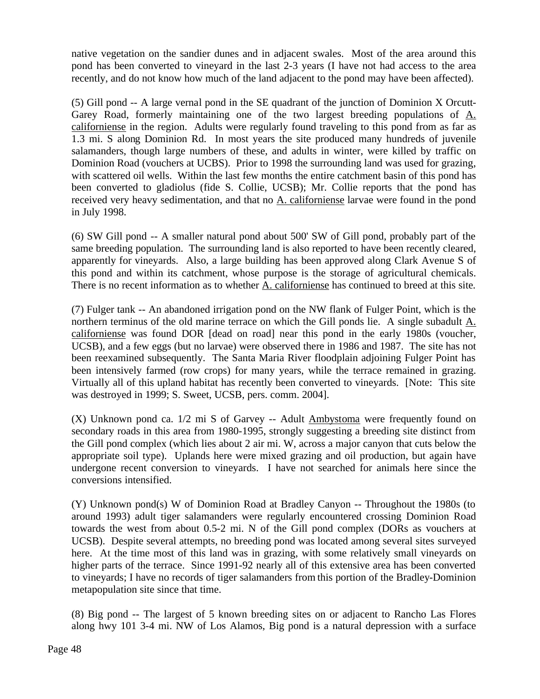native vegetation on the sandier dunes and in adjacent swales. Most of the area around this pond has been converted to vineyard in the last 2-3 years (I have not had access to the area recently, and do not know how much of the land adjacent to the pond may have been affected).

(5) Gill pond -- A large vernal pond in the SE quadrant of the junction of Dominion X Orcutt-Garey Road, formerly maintaining one of the two largest breeding populations of  $\underline{A}$ . californiense in the region. Adults were regularly found traveling to this pond from as far as 1.3 mi. S along Dominion Rd. In most years the site produced many hundreds of juvenile salamanders, though large numbers of these, and adults in winter, were killed by traffic on Dominion Road (vouchers at UCBS). Prior to 1998 the surrounding land was used for grazing, with scattered oil wells. Within the last few months the entire catchment basin of this pond has been converted to gladiolus (fide S. Collie, UCSB); Mr. Collie reports that the pond has received very heavy sedimentation, and that no A. californiense larvae were found in the pond in July 1998.

(6) SW Gill pond -- A smaller natural pond about 500' SW of Gill pond, probably part of the same breeding population. The surrounding land is also reported to have been recently cleared, apparently for vineyards. Also, a large building has been approved along Clark Avenue S of this pond and within its catchment, whose purpose is the storage of agricultural chemicals. There is no recent information as to whether A. californiense has continued to breed at this site.

(7) Fulger tank -- An abandoned irrigation pond on the NW flank of Fulger Point, which is the northern terminus of the old marine terrace on which the Gill ponds lie. A single subadult A. californiense was found DOR [dead on road] near this pond in the early 1980s (voucher, UCSB), and a few eggs (but no larvae) were observed there in 1986 and 1987. The site has not been reexamined subsequently. The Santa Maria River floodplain adjoining Fulger Point has been intensively farmed (row crops) for many years, while the terrace remained in grazing. Virtually all of this upland habitat has recently been converted to vineyards. [Note: This site was destroyed in 1999; S. Sweet, UCSB, pers. comm. 2004].

(X) Unknown pond ca. 1/2 mi S of Garvey -- Adult Ambystoma were frequently found on secondary roads in this area from 1980-1995, strongly suggesting a breeding site distinct from the Gill pond complex (which lies about 2 air mi. W, across a major canyon that cuts below the appropriate soil type). Uplands here were mixed grazing and oil production, but again have undergone recent conversion to vineyards. I have not searched for animals here since the conversions intensified.

(Y) Unknown pond(s) W of Dominion Road at Bradley Canyon -- Throughout the 1980s (to around 1993) adult tiger salamanders were regularly encountered crossing Dominion Road towards the west from about 0.5-2 mi. N of the Gill pond complex (DORs as vouchers at UCSB). Despite several attempts, no breeding pond was located among several sites surveyed here. At the time most of this land was in grazing, with some relatively small vineyards on higher parts of the terrace. Since 1991-92 nearly all of this extensive area has been converted to vineyards; I have no records of tiger salamanders from this portion of the Bradley-Dominion metapopulation site since that time.

(8) Big pond -- The largest of 5 known breeding sites on or adjacent to Rancho Las Flores along hwy 101 3-4 mi. NW of Los Alamos, Big pond is a natural depression with a surface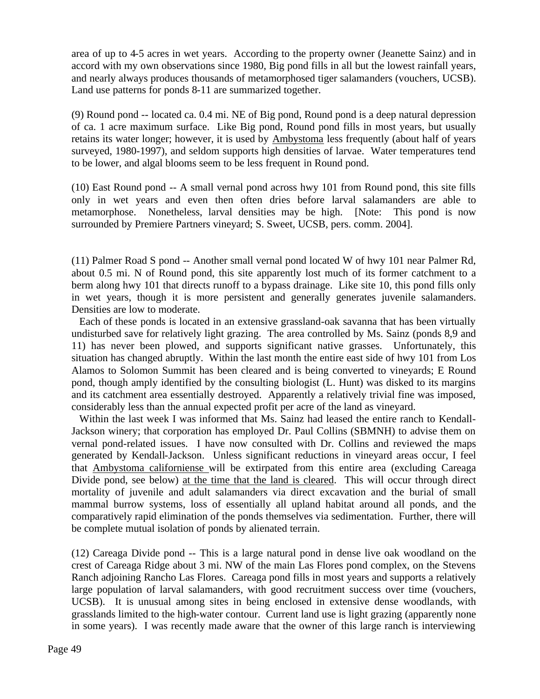area of up to 4-5 acres in wet years. According to the property owner (Jeanette Sainz) and in accord with my own observations since 1980, Big pond fills in all but the lowest rainfall years, and nearly always produces thousands of metamorphosed tiger salamanders (vouchers, UCSB). Land use patterns for ponds 8-11 are summarized together.

(9) Round pond -- located ca. 0.4 mi. NE of Big pond, Round pond is a deep natural depression of ca. 1 acre maximum surface. Like Big pond, Round pond fills in most years, but usually retains its water longer; however, it is used by Ambystoma less frequently (about half of years surveyed, 1980-1997), and seldom supports high densities of larvae. Water temperatures tend to be lower, and algal blooms seem to be less frequent in Round pond.

(10) East Round pond -- A small vernal pond across hwy 101 from Round pond, this site fills only in wet years and even then often dries before larval salamanders are able to metamorphose. Nonetheless, larval densities may be high. [Note: This pond is now surrounded by Premiere Partners vineyard; S. Sweet, UCSB, pers. comm. 2004].

(11) Palmer Road S pond -- Another small vernal pond located W of hwy 101 near Palmer Rd, about 0.5 mi. N of Round pond, this site apparently lost much of its former catchment to a berm along hwy 101 that directs runoff to a bypass drainage. Like site 10, this pond fills only in wet years, though it is more persistent and generally generates juvenile salamanders. Densities are low to moderate.

Each of these ponds is located in an extensive grassland-oak savanna that has been virtually undisturbed save for relatively light grazing. The area controlled by Ms. Sainz (ponds 8,9 and 11) has never been plowed, and supports significant native grasses. Unfortunately, this situation has changed abruptly. Within the last month the entire east side of hwy 101 from Los Alamos to Solomon Summit has been cleared and is being converted to vineyards; E Round pond, though amply identified by the consulting biologist (L. Hunt) was disked to its margins and its catchment area essentially destroyed. Apparently a relatively trivial fine was imposed, considerably less than the annual expected profit per acre of the land as vineyard.

Within the last week I was informed that Ms. Sainz had leased the entire ranch to Kendall-Jackson winery; that corporation has employed Dr. Paul Collins (SBMNH) to advise them on vernal pond-related issues. I have now consulted with Dr. Collins and reviewed the maps generated by Kendall-Jackson. Unless significant reductions in vineyard areas occur, I feel that Ambystoma californiense will be extirpated from this entire area (excluding Careaga Divide pond, see below) at the time that the land is cleared. This will occur through direct mortality of juvenile and adult salamanders via direct excavation and the burial of small mammal burrow systems, loss of essentially all upland habitat around all ponds, and the comparatively rapid elimination of the ponds themselves via sedimentation. Further, there will be complete mutual isolation of ponds by alienated terrain.

(12) Careaga Divide pond -- This is a large natural pond in dense live oak woodland on the crest of Careaga Ridge about 3 mi. NW of the main Las Flores pond complex, on the Stevens Ranch adjoining Rancho Las Flores. Careaga pond fills in most years and supports a relatively large population of larval salamanders, with good recruitment success over time (vouchers, UCSB). It is unusual among sites in being enclosed in extensive dense woodlands, with grasslands limited to the high-water contour. Current land use is light grazing (apparently none in some years). I was recently made aware that the owner of this large ranch is interviewing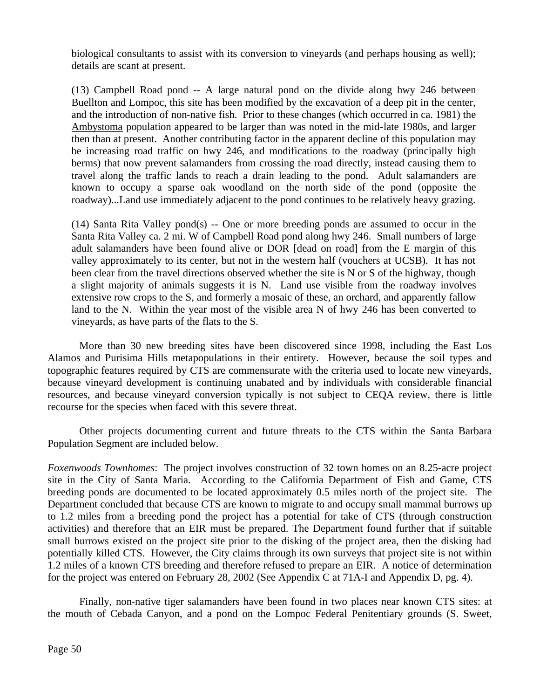biological consultants to assist with its conversion to vineyards (and perhaps housing as well); details are scant at present.

(13) Campbell Road pond -- A large natural pond on the divide along hwy 246 between Buellton and Lompoc, this site has been modified by the excavation of a deep pit in the center, and the introduction of non-native fish. Prior to these changes (which occurred in ca. 1981) the Ambystoma population appeared to be larger than was noted in the mid-late 1980s, and larger then than at present. Another contributing factor in the apparent decline of this population may be increasing road traffic on hwy 246, and modifications to the roadway (principally high berms) that now prevent salamanders from crossing the road directly, instead causing them to travel along the traffic lands to reach a drain leading to the pond. Adult salamanders are known to occupy a sparse oak woodland on the north side of the pond (opposite the roadway)...Land use immediately adjacent to the pond continues to be relatively heavy grazing.

(14) Santa Rita Valley pond(s) -- One or more breeding ponds are assumed to occur in the Santa Rita Valley ca. 2 mi. W of Campbell Road pond along hwy 246. Small numbers of large adult salamanders have been found alive or DOR [dead on road] from the E margin of this valley approximately to its center, but not in the western half (vouchers at UCSB). It has not been clear from the travel directions observed whether the site is N or S of the highway, though a slight majority of animals suggests it is N. Land use visible from the roadway involves extensive row crops to the S, and formerly a mosaic of these, an orchard, and apparently fallow land to the N. Within the year most of the visible area N of hwy 246 has been converted to vineyards, as have parts of the flats to the S.

More than 30 new breeding sites have been discovered since 1998, including the East Los Alamos and Purisima Hills metapopulations in their entirety. However, because the soil types and topographic features required by CTS are commensurate with the criteria used to locate new vineyards, because vineyard development is continuing unabated and by individuals with considerable financial resources, and because vineyard conversion typically is not subject to CEQA review, there is little recourse for the species when faced with this severe threat.

Other projects documenting current and future threats to the CTS within the Santa Barbara Population Segment are included below.

*Foxenwoods Townhomes*: The project involves construction of 32 town homes on an 8.25-acre project site in the City of Santa Maria. According to the California Department of Fish and Game, CTS breeding ponds are documented to be located approximately 0.5 miles north of the project site. The Department concluded that because CTS are known to migrate to and occupy small mammal burrows up to 1.2 miles from a breeding pond the project has a potential for take of CTS (through construction activities) and therefore that an EIR must be prepared. The Department found further that if suitable small burrows existed on the project site prior to the disking of the project area, then the disking had potentially killed CTS. However, the City claims through its own surveys that project site is not within 1.2 miles of a known CTS breeding and therefore refused to prepare an EIR. A notice of determination for the project was entered on February 28, 2002 (See Appendix C at 71A-I and Appendix D, pg. 4).

Finally, non-native tiger salamanders have been found in two places near known CTS sites: at the mouth of Cebada Canyon, and a pond on the Lompoc Federal Penitentiary grounds (S. Sweet,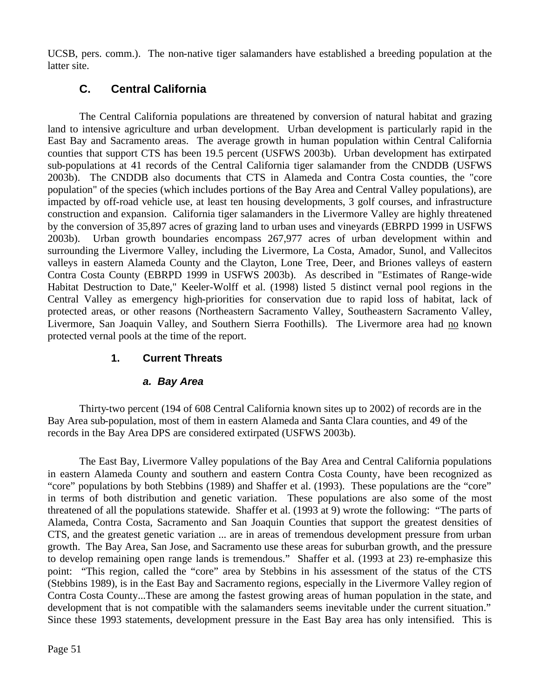UCSB, pers. comm.). The non-native tiger salamanders have established a breeding population at the latter site.

## **C. Central California**

The Central California populations are threatened by conversion of natural habitat and grazing land to intensive agriculture and urban development. Urban development is particularly rapid in the East Bay and Sacramento areas. The average growth in human population within Central California counties that support CTS has been 19.5 percent (USFWS 2003b). Urban development has extirpated sub-populations at 41 records of the Central California tiger salamander from the CNDDB (USFWS 2003b). The CNDDB also documents that CTS in Alameda and Contra Costa counties, the "core population" of the species (which includes portions of the Bay Area and Central Valley populations), are impacted by off-road vehicle use, at least ten housing developments, 3 golf courses, and infrastructure construction and expansion. California tiger salamanders in the Livermore Valley are highly threatened by the conversion of 35,897 acres of grazing land to urban uses and vineyards (EBRPD 1999 in USFWS 2003b). Urban growth boundaries encompass 267,977 acres of urban development within and surrounding the Livermore Valley, including the Livermore, La Costa, Amador, Sunol, and Vallecitos valleys in eastern Alameda County and the Clayton, Lone Tree, Deer, and Briones valleys of eastern Contra Costa County (EBRPD 1999 in USFWS 2003b). As described in "Estimates of Range-wide Habitat Destruction to Date," Keeler-Wolff et al. (1998) listed 5 distinct vernal pool regions in the Central Valley as emergency high-priorities for conservation due to rapid loss of habitat, lack of protected areas, or other reasons (Northeastern Sacramento Valley, Southeastern Sacramento Valley, Livermore, San Joaquin Valley, and Southern Sierra Foothills). The Livermore area had no known protected vernal pools at the time of the report.

## **1. Current Threats**

## *a. Bay Area*

Thirty-two percent (194 of 608 Central California known sites up to 2002) of records are in the Bay Area sub-population, most of them in eastern Alameda and Santa Clara counties, and 49 of the records in the Bay Area DPS are considered extirpated (USFWS 2003b).

The East Bay, Livermore Valley populations of the Bay Area and Central California populations in eastern Alameda County and southern and eastern Contra Costa County, have been recognized as "core" populations by both Stebbins (1989) and Shaffer et al. (1993). These populations are the "core" in terms of both distribution and genetic variation. These populations are also some of the most threatened of all the populations statewide. Shaffer et al. (1993 at 9) wrote the following: "The parts of Alameda, Contra Costa, Sacramento and San Joaquin Counties that support the greatest densities of CTS, and the greatest genetic variation ... are in areas of tremendous development pressure from urban growth. The Bay Area, San Jose, and Sacramento use these areas for suburban growth, and the pressure to develop remaining open range lands is tremendous." Shaffer et al. (1993 at 23) re-emphasize this point: "This region, called the "core" area by Stebbins in his assessment of the status of the CTS (Stebbins 1989), is in the East Bay and Sacramento regions, especially in the Livermore Valley region of Contra Costa County...These are among the fastest growing areas of human population in the state, and development that is not compatible with the salamanders seems inevitable under the current situation." Since these 1993 statements, development pressure in the East Bay area has only intensified. This is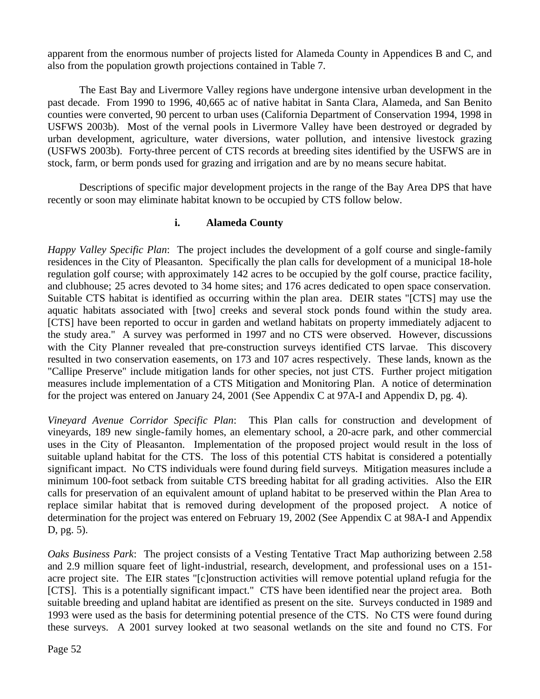apparent from the enormous number of projects listed for Alameda County in Appendices B and C, and also from the population growth projections contained in Table 7.

The East Bay and Livermore Valley regions have undergone intensive urban development in the past decade. From 1990 to 1996, 40,665 ac of native habitat in Santa Clara, Alameda, and San Benito counties were converted, 90 percent to urban uses (California Department of Conservation 1994, 1998 in USFWS 2003b). Most of the vernal pools in Livermore Valley have been destroyed or degraded by urban development, agriculture, water diversions, water pollution, and intensive livestock grazing (USFWS 2003b). Forty-three percent of CTS records at breeding sites identified by the USFWS are in stock, farm, or berm ponds used for grazing and irrigation and are by no means secure habitat.

Descriptions of specific major development projects in the range of the Bay Area DPS that have recently or soon may eliminate habitat known to be occupied by CTS follow below.

## **i. Alameda County**

*Happy Valley Specific Plan*: The project includes the development of a golf course and single-family residences in the City of Pleasanton. Specifically the plan calls for development of a municipal 18-hole regulation golf course; with approximately 142 acres to be occupied by the golf course, practice facility, and clubhouse; 25 acres devoted to 34 home sites; and 176 acres dedicated to open space conservation. Suitable CTS habitat is identified as occurring within the plan area. DEIR states "[CTS] may use the aquatic habitats associated with [two] creeks and several stock ponds found within the study area. [CTS] have been reported to occur in garden and wetland habitats on property immediately adjacent to the study area." A survey was performed in 1997 and no CTS were observed. However, discussions with the City Planner revealed that pre-construction surveys identified CTS larvae. This discovery resulted in two conservation easements, on 173 and 107 acres respectively. These lands, known as the "Callipe Preserve" include mitigation lands for other species, not just CTS. Further project mitigation measures include implementation of a CTS Mitigation and Monitoring Plan. A notice of determination for the project was entered on January 24, 2001 (See Appendix C at 97A-I and Appendix D, pg. 4).

*Vineyard Avenue Corridor Specific Plan*: This Plan calls for construction and development of vineyards, 189 new single-family homes, an elementary school, a 20-acre park, and other commercial uses in the City of Pleasanton. Implementation of the proposed project would result in the loss of suitable upland habitat for the CTS. The loss of this potential CTS habitat is considered a potentially significant impact. No CTS individuals were found during field surveys. Mitigation measures include a minimum 100-foot setback from suitable CTS breeding habitat for all grading activities. Also the EIR calls for preservation of an equivalent amount of upland habitat to be preserved within the Plan Area to replace similar habitat that is removed during development of the proposed project. A notice of determination for the project was entered on February 19, 2002 (See Appendix C at 98A-I and Appendix D, pg. 5).

*Oaks Business Park*:The project consists of a Vesting Tentative Tract Map authorizing between 2.58 and 2.9 million square feet of light-industrial, research, development, and professional uses on a 151 acre project site. The EIR states "[c]onstruction activities will remove potential upland refugia for the [CTS]. This is a potentially significant impact." CTS have been identified near the project area. Both suitable breeding and upland habitat are identified as present on the site. Surveys conducted in 1989 and 1993 were used as the basis for determining potential presence of the CTS. No CTS were found during these surveys. A 2001 survey looked at two seasonal wetlands on the site and found no CTS. For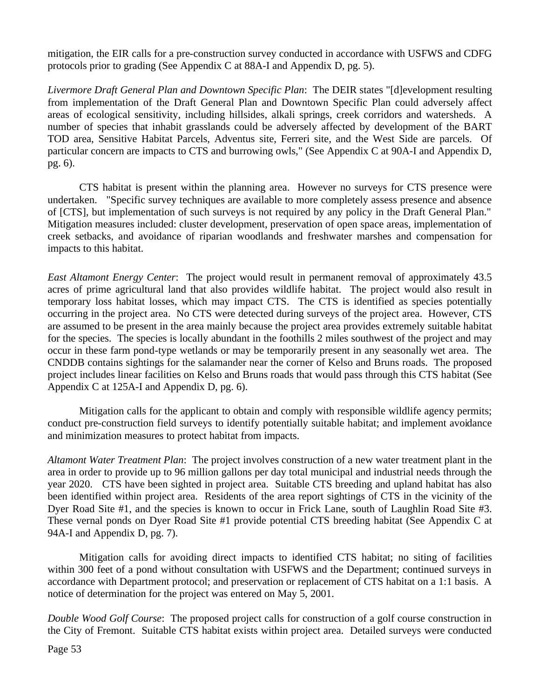mitigation, the EIR calls for a pre-construction survey conducted in accordance with USFWS and CDFG protocols prior to grading (See Appendix C at 88A-I and Appendix D, pg. 5).

*Livermore Draft General Plan and Downtown Specific Plan*: The DEIR states "[d]evelopment resulting from implementation of the Draft General Plan and Downtown Specific Plan could adversely affect areas of ecological sensitivity, including hillsides, alkali springs, creek corridors and watersheds. A number of species that inhabit grasslands could be adversely affected by development of the BART TOD area, Sensitive Habitat Parcels, Adventus site, Ferreri site, and the West Side are parcels. Of particular concern are impacts to CTS and burrowing owls," (See Appendix C at 90A-I and Appendix D, pg. 6).

CTS habitat is present within the planning area. However no surveys for CTS presence were undertaken. "Specific survey techniques are available to more completely assess presence and absence of [CTS], but implementation of such surveys is not required by any policy in the Draft General Plan." Mitigation measures included: cluster development, preservation of open space areas, implementation of creek setbacks, and avoidance of riparian woodlands and freshwater marshes and compensation for impacts to this habitat.

*East Altamont Energy Center*:The project would result in permanent removal of approximately 43.5 acres of prime agricultural land that also provides wildlife habitat. The project would also result in temporary loss habitat losses, which may impact CTS. The CTS is identified as species potentially occurring in the project area. No CTS were detected during surveys of the project area. However, CTS are assumed to be present in the area mainly because the project area provides extremely suitable habitat for the species. The species is locally abundant in the foothills 2 miles southwest of the project and may occur in these farm pond-type wetlands or may be temporarily present in any seasonally wet area. The CNDDB contains sightings for the salamander near the corner of Kelso and Bruns roads. The proposed project includes linear facilities on Kelso and Bruns roads that would pass through this CTS habitat (See Appendix C at 125A-I and Appendix D, pg. 6).

Mitigation calls for the applicant to obtain and comply with responsible wildlife agency permits; conduct pre-construction field surveys to identify potentially suitable habitat; and implement avoidance and minimization measures to protect habitat from impacts.

*Altamont Water Treatment Plan*: The project involves construction of a new water treatment plant in the area in order to provide up to 96 million gallons per day total municipal and industrial needs through the year 2020. CTS have been sighted in project area. Suitable CTS breeding and upland habitat has also been identified within project area. Residents of the area report sightings of CTS in the vicinity of the Dyer Road Site #1, and the species is known to occur in Frick Lane, south of Laughlin Road Site #3. These vernal ponds on Dyer Road Site #1 provide potential CTS breeding habitat (See Appendix C at 94A-I and Appendix D, pg. 7).

Mitigation calls for avoiding direct impacts to identified CTS habitat; no siting of facilities within 300 feet of a pond without consultation with USFWS and the Department; continued surveys in accordance with Department protocol; and preservation or replacement of CTS habitat on a 1:1 basis. A notice of determination for the project was entered on May 5, 2001.

*Double Wood Golf Course*: The proposed project calls for construction of a golf course construction in the City of Fremont. Suitable CTS habitat exists within project area. Detailed surveys were conducted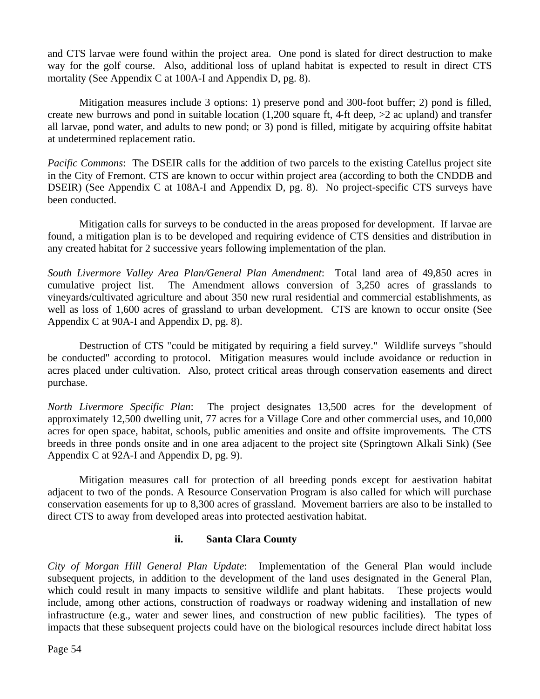and CTS larvae were found within the project area. One pond is slated for direct destruction to make way for the golf course. Also, additional loss of upland habitat is expected to result in direct CTS mortality (See Appendix C at 100A-I and Appendix D, pg. 8).

Mitigation measures include 3 options: 1) preserve pond and 300-foot buffer; 2) pond is filled, create new burrows and pond in suitable location (1,200 square ft, 4-ft deep, >2 ac upland) and transfer all larvae, pond water, and adults to new pond; or 3) pond is filled, mitigate by acquiring offsite habitat at undetermined replacement ratio.

*Pacific Commons*: The DSEIR calls for the addition of two parcels to the existing Catellus project site in the City of Fremont. CTS are known to occur within project area (according to both the CNDDB and DSEIR) (See Appendix C at 108A-I and Appendix D, pg. 8). No project-specific CTS surveys have been conducted.

Mitigation calls for surveys to be conducted in the areas proposed for development. If larvae are found, a mitigation plan is to be developed and requiring evidence of CTS densities and distribution in any created habitat for 2 successive years following implementation of the plan.

*South Livermore Valley Area Plan/General Plan Amendment*: Total land area of 49,850 acres in cumulative project list. The Amendment allows conversion of 3,250 acres of grasslands to vineyards/cultivated agriculture and about 350 new rural residential and commercial establishments, as well as loss of 1,600 acres of grassland to urban development. CTS are known to occur onsite (See Appendix C at 90A-I and Appendix D, pg. 8).

Destruction of CTS "could be mitigated by requiring a field survey." Wildlife surveys "should be conducted" according to protocol. Mitigation measures would include avoidance or reduction in acres placed under cultivation. Also, protect critical areas through conservation easements and direct purchase.

*North Livermore Specific Plan*: The project designates 13,500 acres for the development of approximately 12,500 dwelling unit, 77 acres for a Village Core and other commercial uses, and 10,000 acres for open space, habitat, schools, public amenities and onsite and offsite improvements. The CTS breeds in three ponds onsite and in one area adjacent to the project site (Springtown Alkali Sink) (See Appendix C at 92A-I and Appendix D, pg. 9).

Mitigation measures call for protection of all breeding ponds except for aestivation habitat adjacent to two of the ponds. A Resource Conservation Program is also called for which will purchase conservation easements for up to 8,300 acres of grassland. Movement barriers are also to be installed to direct CTS to away from developed areas into protected aestivation habitat.

## **ii. Santa Clara County**

*City of Morgan Hill General Plan Update*: Implementation of the General Plan would include subsequent projects, in addition to the development of the land uses designated in the General Plan, which could result in many impacts to sensitive wildlife and plant habitats. These projects would include, among other actions, construction of roadways or roadway widening and installation of new infrastructure (e.g., water and sewer lines, and construction of new public facilities). The types of impacts that these subsequent projects could have on the biological resources include direct habitat loss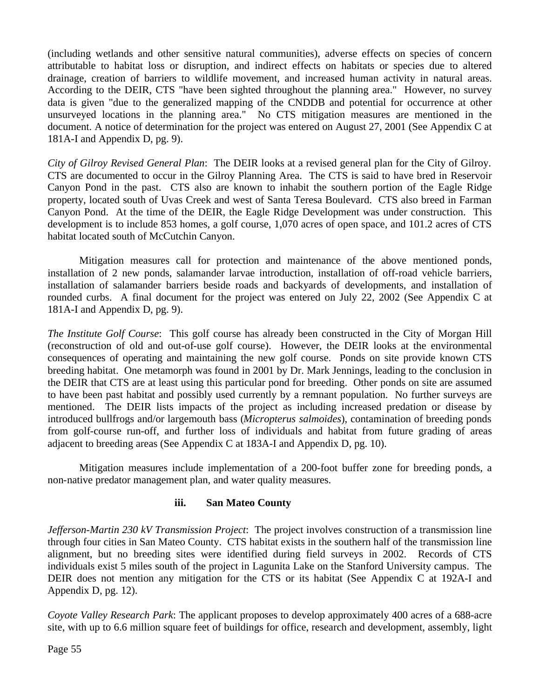(including wetlands and other sensitive natural communities), adverse effects on species of concern attributable to habitat loss or disruption, and indirect effects on habitats or species due to altered drainage, creation of barriers to wildlife movement, and increased human activity in natural areas. According to the DEIR, CTS "have been sighted throughout the planning area." However, no survey data is given "due to the generalized mapping of the CNDDB and potential for occurrence at other unsurveyed locations in the planning area." No CTS mitigation measures are mentioned in the document. A notice of determination for the project was entered on August 27, 2001 (See Appendix C at 181A-I and Appendix D, pg. 9).

*City of Gilroy Revised General Plan*: The DEIR looks at a revised general plan for the City of Gilroy. CTS are documented to occur in the Gilroy Planning Area. The CTS is said to have bred in Reservoir Canyon Pond in the past. CTS also are known to inhabit the southern portion of the Eagle Ridge property, located south of Uvas Creek and west of Santa Teresa Boulevard. CTS also breed in Farman Canyon Pond. At the time of the DEIR, the Eagle Ridge Development was under construction. This development is to include 853 homes, a golf course, 1,070 acres of open space, and 101.2 acres of CTS habitat located south of McCutchin Canyon.

Mitigation measures call for protection and maintenance of the above mentioned ponds, installation of 2 new ponds, salamander larvae introduction, installation of off-road vehicle barriers, installation of salamander barriers beside roads and backyards of developments, and installation of rounded curbs. A final document for the project was entered on July 22, 2002 (See Appendix C at 181A-I and Appendix D, pg. 9).

*The Institute Golf Course*: This golf course has already been constructed in the City of Morgan Hill (reconstruction of old and out-of-use golf course). However, the DEIR looks at the environmental consequences of operating and maintaining the new golf course. Ponds on site provide known CTS breeding habitat. One metamorph was found in 2001 by Dr. Mark Jennings, leading to the conclusion in the DEIR that CTS are at least using this particular pond for breeding. Other ponds on site are assumed to have been past habitat and possibly used currently by a remnant population. No further surveys are mentioned. The DEIR lists impacts of the project as including increased predation or disease by introduced bullfrogs and/or largemouth bass (*Micropterus salmoides*), contamination of breeding ponds from golf-course run-off, and further loss of individuals and habitat from future grading of areas adjacent to breeding areas (See Appendix C at 183A-I and Appendix D, pg. 10).

Mitigation measures include implementation of a 200-foot buffer zone for breeding ponds, a non-native predator management plan, and water quality measures.

## **iii. San Mateo County**

*Jefferson-Martin 230 kV Transmission Project*: The project involves construction of a transmission line through four cities in San Mateo County. CTS habitat exists in the southern half of the transmission line alignment, but no breeding sites were identified during field surveys in 2002. Records of CTS individuals exist 5 miles south of the project in Lagunita Lake on the Stanford University campus. The DEIR does not mention any mitigation for the CTS or its habitat (See Appendix C at 192A-I and Appendix D, pg. 12).

*Coyote Valley Research Park*: The applicant proposes to develop approximately 400 acres of a 688-acre site, with up to 6.6 million square feet of buildings for office, research and development, assembly, light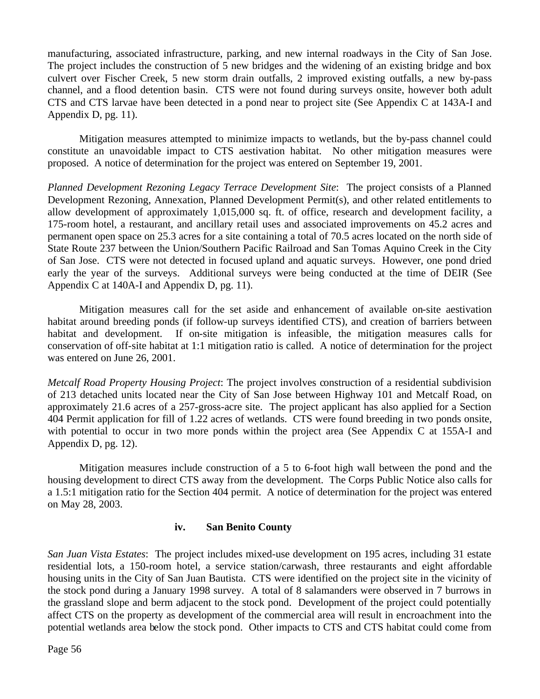manufacturing, associated infrastructure, parking, and new internal roadways in the City of San Jose. The project includes the construction of 5 new bridges and the widening of an existing bridge and box culvert over Fischer Creek, 5 new storm drain outfalls, 2 improved existing outfalls, a new by-pass channel, and a flood detention basin. CTS were not found during surveys onsite, however both adult CTS and CTS larvae have been detected in a pond near to project site (See Appendix C at 143A-I and Appendix D, pg. 11).

Mitigation measures attempted to minimize impacts to wetlands, but the by-pass channel could constitute an unavoidable impact to CTS aestivation habitat. No other mitigation measures were proposed. A notice of determination for the project was entered on September 19, 2001.

*Planned Development Rezoning Legacy Terrace Development Site*: The project consists of a Planned Development Rezoning, Annexation, Planned Development Permit(s), and other related entitlements to allow development of approximately 1,015,000 sq. ft. of office, research and development facility, a 175-room hotel, a restaurant, and ancillary retail uses and associated improvements on 45.2 acres and permanent open space on 25.3 acres for a site containing a total of 70.5 acres located on the north side of State Route 237 between the Union/Southern Pacific Railroad and San Tomas Aquino Creek in the City of San Jose. CTS were not detected in focused upland and aquatic surveys. However, one pond dried early the year of the surveys. Additional surveys were being conducted at the time of DEIR (See Appendix C at 140A-I and Appendix D, pg. 11).

Mitigation measures call for the set aside and enhancement of available on-site aestivation habitat around breeding ponds (if follow-up surveys identified CTS), and creation of barriers between habitat and development. If on-site mitigation is infeasible, the mitigation measures calls for conservation of off-site habitat at 1:1 mitigation ratio is called. A notice of determination for the project was entered on June 26, 2001.

*Metcalf Road Property Housing Project*: The project involves construction of a residential subdivision of 213 detached units located near the City of San Jose between Highway 101 and Metcalf Road, on approximately 21.6 acres of a 257-gross-acre site. The project applicant has also applied for a Section 404 Permit application for fill of 1.22 acres of wetlands. CTS were found breeding in two ponds onsite, with potential to occur in two more ponds within the project area (See Appendix C at 155A-I and Appendix D, pg. 12).

Mitigation measures include construction of a 5 to 6-foot high wall between the pond and the housing development to direct CTS away from the development. The Corps Public Notice also calls for a 1.5:1 mitigation ratio for the Section 404 permit. A notice of determination for the project was entered on May 28, 2003.

#### **iv. San Benito County**

*San Juan Vista Estates*: The project includes mixed-use development on 195 acres, including 31 estate residential lots, a 150-room hotel, a service station/carwash, three restaurants and eight affordable housing units in the City of San Juan Bautista. CTS were identified on the project site in the vicinity of the stock pond during a January 1998 survey. A total of 8 salamanders were observed in 7 burrows in the grassland slope and berm adjacent to the stock pond. Development of the project could potentially affect CTS on the property as development of the commercial area will result in encroachment into the potential wetlands area below the stock pond. Other impacts to CTS and CTS habitat could come from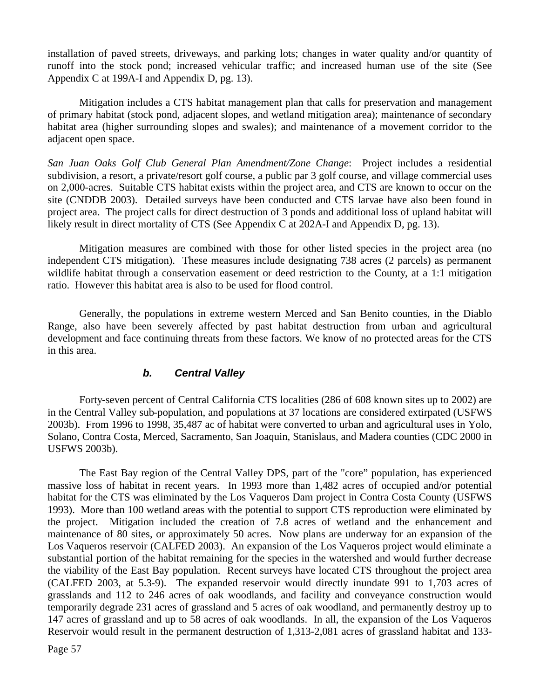installation of paved streets, driveways, and parking lots; changes in water quality and/or quantity of runoff into the stock pond; increased vehicular traffic; and increased human use of the site (See Appendix C at 199A-I and Appendix D, pg. 13).

Mitigation includes a CTS habitat management plan that calls for preservation and management of primary habitat (stock pond, adjacent slopes, and wetland mitigation area); maintenance of secondary habitat area (higher surrounding slopes and swales); and maintenance of a movement corridor to the adjacent open space.

*San Juan Oaks Golf Club General Plan Amendment/Zone Change*: Project includes a residential subdivision, a resort, a private/resort golf course, a public par 3 golf course, and village commercial uses on 2,000-acres. Suitable CTS habitat exists within the project area, and CTS are known to occur on the site (CNDDB 2003). Detailed surveys have been conducted and CTS larvae have also been found in project area. The project calls for direct destruction of 3 ponds and additional loss of upland habitat will likely result in direct mortality of CTS (See Appendix C at 202A-I and Appendix D, pg. 13).

Mitigation measures are combined with those for other listed species in the project area (no independent CTS mitigation). These measures include designating 738 acres (2 parcels) as permanent wildlife habitat through a conservation easement or deed restriction to the County, at a 1:1 mitigation ratio. However this habitat area is also to be used for flood control.

Generally, the populations in extreme western Merced and San Benito counties, in the Diablo Range, also have been severely affected by past habitat destruction from urban and agricultural development and face continuing threats from these factors. We know of no protected areas for the CTS in this area.

## *b. Central Valley*

Forty-seven percent of Central California CTS localities (286 of 608 known sites up to 2002) are in the Central Valley sub-population, and populations at 37 locations are considered extirpated (USFWS 2003b). From 1996 to 1998, 35,487 ac of habitat were converted to urban and agricultural uses in Yolo, Solano, Contra Costa, Merced, Sacramento, San Joaquin, Stanislaus, and Madera counties (CDC 2000 in USFWS 2003b).

The East Bay region of the Central Valley DPS, part of the "core" population, has experienced massive loss of habitat in recent years. In 1993 more than 1,482 acres of occupied and/or potential habitat for the CTS was eliminated by the Los Vaqueros Dam project in Contra Costa County (USFWS 1993). More than 100 wetland areas with the potential to support CTS reproduction were eliminated by the project. Mitigation included the creation of 7.8 acres of wetland and the enhancement and maintenance of 80 sites, or approximately 50 acres. Now plans are underway for an expansion of the Los Vaqueros reservoir (CALFED 2003). An expansion of the Los Vaqueros project would eliminate a substantial portion of the habitat remaining for the species in the watershed and would further decrease the viability of the East Bay population. Recent surveys have located CTS throughout the project area (CALFED 2003, at 5.3-9). The expanded reservoir would directly inundate 991 to 1,703 acres of grasslands and 112 to 246 acres of oak woodlands, and facility and conveyance construction would temporarily degrade 231 acres of grassland and 5 acres of oak woodland, and permanently destroy up to 147 acres of grassland and up to 58 acres of oak woodlands. In all, the expansion of the Los Vaqueros Reservoir would result in the permanent destruction of 1,313-2,081 acres of grassland habitat and 133-

Page 57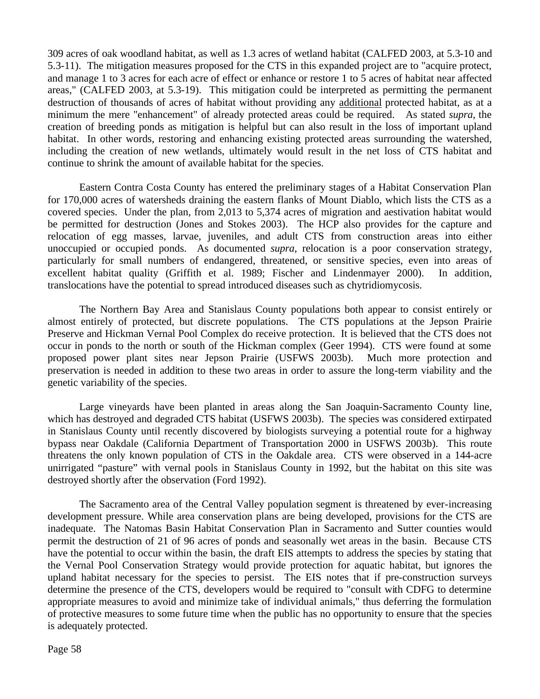309 acres of oak woodland habitat, as well as 1.3 acres of wetland habitat (CALFED 2003, at 5.3-10 and 5.3-11). The mitigation measures proposed for the CTS in this expanded project are to "acquire protect, and manage 1 to 3 acres for each acre of effect or enhance or restore 1 to 5 acres of habitat near affected areas," (CALFED 2003, at 5.3-19). This mitigation could be interpreted as permitting the permanent destruction of thousands of acres of habitat without providing any additional protected habitat, as at a minimum the mere "enhancement" of already protected areas could be required. As stated *supra*, the creation of breeding ponds as mitigation is helpful but can also result in the loss of important upland habitat. In other words, restoring and enhancing existing protected areas surrounding the watershed, including the creation of new wetlands, ultimately would result in the net loss of CTS habitat and continue to shrink the amount of available habitat for the species.

Eastern Contra Costa County has entered the preliminary stages of a Habitat Conservation Plan for 170,000 acres of watersheds draining the eastern flanks of Mount Diablo, which lists the CTS as a covered species. Under the plan, from 2,013 to 5,374 acres of migration and aestivation habitat would be permitted for destruction (Jones and Stokes 2003). The HCP also provides for the capture and relocation of egg masses, larvae, juveniles, and adult CTS from construction areas into either unoccupied or occupied ponds. As documented *supra*, relocation is a poor conservation strategy, particularly for small numbers of endangered, threatened, or sensitive species, even into areas of excellent habitat quality (Griffith et al. 1989; Fischer and Lindenmayer 2000). In addition, translocations have the potential to spread introduced diseases such as chytridiomycosis.

The Northern Bay Area and Stanislaus County populations both appear to consist entirely or almost entirely of protected, but discrete populations. The CTS populations at the Jepson Prairie Preserve and Hickman Vernal Pool Complex do receive protection. It is believed that the CTS does not occur in ponds to the north or south of the Hickman complex (Geer 1994). CTS were found at some proposed power plant sites near Jepson Prairie (USFWS 2003b). Much more protection and preservation is needed in addition to these two areas in order to assure the long-term viability and the genetic variability of the species.

Large vineyards have been planted in areas along the San Joaquin-Sacramento County line, which has destroyed and degraded CTS habitat (USFWS 2003b). The species was considered extirpated in Stanislaus County until recently discovered by biologists surveying a potential route for a highway bypass near Oakdale (California Department of Transportation 2000 in USFWS 2003b). This route threatens the only known population of CTS in the Oakdale area. CTS were observed in a 144-acre unirrigated "pasture" with vernal pools in Stanislaus County in 1992, but the habitat on this site was destroyed shortly after the observation (Ford 1992).

The Sacramento area of the Central Valley population segment is threatened by ever-increasing development pressure. While area conservation plans are being developed, provisions for the CTS are inadequate. The Natomas Basin Habitat Conservation Plan in Sacramento and Sutter counties would permit the destruction of 21 of 96 acres of ponds and seasonally wet areas in the basin. Because CTS have the potential to occur within the basin, the draft EIS attempts to address the species by stating that the Vernal Pool Conservation Strategy would provide protection for aquatic habitat, but ignores the upland habitat necessary for the species to persist. The EIS notes that if pre-construction surveys determine the presence of the CTS, developers would be required to "consult with CDFG to determine appropriate measures to avoid and minimize take of individual animals," thus deferring the formulation of protective measures to some future time when the public has no opportunity to ensure that the species is adequately protected.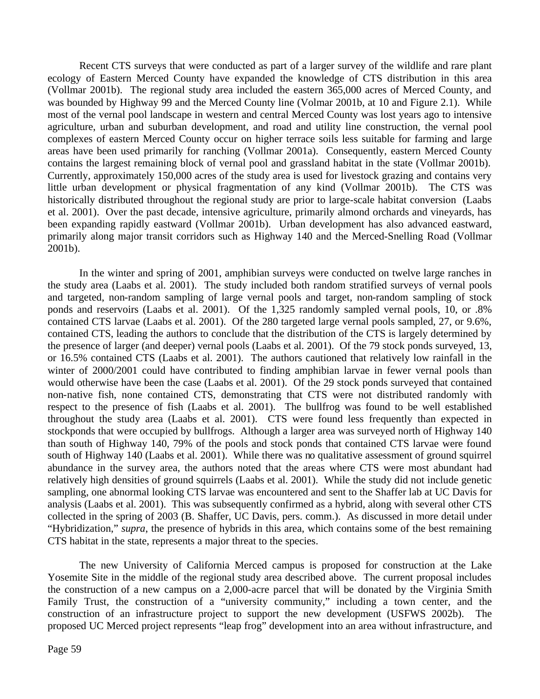Recent CTS surveys that were conducted as part of a larger survey of the wildlife and rare plant ecology of Eastern Merced County have expanded the knowledge of CTS distribution in this area (Vollmar 2001b). The regional study area included the eastern 365,000 acres of Merced County, and was bounded by Highway 99 and the Merced County line (Volmar 2001b, at 10 and Figure 2.1). While most of the vernal pool landscape in western and central Merced County was lost years ago to intensive agriculture, urban and suburban development, and road and utility line construction, the vernal pool complexes of eastern Merced County occur on higher terrace soils less suitable for farming and large areas have been used primarily for ranching (Vollmar 2001a). Consequently, eastern Merced County contains the largest remaining block of vernal pool and grassland habitat in the state (Vollmar 2001b). Currently, approximately 150,000 acres of the study area is used for livestock grazing and contains very little urban development or physical fragmentation of any kind (Vollmar 2001b). The CTS was historically distributed throughout the regional study are prior to large-scale habitat conversion (Laabs et al. 2001). Over the past decade, intensive agriculture, primarily almond orchards and vineyards, has been expanding rapidly eastward (Vollmar 2001b). Urban development has also advanced eastward, primarily along major transit corridors such as Highway 140 and the Merced-Snelling Road (Vollmar 2001b).

In the winter and spring of 2001, amphibian surveys were conducted on twelve large ranches in the study area (Laabs et al. 2001). The study included both random stratified surveys of vernal pools and targeted, non-random sampling of large vernal pools and target, non-random sampling of stock ponds and reservoirs (Laabs et al. 2001). Of the 1,325 randomly sampled vernal pools, 10, or .8% contained CTS larvae (Laabs et al. 2001). Of the 280 targeted large vernal pools sampled, 27, or 9.6%, contained CTS, leading the authors to conclude that the distribution of the CTS is largely determined by the presence of larger (and deeper) vernal pools (Laabs et al. 2001). Of the 79 stock ponds surveyed, 13, or 16.5% contained CTS (Laabs et al. 2001). The authors cautioned that relatively low rainfall in the winter of 2000/2001 could have contributed to finding amphibian larvae in fewer vernal pools than would otherwise have been the case (Laabs et al. 2001). Of the 29 stock ponds surveyed that contained non-native fish, none contained CTS, demonstrating that CTS were not distributed randomly with respect to the presence of fish (Laabs et al. 2001). The bullfrog was found to be well established throughout the study area (Laabs et al. 2001). CTS were found less frequently than expected in stockponds that were occupied by bullfrogs. Although a larger area was surveyed north of Highway 140 than south of Highway 140, 79% of the pools and stock ponds that contained CTS larvae were found south of Highway 140 (Laabs et al. 2001). While there was no qualitative assessment of ground squirrel abundance in the survey area, the authors noted that the areas where CTS were most abundant had relatively high densities of ground squirrels (Laabs et al. 2001). While the study did not include genetic sampling, one abnormal looking CTS larvae was encountered and sent to the Shaffer lab at UC Davis for analysis (Laabs et al. 2001). This was subsequently confirmed as a hybrid, along with several other CTS collected in the spring of 2003 (B. Shaffer, UC Davis, pers. comm.). As discussed in more detail under "Hybridization," *supra*, the presence of hybrids in this area, which contains some of the best remaining CTS habitat in the state, represents a major threat to the species.

The new University of California Merced campus is proposed for construction at the Lake Yosemite Site in the middle of the regional study area described above. The current proposal includes the construction of a new campus on a 2,000-acre parcel that will be donated by the Virginia Smith Family Trust, the construction of a "university community," including a town center, and the construction of an infrastructure project to support the new development (USFWS 2002b). The proposed UC Merced project represents "leap frog" development into an area without infrastructure, and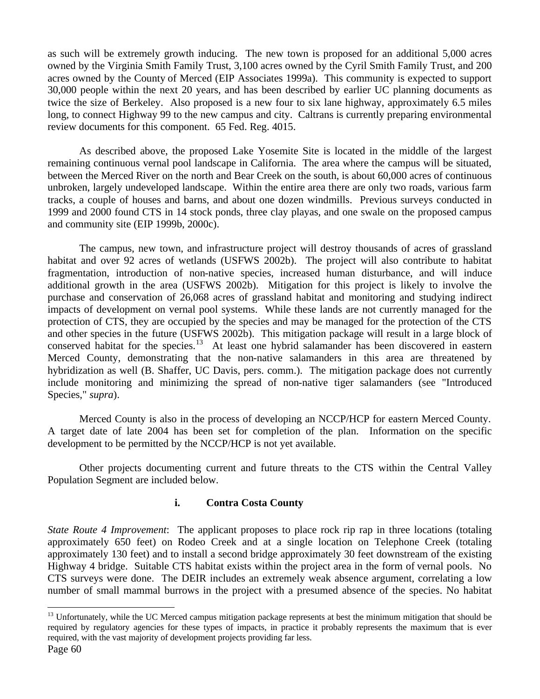as such will be extremely growth inducing. The new town is proposed for an additional 5,000 acres owned by the Virginia Smith Family Trust, 3,100 acres owned by the Cyril Smith Family Trust, and 200 acres owned by the County of Merced (EIP Associates 1999a). This community is expected to support 30,000 people within the next 20 years, and has been described by earlier UC planning documents as twice the size of Berkeley. Also proposed is a new four to six lane highway, approximately 6.5 miles long, to connect Highway 99 to the new campus and city. Caltrans is currently preparing environmental review documents for this component. 65 Fed. Reg. 4015.

As described above, the proposed Lake Yosemite Site is located in the middle of the largest remaining continuous vernal pool landscape in California. The area where the campus will be situated, between the Merced River on the north and Bear Creek on the south, is about 60,000 acres of continuous unbroken, largely undeveloped landscape. Within the entire area there are only two roads, various farm tracks, a couple of houses and barns, and about one dozen windmills. Previous surveys conducted in 1999 and 2000 found CTS in 14 stock ponds, three clay playas, and one swale on the proposed campus and community site (EIP 1999b, 2000c).

The campus, new town, and infrastructure project will destroy thousands of acres of grassland habitat and over 92 acres of wetlands (USFWS 2002b). The project will also contribute to habitat fragmentation, introduction of non-native species, increased human disturbance, and will induce additional growth in the area (USFWS 2002b). Mitigation for this project is likely to involve the purchase and conservation of 26,068 acres of grassland habitat and monitoring and studying indirect impacts of development on vernal pool systems. While these lands are not currently managed for the protection of CTS, they are occupied by the species and may be managed for the protection of the CTS and other species in the future (USFWS 2002b). This mitigation package will result in a large block of conserved habitat for the species.<sup>13</sup> At least one hybrid salamander has been discovered in eastern Merced County, demonstrating that the non-native salamanders in this area are threatened by hybridization as well (B. Shaffer, UC Davis, pers. comm.). The mitigation package does not currently include monitoring and minimizing the spread of non-native tiger salamanders (see "Introduced Species," *supra*).

Merced County is also in the process of developing an NCCP/HCP for eastern Merced County. A target date of late 2004 has been set for completion of the plan. Information on the specific development to be permitted by the NCCP/HCP is not yet available.

Other projects documenting current and future threats to the CTS within the Central Valley Population Segment are included below.

#### **i. Contra Costa County**

*State Route 4 Improvement*: The applicant proposes to place rock rip rap in three locations (totaling approximately 650 feet) on Rodeo Creek and at a single location on Telephone Creek (totaling approximately 130 feet) and to install a second bridge approximately 30 feet downstream of the existing Highway 4 bridge. Suitable CTS habitat exists within the project area in the form of vernal pools. No CTS surveys were done. The DEIR includes an extremely weak absence argument, correlating a low number of small mammal burrows in the project with a presumed absence of the species. No habitat

 $\overline{a}$ 

<sup>&</sup>lt;sup>13</sup> Unfortunately, while the UC Merced campus mitigation package represents at best the minimum mitigation that should be required by regulatory agencies for these types of impacts, in practice it probably represents the maximum that is ever required, with the vast majority of development projects providing far less.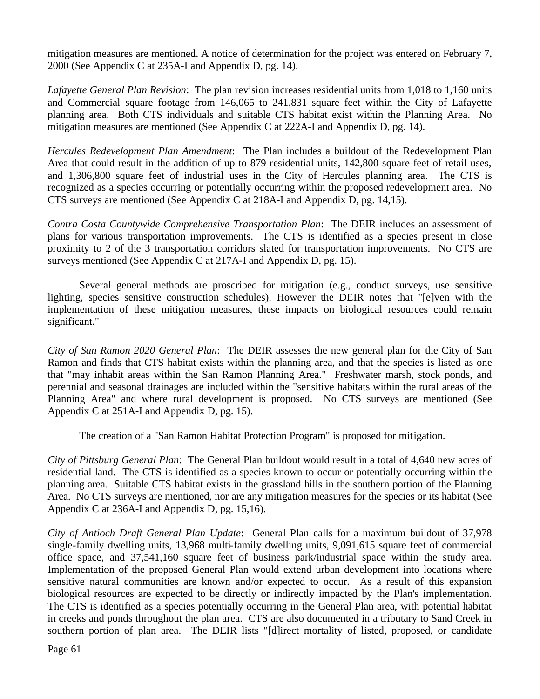mitigation measures are mentioned. A notice of determination for the project was entered on February 7, 2000 (See Appendix C at 235A-I and Appendix D, pg. 14).

*Lafayette General Plan Revision*: The plan revision increases residential units from 1,018 to 1,160 units and Commercial square footage from 146,065 to 241,831 square feet within the City of Lafayette planning area. Both CTS individuals and suitable CTS habitat exist within the Planning Area. No mitigation measures are mentioned (See Appendix C at 222A-I and Appendix D, pg. 14).

*Hercules Redevelopment Plan Amendment*: The Plan includes a buildout of the Redevelopment Plan Area that could result in the addition of up to 879 residential units, 142,800 square feet of retail uses, and 1,306,800 square feet of industrial uses in the City of Hercules planning area. The CTS is recognized as a species occurring or potentially occurring within the proposed redevelopment area. No CTS surveys are mentioned (See Appendix C at 218A-I and Appendix D, pg. 14,15).

*Contra Costa Countywide Comprehensive Transportation Plan*: The DEIR includes an assessment of plans for various transportation improvements. The CTS is identified as a species present in close proximity to 2 of the 3 transportation corridors slated for transportation improvements. No CTS are surveys mentioned (See Appendix C at 217A-I and Appendix D, pg. 15).

 Several general methods are proscribed for mitigation (e.g., conduct surveys, use sensitive lighting, species sensitive construction schedules). However the DEIR notes that "[e]ven with the implementation of these mitigation measures, these impacts on biological resources could remain significant."

*City of San Ramon 2020 General Plan*: The DEIR assesses the new general plan for the City of San Ramon and finds that CTS habitat exists within the planning area, and that the species is listed as one that "may inhabit areas within the San Ramon Planning Area." Freshwater marsh, stock ponds, and perennial and seasonal drainages are included within the "sensitive habitats within the rural areas of the Planning Area" and where rural development is proposed. No CTS surveys are mentioned (See Appendix C at 251A-I and Appendix D, pg. 15).

The creation of a "San Ramon Habitat Protection Program" is proposed for mitigation.

*City of Pittsburg General Plan*: The General Plan buildout would result in a total of 4,640 new acres of residential land. The CTS is identified as a species known to occur or potentially occurring within the planning area. Suitable CTS habitat exists in the grassland hills in the southern portion of the Planning Area. No CTS surveys are mentioned, nor are any mitigation measures for the species or its habitat (See Appendix C at 236A-I and Appendix D, pg. 15,16).

*City of Antioch Draft General Plan Update*: General Plan calls for a maximum buildout of 37,978 single-family dwelling units, 13,968 multi-family dwelling units, 9,091,615 square feet of commercial office space, and 37,541,160 square feet of business park/industrial space within the study area. Implementation of the proposed General Plan would extend urban development into locations where sensitive natural communities are known and/or expected to occur. As a result of this expansion biological resources are expected to be directly or indirectly impacted by the Plan's implementation. The CTS is identified as a species potentially occurring in the General Plan area, with potential habitat in creeks and ponds throughout the plan area. CTS are also documented in a tributary to Sand Creek in southern portion of plan area. The DEIR lists "[d]irect mortality of listed, proposed, or candidate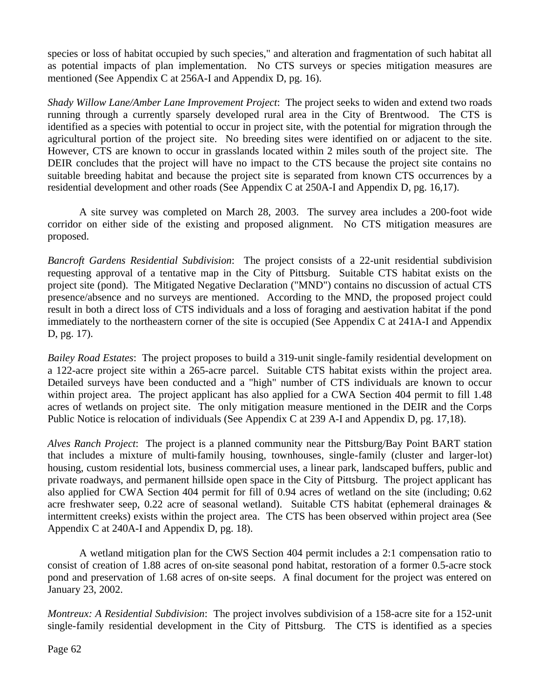species or loss of habitat occupied by such species," and alteration and fragmentation of such habitat all as potential impacts of plan implementation. No CTS surveys or species mitigation measures are mentioned (See Appendix C at 256A-I and Appendix D, pg. 16).

*Shady Willow Lane/Amber Lane Improvement Project*: The project seeks to widen and extend two roads running through a currently sparsely developed rural area in the City of Brentwood. The CTS is identified as a species with potential to occur in project site, with the potential for migration through the agricultural portion of the project site. No breeding sites were identified on or adjacent to the site. However, CTS are known to occur in grasslands located within 2 miles south of the project site. The DEIR concludes that the project will have no impact to the CTS because the project site contains no suitable breeding habitat and because the project site is separated from known CTS occurrences by a residential development and other roads (See Appendix C at 250A-I and Appendix D, pg. 16,17).

A site survey was completed on March 28, 2003. The survey area includes a 200-foot wide corridor on either side of the existing and proposed alignment. No CTS mitigation measures are proposed.

*Bancroft Gardens Residential Subdivision*: The project consists of a 22-unit residential subdivision requesting approval of a tentative map in the City of Pittsburg. Suitable CTS habitat exists on the project site (pond). The Mitigated Negative Declaration ("MND") contains no discussion of actual CTS presence/absence and no surveys are mentioned. According to the MND, the proposed project could result in both a direct loss of CTS individuals and a loss of foraging and aestivation habitat if the pond immediately to the northeastern corner of the site is occupied (See Appendix C at 241A-I and Appendix D, pg. 17).

*Bailey Road Estates*: The project proposes to build a 319-unit single-family residential development on a 122-acre project site within a 265-acre parcel. Suitable CTS habitat exists within the project area. Detailed surveys have been conducted and a "high" number of CTS individuals are known to occur within project area. The project applicant has also applied for a CWA Section 404 permit to fill 1.48 acres of wetlands on project site. The only mitigation measure mentioned in the DEIR and the Corps Public Notice is relocation of individuals (See Appendix C at 239 A-I and Appendix D, pg. 17,18).

*Alves Ranch Project*: The project is a planned community near the Pittsburg/Bay Point BART station that includes a mixture of multi-family housing, townhouses, single-family (cluster and larger-lot) housing, custom residential lots, business commercial uses, a linear park, landscaped buffers, public and private roadways, and permanent hillside open space in the City of Pittsburg. The project applicant has also applied for CWA Section 404 permit for fill of 0.94 acres of wetland on the site (including; 0.62 acre freshwater seep, 0.22 acre of seasonal wetland). Suitable CTS habitat (ephemeral drainages & intermittent creeks) exists within the project area. The CTS has been observed within project area (See Appendix C at 240A-I and Appendix D, pg. 18).

A wetland mitigation plan for the CWS Section 404 permit includes a 2:1 compensation ratio to consist of creation of 1.88 acres of on-site seasonal pond habitat, restoration of a former 0.5-acre stock pond and preservation of 1.68 acres of on-site seeps. A final document for the project was entered on January 23, 2002.

*Montreux: A Residential Subdivision*: The project involves subdivision of a 158-acre site for a 152-unit single-family residential development in the City of Pittsburg. The CTS is identified as a species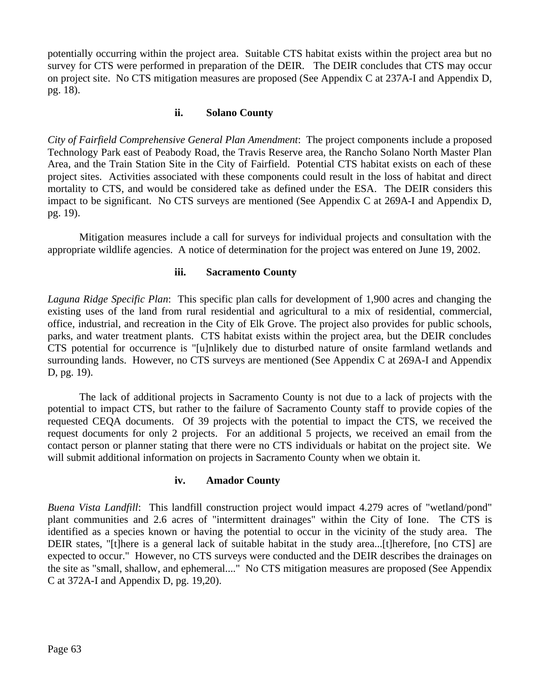potentially occurring within the project area. Suitable CTS habitat exists within the project area but no survey for CTS were performed in preparation of the DEIR. The DEIR concludes that CTS may occur on project site. No CTS mitigation measures are proposed (See Appendix C at 237A-I and Appendix D, pg. 18).

#### **ii. Solano County**

*City of Fairfield Comprehensive General Plan Amendment*: The project components include a proposed Technology Park east of Peabody Road, the Travis Reserve area, the Rancho Solano North Master Plan Area, and the Train Station Site in the City of Fairfield. Potential CTS habitat exists on each of these project sites. Activities associated with these components could result in the loss of habitat and direct mortality to CTS, and would be considered take as defined under the ESA. The DEIR considers this impact to be significant. No CTS surveys are mentioned (See Appendix C at 269A-I and Appendix D, pg. 19).

Mitigation measures include a call for surveys for individual projects and consultation with the appropriate wildlife agencies. A notice of determination for the project was entered on June 19, 2002.

#### **iii. Sacramento County**

*Laguna Ridge Specific Plan*: This specific plan calls for development of 1,900 acres and changing the existing uses of the land from rural residential and agricultural to a mix of residential, commercial, office, industrial, and recreation in the City of Elk Grove. The project also provides for public schools, parks, and water treatment plants. CTS habitat exists within the project area, but the DEIR concludes CTS potential for occurrence is "[u]nlikely due to disturbed nature of onsite farmland wetlands and surrounding lands. However, no CTS surveys are mentioned (See Appendix C at 269A-I and Appendix D, pg. 19).

The lack of additional projects in Sacramento County is not due to a lack of projects with the potential to impact CTS, but rather to the failure of Sacramento County staff to provide copies of the requested CEQA documents. Of 39 projects with the potential to impact the CTS, we received the request documents for only 2 projects. For an additional 5 projects, we received an email from the contact person or planner stating that there were no CTS individuals or habitat on the project site. We will submit additional information on projects in Sacramento County when we obtain it.

#### **iv. Amador County**

*Buena Vista Landfill*: This landfill construction project would impact 4.279 acres of "wetland/pond" plant communities and 2.6 acres of "intermittent drainages" within the City of Ione. The CTS is identified as a species known or having the potential to occur in the vicinity of the study area. The DEIR states, "[t]here is a general lack of suitable habitat in the study area...[t]herefore, [no CTS] are expected to occur." However, no CTS surveys were conducted and the DEIR describes the drainages on the site as "small, shallow, and ephemeral...." No CTS mitigation measures are proposed (See Appendix C at 372A-I and Appendix D, pg. 19,20).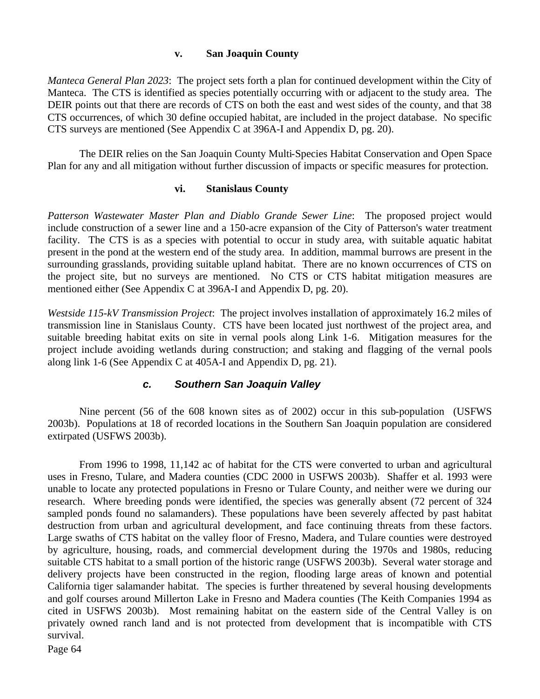#### **v. San Joaquin County**

*Manteca General Plan 2023*: The project sets forth a plan for continued development within the City of Manteca. The CTS is identified as species potentially occurring with or adjacent to the study area. The DEIR points out that there are records of CTS on both the east and west sides of the county, and that 38 CTS occurrences, of which 30 define occupied habitat, are included in the project database. No specific CTS surveys are mentioned (See Appendix C at 396A-I and Appendix D, pg. 20).

The DEIR relies on the San Joaquin County Multi-Species Habitat Conservation and Open Space Plan for any and all mitigation without further discussion of impacts or specific measures for protection.

#### **vi. Stanislaus County**

*Patterson Wastewater Master Plan and Diablo Grande Sewer Line*: The proposed project would include construction of a sewer line and a 150-acre expansion of the City of Patterson's water treatment facility. The CTS is as a species with potential to occur in study area, with suitable aquatic habitat present in the pond at the western end of the study area. In addition, mammal burrows are present in the surrounding grasslands, providing suitable upland habitat. There are no known occurrences of CTS on the project site, but no surveys are mentioned. No CTS or CTS habitat mitigation measures are mentioned either (See Appendix C at 396A-I and Appendix D, pg. 20).

*Westside 115-kV Transmission Project*: The project involves installation of approximately 16.2 miles of transmission line in Stanislaus County. CTS have been located just northwest of the project area, and suitable breeding habitat exits on site in vernal pools along Link 1-6. Mitigation measures for the project include avoiding wetlands during construction; and staking and flagging of the vernal pools along link 1-6 (See Appendix C at 405A-I and Appendix D, pg. 21).

## *c. Southern San Joaquin Valley*

Nine percent (56 of the 608 known sites as of 2002) occur in this sub-population (USFWS 2003b). Populations at 18 of recorded locations in the Southern San Joaquin population are considered extirpated (USFWS 2003b).

From 1996 to 1998, 11,142 ac of habitat for the CTS were converted to urban and agricultural uses in Fresno, Tulare, and Madera counties (CDC 2000 in USFWS 2003b). Shaffer et al. 1993 were unable to locate any protected populations in Fresno or Tulare County, and neither were we during our research. Where breeding ponds were identified, the species was generally absent (72 percent of 324 sampled ponds found no salamanders). These populations have been severely affected by past habitat destruction from urban and agricultural development, and face continuing threats from these factors. Large swaths of CTS habitat on the valley floor of Fresno, Madera, and Tulare counties were destroyed by agriculture, housing, roads, and commercial development during the 1970s and 1980s, reducing suitable CTS habitat to a small portion of the historic range (USFWS 2003b). Several water storage and delivery projects have been constructed in the region, flooding large areas of known and potential California tiger salamander habitat. The species is further threatened by several housing developments and golf courses around Millerton Lake in Fresno and Madera counties (The Keith Companies 1994 as cited in USFWS 2003b). Most remaining habitat on the eastern side of the Central Valley is on privately owned ranch land and is not protected from development that is incompatible with CTS survival.

Page 64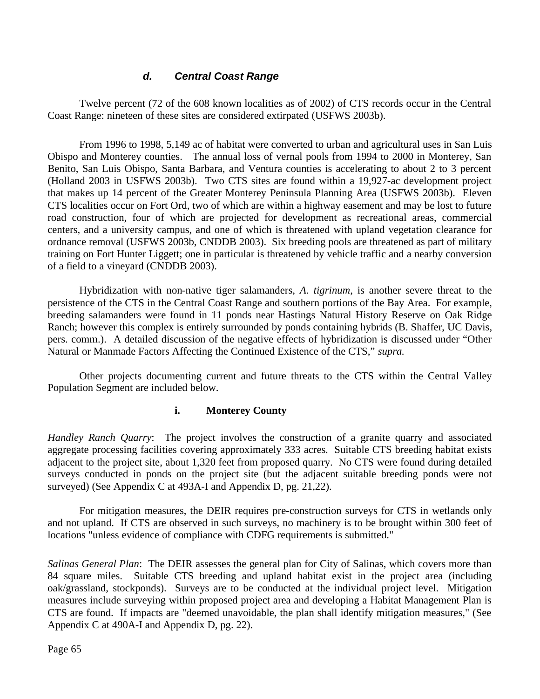## *d. Central Coast Range*

Twelve percent (72 of the 608 known localities as of 2002) of CTS records occur in the Central Coast Range: nineteen of these sites are considered extirpated (USFWS 2003b).

From 1996 to 1998, 5,149 ac of habitat were converted to urban and agricultural uses in San Luis Obispo and Monterey counties. The annual loss of vernal pools from 1994 to 2000 in Monterey, San Benito, San Luis Obispo, Santa Barbara, and Ventura counties is accelerating to about 2 to 3 percent (Holland 2003 in USFWS 2003b). Two CTS sites are found within a 19,927-ac development project that makes up 14 percent of the Greater Monterey Peninsula Planning Area (USFWS 2003b). Eleven CTS localities occur on Fort Ord, two of which are within a highway easement and may be lost to future road construction, four of which are projected for development as recreational areas, commercial centers, and a university campus, and one of which is threatened with upland vegetation clearance for ordnance removal (USFWS 2003b, CNDDB 2003). Six breeding pools are threatened as part of military training on Fort Hunter Liggett; one in particular is threatened by vehicle traffic and a nearby conversion of a field to a vineyard (CNDDB 2003).

Hybridization with non-native tiger salamanders, *A. tigrinum*, is another severe threat to the persistence of the CTS in the Central Coast Range and southern portions of the Bay Area. For example, breeding salamanders were found in 11 ponds near Hastings Natural History Reserve on Oak Ridge Ranch; however this complex is entirely surrounded by ponds containing hybrids (B. Shaffer, UC Davis, pers. comm.). A detailed discussion of the negative effects of hybridization is discussed under "Other Natural or Manmade Factors Affecting the Continued Existence of the CTS," *supra.*

Other projects documenting current and future threats to the CTS within the Central Valley Population Segment are included below.

#### **i. Monterey County**

*Handley Ranch Quarry*: The project involves the construction of a granite quarry and associated aggregate processing facilities covering approximately 333 acres. Suitable CTS breeding habitat exists adjacent to the project site, about 1,320 feet from proposed quarry. No CTS were found during detailed surveys conducted in ponds on the project site (but the adjacent suitable breeding ponds were not surveyed) (See Appendix C at 493A-I and Appendix D, pg. 21,22).

For mitigation measures, the DEIR requires pre-construction surveys for CTS in wetlands only and not upland. If CTS are observed in such surveys, no machinery is to be brought within 300 feet of locations "unless evidence of compliance with CDFG requirements is submitted."

*Salinas General Plan*: The DEIR assesses the general plan for City of Salinas, which covers more than 84 square miles. Suitable CTS breeding and upland habitat exist in the project area (including oak/grassland, stockponds). Surveys are to be conducted at the individual project level. Mitigation measures include surveying within proposed project area and developing a Habitat Management Plan is CTS are found. If impacts are "deemed unavoidable, the plan shall identify mitigation measures," (See Appendix C at 490A-I and Appendix D, pg. 22).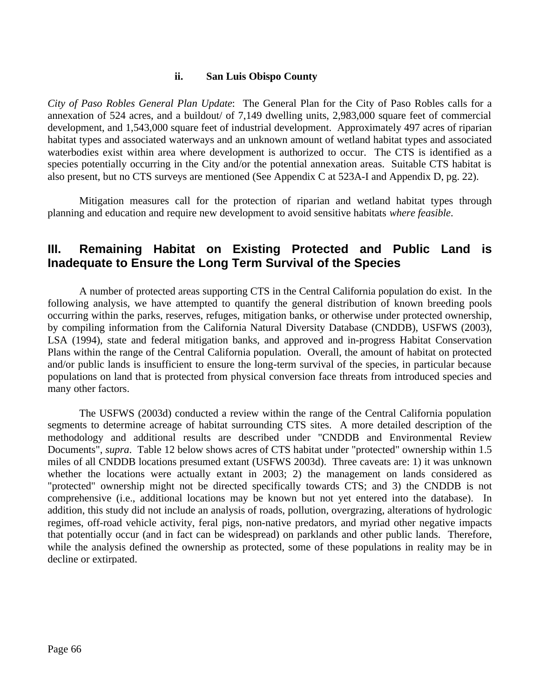#### **ii. San Luis Obispo County**

*City of Paso Robles General Plan Update*: The General Plan for the City of Paso Robles calls for a annexation of 524 acres, and a buildout/ of 7,149 dwelling units, 2,983,000 square feet of commercial development, and 1,543,000 square feet of industrial development. Approximately 497 acres of riparian habitat types and associated waterways and an unknown amount of wetland habitat types and associated waterbodies exist within area where development is authorized to occur. The CTS is identified as a species potentially occurring in the City and/or the potential annexation areas. Suitable CTS habitat is also present, but no CTS surveys are mentioned (See Appendix C at 523A-I and Appendix D, pg. 22).

Mitigation measures call for the protection of riparian and wetland habitat types through planning and education and require new development to avoid sensitive habitats *where feasible*.

## **III. Remaining Habitat on Existing Protected and Public Land is Inadequate to Ensure the Long Term Survival of the Species**

A number of protected areas supporting CTS in the Central California population do exist. In the following analysis, we have attempted to quantify the general distribution of known breeding pools occurring within the parks, reserves, refuges, mitigation banks, or otherwise under protected ownership, by compiling information from the California Natural Diversity Database (CNDDB), USFWS (2003), LSA (1994), state and federal mitigation banks, and approved and in-progress Habitat Conservation Plans within the range of the Central California population. Overall, the amount of habitat on protected and/or public lands is insufficient to ensure the long-term survival of the species, in particular because populations on land that is protected from physical conversion face threats from introduced species and many other factors.

The USFWS (2003d) conducted a review within the range of the Central California population segments to determine acreage of habitat surrounding CTS sites. A more detailed description of the methodology and additional results are described under "CNDDB and Environmental Review Documents", *supra*. Table 12 below shows acres of CTS habitat under "protected" ownership within 1.5 miles of all CNDDB locations presumed extant (USFWS 2003d). Three caveats are: 1) it was unknown whether the locations were actually extant in 2003; 2) the management on lands considered as "protected" ownership might not be directed specifically towards CTS; and 3) the CNDDB is not comprehensive (i.e., additional locations may be known but not yet entered into the database). In addition, this study did not include an analysis of roads, pollution, overgrazing, alterations of hydrologic regimes, off-road vehicle activity, feral pigs, non-native predators, and myriad other negative impacts that potentially occur (and in fact can be widespread) on parklands and other public lands. Therefore, while the analysis defined the ownership as protected, some of these populations in reality may be in decline or extirpated.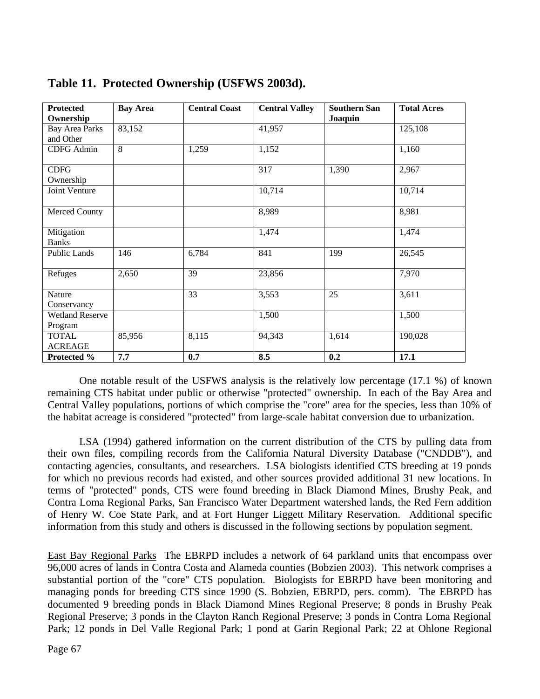| <b>Protected</b>       | <b>Bay Area</b> | <b>Central Coast</b> | <b>Central Valley</b> | <b>Southern San</b> | <b>Total Acres</b> |
|------------------------|-----------------|----------------------|-----------------------|---------------------|--------------------|
| Ownership              |                 |                      |                       | Joaquin             |                    |
| <b>Bay Area Parks</b>  | 83,152          |                      | 41,957                |                     | 125,108            |
| and Other              |                 |                      |                       |                     |                    |
| <b>CDFG</b> Admin      | 8               | 1,259                | 1,152                 |                     | 1,160              |
|                        |                 |                      |                       |                     |                    |
| <b>CDFG</b>            |                 |                      | $\overline{317}$      | 1,390               | 2,967              |
| Ownership              |                 |                      |                       |                     |                    |
| Joint Venture          |                 |                      | 10,714                |                     | 10,714             |
|                        |                 |                      |                       |                     |                    |
| Merced County          |                 |                      | 8,989                 |                     | 8,981              |
|                        |                 |                      |                       |                     |                    |
| Mitigation             |                 |                      | 1,474                 |                     | 1,474              |
| <b>Banks</b>           |                 |                      |                       |                     |                    |
| <b>Public Lands</b>    | 146             | 6,784                | 841                   | 199                 | 26,545             |
|                        |                 |                      |                       |                     |                    |
| Refuges                | 2,650           | $\overline{39}$      | 23,856                |                     | 7,970              |
| Nature                 |                 | 33                   | 3,553                 | 25                  | 3,611              |
| Conservancy            |                 |                      |                       |                     |                    |
|                        |                 |                      |                       |                     |                    |
| <b>Wetland Reserve</b> |                 |                      | 1,500                 |                     | 1,500              |
| Program                |                 |                      |                       |                     |                    |
| <b>TOTAL</b>           | 85,956          | 8,115                | 94,343                | 1,614               | 190,028            |
| <b>ACREAGE</b>         |                 |                      |                       |                     |                    |
| Protected %            | 7.7             | 0.7                  | 8.5                   | 0.2                 | 17.1               |

# **Table 11. Protected Ownership (USFWS 2003d).**

One notable result of the USFWS analysis is the relatively low percentage (17.1 %) of known remaining CTS habitat under public or otherwise "protected" ownership. In each of the Bay Area and Central Valley populations, portions of which comprise the "core" area for the species, less than 10% of the habitat acreage is considered "protected" from large-scale habitat conversion due to urbanization.

LSA (1994) gathered information on the current distribution of the CTS by pulling data from their own files, compiling records from the California Natural Diversity Database ("CNDDB"), and contacting agencies, consultants, and researchers. LSA biologists identified CTS breeding at 19 ponds for which no previous records had existed, and other sources provided additional 31 new locations. In terms of "protected" ponds, CTS were found breeding in Black Diamond Mines, Brushy Peak, and Contra Loma Regional Parks, San Francisco Water Department watershed lands, the Red Fern addition of Henry W. Coe State Park, and at Fort Hunger Liggett Military Reservation. Additional specific information from this study and others is discussed in the following sections by population segment.

East Bay Regional Parks The EBRPD includes a network of 64 parkland units that encompass over 96,000 acres of lands in Contra Costa and Alameda counties (Bobzien 2003). This network comprises a substantial portion of the "core" CTS population. Biologists for EBRPD have been monitoring and managing ponds for breeding CTS since 1990 (S. Bobzien, EBRPD, pers. comm). The EBRPD has documented 9 breeding ponds in Black Diamond Mines Regional Preserve; 8 ponds in Brushy Peak Regional Preserve; 3 ponds in the Clayton Ranch Regional Preserve; 3 ponds in Contra Loma Regional Park; 12 ponds in Del Valle Regional Park; 1 pond at Garin Regional Park; 22 at Ohlone Regional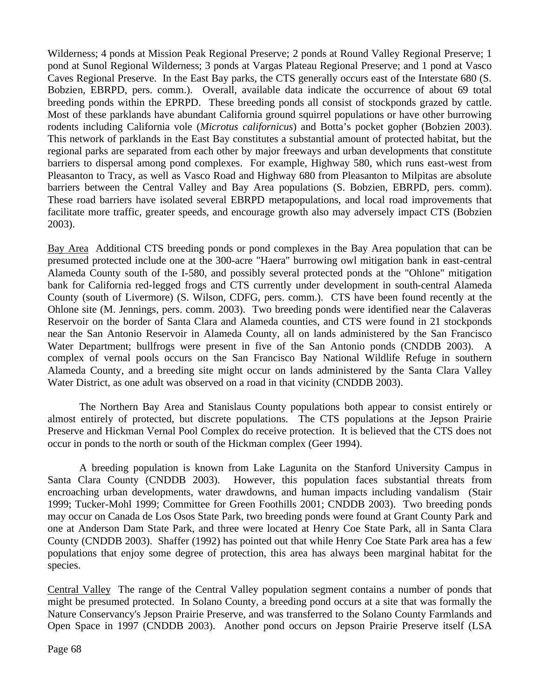Wilderness; 4 ponds at Mission Peak Regional Preserve; 2 ponds at Round Valley Regional Preserve; 1 pond at Sunol Regional Wilderness; 3 ponds at Vargas Plateau Regional Preserve; and 1 pond at Vasco Caves Regional Preserve. In the East Bay parks, the CTS generally occurs east of the Interstate 680 (S. Bobzien, EBRPD, pers. comm.). Overall, available data indicate the occurrence of about 69 total breeding ponds within the EPRPD. These breeding ponds all consist of stockponds grazed by cattle. Most of these parklands have abundant California ground squirrel populations or have other burrowing rodents including California vole (*Microtus californicus*) and Botta's pocket gopher (Bobzien 2003). This network of parklands in the East Bay constitutes a substantial amount of protected habitat, but the regional parks are separated from each other by major freeways and urban developments that constitute barriers to dispersal among pond complexes. For example, Highway 580, which runs east-west from Pleasanton to Tracy, as well as Vasco Road and Highway 680 from Pleasanton to Milpitas are absolute barriers between the Central Valley and Bay Area populations (S. Bobzien, EBRPD, pers. comm). These road barriers have isolated several EBRPD metapopulations, and local road improvements that facilitate more traffic, greater speeds, and encourage growth also may adversely impact CTS (Bobzien 2003).

Bay Area Additional CTS breeding ponds or pond complexes in the Bay Area population that can be presumed protected include one at the 300-acre "Haera" burrowing owl mitigation bank in east-central Alameda County south of the I-580, and possibly several protected ponds at the "Ohlone" mitigation bank for California red-legged frogs and CTS currently under development in south-central Alameda County (south of Livermore) (S. Wilson, CDFG, pers. comm.). CTS have been found recently at the Ohlone site (M. Jennings, pers. comm. 2003). Two breeding ponds were identified near the Calaveras Reservoir on the border of Santa Clara and Alameda counties, and CTS were found in 21 stockponds near the San Antonio Reservoir in Alameda County, all on lands administered by the San Francisco Water Department; bullfrogs were present in five of the San Antonio ponds (CNDDB 2003). A complex of vernal pools occurs on the San Francisco Bay National Wildlife Refuge in southern Alameda County, and a breeding site might occur on lands administered by the Santa Clara Valley Water District, as one adult was observed on a road in that vicinity (CNDDB 2003).

The Northern Bay Area and Stanislaus County populations both appear to consist entirely or almost entirely of protected, but discrete populations. The CTS populations at the Jepson Prairie Preserve and Hickman Vernal Pool Complex do receive protection. It is believed that the CTS does not occur in ponds to the north or south of the Hickman complex (Geer 1994).

A breeding population is known from Lake Lagunita on the Stanford University Campus in Santa Clara County (CNDDB 2003). However, this population faces substantial threats from encroaching urban developments, water drawdowns, and human impacts including vandalism (Stair 1999; Tucker-Mohl 1999; Committee for Green Foothills 2001; CNDDB 2003). Two breeding ponds may occur on Canada de Los Osos State Park, two breeding ponds were found at Grant County Park and one at Anderson Dam State Park, and three were located at Henry Coe State Park, all in Santa Clara County (CNDDB 2003). Shaffer (1992) has pointed out that while Henry Coe State Park area has a few populations that enjoy some degree of protection, this area has always been marginal habitat for the species.

Central Valley The range of the Central Valley population segment contains a number of ponds that might be presumed protected. In Solano County, a breeding pond occurs at a site that was formally the Nature Conservancy's Jepson Prairie Preserve, and was transferred to the Solano County Farmlands and Open Space in 1997 (CNDDB 2003). Another pond occurs on Jepson Prairie Preserve itself (LSA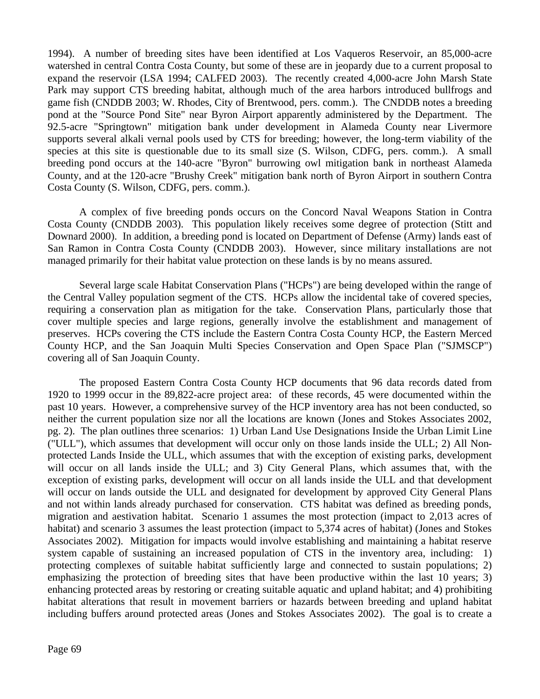1994). A number of breeding sites have been identified at Los Vaqueros Reservoir, an 85,000-acre watershed in central Contra Costa County, but some of these are in jeopardy due to a current proposal to expand the reservoir (LSA 1994; CALFED 2003). The recently created 4,000-acre John Marsh State Park may support CTS breeding habitat, although much of the area harbors introduced bullfrogs and game fish (CNDDB 2003; W. Rhodes, City of Brentwood, pers. comm.). The CNDDB notes a breeding pond at the "Source Pond Site" near Byron Airport apparently administered by the Department. The 92.5-acre "Springtown" mitigation bank under development in Alameda County near Livermore supports several alkali vernal pools used by CTS for breeding; however, the long-term viability of the species at this site is questionable due to its small size (S. Wilson, CDFG, pers. comm.). A small breeding pond occurs at the 140-acre "Byron" burrowing owl mitigation bank in northeast Alameda County, and at the 120-acre "Brushy Creek" mitigation bank north of Byron Airport in southern Contra Costa County (S. Wilson, CDFG, pers. comm.).

A complex of five breeding ponds occurs on the Concord Naval Weapons Station in Contra Costa County (CNDDB 2003). This population likely receives some degree of protection (Stitt and Downard 2000). In addition, a breeding pond is located on Department of Defense (Army) lands east of San Ramon in Contra Costa County (CNDDB 2003). However, since military installations are not managed primarily for their habitat value protection on these lands is by no means assured.

Several large scale Habitat Conservation Plans ("HCPs") are being developed within the range of the Central Valley population segment of the CTS. HCPs allow the incidental take of covered species, requiring a conservation plan as mitigation for the take. Conservation Plans, particularly those that cover multiple species and large regions, generally involve the establishment and management of preserves. HCPs covering the CTS include the Eastern Contra Costa County HCP, the Eastern Merced County HCP, and the San Joaquin Multi Species Conservation and Open Space Plan ("SJMSCP") covering all of San Joaquin County.

The proposed Eastern Contra Costa County HCP documents that 96 data records dated from 1920 to 1999 occur in the 89,822-acre project area: of these records, 45 were documented within the past 10 years. However, a comprehensive survey of the HCP inventory area has not been conducted, so neither the current population size nor all the locations are known (Jones and Stokes Associates 2002, pg. 2). The plan outlines three scenarios: 1) Urban Land Use Designations Inside the Urban Limit Line ("ULL"), which assumes that development will occur only on those lands inside the ULL; 2) All Nonprotected Lands Inside the ULL, which assumes that with the exception of existing parks, development will occur on all lands inside the ULL; and 3) City General Plans, which assumes that, with the exception of existing parks, development will occur on all lands inside the ULL and that development will occur on lands outside the ULL and designated for development by approved City General Plans and not within lands already purchased for conservation. CTS habitat was defined as breeding ponds, migration and aestivation habitat. Scenario 1 assumes the most protection (impact to 2,013 acres of habitat) and scenario 3 assumes the least protection (impact to 5,374 acres of habitat) (Jones and Stokes Associates 2002). Mitigation for impacts would involve establishing and maintaining a habitat reserve system capable of sustaining an increased population of CTS in the inventory area, including: 1) protecting complexes of suitable habitat sufficiently large and connected to sustain populations; 2) emphasizing the protection of breeding sites that have been productive within the last 10 years; 3) enhancing protected areas by restoring or creating suitable aquatic and upland habitat; and 4) prohibiting habitat alterations that result in movement barriers or hazards between breeding and upland habitat including buffers around protected areas (Jones and Stokes Associates 2002). The goal is to create a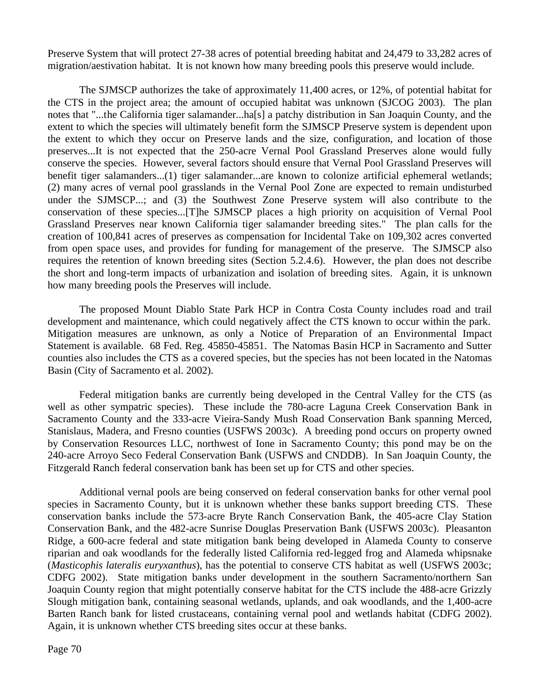Preserve System that will protect 27-38 acres of potential breeding habitat and 24,479 to 33,282 acres of migration/aestivation habitat. It is not known how many breeding pools this preserve would include.

The SJMSCP authorizes the take of approximately 11,400 acres, or 12%, of potential habitat for the CTS in the project area; the amount of occupied habitat was unknown (SJCOG 2003). The plan notes that "...the California tiger salamander...ha[s] a patchy distribution in San Joaquin County, and the extent to which the species will ultimately benefit form the SJMSCP Preserve system is dependent upon the extent to which they occur on Preserve lands and the size, configuration, and location of those preserves...It is not expected that the 250-acre Vernal Pool Grassland Preserves alone would fully conserve the species. However, several factors should ensure that Vernal Pool Grassland Preserves will benefit tiger salamanders...(1) tiger salamander...are known to colonize artificial ephemeral wetlands; (2) many acres of vernal pool grasslands in the Vernal Pool Zone are expected to remain undisturbed under the SJMSCP...; and (3) the Southwest Zone Preserve system will also contribute to the conservation of these species...[T]he SJMSCP places a high priority on acquisition of Vernal Pool Grassland Preserves near known California tiger salamander breeding sites." The plan calls for the creation of 100,841 acres of preserves as compensation for Incidental Take on 109,302 acres converted from open space uses, and provides for funding for management of the preserve. The SJMSCP also requires the retention of known breeding sites (Section 5.2.4.6). However, the plan does not describe the short and long-term impacts of urbanization and isolation of breeding sites. Again, it is unknown how many breeding pools the Preserves will include.

The proposed Mount Diablo State Park HCP in Contra Costa County includes road and trail development and maintenance, which could negatively affect the CTS known to occur within the park. Mitigation measures are unknown, as only a Notice of Preparation of an Environmental Impact Statement is available. 68 Fed. Reg. 45850-45851. The Natomas Basin HCP in Sacramento and Sutter counties also includes the CTS as a covered species, but the species has not been located in the Natomas Basin (City of Sacramento et al. 2002).

Federal mitigation banks are currently being developed in the Central Valley for the CTS (as well as other sympatric species). These include the 780-acre Laguna Creek Conservation Bank in Sacramento County and the 333-acre Vieira-Sandy Mush Road Conservation Bank spanning Merced, Stanislaus, Madera, and Fresno counties (USFWS 2003c). A breeding pond occurs on property owned by Conservation Resources LLC, northwest of Ione in Sacramento County; this pond may be on the 240-acre Arroyo Seco Federal Conservation Bank (USFWS and CNDDB). In San Joaquin County, the Fitzgerald Ranch federal conservation bank has been set up for CTS and other species.

Additional vernal pools are being conserved on federal conservation banks for other vernal pool species in Sacramento County, but it is unknown whether these banks support breeding CTS. These conservation banks include the 573-acre Bryte Ranch Conservation Bank, the 405-acre Clay Station Conservation Bank, and the 482-acre Sunrise Douglas Preservation Bank (USFWS 2003c). Pleasanton Ridge, a 600-acre federal and state mitigation bank being developed in Alameda County to conserve riparian and oak woodlands for the federally listed California red-legged frog and Alameda whipsnake (*Masticophis lateralis euryxanthus*), has the potential to conserve CTS habitat as well (USFWS 2003c; CDFG 2002). State mitigation banks under development in the southern Sacramento/northern San Joaquin County region that might potentially conserve habitat for the CTS include the 488-acre Grizzly Slough mitigation bank, containing seasonal wetlands, uplands, and oak woodlands, and the 1,400-acre Barten Ranch bank for listed crustaceans, containing vernal pool and wetlands habitat (CDFG 2002). Again, it is unknown whether CTS breeding sites occur at these banks.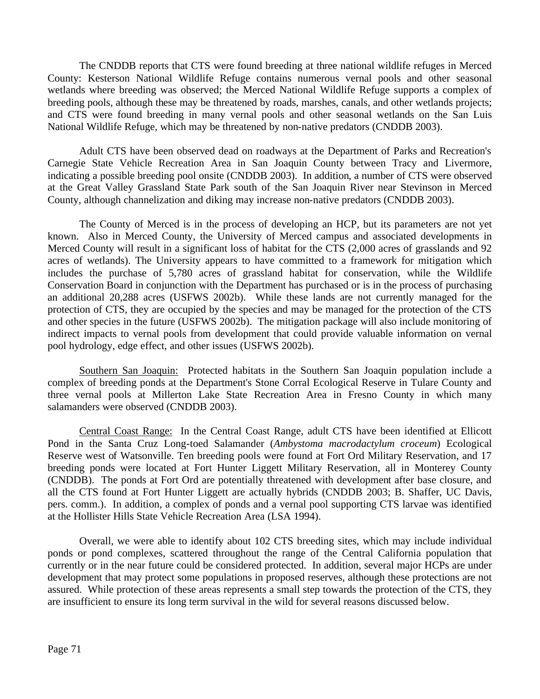The CNDDB reports that CTS were found breeding at three national wildlife refuges in Merced County: Kesterson National Wildlife Refuge contains numerous vernal pools and other seasonal wetlands where breeding was observed; the Merced National Wildlife Refuge supports a complex of breeding pools, although these may be threatened by roads, marshes, canals, and other wetlands projects; and CTS were found breeding in many vernal pools and other seasonal wetlands on the San Luis National Wildlife Refuge, which may be threatened by non-native predators (CNDDB 2003).

Adult CTS have been observed dead on roadways at the Department of Parks and Recreation's Carnegie State Vehicle Recreation Area in San Joaquin County between Tracy and Livermore, indicating a possible breeding pool onsite (CNDDB 2003). In addition, a number of CTS were observed at the Great Valley Grassland State Park south of the San Joaquin River near Stevinson in Merced County, although channelization and diking may increase non-native predators (CNDDB 2003).

The County of Merced is in the process of developing an HCP, but its parameters are not yet known. Also in Merced County, the University of Merced campus and associated developments in Merced County will result in a significant loss of habitat for the CTS (2,000 acres of grasslands and 92 acres of wetlands). The University appears to have committed to a framework for mitigation which includes the purchase of 5,780 acres of grassland habitat for conservation, while the Wildlife Conservation Board in conjunction with the Department has purchased or is in the process of purchasing an additional 20,288 acres (USFWS 2002b). While these lands are not currently managed for the protection of CTS, they are occupied by the species and may be managed for the protection of the CTS and other species in the future (USFWS 2002b). The mitigation package will also include monitoring of indirect impacts to vernal pools from development that could provide valuable information on vernal pool hydrology, edge effect, and other issues (USFWS 2002b).

Southern San Joaquin: Protected habitats in the Southern San Joaquin population include a complex of breeding ponds at the Department's Stone Corral Ecological Reserve in Tulare County and three vernal pools at Millerton Lake State Recreation Area in Fresno County in which many salamanders were observed (CNDDB 2003).

Central Coast Range: In the Central Coast Range, adult CTS have been identified at Ellicott Pond in the Santa Cruz Long-toed Salamander (*Ambystoma macrodactylum croceum*) Ecological Reserve west of Watsonville. Ten breeding pools were found at Fort Ord Military Reservation, and 17 breeding ponds were located at Fort Hunter Liggett Military Reservation, all in Monterey County (CNDDB). The ponds at Fort Ord are potentially threatened with development after base closure, and all the CTS found at Fort Hunter Liggett are actually hybrids (CNDDB 2003; B. Shaffer, UC Davis, pers. comm.). In addition, a complex of ponds and a vernal pool supporting CTS larvae was identified at the Hollister Hills State Vehicle Recreation Area (LSA 1994).

Overall, we were able to identify about 102 CTS breeding sites, which may include individual ponds or pond complexes, scattered throughout the range of the Central California population that currently or in the near future could be considered protected. In addition, several major HCPs are under development that may protect some populations in proposed reserves, although these protections are not assured. While protection of these areas represents a small step towards the protection of the CTS, they are insufficient to ensure its long term survival in the wild for several reasons discussed below.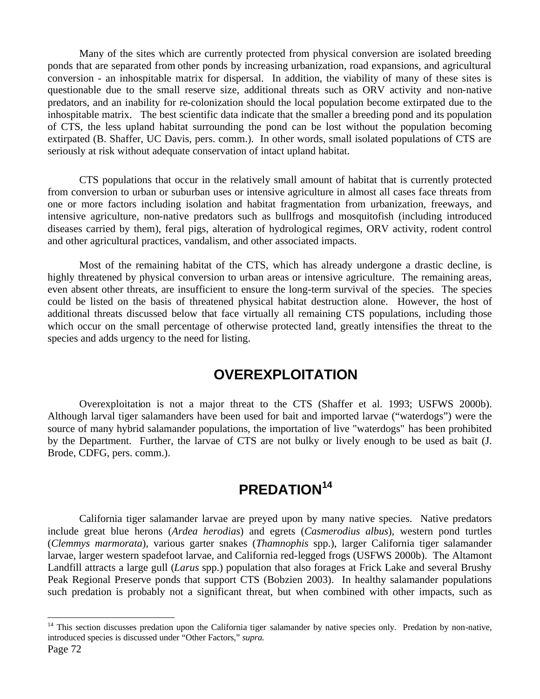Many of the sites which are currently protected from physical conversion are isolated breeding ponds that are separated from other ponds by increasing urbanization, road expansions, and agricultural conversion - an inhospitable matrix for dispersal. In addition, the viability of many of these sites is questionable due to the small reserve size, additional threats such as ORV activity and non-native predators, and an inability for re-colonization should the local population become extirpated due to the inhospitable matrix. The best scientific data indicate that the smaller a breeding pond and its population of CTS, the less upland habitat surrounding the pond can be lost without the population becoming extirpated (B. Shaffer, UC Davis, pers. comm.). In other words, small isolated populations of CTS are seriously at risk without adequate conservation of intact upland habitat.

CTS populations that occur in the relatively small amount of habitat that is currently protected from conversion to urban or suburban uses or intensive agriculture in almost all cases face threats from one or more factors including isolation and habitat fragmentation from urbanization, freeways, and intensive agriculture, non-native predators such as bullfrogs and mosquitofish (including introduced diseases carried by them), feral pigs, alteration of hydrological regimes, ORV activity, rodent control and other agricultural practices, vandalism, and other associated impacts.

Most of the remaining habitat of the CTS, which has already undergone a drastic decline, is highly threatened by physical conversion to urban areas or intensive agriculture. The remaining areas, even absent other threats, are insufficient to ensure the long-term survival of the species. The species could be listed on the basis of threatened physical habitat destruction alone. However, the host of additional threats discussed below that face virtually all remaining CTS populations, including those which occur on the small percentage of otherwise protected land, greatly intensifies the threat to the species and adds urgency to the need for listing.

## **OVEREXPLOITATION**

Overexploitation is not a major threat to the CTS (Shaffer et al. 1993; USFWS 2000b). Although larval tiger salamanders have been used for bait and imported larvae ("waterdogs") were the source of many hybrid salamander populations, the importation of live "waterdogs" has been prohibited by the Department. Further, the larvae of CTS are not bulky or lively enough to be used as bait (J. Brode, CDFG, pers. comm.).

# **PREDATION<sup>14</sup>**

California tiger salamander larvae are preyed upon by many native species. Native predators include great blue herons (*Ardea herodias*) and egrets (*Casmerodius albus*), western pond turtles (*Clemmys marmorata*), various garter snakes (*Thamnophis* spp.), larger California tiger salamander larvae, larger western spadefoot larvae, and California red-legged frogs (USFWS 2000b). The Altamont Landfill attracts a large gull (*Larus* spp.) population that also forages at Frick Lake and several Brushy Peak Regional Preserve ponds that support CTS (Bobzien 2003). In healthy salamander populations such predation is probably not a significant threat, but when combined with other impacts, such as

 $\overline{a}$ 

 $14$  This section discusses predation upon the California tiger salamander by native species only. Predation by non-native, introduced species is discussed under "Other Factors," *supra*.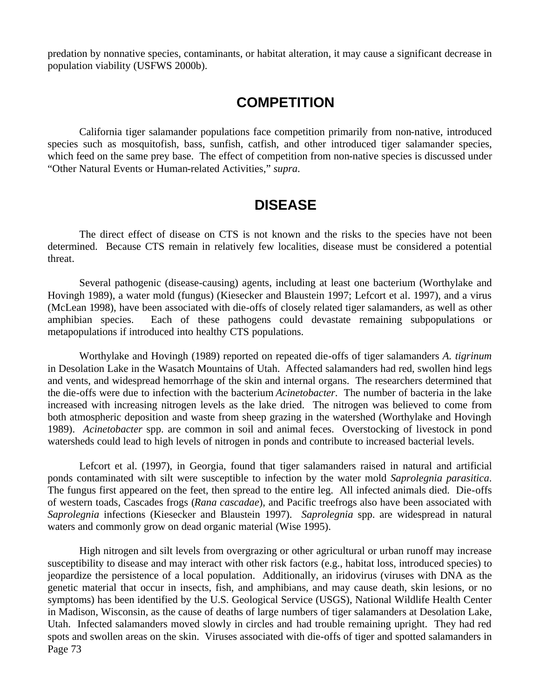predation by nonnative species, contaminants, or habitat alteration, it may cause a significant decrease in population viability (USFWS 2000b).

## **COMPETITION**

California tiger salamander populations face competition primarily from non-native, introduced species such as mosquitofish, bass, sunfish, catfish, and other introduced tiger salamander species, which feed on the same prey base. The effect of competition from non-native species is discussed under "Other Natural Events or Human-related Activities," *supra*.

## **DISEASE**

The direct effect of disease on CTS is not known and the risks to the species have not been determined. Because CTS remain in relatively few localities, disease must be considered a potential threat.

Several pathogenic (disease-causing) agents, including at least one bacterium (Worthylake and Hovingh 1989), a water mold (fungus) (Kiesecker and Blaustein 1997; Lefcort et al. 1997), and a virus (McLean 1998), have been associated with die-offs of closely related tiger salamanders, as well as other amphibian species. Each of these pathogens could devastate remaining subpopulations or metapopulations if introduced into healthy CTS populations.

Worthylake and Hovingh (1989) reported on repeated die-offs of tiger salamanders *A. tigrinum* in Desolation Lake in the Wasatch Mountains of Utah. Affected salamanders had red, swollen hind legs and vents, and widespread hemorrhage of the skin and internal organs. The researchers determined that the die-offs were due to infection with the bacterium *Acinetobacter*. The number of bacteria in the lake increased with increasing nitrogen levels as the lake dried. The nitrogen was believed to come from both atmospheric deposition and waste from sheep grazing in the watershed (Worthylake and Hovingh 1989). *Acinetobacter* spp. are common in soil and animal feces. Overstocking of livestock in pond watersheds could lead to high levels of nitrogen in ponds and contribute to increased bacterial levels.

Lefcort et al. (1997), in Georgia, found that tiger salamanders raised in natural and artificial ponds contaminated with silt were susceptible to infection by the water mold *Saprolegnia parasitica*. The fungus first appeared on the feet, then spread to the entire leg. All infected animals died. Die-offs of western toads, Cascades frogs (*Rana cascadae*), and Pacific treefrogs also have been associated with *Saprolegnia* infections (Kiesecker and Blaustein 1997). *Saprolegnia* spp. are widespread in natural waters and commonly grow on dead organic material (Wise 1995).

Page 73 High nitrogen and silt levels from overgrazing or other agricultural or urban runoff may increase susceptibility to disease and may interact with other risk factors (e.g., habitat loss, introduced species) to jeopardize the persistence of a local population. Additionally, an iridovirus (viruses with DNA as the genetic material that occur in insects, fish, and amphibians, and may cause death, skin lesions, or no symptoms) has been identified by the U.S. Geological Service (USGS), National Wildlife Health Center in Madison, Wisconsin, as the cause of deaths of large numbers of tiger salamanders at Desolation Lake, Utah. Infected salamanders moved slowly in circles and had trouble remaining upright. They had red spots and swollen areas on the skin. Viruses associated with die-offs of tiger and spotted salamanders in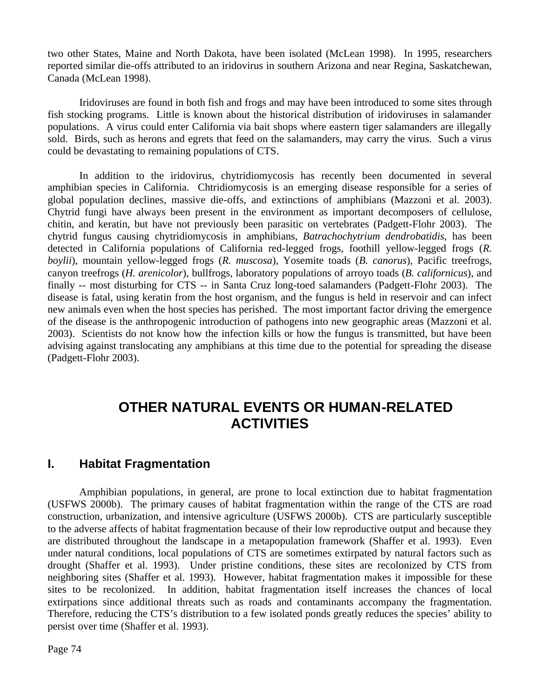two other States, Maine and North Dakota, have been isolated (McLean 1998). In 1995, researchers reported similar die-offs attributed to an iridovirus in southern Arizona and near Regina, Saskatchewan, Canada (McLean 1998).

Iridoviruses are found in both fish and frogs and may have been introduced to some sites through fish stocking programs. Little is known about the historical distribution of iridoviruses in salamander populations. A virus could enter California via bait shops where eastern tiger salamanders are illegally sold. Birds, such as herons and egrets that feed on the salamanders, may carry the virus. Such a virus could be devastating to remaining populations of CTS.

In addition to the iridovirus, chytridiomycosis has recently been documented in several amphibian species in California. Chtridiomycosis is an emerging disease responsible for a series of global population declines, massive die-offs, and extinctions of amphibians (Mazzoni et al. 2003). Chytrid fungi have always been present in the environment as important decomposers of cellulose, chitin, and keratin, but have not previously been parasitic on vertebrates (Padgett-Flohr 2003). The chytrid fungus causing chytridiomycosis in amphibians, *Batrachochytrium dendrobatidis*, has been detected in California populations of California red-legged frogs, foothill yellow-legged frogs (*R. boylii*), mountain yellow-legged frogs (*R. muscosa*), Yosemite toads (*B. canorus*), Pacific treefrogs, canyon treefrogs (*H. arenicolor*), bullfrogs, laboratory populations of arroyo toads (*B. californicus*), and finally -- most disturbing for CTS -- in Santa Cruz long-toed salamanders (Padgett-Flohr 2003). The disease is fatal, using keratin from the host organism, and the fungus is held in reservoir and can infect new animals even when the host species has perished. The most important factor driving the emergence of the disease is the anthropogenic introduction of pathogens into new geographic areas (Mazzoni et al. 2003). Scientists do not know how the infection kills or how the fungus is transmitted, but have been advising against translocating any amphibians at this time due to the potential for spreading the disease (Padgett-Flohr 2003).

# **OTHER NATURAL EVENTS OR HUMAN-RELATED ACTIVITIES**

## **I. Habitat Fragmentation**

Amphibian populations, in general, are prone to local extinction due to habitat fragmentation (USFWS 2000b). The primary causes of habitat fragmentation within the range of the CTS are road construction, urbanization, and intensive agriculture (USFWS 2000b). CTS are particularly susceptible to the adverse affects of habitat fragmentation because of their low reproductive output and because they are distributed throughout the landscape in a metapopulation framework (Shaffer et al. 1993). Even under natural conditions, local populations of CTS are sometimes extirpated by natural factors such as drought (Shaffer et al. 1993). Under pristine conditions, these sites are recolonized by CTS from neighboring sites (Shaffer et al. 1993). However, habitat fragmentation makes it impossible for these sites to be recolonized. In addition, habitat fragmentation itself increases the chances of local extirpations since additional threats such as roads and contaminants accompany the fragmentation. Therefore, reducing the CTS's distribution to a few isolated ponds greatly reduces the species' ability to persist over time (Shaffer et al. 1993).

Page 74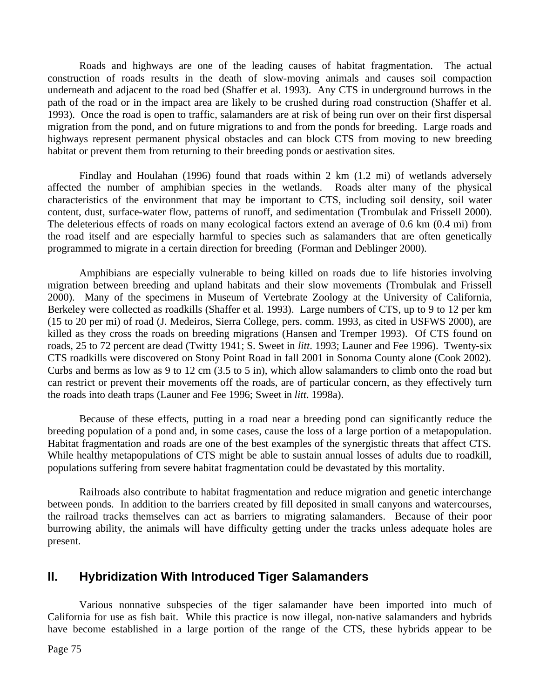Roads and highways are one of the leading causes of habitat fragmentation. The actual construction of roads results in the death of slow-moving animals and causes soil compaction underneath and adjacent to the road bed (Shaffer et al. 1993). Any CTS in underground burrows in the path of the road or in the impact area are likely to be crushed during road construction (Shaffer et al. 1993). Once the road is open to traffic, salamanders are at risk of being run over on their first dispersal migration from the pond, and on future migrations to and from the ponds for breeding. Large roads and highways represent permanent physical obstacles and can block CTS from moving to new breeding habitat or prevent them from returning to their breeding ponds or aestivation sites.

Findlay and Houlahan (1996) found that roads within 2 km (1.2 mi) of wetlands adversely affected the number of amphibian species in the wetlands. Roads alter many of the physical characteristics of the environment that may be important to CTS, including soil density, soil water content, dust, surface-water flow, patterns of runoff, and sedimentation (Trombulak and Frissell 2000). The deleterious effects of roads on many ecological factors extend an average of 0.6 km (0.4 mi) from the road itself and are especially harmful to species such as salamanders that are often genetically programmed to migrate in a certain direction for breeding (Forman and Deblinger 2000).

Amphibians are especially vulnerable to being killed on roads due to life histories involving migration between breeding and upland habitats and their slow movements (Trombulak and Frissell 2000). Many of the specimens in Museum of Vertebrate Zoology at the University of California, Berkeley were collected as roadkills (Shaffer et al. 1993). Large numbers of CTS, up to 9 to 12 per km (15 to 20 per mi) of road (J. Medeiros, Sierra College, pers. comm. 1993, as cited in USFWS 2000), are killed as they cross the roads on breeding migrations (Hansen and Tremper 1993). Of CTS found on roads, 25 to 72 percent are dead (Twitty 1941; S. Sweet in *litt*. 1993; Launer and Fee 1996). Twenty-six CTS roadkills were discovered on Stony Point Road in fall 2001 in Sonoma County alone (Cook 2002). Curbs and berms as low as 9 to 12 cm (3.5 to 5 in), which allow salamanders to climb onto the road but can restrict or prevent their movements off the roads, are of particular concern, as they effectively turn the roads into death traps (Launer and Fee 1996; Sweet in *litt*. 1998a).

Because of these effects, putting in a road near a breeding pond can significantly reduce the breeding population of a pond and, in some cases, cause the loss of a large portion of a metapopulation. Habitat fragmentation and roads are one of the best examples of the synergistic threats that affect CTS. While healthy metapopulations of CTS might be able to sustain annual losses of adults due to roadkill, populations suffering from severe habitat fragmentation could be devastated by this mortality.

Railroads also contribute to habitat fragmentation and reduce migration and genetic interchange between ponds. In addition to the barriers created by fill deposited in small canyons and watercourses, the railroad tracks themselves can act as barriers to migrating salamanders. Because of their poor burrowing ability, the animals will have difficulty getting under the tracks unless adequate holes are present.

## **II. Hybridization With Introduced Tiger Salamanders**

Various nonnative subspecies of the tiger salamander have been imported into much of California for use as fish bait. While this practice is now illegal, non-native salamanders and hybrids have become established in a large portion of the range of the CTS, these hybrids appear to be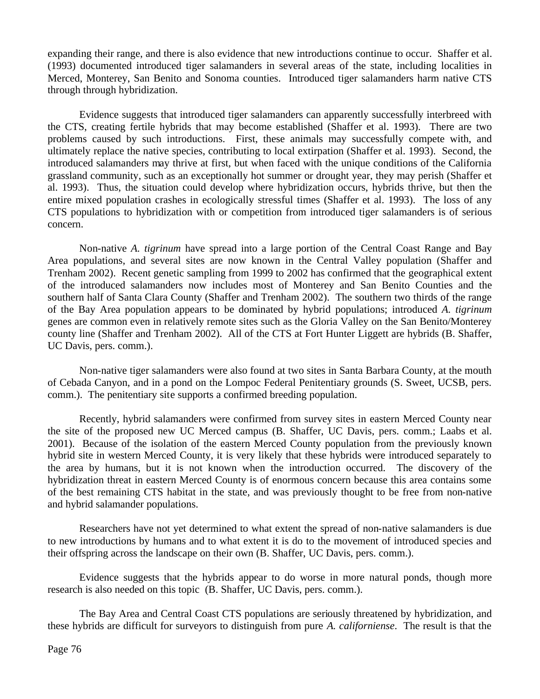expanding their range, and there is also evidence that new introductions continue to occur. Shaffer et al. (1993) documented introduced tiger salamanders in several areas of the state, including localities in Merced, Monterey, San Benito and Sonoma counties. Introduced tiger salamanders harm native CTS through through hybridization.

Evidence suggests that introduced tiger salamanders can apparently successfully interbreed with the CTS, creating fertile hybrids that may become established (Shaffer et al. 1993). There are two problems caused by such introductions. First, these animals may successfully compete with, and ultimately replace the native species, contributing to local extirpation (Shaffer et al. 1993). Second, the introduced salamanders may thrive at first, but when faced with the unique conditions of the California grassland community, such as an exceptionally hot summer or drought year, they may perish (Shaffer et al. 1993). Thus, the situation could develop where hybridization occurs, hybrids thrive, but then the entire mixed population crashes in ecologically stressful times (Shaffer et al. 1993). The loss of any CTS populations to hybridization with or competition from introduced tiger salamanders is of serious concern.

Non-native *A. tigrinum* have spread into a large portion of the Central Coast Range and Bay Area populations, and several sites are now known in the Central Valley population (Shaffer and Trenham 2002). Recent genetic sampling from 1999 to 2002 has confirmed that the geographical extent of the introduced salamanders now includes most of Monterey and San Benito Counties and the southern half of Santa Clara County (Shaffer and Trenham 2002). The southern two thirds of the range of the Bay Area population appears to be dominated by hybrid populations; introduced *A. tigrinum* genes are common even in relatively remote sites such as the Gloria Valley on the San Benito/Monterey county line (Shaffer and Trenham 2002). All of the CTS at Fort Hunter Liggett are hybrids (B. Shaffer, UC Davis, pers. comm.).

Non-native tiger salamanders were also found at two sites in Santa Barbara County, at the mouth of Cebada Canyon, and in a pond on the Lompoc Federal Penitentiary grounds (S. Sweet, UCSB, pers. comm.). The penitentiary site supports a confirmed breeding population.

Recently, hybrid salamanders were confirmed from survey sites in eastern Merced County near the site of the proposed new UC Merced campus (B. Shaffer, UC Davis, pers. comm.; Laabs et al. 2001). Because of the isolation of the eastern Merced County population from the previously known hybrid site in western Merced County, it is very likely that these hybrids were introduced separately to the area by humans, but it is not known when the introduction occurred. The discovery of the hybridization threat in eastern Merced County is of enormous concern because this area contains some of the best remaining CTS habitat in the state, and was previously thought to be free from non-native and hybrid salamander populations.

Researchers have not yet determined to what extent the spread of non-native salamanders is due to new introductions by humans and to what extent it is do to the movement of introduced species and their offspring across the landscape on their own (B. Shaffer, UC Davis, pers. comm.).

Evidence suggests that the hybrids appear to do worse in more natural ponds, though more research is also needed on this topic (B. Shaffer, UC Davis, pers. comm.).

The Bay Area and Central Coast CTS populations are seriously threatened by hybridization, and these hybrids are difficult for surveyors to distinguish from pure *A. californiense*. The result is that the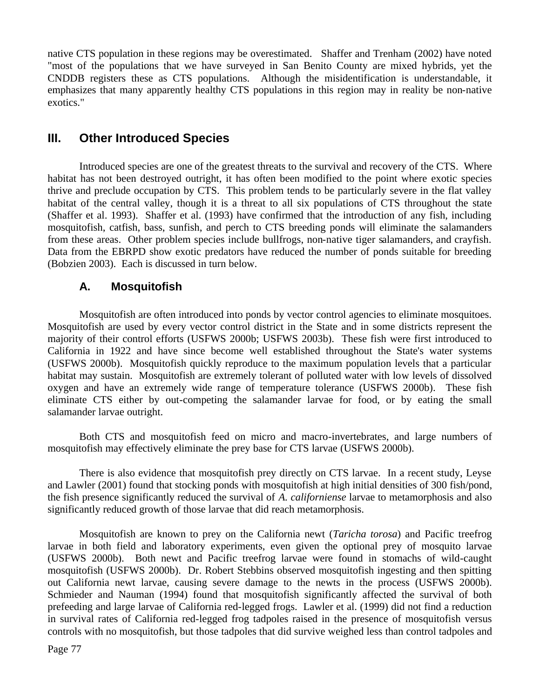native CTS population in these regions may be overestimated. Shaffer and Trenham (2002) have noted "most of the populations that we have surveyed in San Benito County are mixed hybrids, yet the CNDDB registers these as CTS populations. Although the misidentification is understandable, it emphasizes that many apparently healthy CTS populations in this region may in reality be non-native exotics."

## **III. Other Introduced Species**

Introduced species are one of the greatest threats to the survival and recovery of the CTS. Where habitat has not been destroyed outright, it has often been modified to the point where exotic species thrive and preclude occupation by CTS. This problem tends to be particularly severe in the flat valley habitat of the central valley, though it is a threat to all six populations of CTS throughout the state (Shaffer et al. 1993). Shaffer et al. (1993) have confirmed that the introduction of any fish, including mosquitofish, catfish, bass, sunfish, and perch to CTS breeding ponds will eliminate the salamanders from these areas. Other problem species include bullfrogs, non-native tiger salamanders, and crayfish. Data from the EBRPD show exotic predators have reduced the number of ponds suitable for breeding (Bobzien 2003). Each is discussed in turn below.

#### **A. Mosquitofish**

Mosquitofish are often introduced into ponds by vector control agencies to eliminate mosquitoes. Mosquitofish are used by every vector control district in the State and in some districts represent the majority of their control efforts (USFWS 2000b; USFWS 2003b). These fish were first introduced to California in 1922 and have since become well established throughout the State's water systems (USFWS 2000b). Mosquitofish quickly reproduce to the maximum population levels that a particular habitat may sustain. Mosquitofish are extremely tolerant of polluted water with low levels of dissolved oxygen and have an extremely wide range of temperature tolerance (USFWS 2000b). These fish eliminate CTS either by out-competing the salamander larvae for food, or by eating the small salamander larvae outright.

Both CTS and mosquitofish feed on micro and macro-invertebrates, and large numbers of mosquitofish may effectively eliminate the prey base for CTS larvae (USFWS 2000b).

There is also evidence that mosquitofish prey directly on CTS larvae. In a recent study, Leyse and Lawler (2001) found that stocking ponds with mosquitofish at high initial densities of 300 fish/pond, the fish presence significantly reduced the survival of *A. californiense* larvae to metamorphosis and also significantly reduced growth of those larvae that did reach metamorphosis.

Mosquitofish are known to prey on the California newt (*Taricha torosa*) and Pacific treefrog larvae in both field and laboratory experiments, even given the optional prey of mosquito larvae (USFWS 2000b). Both newt and Pacific treefrog larvae were found in stomachs of wild-caught mosquitofish (USFWS 2000b). Dr. Robert Stebbins observed mosquitofish ingesting and then spitting out California newt larvae, causing severe damage to the newts in the process (USFWS 2000b). Schmieder and Nauman (1994) found that mosquitofish significantly affected the survival of both prefeeding and large larvae of California red-legged frogs. Lawler et al. (1999) did not find a reduction in survival rates of California red-legged frog tadpoles raised in the presence of mosquitofish versus controls with no mosquitofish, but those tadpoles that did survive weighed less than control tadpoles and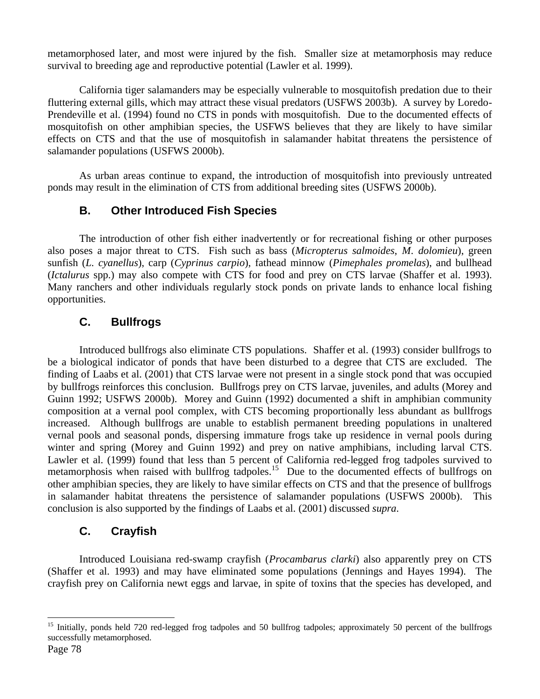metamorphosed later, and most were injured by the fish. Smaller size at metamorphosis may reduce survival to breeding age and reproductive potential (Lawler et al. 1999).

California tiger salamanders may be especially vulnerable to mosquitofish predation due to their fluttering external gills, which may attract these visual predators (USFWS 2003b). A survey by Loredo-Prendeville et al. (1994) found no CTS in ponds with mosquitofish. Due to the documented effects of mosquitofish on other amphibian species, the USFWS believes that they are likely to have similar effects on CTS and that the use of mosquitofish in salamander habitat threatens the persistence of salamander populations (USFWS 2000b).

As urban areas continue to expand, the introduction of mosquitofish into previously untreated ponds may result in the elimination of CTS from additional breeding sites (USFWS 2000b).

## **B. Other Introduced Fish Species**

The introduction of other fish either inadvertently or for recreational fishing or other purposes also poses a major threat to CTS. Fish such as bass (*Micropterus salmoides*, *M*. *dolomieu*), green sunfish (*L. cyanellus*), carp (*Cyprinus carpio*), fathead minnow (*Pimephales promelas*), and bullhead (*Ictalurus* spp.) may also compete with CTS for food and prey on CTS larvae (Shaffer et al. 1993). Many ranchers and other individuals regularly stock ponds on private lands to enhance local fishing opportunities.

## **C. Bullfrogs**

Introduced bullfrogs also eliminate CTS populations. Shaffer et al. (1993) consider bullfrogs to be a biological indicator of ponds that have been disturbed to a degree that CTS are excluded. The finding of Laabs et al. (2001) that CTS larvae were not present in a single stock pond that was occupied by bullfrogs reinforces this conclusion. Bullfrogs prey on CTS larvae, juveniles, and adults (Morey and Guinn 1992; USFWS 2000b). Morey and Guinn (1992) documented a shift in amphibian community composition at a vernal pool complex, with CTS becoming proportionally less abundant as bullfrogs increased. Although bullfrogs are unable to establish permanent breeding populations in unaltered vernal pools and seasonal ponds, dispersing immature frogs take up residence in vernal pools during winter and spring (Morey and Guinn 1992) and prey on native amphibians, including larval CTS. Lawler et al. (1999) found that less than 5 percent of California red-legged frog tadpoles survived to metamorphosis when raised with bullfrog tadpoles.<sup>15</sup> Due to the documented effects of bullfrogs on other amphibian species, they are likely to have similar effects on CTS and that the presence of bullfrogs in salamander habitat threatens the persistence of salamander populations (USFWS 2000b). This conclusion is also supported by the findings of Laabs et al. (2001) discussed *supra*.

## **C. Crayfish**

Introduced Louisiana red-swamp crayfish (*Procambarus clarki*) also apparently prey on CTS (Shaffer et al. 1993) and may have eliminated some populations (Jennings and Hayes 1994). The crayfish prey on California newt eggs and larvae, in spite of toxins that the species has developed, and

 $\overline{a}$ <sup>15</sup> Initially, ponds held 720 red-legged frog tadpoles and 50 bullfrog tadpoles; approximately 50 percent of the bullfrogs successfully metamorphosed.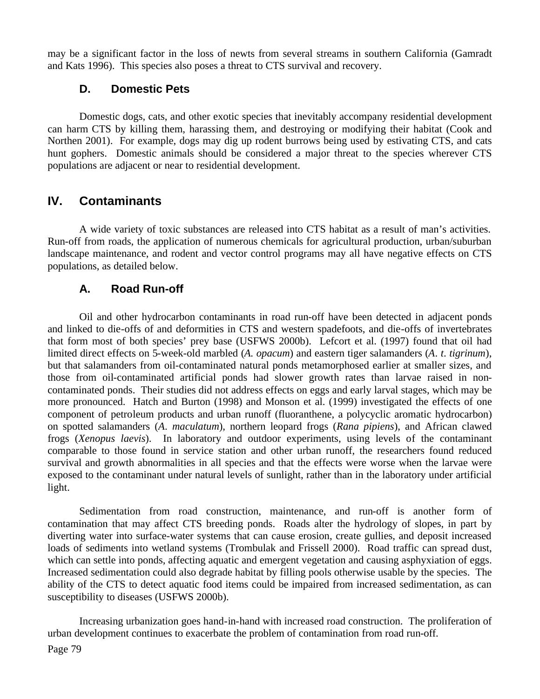may be a significant factor in the loss of newts from several streams in southern California (Gamradt and Kats 1996). This species also poses a threat to CTS survival and recovery.

## **D. Domestic Pets**

Domestic dogs, cats, and other exotic species that inevitably accompany residential development can harm CTS by killing them, harassing them, and destroying or modifying their habitat (Cook and Northen 2001). For example, dogs may dig up rodent burrows being used by estivating CTS, and cats hunt gophers. Domestic animals should be considered a major threat to the species wherever CTS populations are adjacent or near to residential development.

## **IV. Contaminants**

A wide variety of toxic substances are released into CTS habitat as a result of man's activities. Run-off from roads, the application of numerous chemicals for agricultural production, urban/suburban landscape maintenance, and rodent and vector control programs may all have negative effects on CTS populations, as detailed below.

## **A. Road Run-off**

Oil and other hydrocarbon contaminants in road run-off have been detected in adjacent ponds and linked to die-offs of and deformities in CTS and western spadefoots, and die-offs of invertebrates that form most of both species' prey base (USFWS 2000b). Lefcort et al. (1997) found that oil had limited direct effects on 5-week-old marbled (*A. opacum*) and eastern tiger salamanders (*A*. *t*. *tigrinum*), but that salamanders from oil-contaminated natural ponds metamorphosed earlier at smaller sizes, and those from oil-contaminated artificial ponds had slower growth rates than larvae raised in noncontaminated ponds. Their studies did not address effects on eggs and early larval stages, which may be more pronounced. Hatch and Burton (1998) and Monson et al. (1999) investigated the effects of one component of petroleum products and urban runoff (fluoranthene, a polycyclic aromatic hydrocarbon) on spotted salamanders (*A*. *maculatum*), northern leopard frogs (*Rana pipiens*), and African clawed frogs (*Xenopus laevis*). In laboratory and outdoor experiments, using levels of the contaminant comparable to those found in service station and other urban runoff, the researchers found reduced survival and growth abnormalities in all species and that the effects were worse when the larvae were exposed to the contaminant under natural levels of sunlight, rather than in the laboratory under artificial light.

Sedimentation from road construction, maintenance, and run-off is another form of contamination that may affect CTS breeding ponds. Roads alter the hydrology of slopes, in part by diverting water into surface-water systems that can cause erosion, create gullies, and deposit increased loads of sediments into wetland systems (Trombulak and Frissell 2000). Road traffic can spread dust, which can settle into ponds, affecting aquatic and emergent vegetation and causing asphyxiation of eggs. Increased sedimentation could also degrade habitat by filling pools otherwise usable by the species. The ability of the CTS to detect aquatic food items could be impaired from increased sedimentation, as can susceptibility to diseases (USFWS 2000b).

Increasing urbanization goes hand-in-hand with increased road construction. The proliferation of urban development continues to exacerbate the problem of contamination from road run-off.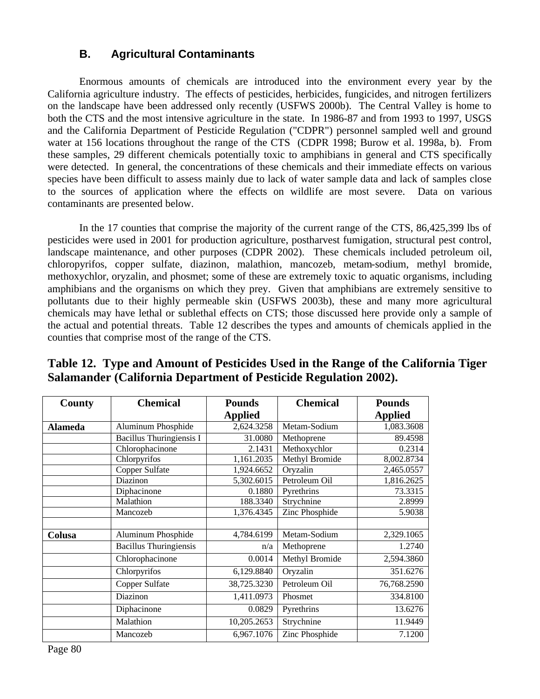## **B. Agricultural Contaminants**

Enormous amounts of chemicals are introduced into the environment every year by the California agriculture industry. The effects of pesticides, herbicides, fungicides, and nitrogen fertilizers on the landscape have been addressed only recently (USFWS 2000b). The Central Valley is home to both the CTS and the most intensive agriculture in the state. In 1986-87 and from 1993 to 1997, USGS and the California Department of Pesticide Regulation ("CDPR") personnel sampled well and ground water at 156 locations throughout the range of the CTS (CDPR 1998; Burow et al. 1998a, b). From these samples, 29 different chemicals potentially toxic to amphibians in general and CTS specifically were detected. In general, the concentrations of these chemicals and their immediate effects on various species have been difficult to assess mainly due to lack of water sample data and lack of samples close to the sources of application where the effects on wildlife are most severe. Data on various contaminants are presented below.

In the 17 counties that comprise the majority of the current range of the CTS, 86,425,399 lbs of pesticides were used in 2001 for production agriculture, postharvest fumigation, structural pest control, landscape maintenance, and other purposes (CDPR 2002). These chemicals included petroleum oil, chloropyrifos, copper sulfate, diazinon, malathion, mancozeb, metam-sodium, methyl bromide, methoxychlor, oryzalin, and phosmet; some of these are extremely toxic to aquatic organisms, including amphibians and the organisms on which they prey. Given that amphibians are extremely sensitive to pollutants due to their highly permeable skin (USFWS 2003b), these and many more agricultural chemicals may have lethal or sublethal effects on CTS; those discussed here provide only a sample of the actual and potential threats. Table 12 describes the types and amounts of chemicals applied in the counties that comprise most of the range of the CTS.

| County         | <b>Chemical</b>               | <b>Pounds</b>  | <b>Chemical</b> | <b>Pounds</b>  |
|----------------|-------------------------------|----------------|-----------------|----------------|
|                |                               | <b>Applied</b> |                 | <b>Applied</b> |
| <b>Alameda</b> | Aluminum Phosphide            | 2,624.3258     | Metam-Sodium    | 1,083.3608     |
|                | Bacillus Thuringiensis I      | 31.0080        | Methoprene      | 89.4598        |
|                | Chlorophacinone               | 2.1431         | Methoxychlor    | 0.2314         |
|                | Chlorpyrifos                  | 1,161.2035     | Methyl Bromide  | 8,002.8734     |
|                | Copper Sulfate                | 1,924.6652     | Oryzalin        | 2,465.0557     |
|                | Diazinon                      | 5,302.6015     | Petroleum Oil   | 1,816.2625     |
|                | Diphacinone                   | 0.1880         | Pyrethrins      | 73.3315        |
|                | Malathion                     | 188.3340       | Strychnine      | 2.8999         |
|                | Mancozeb                      | 1,376.4345     | Zinc Phosphide  | 5.9038         |
|                |                               |                |                 |                |
| Colusa         | Aluminum Phosphide            | 4,784.6199     | Metam-Sodium    | 2,329.1065     |
|                | <b>Bacillus Thuringiensis</b> | n/a            | Methoprene      | 1.2740         |
|                | Chlorophacinone               | 0.0014         | Methyl Bromide  | 2,594.3860     |
|                | Chlorpyrifos                  | 6,129.8840     | Oryzalin        | 351.6276       |
|                | Copper Sulfate                | 38,725.3230    | Petroleum Oil   | 76,768.2590    |
|                | Diazinon                      | 1,411.0973     | Phosmet         | 334.8100       |
|                | Diphacinone                   | 0.0829         | Pyrethrins      | 13.6276        |
|                | Malathion                     | 10,205.2653    | Strychnine      | 11.9449        |
|                | Mancozeb                      | 6,967.1076     | Zinc Phosphide  | 7.1200         |

**Table 12. Type and Amount of Pesticides Used in the Range of the California Tiger Salamander (California Department of Pesticide Regulation 2002).**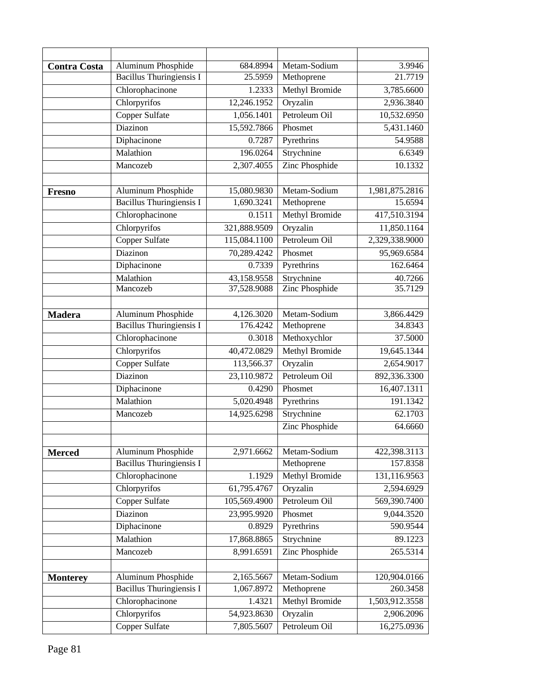| <b>Contra Costa</b> | Aluminum Phosphide                             | 684.8994             | Metam-Sodium                        | 3.9946                   |
|---------------------|------------------------------------------------|----------------------|-------------------------------------|--------------------------|
|                     | <b>Bacillus Thuringiensis I</b>                | 25.5959              | Methoprene                          | 21.7719                  |
|                     | Chlorophacinone                                | 1.2333               | Methyl Bromide                      | 3,785.6600               |
|                     | Chlorpyrifos                                   | 12,246.1952          | Oryzalin                            | 2,936.3840               |
|                     | <b>Copper Sulfate</b>                          | 1,056.1401           | Petroleum Oil                       | 10,532.6950              |
|                     | Diazinon                                       | 15,592.7866          | Phosmet                             | 5,431.1460               |
|                     | Diphacinone                                    | 0.7287               | Pyrethrins                          | 54.9588                  |
|                     | Malathion                                      | 196.0264             | Strychnine                          | 6.6349                   |
|                     | Mancozeb                                       | 2,307.4055           | Zinc Phosphide                      | 10.1332                  |
|                     |                                                |                      |                                     |                          |
| <b>Fresno</b>       | Aluminum Phosphide                             | 15,080.9830          | Metam-Sodium                        | 1,981,875.2816           |
|                     | <b>Bacillus Thuringiensis I</b>                | 1,690.3241           | Methoprene                          | 15.6594                  |
|                     | Chlorophacinone                                | 0.1511               | Methyl Bromide                      | 417,510.3194             |
|                     | Chlorpyrifos                                   | 321,888.9509         | Oryzalin                            | 11,850.1164              |
|                     | Copper Sulfate                                 | 115,084.1100         | Petroleum Oil                       | 2,329,338.9000           |
|                     | Diazinon                                       | 70,289.4242          | Phosmet                             | 95,969.6584              |
|                     | Diphacinone                                    | 0.7339               | Pyrethrins                          | 162.6464                 |
|                     | Malathion                                      | 43,158.9558          | Strychnine                          | 40.7266                  |
|                     | Mancozeb                                       | 37,528.9088          | <b>Zinc Phosphide</b>               | 35.7129                  |
|                     |                                                |                      |                                     |                          |
| <b>Madera</b>       | <b>Aluminum Phosphide</b>                      | 4,126.3020           | Metam-Sodium                        | 3,866.4429               |
|                     | <b>Bacillus Thuringiensis I</b>                | 176.4242             | Methoprene                          | 34.8343                  |
|                     | Chlorophacinone                                | 0.3018               | Methoxychlor                        | 37.5000                  |
|                     | Chlorpyrifos                                   | 40,472.0829          | <b>Methyl Bromide</b>               | 19,645.1344              |
|                     | <b>Copper Sulfate</b>                          | 113,566.37           | Oryzalin                            | 2,654.9017               |
|                     | Diazinon                                       | 23,110.9872          | Petroleum Oil                       | 892,336.3300             |
|                     | Diphacinone                                    | 0.4290               | Phosmet                             | 16,407.1311              |
|                     | Malathion                                      | 5,020.4948           | Pyrethrins                          | 191.1342                 |
|                     | Mancozeb                                       | 14,925.6298          | Strychnine                          | 62.1703                  |
|                     |                                                |                      | Zinc Phosphide                      | 64.6660                  |
|                     |                                                |                      |                                     |                          |
| <b>Merced</b>       | Aluminum Phosphide                             | 2,971.6662           | Metam-Sodium                        | 422,398.3113             |
|                     | <b>Bacillus Thuringiensis I</b>                |                      | Methoprene                          | 157.8358                 |
|                     | Chlorophacinone                                | 1.1929               | Methyl Bromide                      | 131,116.9563             |
|                     | Chlorpyrifos                                   | 61,795.4767          | Oryzalin                            | 2,594.6929               |
|                     | <b>Copper Sulfate</b>                          | 105,569.4900         | Petroleum Oil                       | 569,390.7400             |
|                     | Diazinon                                       | 23,995.9920          | Phosmet                             | 9,044.3520               |
|                     | Diphacinone                                    | 0.8929               | Pyrethrins                          | 590.9544                 |
|                     | Malathion                                      | 17,868.8865          | Strychnine                          | 89.1223                  |
|                     | Mancozeb                                       | 8,991.6591           | Zinc Phosphide                      | 265.5314                 |
|                     |                                                |                      |                                     |                          |
| <b>Monterey</b>     | Aluminum Phosphide<br>Bacillus Thuringiensis I | 2,165.5667           | Metam-Sodium                        | 120,904.0166<br>260.3458 |
|                     |                                                | 1,067.8972<br>1.4321 | Methoprene<br><b>Methyl Bromide</b> |                          |
|                     | Chlorophacinone                                |                      |                                     | 1,503,912.3558           |
|                     | Chlorpyrifos                                   | 54,923.8630          | Oryzalin                            | 2,906.2096               |
|                     | Copper Sulfate                                 | 7,805.5607           | Petroleum Oil                       | 16,275.0936              |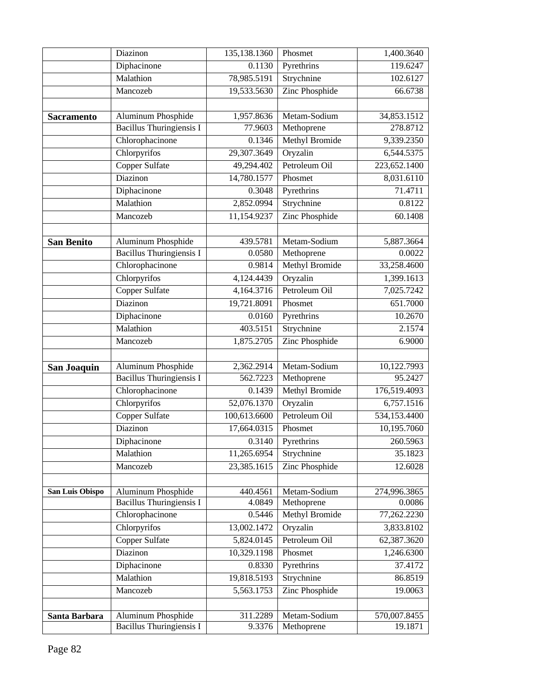|                   | Diazinon                        | 135,138.1360 | Phosmet               | 1,400.3640   |
|-------------------|---------------------------------|--------------|-----------------------|--------------|
|                   | Diphacinone                     | 0.1130       | Pyrethrins            | 119.6247     |
|                   | Malathion                       | 78,985.5191  | Strychnine            | 102.6127     |
|                   | Mancozeb                        | 19,533.5630  | Zinc Phosphide        | 66.6738      |
|                   |                                 |              |                       |              |
| <b>Sacramento</b> | Aluminum Phosphide              | 1,957.8636   | Metam-Sodium          | 34,853.1512  |
|                   | <b>Bacillus Thuringiensis I</b> | 77.9603      | Methoprene            | 278.8712     |
|                   | Chlorophacinone                 | 0.1346       | Methyl Bromide        | 9,339.2350   |
|                   | Chlorpyrifos                    | 29,307.3649  | Oryzalin              | 6,544.5375   |
|                   | <b>Copper Sulfate</b>           | 49,294.402   | Petroleum Oil         | 223,652.1400 |
|                   | Diazinon                        | 14,780.1577  | Phosmet               | 8,031.6110   |
|                   | Diphacinone                     | 0.3048       | Pyrethrins            | 71.4711      |
|                   | Malathion                       | 2,852.0994   | Strychnine            | 0.8122       |
|                   | Mancozeb                        | 11,154.9237  | Zinc Phosphide        | 60.1408      |
|                   |                                 |              |                       |              |
| <b>San Benito</b> | <b>Aluminum Phosphide</b>       | 439.5781     | Metam-Sodium          | 5,887.3664   |
|                   | <b>Bacillus Thuringiensis I</b> | 0.0580       | Methoprene            | 0.0022       |
|                   | Chlorophacinone                 | 0.9814       | <b>Methyl Bromide</b> | 33,258.4600  |
|                   | Chlorpyrifos                    | 4,124.4439   | Oryzalin              | 1,399.1613   |
|                   | <b>Copper Sulfate</b>           | 4,164.3716   | Petroleum Oil         | 7,025.7242   |
|                   | Diazinon                        | 19,721.8091  | Phosmet               | 651.7000     |
|                   | Diphacinone                     | 0.0160       | Pyrethrins            | 10.2670      |
|                   | Malathion                       | 403.5151     | Strychnine            | 2.1574       |
|                   | Mancozeb                        | 1,875.2705   | Zinc Phosphide        | 6.9000       |
|                   |                                 |              |                       |              |
| San Joaquin       | <b>Aluminum Phosphide</b>       | 2,362.2914   | Metam-Sodium          | 10,122.7993  |
|                   | <b>Bacillus Thuringiensis I</b> | 562.7223     | Methoprene            | 95.2427      |
|                   | Chlorophacinone                 | 0.1439       | <b>Methyl Bromide</b> | 176,519.4093 |
|                   | Chlorpyrifos                    | 52,076.1370  | Oryzalin              | 6,757.1516   |
|                   | <b>Copper Sulfate</b>           | 100,613.6600 | Petroleum Oil         | 534,153.4400 |
|                   | Diazinon                        | 17,664.0315  | Phosmet               | 10,195.7060  |
|                   | Diphacinone                     | 0.3140       | Pyrethrins            | 260.5963     |
|                   | Malathion                       | 11,265.6954  | Strychnine            | 35.1823      |
|                   | Mancozeb                        | 23,385.1615  | Zinc Phosphide        | 12.6028      |
|                   |                                 |              |                       |              |
| San Luis Obispo   | Aluminum Phosphide              | 440.4561     | Metam-Sodium          | 274,996.3865 |
|                   | Bacillus Thuringiensis I        | 4.0849       | Methoprene            | 0.0086       |
|                   | Chlorophacinone                 | 0.5446       | <b>Methyl Bromide</b> | 77,262.2230  |
|                   | Chlorpyrifos                    | 13,002.1472  | Oryzalin              | 3,833.8102   |
|                   | Copper Sulfate                  | 5,824.0145   | Petroleum Oil         | 62,387.3620  |
|                   | Diazinon                        | 10,329.1198  | Phosmet               | 1,246.6300   |
|                   | Diphacinone                     | 0.8330       | Pyrethrins            | 37.4172      |
|                   | Malathion                       | 19,818.5193  | Strychnine            | 86.8519      |
|                   | Mancozeb                        | 5,563.1753   | Zinc Phosphide        | 19.0063      |
|                   |                                 |              |                       |              |
| Santa Barbara     | Aluminum Phosphide              | 311.2289     | Metam-Sodium          | 570,007.8455 |
|                   | <b>Bacillus Thuringiensis I</b> | 9.3376       | Methoprene            | 19.1871      |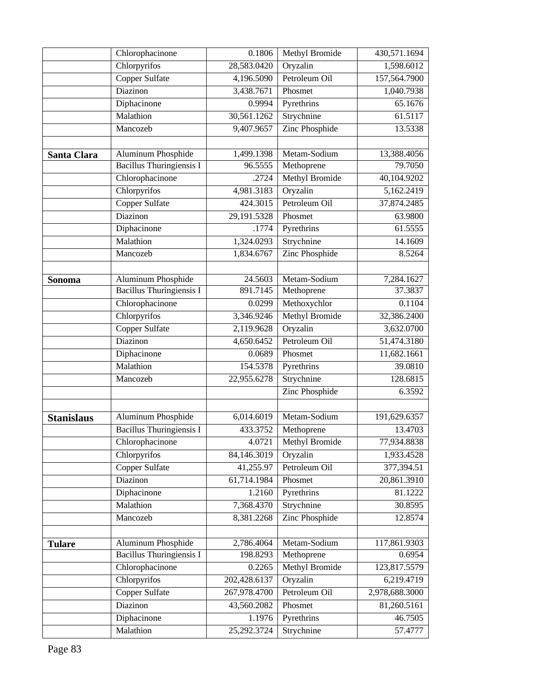|                   | Chlorophacinone                 | 0.1806       | Methyl Bromide        | 430,571.1694             |
|-------------------|---------------------------------|--------------|-----------------------|--------------------------|
|                   | Chlorpyrifos                    | 28,583.0420  | Oryzalin              | 1,598.6012               |
|                   | <b>Copper Sulfate</b>           | 4,196.5090   | Petroleum Oil         | 157,564.7900             |
|                   | Diazinon                        | 3,438.7671   | Phosmet               | 1,040.7938               |
|                   | Diphacinone                     | 0.9994       | Pyrethrins            | 65.1676                  |
|                   | Malathion                       | 30,561.1262  | Strychnine            | 61.5117                  |
|                   | Mancozeb                        | 9,407.9657   | Zinc Phosphide        | 13.5338                  |
|                   |                                 |              |                       |                          |
| Santa Clara       | Aluminum Phosphide              | 1,499.1398   | Metam-Sodium          | 13,388.4056              |
|                   | Bacillus Thuringiensis I        | 96.5555      | Methoprene            | 79.7050                  |
|                   | Chlorophacinone                 | .2724        | <b>Methyl Bromide</b> | 40,104.9202              |
|                   | Chlorpyrifos                    | 4,981.3183   | Oryzalin              | 5,162.2419               |
|                   | <b>Copper Sulfate</b>           | 424.3015     | Petroleum Oil         | 37,874.2485              |
|                   | Diazinon                        | 29,191.5328  | Phosmet               | 63.9800                  |
|                   | Diphacinone                     | .1774        | Pyrethrins            | 61.5555                  |
|                   | Malathion                       | 1,324.0293   | Strychnine            | 14.1609                  |
|                   | Mancozeb                        | 1,834.6767   | Zinc Phosphide        | 8.5264                   |
|                   |                                 |              |                       |                          |
| Sonoma            | <b>Aluminum Phosphide</b>       | 24.5603      | Metam-Sodium          | 7,284.1627               |
|                   | Bacillus Thuringiensis I        | 891.7145     | Methoprene            | 37.3837                  |
|                   | Chlorophacinone                 | 0.0299       | Methoxychlor          | 0.1104                   |
|                   | Chlorpyrifos                    | 3,346.9246   | <b>Methyl Bromide</b> | 32,386.2400              |
|                   | <b>Copper Sulfate</b>           | 2,119.9628   | Oryzalin              | 3,632.0700               |
|                   | Diazinon                        | 4,650.6452   | Petroleum Oil         | $\overline{51,474.3180}$ |
|                   | Diphacinone                     | 0.0689       | Phosmet               | 11,682.1661              |
|                   | Malathion                       | 154.5378     | Pyrethrins            | 39.0810                  |
|                   | Mancozeb                        | 22,955.6278  | Strychnine            | 128.6815                 |
|                   |                                 |              | Zinc Phosphide        | 6.3592                   |
|                   |                                 |              |                       |                          |
| <b>Stanislaus</b> | <b>Aluminum Phosphide</b>       | 6,014.6019   | Metam-Sodium          | 191,629.6357             |
|                   | Bacillus Thuringiensis I        | 433.3752     | Methoprene            | 13.4703                  |
|                   | Chlorophacinone                 |              | 4.0721 Methyl Bromide | 77,934.8838              |
|                   | Chlorpyrifos                    | 84,146.3019  | Oryzalin              | 1,933.4528               |
|                   | Copper Sulfate                  | 41,255.97    | Petroleum Oil         | 377,394.51               |
|                   | Diazinon                        | 61,714.1984  | Phosmet               | 20,861.3910              |
|                   | Diphacinone                     | 1.2160       | Pyrethrins            | 81.1222                  |
|                   | Malathion                       | 7,368.4370   | Strychnine            | 30.8595                  |
|                   | Mancozeb                        | 8,381.2268   | Zinc Phosphide        | 12.8574                  |
|                   |                                 |              |                       |                          |
| <b>Tulare</b>     | Aluminum Phosphide              | 2,786.4064   | Metam-Sodium          | 117,861.9303             |
|                   | <b>Bacillus Thuringiensis I</b> | 198.8293     | Methoprene            | 0.6954                   |
|                   | Chlorophacinone                 | 0.2265       | Methyl Bromide        | 123,817.5579             |
|                   | Chlorpyrifos                    | 202,428.6137 | Oryzalin              | 6,219.4719               |
|                   | Copper Sulfate                  | 267,978.4700 | Petroleum Oil         | 2,978,688.3000           |
|                   | Diazinon                        | 43,560.2082  | Phosmet               | $\overline{81,}260.5161$ |
|                   | Diphacinone                     | 1.1976       | Pyrethrins            | 46.7505                  |
|                   | Malathion                       | 25,292.3724  | Strychnine            | 57.4777                  |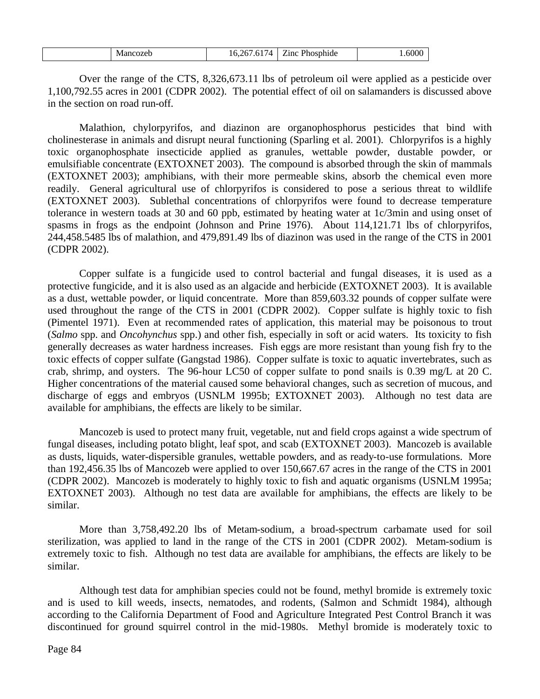| cozeb<br>M<br>чnс. | 'n<br>$\mathsf{r}$<br>$\sqrt{4}$<br>U. | $\sim$<br>Phosphide<br>.1nc | .600C |
|--------------------|----------------------------------------|-----------------------------|-------|
|--------------------|----------------------------------------|-----------------------------|-------|

Over the range of the CTS, 8,326,673.11 lbs of petroleum oil were applied as a pesticide over 1,100,792.55 acres in 2001 (CDPR 2002). The potential effect of oil on salamanders is discussed above in the section on road run-off.

Malathion, chylorpyrifos, and diazinon are organophosphorus pesticides that bind with cholinesterase in animals and disrupt neural functioning (Sparling et al. 2001). Chlorpyrifos is a highly toxic organophosphate insecticide applied as granules, wettable powder, dustable powder, or emulsifiable concentrate (EXTOXNET 2003).The compound is absorbed through the skin of mammals (EXTOXNET 2003); amphibians, with their more permeable skins, absorb the chemical even more readily. General agricultural use of chlorpyrifos is considered to pose a serious threat to wildlife (EXTOXNET 2003). Sublethal concentrations of chlorpyrifos were found to decrease temperature tolerance in western toads at 30 and 60 ppb, estimated by heating water at 1c/3min and using onset of spasms in frogs as the endpoint (Johnson and Prine 1976). About 114,121.71 lbs of chlorpyrifos, 244,458.5485 lbs of malathion, and 479,891.49 lbs of diazinon was used in the range of the CTS in 2001 (CDPR 2002).

Copper sulfate is a fungicide used to control bacterial and fungal diseases, it is used as a protective fungicide, and it is also used as an algacide and herbicide (EXTOXNET 2003). It is available as a dust, wettable powder, or liquid concentrate. More than 859,603.32 pounds of copper sulfate were used throughout the range of the CTS in 2001 (CDPR 2002). Copper sulfate is highly toxic to fish (Pimentel 1971). Even at recommended rates of application, this material may be poisonous to trout (*Salmo* spp. and *Oncohynchus* spp.) and other fish, especially in soft or acid waters. Its toxicity to fish generally decreases as water hardness increases. Fish eggs are more resistant than young fish fry to the toxic effects of copper sulfate (Gangstad 1986). Copper sulfate is toxic to aquatic invertebrates, such as crab, shrimp, and oysters. The 96-hour LC50 of copper sulfate to pond snails is 0.39 mg/L at 20 C. Higher concentrations of the material caused some behavioral changes, such as secretion of mucous, and discharge of eggs and embryos (USNLM 1995b; EXTOXNET 2003).Although no test data are available for amphibians, the effects are likely to be similar.

Mancozeb is used to protect many fruit, vegetable, nut and field crops against a wide spectrum of fungal diseases, including potato blight, leaf spot, and scab (EXTOXNET 2003). Mancozeb is available as dusts, liquids, water-dispersible granules, wettable powders, and as ready-to-use formulations. More than 192,456.35 lbs of Mancozeb were applied to over 150,667.67 acres in the range of the CTS in 2001 (CDPR 2002). Mancozeb is moderately to highly toxic to fish and aquatic organisms (USNLM 1995a; EXTOXNET 2003). Although no test data are available for amphibians, the effects are likely to be similar.

More than 3,758,492.20 lbs of Metam-sodium, a broad-spectrum carbamate used for soil sterilization, was applied to land in the range of the CTS in 2001 (CDPR 2002). Metam-sodium is extremely toxic to fish. Although no test data are available for amphibians, the effects are likely to be similar.

Although test data for amphibian species could not be found, methyl bromide is extremely toxic and is used to kill weeds, insects, nematodes, and rodents, (Salmon and Schmidt 1984), although according to the California Department of Food and Agriculture Integrated Pest Control Branch it was discontinued for ground squirrel control in the mid-1980s. Methyl bromide is moderately toxic to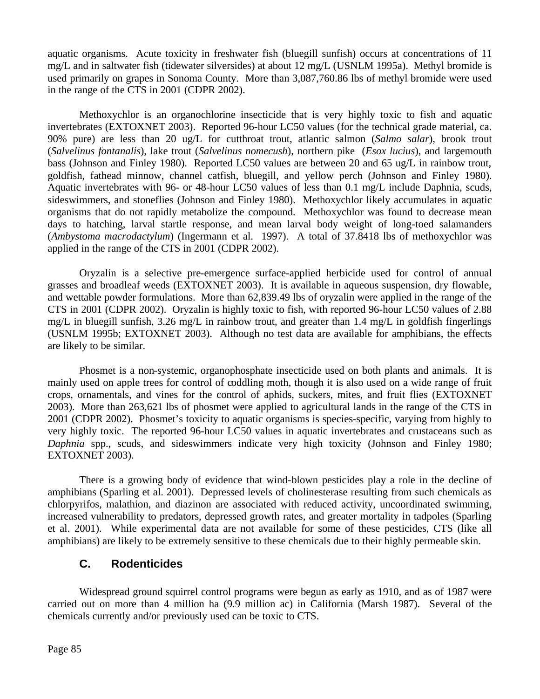aquatic organisms. Acute toxicity in freshwater fish (bluegill sunfish) occurs at concentrations of 11 mg/L and in saltwater fish (tidewater silversides) at about 12 mg/L (USNLM 1995a). Methyl bromide is used primarily on grapes in Sonoma County.More than 3,087,760.86 lbs of methyl bromide were used in the range of the CTS in 2001 (CDPR 2002).

Methoxychlor is an organochlorine insecticide that is very highly toxic to fish and aquatic invertebrates (EXTOXNET 2003). Reported 96-hour LC50 values (for the technical grade material, ca. 90% pure) are less than 20 ug/L for cutthroat trout, atlantic salmon (*Salmo salar*), brook trout (*Salvelinus fontanalis*), lake trout (*Salvelinus nomecush*), northern pike (*Esox lucius*), and largemouth bass (Johnson and Finley 1980). Reported LC50 values are between 20 and 65 ug/L in rainbow trout, goldfish, fathead minnow, channel catfish, bluegill, and yellow perch (Johnson and Finley 1980). Aquatic invertebrates with 96- or 48-hour LC50 values of less than 0.1 mg/L include Daphnia, scuds, sideswimmers, and stoneflies (Johnson and Finley 1980). Methoxychlor likely accumulates in aquatic organisms that do not rapidly metabolize the compound. Methoxychlor was found to decrease mean days to hatching, larval startle response, and mean larval body weight of long-toed salamanders (*Ambystoma macrodactylum*) (Ingermann et al. 1997). A total of 37.8418 lbs of methoxychlor was applied in the range of the CTS in 2001 (CDPR 2002).

Oryzalin is a selective pre-emergence surface-applied herbicide used for control of annual grasses and broadleaf weeds (EXTOXNET 2003). It is available in aqueous suspension, dry flowable, and wettable powder formulations. More than 62,839.49 lbs of oryzalin were applied in the range of the CTS in 2001 (CDPR 2002). Oryzalin is highly toxic to fish, with reported 96-hour LC50 values of 2.88 mg/L in bluegill sunfish, 3.26 mg/L in rainbow trout, and greater than 1.4 mg/L in goldfish fingerlings (USNLM 1995b; EXTOXNET 2003). Although no test data are available for amphibians, the effects are likely to be similar.

Phosmet is a non-systemic, organophosphate insecticide used on both plants and animals. It is mainly used on apple trees for control of coddling moth, though it is also used on a wide range of fruit crops, ornamentals, and vines for the control of aphids, suckers, mites, and fruit flies (EXTOXNET 2003). More than 263,621 lbs of phosmet were applied to agricultural lands in the range of the CTS in 2001 (CDPR 2002). Phosmet's toxicity to aquatic organisms is species-specific, varying from highly to very highly toxic. The reported 96-hour LC50 values in aquatic invertebrates and crustaceans such as *Daphnia* spp., scuds, and sideswimmers indicate very high toxicity (Johnson and Finley 1980; EXTOXNET 2003).

There is a growing body of evidence that wind-blown pesticides play a role in the decline of amphibians (Sparling et al. 2001). Depressed levels of cholinesterase resulting from such chemicals as chlorpyrifos, malathion, and diazinon are associated with reduced activity, uncoordinated swimming, increased vulnerability to predators, depressed growth rates, and greater mortality in tadpoles (Sparling et al. 2001). While experimental data are not available for some of these pesticides, CTS (like all amphibians) are likely to be extremely sensitive to these chemicals due to their highly permeable skin.

## **C. Rodenticides**

Widespread ground squirrel control programs were begun as early as 1910, and as of 1987 were carried out on more than 4 million ha (9.9 million ac) in California (Marsh 1987). Several of the chemicals currently and/or previously used can be toxic to CTS.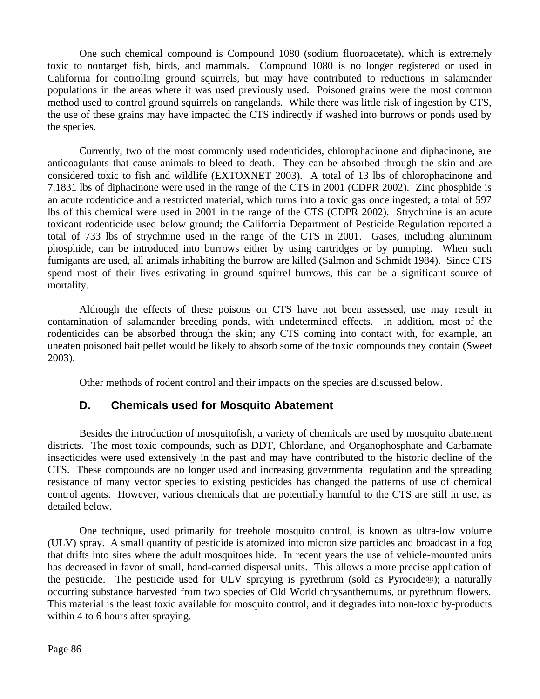One such chemical compound is Compound 1080 (sodium fluoroacetate), which is extremely toxic to nontarget fish, birds, and mammals. Compound 1080 is no longer registered or used in California for controlling ground squirrels, but may have contributed to reductions in salamander populations in the areas where it was used previously used. Poisoned grains were the most common method used to control ground squirrels on rangelands. While there was little risk of ingestion by CTS, the use of these grains may have impacted the CTS indirectly if washed into burrows or ponds used by the species.

Currently, two of the most commonly used rodenticides, chlorophacinone and diphacinone, are anticoagulants that cause animals to bleed to death. They can be absorbed through the skin and are considered toxic to fish and wildlife (EXTOXNET 2003). A total of 13 lbs of chlorophacinone and 7.1831 lbs of diphacinone were used in the range of the CTS in 2001 (CDPR 2002). Zinc phosphide is an acute rodenticide and a restricted material, which turns into a toxic gas once ingested; a total of 597 lbs of this chemical were used in 2001 in the range of the CTS (CDPR 2002). Strychnine is an acute toxicant rodenticide used below ground; the California Department of Pesticide Regulation reported a total of 733 lbs of strychnine used in the range of the CTS in 2001. Gases, including aluminum phosphide, can be introduced into burrows either by using cartridges or by pumping. When such fumigants are used, all animals inhabiting the burrow are killed (Salmon and Schmidt 1984). Since CTS spend most of their lives estivating in ground squirrel burrows, this can be a significant source of mortality.

Although the effects of these poisons on CTS have not been assessed, use may result in contamination of salamander breeding ponds, with undetermined effects. In addition, most of the rodenticides can be absorbed through the skin; any CTS coming into contact with, for example, an uneaten poisoned bait pellet would be likely to absorb some of the toxic compounds they contain (Sweet 2003).

Other methods of rodent control and their impacts on the species are discussed below.

## **D. Chemicals used for Mosquito Abatement**

Besides the introduction of mosquitofish, a variety of chemicals are used by mosquito abatement districts. The most toxic compounds, such as DDT, Chlordane, and Organophosphate and Carbamate insecticides were used extensively in the past and may have contributed to the historic decline of the CTS. These compounds are no longer used and increasing governmental regulation and the spreading resistance of many vector species to existing pesticides has changed the patterns of use of chemical control agents. However, various chemicals that are potentially harmful to the CTS are still in use, as detailed below.

One technique, used primarily for treehole mosquito control, is known as ultra-low volume (ULV) spray. A small quantity of pesticide is atomized into micron size particles and broadcast in a fog that drifts into sites where the adult mosquitoes hide. In recent years the use of vehicle-mounted units has decreased in favor of small, hand-carried dispersal units. This allows a more precise application of the pesticide. The pesticide used for ULV spraying is pyrethrum (sold as Pyrocide®); a naturally occurring substance harvested from two species of Old World chrysanthemums, or pyrethrum flowers. This material is the least toxic available for mosquito control, and it degrades into non-toxic by-products within 4 to 6 hours after spraying.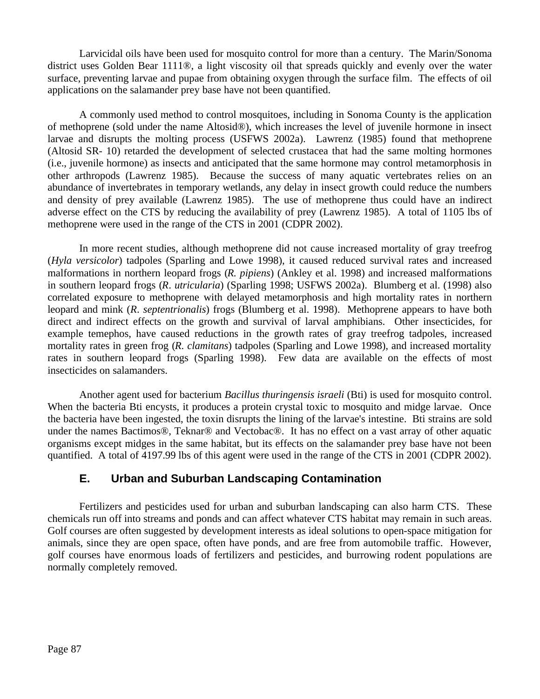Larvicidal oils have been used for mosquito control for more than a century. The Marin/Sonoma district uses Golden Bear 1111®, a light viscosity oil that spreads quickly and evenly over the water surface, preventing larvae and pupae from obtaining oxygen through the surface film. The effects of oil applications on the salamander prey base have not been quantified.

A commonly used method to control mosquitoes, including in Sonoma County is the application of methoprene (sold under the name Altosid®), which increases the level of juvenile hormone in insect larvae and disrupts the molting process (USFWS 2002a). Lawrenz (1985) found that methoprene (Altosid SR- 10) retarded the development of selected crustacea that had the same molting hormones (i.e., juvenile hormone) as insects and anticipated that the same hormone may control metamorphosis in other arthropods (Lawrenz 1985). Because the success of many aquatic vertebrates relies on an abundance of invertebrates in temporary wetlands, any delay in insect growth could reduce the numbers and density of prey available (Lawrenz 1985). The use of methoprene thus could have an indirect adverse effect on the CTS by reducing the availability of prey (Lawrenz 1985). A total of 1105 lbs of methoprene were used in the range of the CTS in 2001 (CDPR 2002).

In more recent studies, although methoprene did not cause increased mortality of gray treefrog (*Hyla versicolor*) tadpoles (Sparling and Lowe 1998), it caused reduced survival rates and increased malformations in northern leopard frogs (*R. pipiens*) (Ankley et al. 1998) and increased malformations in southern leopard frogs (*R*. *utricularia*) (Sparling 1998; USFWS 2002a). Blumberg et al. (1998) also correlated exposure to methoprene with delayed metamorphosis and high mortality rates in northern leopard and mink (*R*. *septentrionalis*) frogs (Blumberg et al. 1998). Methoprene appears to have both direct and indirect effects on the growth and survival of larval amphibians. Other insecticides, for example temephos, have caused reductions in the growth rates of gray treefrog tadpoles, increased mortality rates in green frog (*R*. *clamitans*) tadpoles (Sparling and Lowe 1998), and increased mortality rates in southern leopard frogs (Sparling 1998). Few data are available on the effects of most insecticides on salamanders.

Another agent used for bacterium *Bacillus thuringensis israeli* (Bti) is used for mosquito control. When the bacteria Bti encysts, it produces a protein crystal toxic to mosquito and midge larvae. Once the bacteria have been ingested, the toxin disrupts the lining of the larvae's intestine. Bti strains are sold under the names Bactimos®, Teknar® and Vectobac®. It has no effect on a vast array of other aquatic organisms except midges in the same habitat, but its effects on the salamander prey base have not been quantified. A total of 4197.99 lbs of this agent were used in the range of the CTS in 2001 (CDPR 2002).

## **E. Urban and Suburban Landscaping Contamination**

Fertilizers and pesticides used for urban and suburban landscaping can also harm CTS. These chemicals run off into streams and ponds and can affect whatever CTS habitat may remain in such areas. Golf courses are often suggested by development interests as ideal solutions to open-space mitigation for animals, since they are open space, often have ponds, and are free from automobile traffic. However, golf courses have enormous loads of fertilizers and pesticides, and burrowing rodent populations are normally completely removed.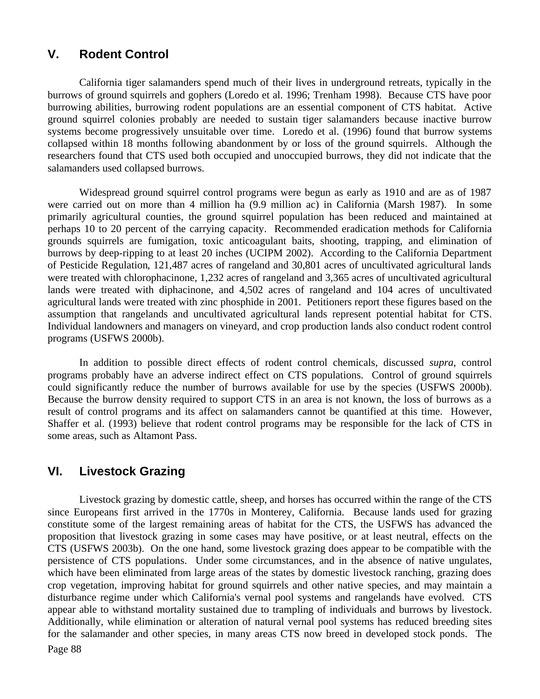## **V. Rodent Control**

California tiger salamanders spend much of their lives in underground retreats, typically in the burrows of ground squirrels and gophers (Loredo et al. 1996; Trenham 1998). Because CTS have poor burrowing abilities, burrowing rodent populations are an essential component of CTS habitat. Active ground squirrel colonies probably are needed to sustain tiger salamanders because inactive burrow systems become progressively unsuitable over time. Loredo et al. (1996) found that burrow systems collapsed within 18 months following abandonment by or loss of the ground squirrels. Although the researchers found that CTS used both occupied and unoccupied burrows, they did not indicate that the salamanders used collapsed burrows.

Widespread ground squirrel control programs were begun as early as 1910 and are as of 1987 were carried out on more than 4 million ha (9.9 million ac) in California (Marsh 1987). In some primarily agricultural counties, the ground squirrel population has been reduced and maintained at perhaps 10 to 20 percent of the carrying capacity. Recommended eradication methods for California grounds squirrels are fumigation, toxic anticoagulant baits, shooting, trapping, and elimination of burrows by deep-ripping to at least 20 inches (UCIPM 2002). According to the California Department of Pesticide Regulation, 121,487 acres of rangeland and 30,801 acres of uncultivated agricultural lands were treated with chlorophacinone, 1,232 acres of rangeland and 3,365 acres of uncultivated agricultural lands were treated with diphacinone, and 4,502 acres of rangeland and 104 acres of uncultivated agricultural lands were treated with zinc phosphide in 2001. Petitioners report these figures based on the assumption that rangelands and uncultivated agricultural lands represent potential habitat for CTS. Individual landowners and managers on vineyard, and crop production lands also conduct rodent control programs (USFWS 2000b).

In addition to possible direct effects of rodent control chemicals, discussed *supra*, control programs probably have an adverse indirect effect on CTS populations. Control of ground squirrels could significantly reduce the number of burrows available for use by the species (USFWS 2000b). Because the burrow density required to support CTS in an area is not known, the loss of burrows as a result of control programs and its affect on salamanders cannot be quantified at this time. However, Shaffer et al. (1993) believe that rodent control programs may be responsible for the lack of CTS in some areas, such as Altamont Pass.

## **VI. Livestock Grazing**

Page 88 Livestock grazing by domestic cattle, sheep, and horses has occurred within the range of the CTS since Europeans first arrived in the 1770s in Monterey, California. Because lands used for grazing constitute some of the largest remaining areas of habitat for the CTS, the USFWS has advanced the proposition that livestock grazing in some cases may have positive, or at least neutral, effects on the CTS (USFWS 2003b). On the one hand, some livestock grazing does appear to be compatible with the persistence of CTS populations. Under some circumstances, and in the absence of native ungulates, which have been eliminated from large areas of the states by domestic livestock ranching, grazing does crop vegetation, improving habitat for ground squirrels and other native species, and may maintain a disturbance regime under which California's vernal pool systems and rangelands have evolved. CTS appear able to withstand mortality sustained due to trampling of individuals and burrows by livestock. Additionally, while elimination or alteration of natural vernal pool systems has reduced breeding sites for the salamander and other species, in many areas CTS now breed in developed stock ponds. The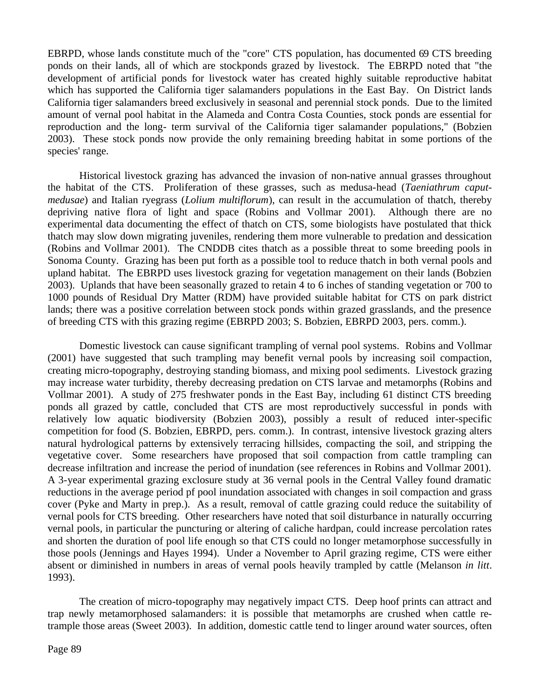EBRPD, whose lands constitute much of the "core" CTS population, has documented 69 CTS breeding ponds on their lands, all of which are stockponds grazed by livestock. The EBRPD noted that "the development of artificial ponds for livestock water has created highly suitable reproductive habitat which has supported the California tiger salamanders populations in the East Bay. On District lands California tiger salamanders breed exclusively in seasonal and perennial stock ponds. Due to the limited amount of vernal pool habitat in the Alameda and Contra Costa Counties, stock ponds are essential for reproduction and the long- term survival of the California tiger salamander populations," (Bobzien 2003). These stock ponds now provide the only remaining breeding habitat in some portions of the species' range.

Historical livestock grazing has advanced the invasion of non-native annual grasses throughout the habitat of the CTS. Proliferation of these grasses, such as medusa-head (*Taeniathrum caputmedusae*) and Italian ryegrass (*Lolium multiflorum*), can result in the accumulation of thatch, thereby depriving native flora of light and space (Robins and Vollmar 2001). Although there are no experimental data documenting the effect of thatch on CTS, some biologists have postulated that thick thatch may slow down migrating juveniles, rendering them more vulnerable to predation and dessication (Robins and Vollmar 2001). The CNDDB cites thatch as a possible threat to some breeding pools in Sonoma County. Grazing has been put forth as a possible tool to reduce thatch in both vernal pools and upland habitat. The EBRPD uses livestock grazing for vegetation management on their lands (Bobzien 2003). Uplands that have been seasonally grazed to retain 4 to 6 inches of standing vegetation or 700 to 1000 pounds of Residual Dry Matter (RDM) have provided suitable habitat for CTS on park district lands; there was a positive correlation between stock ponds within grazed grasslands, and the presence of breeding CTS with this grazing regime (EBRPD 2003; S. Bobzien, EBRPD 2003, pers. comm.).

Domestic livestock can cause significant trampling of vernal pool systems. Robins and Vollmar (2001) have suggested that such trampling may benefit vernal pools by increasing soil compaction, creating micro-topography, destroying standing biomass, and mixing pool sediments. Livestock grazing may increase water turbidity, thereby decreasing predation on CTS larvae and metamorphs (Robins and Vollmar 2001). A study of 275 freshwater ponds in the East Bay, including 61 distinct CTS breeding ponds all grazed by cattle, concluded that CTS are most reproductively successful in ponds with relatively low aquatic biodiversity (Bobzien 2003), possibly a result of reduced inter-specific competition for food (S. Bobzien, EBRPD, pers. comm.). In contrast, intensive livestock grazing alters natural hydrological patterns by extensively terracing hillsides, compacting the soil, and stripping the vegetative cover. Some researchers have proposed that soil compaction from cattle trampling can decrease infiltration and increase the period of inundation (see references in Robins and Vollmar 2001). A 3-year experimental grazing exclosure study at 36 vernal pools in the Central Valley found dramatic reductions in the average period pf pool inundation associated with changes in soil compaction and grass cover (Pyke and Marty in prep.). As a result, removal of cattle grazing could reduce the suitability of vernal pools for CTS breeding. Other researchers have noted that soil disturbance in naturally occurring vernal pools, in particular the puncturing or altering of caliche hardpan, could increase percolation rates and shorten the duration of pool life enough so that CTS could no longer metamorphose successfully in those pools (Jennings and Hayes 1994). Under a November to April grazing regime, CTS were either absent or diminished in numbers in areas of vernal pools heavily trampled by cattle (Melanson *in litt*. 1993).

The creation of micro-topography may negatively impact CTS. Deep hoof prints can attract and trap newly metamorphosed salamanders: it is possible that metamorphs are crushed when cattle retrample those areas (Sweet 2003). In addition, domestic cattle tend to linger around water sources, often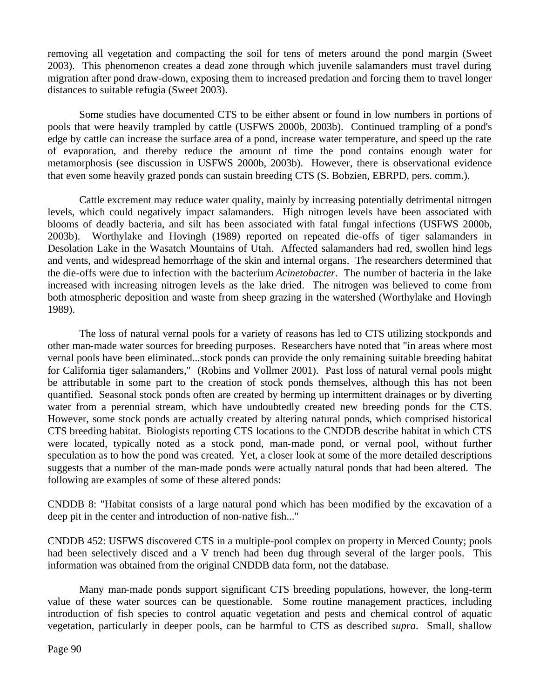removing all vegetation and compacting the soil for tens of meters around the pond margin (Sweet 2003). This phenomenon creates a dead zone through which juvenile salamanders must travel during migration after pond draw-down, exposing them to increased predation and forcing them to travel longer distances to suitable refugia (Sweet 2003).

Some studies have documented CTS to be either absent or found in low numbers in portions of pools that were heavily trampled by cattle (USFWS 2000b, 2003b). Continued trampling of a pond's edge by cattle can increase the surface area of a pond, increase water temperature, and speed up the rate of evaporation, and thereby reduce the amount of time the pond contains enough water for metamorphosis (see discussion in USFWS 2000b, 2003b). However, there is observational evidence that even some heavily grazed ponds can sustain breeding CTS (S. Bobzien, EBRPD, pers. comm.).

Cattle excrement may reduce water quality, mainly by increasing potentially detrimental nitrogen levels, which could negatively impact salamanders. High nitrogen levels have been associated with blooms of deadly bacteria, and silt has been associated with fatal fungal infections (USFWS 2000b, 2003b). Worthylake and Hovingh (1989) reported on repeated die-offs of tiger salamanders in Desolation Lake in the Wasatch Mountains of Utah. Affected salamanders had red, swollen hind legs and vents, and widespread hemorrhage of the skin and internal organs. The researchers determined that the die-offs were due to infection with the bacterium *Acinetobacter*. The number of bacteria in the lake increased with increasing nitrogen levels as the lake dried. The nitrogen was believed to come from both atmospheric deposition and waste from sheep grazing in the watershed (Worthylake and Hovingh 1989).

The loss of natural vernal pools for a variety of reasons has led to CTS utilizing stockponds and other man-made water sources for breeding purposes. Researchers have noted that "in areas where most vernal pools have been eliminated...stock ponds can provide the only remaining suitable breeding habitat for California tiger salamanders," (Robins and Vollmer 2001). Past loss of natural vernal pools might be attributable in some part to the creation of stock ponds themselves, although this has not been quantified. Seasonal stock ponds often are created by berming up intermittent drainages or by diverting water from a perennial stream, which have undoubtedly created new breeding ponds for the CTS. However, some stock ponds are actually created by altering natural ponds, which comprised historical CTS breeding habitat. Biologists reporting CTS locations to the CNDDB describe habitat in which CTS were located, typically noted as a stock pond, man-made pond, or vernal pool, without further speculation as to how the pond was created. Yet, a closer look at some of the more detailed descriptions suggests that a number of the man-made ponds were actually natural ponds that had been altered. The following are examples of some of these altered ponds:

CNDDB 8: "Habitat consists of a large natural pond which has been modified by the excavation of a deep pit in the center and introduction of non-native fish..."

CNDDB 452: USFWS discovered CTS in a multiple-pool complex on property in Merced County; pools had been selectively disced and a V trench had been dug through several of the larger pools. This information was obtained from the original CNDDB data form, not the database.

Many man-made ponds support significant CTS breeding populations, however, the long-term value of these water sources can be questionable. Some routine management practices, including introduction of fish species to control aquatic vegetation and pests and chemical control of aquatic vegetation, particularly in deeper pools, can be harmful to CTS as described *supra*. Small, shallow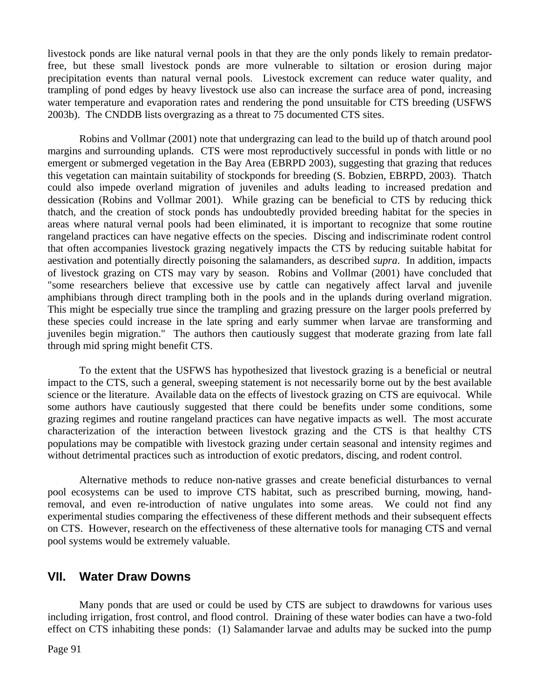livestock ponds are like natural vernal pools in that they are the only ponds likely to remain predatorfree, but these small livestock ponds are more vulnerable to siltation or erosion during major precipitation events than natural vernal pools. Livestock excrement can reduce water quality, and trampling of pond edges by heavy livestock use also can increase the surface area of pond, increasing water temperature and evaporation rates and rendering the pond unsuitable for CTS breeding (USFWS 2003b). The CNDDB lists overgrazing as a threat to 75 documented CTS sites.

Robins and Vollmar (2001) note that undergrazing can lead to the build up of thatch around pool margins and surrounding uplands. CTS were most reproductively successful in ponds with little or no emergent or submerged vegetation in the Bay Area (EBRPD 2003), suggesting that grazing that reduces this vegetation can maintain suitability of stockponds for breeding (S. Bobzien, EBRPD, 2003). Thatch could also impede overland migration of juveniles and adults leading to increased predation and dessication (Robins and Vollmar 2001). While grazing can be beneficial to CTS by reducing thick thatch, and the creation of stock ponds has undoubtedly provided breeding habitat for the species in areas where natural vernal pools had been eliminated, it is important to recognize that some routine rangeland practices can have negative effects on the species. Discing and indiscriminate rodent control that often accompanies livestock grazing negatively impacts the CTS by reducing suitable habitat for aestivation and potentially directly poisoning the salamanders, as described *supra*. In addition, impacts of livestock grazing on CTS may vary by season. Robins and Vollmar (2001) have concluded that "some researchers believe that excessive use by cattle can negatively affect larval and juvenile amphibians through direct trampling both in the pools and in the uplands during overland migration. This might be especially true since the trampling and grazing pressure on the larger pools preferred by these species could increase in the late spring and early summer when larvae are transforming and juveniles begin migration." The authors then cautiously suggest that moderate grazing from late fall through mid spring might benefit CTS.

To the extent that the USFWS has hypothesized that livestock grazing is a beneficial or neutral impact to the CTS, such a general, sweeping statement is not necessarily borne out by the best available science or the literature. Available data on the effects of livestock grazing on CTS are equivocal. While some authors have cautiously suggested that there could be benefits under some conditions, some grazing regimes and routine rangeland practices can have negative impacts as well. The most accurate characterization of the interaction between livestock grazing and the CTS is that healthy CTS populations may be compatible with livestock grazing under certain seasonal and intensity regimes and without detrimental practices such as introduction of exotic predators, discing, and rodent control.

Alternative methods to reduce non-native grasses and create beneficial disturbances to vernal pool ecosystems can be used to improve CTS habitat, such as prescribed burning, mowing, handremoval, and even re-introduction of native ungulates into some areas. We could not find any experimental studies comparing the effectiveness of these different methods and their subsequent effects on CTS. However, research on the effectiveness of these alternative tools for managing CTS and vernal pool systems would be extremely valuable.

#### **VII. Water Draw Downs**

Many ponds that are used or could be used by CTS are subject to drawdowns for various uses including irrigation, frost control, and flood control. Draining of these water bodies can have a two-fold effect on CTS inhabiting these ponds: (1) Salamander larvae and adults may be sucked into the pump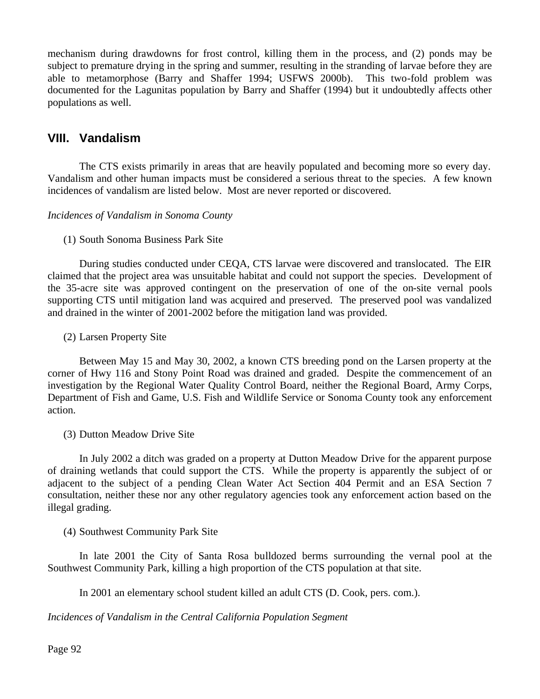mechanism during drawdowns for frost control, killing them in the process, and (2) ponds may be subject to premature drying in the spring and summer, resulting in the stranding of larvae before they are able to metamorphose (Barry and Shaffer 1994; USFWS 2000b). This two-fold problem was documented for the Lagunitas population by Barry and Shaffer (1994) but it undoubtedly affects other populations as well.

## **VIII. Vandalism**

The CTS exists primarily in areas that are heavily populated and becoming more so every day. Vandalism and other human impacts must be considered a serious threat to the species. A few known incidences of vandalism are listed below. Most are never reported or discovered.

#### *Incidences of Vandalism in Sonoma County*

#### (1) South Sonoma Business Park Site

During studies conducted under CEQA, CTS larvae were discovered and translocated. The EIR claimed that the project area was unsuitable habitat and could not support the species. Development of the 35-acre site was approved contingent on the preservation of one of the on-site vernal pools supporting CTS until mitigation land was acquired and preserved. The preserved pool was vandalized and drained in the winter of 2001-2002 before the mitigation land was provided.

#### (2) Larsen Property Site

Between May 15 and May 30, 2002, a known CTS breeding pond on the Larsen property at the corner of Hwy 116 and Stony Point Road was drained and graded. Despite the commencement of an investigation by the Regional Water Quality Control Board, neither the Regional Board, Army Corps, Department of Fish and Game, U.S. Fish and Wildlife Service or Sonoma County took any enforcement action.

(3) Dutton Meadow Drive Site

In July 2002 a ditch was graded on a property at Dutton Meadow Drive for the apparent purpose of draining wetlands that could support the CTS. While the property is apparently the subject of or adjacent to the subject of a pending Clean Water Act Section 404 Permit and an ESA Section 7 consultation, neither these nor any other regulatory agencies took any enforcement action based on the illegal grading.

#### (4) Southwest Community Park Site

In late 2001 the City of Santa Rosa bulldozed berms surrounding the vernal pool at the Southwest Community Park, killing a high proportion of the CTS population at that site.

In 2001 an elementary school student killed an adult CTS (D. Cook, pers. com.).

*Incidences of Vandalism in the Central California Population Segment*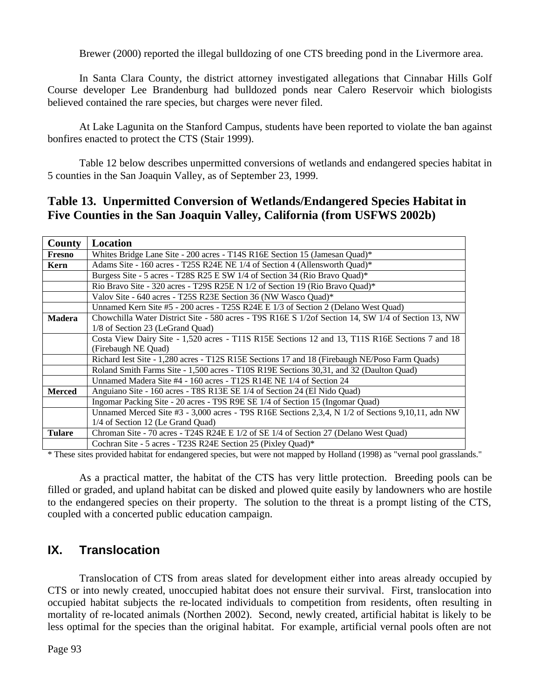Brewer (2000) reported the illegal bulldozing of one CTS breeding pond in the Livermore area.

In Santa Clara County, the district attorney investigated allegations that Cinnabar Hills Golf Course developer Lee Brandenburg had bulldozed ponds near Calero Reservoir which biologists believed contained the rare species, but charges were never filed.

At Lake Lagunita on the Stanford Campus, students have been reported to violate the ban against bonfires enacted to protect the CTS (Stair 1999).

Table 12 below describes unpermitted conversions of wetlands and endangered species habitat in 5 counties in the San Joaquin Valley, as of September 23, 1999.

## **Table 13. Unpermitted Conversion of Wetlands/Endangered Species Habitat in Five Counties in the San Joaquin Valley, California (from USFWS 2002b)**

| County        | <b>Location</b>                                                                                    |
|---------------|----------------------------------------------------------------------------------------------------|
| Fresno        | Whites Bridge Lane Site - 200 acres - T14S R16E Section 15 (Jamesan Quad)*                         |
| Kern          | Adams Site - 160 acres - T25S R24E NE 1/4 of Section 4 (Allensworth Quad)*                         |
|               | Burgess Site - 5 acres - T28S R25 E SW 1/4 of Section 34 (Rio Bravo Quad)*                         |
|               | Rio Bravo Site - 320 acres - T29S R25E N 1/2 of Section 19 (Rio Bravo Quad)*                       |
|               | Valov Site - 640 acres - T25S R23E Section 36 (NW Wasco Quad)*                                     |
|               | Unnamed Kern Site #5 - 200 acres - T25S R24E E 1/3 of Section 2 (Delano West Quad)                 |
| <b>Madera</b> | Chowchilla Water District Site - 580 acres - T9S R16E S 1/2of Section 14, SW 1/4 of Section 13, NW |
|               | 1/8 of Section 23 (LeGrand Quad)                                                                   |
|               | Costa View Dairy Site - 1,520 acres - T11S R15E Sections 12 and 13, T11S R16E Sections 7 and 18    |
|               | (Firebaugh NE Quad)                                                                                |
|               | Richard Iest Site - 1,280 acres - T12S R15E Sections 17 and 18 (Firebaugh NE/Poso Farm Quads)      |
|               | Roland Smith Farms Site - 1,500 acres - T10S R19E Sections 30,31, and 32 (Daulton Quad)            |
|               | Unnamed Madera Site $#4 - 160$ acres $- T12S$ R14E NE 1/4 of Section 24                            |
| <b>Merced</b> | Anguiano Site - 160 acres - T8S R13E SE 1/4 of Section 24 (El Nido Quad)                           |
|               | Ingomar Packing Site - 20 acres - T9S R9E SE 1/4 of Section 15 (Ingomar Quad)                      |
|               | Unnamed Merced Site #3 - 3,000 acres - T9S R16E Sections 2,3,4, N 1/2 of Sections 9,10,11, adn NW  |
|               | 1/4 of Section 12 (Le Grand Quad)                                                                  |
| <b>Tulare</b> | Chroman Site - 70 acres - T24S R24E E 1/2 of SE 1/4 of Section 27 (Delano West Quad)               |
|               | Cochran Site - 5 acres - T23S R24E Section 25 (Pixley Quad)*                                       |

\* These sites provided habitat for endangered species, but were not mapped by Holland (1998) as "vernal pool grasslands."

As a practical matter, the habitat of the CTS has very little protection. Breeding pools can be filled or graded, and upland habitat can be disked and plowed quite easily by landowners who are hostile to the endangered species on their property. The solution to the threat is a prompt listing of the CTS, coupled with a concerted public education campaign.

## **IX. Translocation**

Translocation of CTS from areas slated for development either into areas already occupied by CTS or into newly created, unoccupied habitat does not ensure their survival. First, translocation into occupied habitat subjects the re-located individuals to competition from residents, often resulting in mortality of re-located animals (Northen 2002). Second, newly created, artificial habitat is likely to be less optimal for the species than the original habitat. For example, artificial vernal pools often are not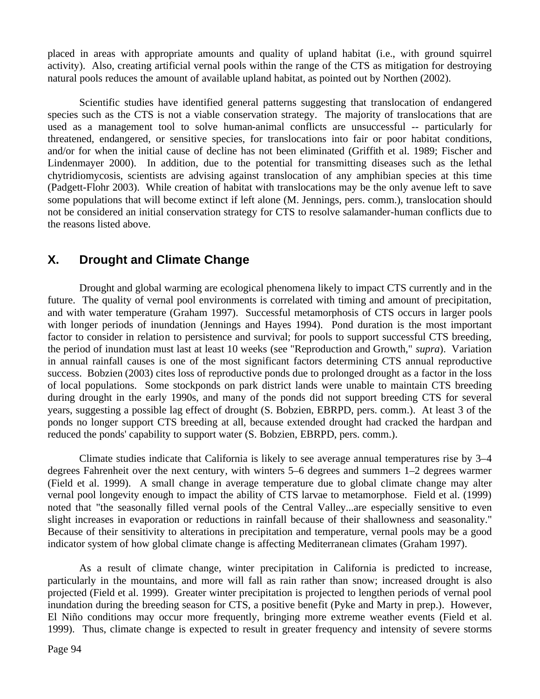placed in areas with appropriate amounts and quality of upland habitat (i.e., with ground squirrel activity). Also, creating artificial vernal pools within the range of the CTS as mitigation for destroying natural pools reduces the amount of available upland habitat, as pointed out by Northen (2002).

Scientific studies have identified general patterns suggesting that translocation of endangered species such as the CTS is not a viable conservation strategy. The majority of translocations that are used as a management tool to solve human-animal conflicts are unsuccessful -- particularly for threatened, endangered, or sensitive species, for translocations into fair or poor habitat conditions, and/or for when the initial cause of decline has not been eliminated (Griffith et al. 1989; Fischer and Lindenmayer 2000). In addition, due to the potential for transmitting diseases such as the lethal chytridiomycosis, scientists are advising against translocation of any amphibian species at this time (Padgett-Flohr 2003). While creation of habitat with translocations may be the only avenue left to save some populations that will become extinct if left alone (M. Jennings, pers. comm.), translocation should not be considered an initial conservation strategy for CTS to resolve salamander-human conflicts due to the reasons listed above.

## **X. Drought and Climate Change**

Drought and global warming are ecological phenomena likely to impact CTS currently and in the future. The quality of vernal pool environments is correlated with timing and amount of precipitation, and with water temperature (Graham 1997). Successful metamorphosis of CTS occurs in larger pools with longer periods of inundation (Jennings and Hayes 1994). Pond duration is the most important factor to consider in relation to persistence and survival; for pools to support successful CTS breeding, the period of inundation must last at least 10 weeks (see "Reproduction and Growth," *supra*). Variation in annual rainfall causes is one of the most significant factors determining CTS annual reproductive success. Bobzien (2003) cites loss of reproductive ponds due to prolonged drought as a factor in the loss of local populations. Some stockponds on park district lands were unable to maintain CTS breeding during drought in the early 1990s, and many of the ponds did not support breeding CTS for several years, suggesting a possible lag effect of drought (S. Bobzien, EBRPD, pers. comm.). At least 3 of the ponds no longer support CTS breeding at all, because extended drought had cracked the hardpan and reduced the ponds' capability to support water (S. Bobzien, EBRPD, pers. comm.).

Climate studies indicate that California is likely to see average annual temperatures rise by 3–4 degrees Fahrenheit over the next century, with winters 5–6 degrees and summers 1–2 degrees warmer (Field et al. 1999). A small change in average temperature due to global climate change may alter vernal pool longevity enough to impact the ability of CTS larvae to metamorphose. Field et al. (1999) noted that "the seasonally filled vernal pools of the Central Valley...are especially sensitive to even slight increases in evaporation or reductions in rainfall because of their shallowness and seasonality." Because of their sensitivity to alterations in precipitation and temperature, vernal pools may be a good indicator system of how global climate change is affecting Mediterranean climates (Graham 1997).

As a result of climate change, winter precipitation in California is predicted to increase, particularly in the mountains, and more will fall as rain rather than snow; increased drought is also projected (Field et al. 1999). Greater winter precipitation is projected to lengthen periods of vernal pool inundation during the breeding season for CTS, a positive benefit (Pyke and Marty in prep.). However, El Niño conditions may occur more frequently, bringing more extreme weather events (Field et al. 1999). Thus, climate change is expected to result in greater frequency and intensity of severe storms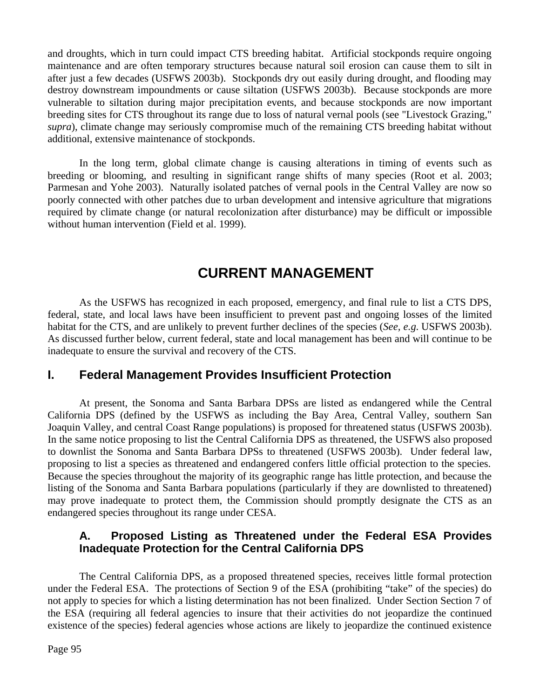and droughts, which in turn could impact CTS breeding habitat. Artificial stockponds require ongoing maintenance and are often temporary structures because natural soil erosion can cause them to silt in after just a few decades (USFWS 2003b). Stockponds dry out easily during drought, and flooding may destroy downstream impoundments or cause siltation (USFWS 2003b). Because stockponds are more vulnerable to siltation during major precipitation events, and because stockponds are now important breeding sites for CTS throughout its range due to loss of natural vernal pools (see "Livestock Grazing," *supra*), climate change may seriously compromise much of the remaining CTS breeding habitat without additional, extensive maintenance of stockponds.

In the long term, global climate change is causing alterations in timing of events such as breeding or blooming, and resulting in significant range shifts of many species (Root et al. 2003; Parmesan and Yohe 2003). Naturally isolated patches of vernal pools in the Central Valley are now so poorly connected with other patches due to urban development and intensive agriculture that migrations required by climate change (or natural recolonization after disturbance) may be difficult or impossible without human intervention (Field et al. 1999).

# **CURRENT MANAGEMENT**

As the USFWS has recognized in each proposed, emergency, and final rule to list a CTS DPS, federal, state, and local laws have been insufficient to prevent past and ongoing losses of the limited habitat for the CTS, and are unlikely to prevent further declines of the species (*See, e.g*. USFWS 2003b). As discussed further below, current federal, state and local management has been and will continue to be inadequate to ensure the survival and recovery of the CTS.

## **I. Federal Management Provides Insufficient Protection**

At present, the Sonoma and Santa Barbara DPSs are listed as endangered while the Central California DPS (defined by the USFWS as including the Bay Area, Central Valley, southern San Joaquin Valley, and central Coast Range populations) is proposed for threatened status (USFWS 2003b). In the same notice proposing to list the Central California DPS as threatened, the USFWS also proposed to downlist the Sonoma and Santa Barbara DPSs to threatened (USFWS 2003b). Under federal law, proposing to list a species as threatened and endangered confers little official protection to the species. Because the species throughout the majority of its geographic range has little protection, and because the listing of the Sonoma and Santa Barbara populations (particularly if they are downlisted to threatened) may prove inadequate to protect them, the Commission should promptly designate the CTS as an endangered species throughout its range under CESA.

## **A. Proposed Listing as Threatened under the Federal ESA Provides Inadequate Protection for the Central California DPS**

The Central California DPS, as a proposed threatened species, receives little formal protection under the Federal ESA. The protections of Section 9 of the ESA (prohibiting "take" of the species) do not apply to species for which a listing determination has not been finalized. Under Section Section 7 of the ESA (requiring all federal agencies to insure that their activities do not jeopardize the continued existence of the species) federal agencies whose actions are likely to jeopardize the continued existence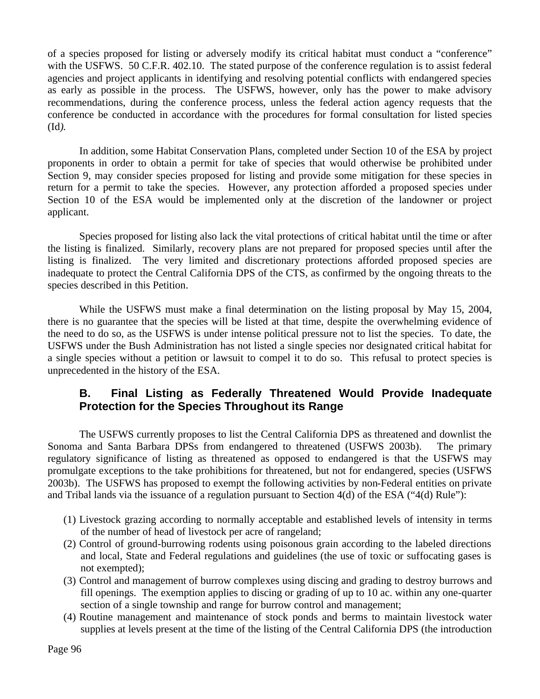of a species proposed for listing or adversely modify its critical habitat must conduct a "conference" with the USFWS. 50 C.F.R. 402.10. The stated purpose of the conference regulation is to assist federal agencies and project applicants in identifying and resolving potential conflicts with endangered species as early as possible in the process. The USFWS, however, only has the power to make advisory recommendations, during the conference process, unless the federal action agency requests that the conference be conducted in accordance with the procedures for formal consultation for listed species (Id*).*

In addition, some Habitat Conservation Plans, completed under Section 10 of the ESA by project proponents in order to obtain a permit for take of species that would otherwise be prohibited under Section 9, may consider species proposed for listing and provide some mitigation for these species in return for a permit to take the species. However, any protection afforded a proposed species under Section 10 of the ESA would be implemented only at the discretion of the landowner or project applicant.

Species proposed for listing also lack the vital protections of critical habitat until the time or after the listing is finalized. Similarly, recovery plans are not prepared for proposed species until after the listing is finalized. The very limited and discretionary protections afforded proposed species are inadequate to protect the Central California DPS of the CTS, as confirmed by the ongoing threats to the species described in this Petition.

While the USFWS must make a final determination on the listing proposal by May 15, 2004, there is no guarantee that the species will be listed at that time, despite the overwhelming evidence of the need to do so, as the USFWS is under intense political pressure not to list the species. To date, the USFWS under the Bush Administration has not listed a single species nor designated critical habitat for a single species without a petition or lawsuit to compel it to do so. This refusal to protect species is unprecedented in the history of the ESA.

## **B. Final Listing as Federally Threatened Would Provide Inadequate Protection for the Species Throughout its Range**

The USFWS currently proposes to list the Central California DPS as threatened and downlist the Sonoma and Santa Barbara DPSs from endangered to threatened (USFWS 2003b). The primary regulatory significance of listing as threatened as opposed to endangered is that the USFWS may promulgate exceptions to the take prohibitions for threatened, but not for endangered, species (USFWS 2003b). The USFWS has proposed to exempt the following activities by non-Federal entities on private and Tribal lands via the issuance of a regulation pursuant to Section 4(d) of the ESA ("4(d) Rule"):

- (1) Livestock grazing according to normally acceptable and established levels of intensity in terms of the number of head of livestock per acre of rangeland;
- (2) Control of ground-burrowing rodents using poisonous grain according to the labeled directions and local, State and Federal regulations and guidelines (the use of toxic or suffocating gases is not exempted);
- (3) Control and management of burrow complexes using discing and grading to destroy burrows and fill openings. The exemption applies to discing or grading of up to 10 ac. within any one-quarter section of a single township and range for burrow control and management;
- (4) Routine management and maintenance of stock ponds and berms to maintain livestock water supplies at levels present at the time of the listing of the Central California DPS (the introduction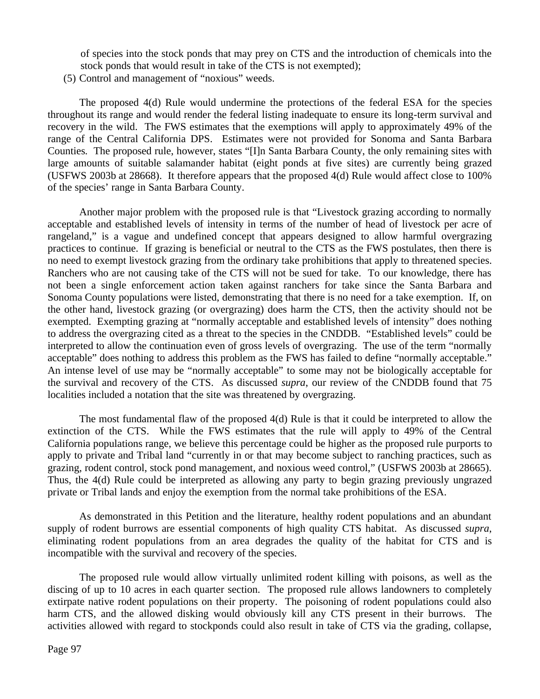of species into the stock ponds that may prey on CTS and the introduction of chemicals into the stock ponds that would result in take of the CTS is not exempted);

(5) Control and management of "noxious" weeds.

The proposed 4(d) Rule would undermine the protections of the federal ESA for the species throughout its range and would render the federal listing inadequate to ensure its long-term survival and recovery in the wild. The FWS estimates that the exemptions will apply to approximately 49% of the range of the Central California DPS. Estimates were not provided for Sonoma and Santa Barbara Counties. The proposed rule, however, states "[I]n Santa Barbara County, the only remaining sites with large amounts of suitable salamander habitat (eight ponds at five sites) are currently being grazed (USFWS 2003b at 28668). It therefore appears that the proposed 4(d) Rule would affect close to 100% of the species' range in Santa Barbara County.

Another major problem with the proposed rule is that "Livestock grazing according to normally acceptable and established levels of intensity in terms of the number of head of livestock per acre of rangeland," is a vague and undefined concept that appears designed to allow harmful overgrazing practices to continue. If grazing is beneficial or neutral to the CTS as the FWS postulates, then there is no need to exempt livestock grazing from the ordinary take prohibitions that apply to threatened species. Ranchers who are not causing take of the CTS will not be sued for take. To our knowledge, there has not been a single enforcement action taken against ranchers for take since the Santa Barbara and Sonoma County populations were listed, demonstrating that there is no need for a take exemption. If, on the other hand, livestock grazing (or overgrazing) does harm the CTS, then the activity should not be exempted. Exempting grazing at "normally acceptable and established levels of intensity" does nothing to address the overgrazing cited as a threat to the species in the CNDDB. "Established levels" could be interpreted to allow the continuation even of gross levels of overgrazing. The use of the term "normally acceptable" does nothing to address this problem as the FWS has failed to define "normally acceptable." An intense level of use may be "normally acceptable" to some may not be biologically acceptable for the survival and recovery of the CTS. As discussed *supra*, our review of the CNDDB found that 75 localities included a notation that the site was threatened by overgrazing.

The most fundamental flaw of the proposed 4(d) Rule is that it could be interpreted to allow the extinction of the CTS. While the FWS estimates that the rule will apply to 49% of the Central California populations range, we believe this percentage could be higher as the proposed rule purports to apply to private and Tribal land "currently in or that may become subject to ranching practices, such as grazing, rodent control, stock pond management, and noxious weed control," (USFWS 2003b at 28665). Thus, the 4(d) Rule could be interpreted as allowing any party to begin grazing previously ungrazed private or Tribal lands and enjoy the exemption from the normal take prohibitions of the ESA.

As demonstrated in this Petition and the literature, healthy rodent populations and an abundant supply of rodent burrows are essential components of high quality CTS habitat. As discussed *supra*, eliminating rodent populations from an area degrades the quality of the habitat for CTS and is incompatible with the survival and recovery of the species.

The proposed rule would allow virtually unlimited rodent killing with poisons, as well as the discing of up to 10 acres in each quarter section. The proposed rule allows landowners to completely extirpate native rodent populations on their property. The poisoning of rodent populations could also harm CTS, and the allowed disking would obviously kill any CTS present in their burrows. The activities allowed with regard to stockponds could also result in take of CTS via the grading, collapse,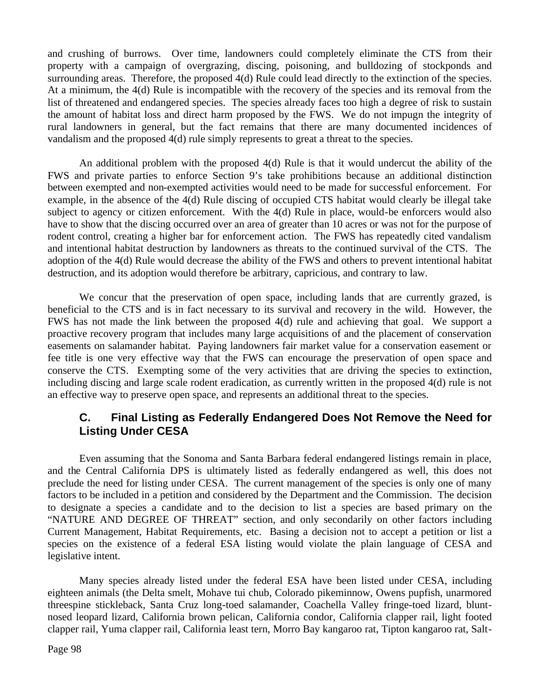and crushing of burrows. Over time, landowners could completely eliminate the CTS from their property with a campaign of overgrazing, discing, poisoning, and bulldozing of stockponds and surrounding areas. Therefore, the proposed 4(d) Rule could lead directly to the extinction of the species. At a minimum, the 4(d) Rule is incompatible with the recovery of the species and its removal from the list of threatened and endangered species. The species already faces too high a degree of risk to sustain the amount of habitat loss and direct harm proposed by the FWS. We do not impugn the integrity of rural landowners in general, but the fact remains that there are many documented incidences of vandalism and the proposed 4(d) rule simply represents to great a threat to the species.

An additional problem with the proposed 4(d) Rule is that it would undercut the ability of the FWS and private parties to enforce Section 9's take prohibitions because an additional distinction between exempted and non-exempted activities would need to be made for successful enforcement. For example, in the absence of the 4(d) Rule discing of occupied CTS habitat would clearly be illegal take subject to agency or citizen enforcement. With the 4(d) Rule in place, would-be enforcers would also have to show that the discing occurred over an area of greater than 10 acres or was not for the purpose of rodent control, creating a higher bar for enforcement action. The FWS has repeatedly cited vandalism and intentional habitat destruction by landowners as threats to the continued survival of the CTS. The adoption of the 4(d) Rule would decrease the ability of the FWS and others to prevent intentional habitat destruction, and its adoption would therefore be arbitrary, capricious, and contrary to law.

We concur that the preservation of open space, including lands that are currently grazed, is beneficial to the CTS and is in fact necessary to its survival and recovery in the wild. However, the FWS has not made the link between the proposed 4(d) rule and achieving that goal. We support a proactive recovery program that includes many large acquisitions of and the placement of conservation easements on salamander habitat. Paying landowners fair market value for a conservation easement or fee title is one very effective way that the FWS can encourage the preservation of open space and conserve the CTS. Exempting some of the very activities that are driving the species to extinction, including discing and large scale rodent eradication, as currently written in the proposed 4(d) rule is not an effective way to preserve open space, and represents an additional threat to the species.

## **C. Final Listing as Federally Endangered Does Not Remove the Need for Listing Under CESA**

Even assuming that the Sonoma and Santa Barbara federal endangered listings remain in place, and the Central California DPS is ultimately listed as federally endangered as well, this does not preclude the need for listing under CESA. The current management of the species is only one of many factors to be included in a petition and considered by the Department and the Commission. The decision to designate a species a candidate and to the decision to list a species are based primary on the "NATURE AND DEGREE OF THREAT" section, and only secondarily on other factors including Current Management, Habitat Requirements, etc. Basing a decision not to accept a petition or list a species on the existence of a federal ESA listing would violate the plain language of CESA and legislative intent.

Many species already listed under the federal ESA have been listed under CESA, including eighteen animals (the Delta smelt, Mohave tui chub, Colorado pikeminnow, Owens pupfish, unarmored threespine stickleback, Santa Cruz long-toed salamander, Coachella Valley fringe-toed lizard, bluntnosed leopard lizard, California brown pelican, California condor, California clapper rail, light footed clapper rail, Yuma clapper rail, California least tern, Morro Bay kangaroo rat, Tipton kangaroo rat, Salt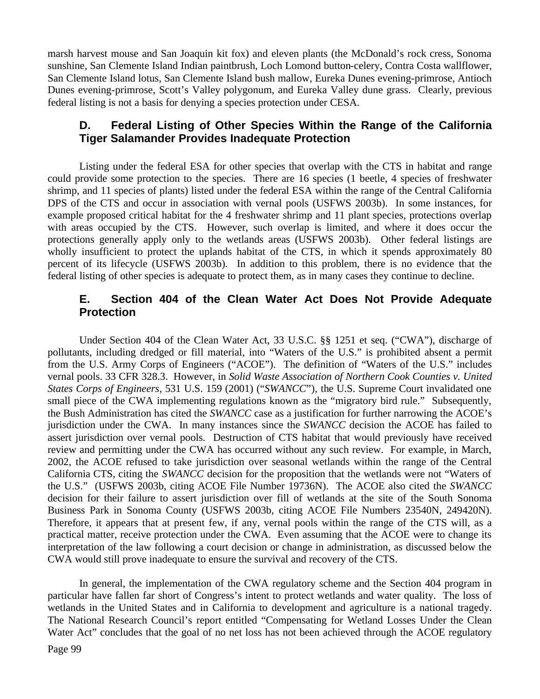marsh harvest mouse and San Joaquin kit fox) and eleven plants (the McDonald's rock cress, Sonoma sunshine, San Clemente Island Indian paintbrush, Loch Lomond button-celery, Contra Costa wallflower, San Clemente Island lotus, San Clemente Island bush mallow, Eureka Dunes evening-primrose, Antioch Dunes evening-primrose, Scott's Valley polygonum, and Eureka Valley dune grass. Clearly, previous federal listing is not a basis for denying a species protection under CESA.

### **D. Federal Listing of Other Species Within the Range of the California Tiger Salamander Provides Inadequate Protection**

Listing under the federal ESA for other species that overlap with the CTS in habitat and range could provide some protection to the species. There are 16 species (1 beetle, 4 species of freshwater shrimp, and 11 species of plants) listed under the federal ESA within the range of the Central California DPS of the CTS and occur in association with vernal pools (USFWS 2003b). In some instances, for example proposed critical habitat for the 4 freshwater shrimp and 11 plant species, protections overlap with areas occupied by the CTS. However, such overlap is limited, and where it does occur the protections generally apply only to the wetlands areas (USFWS 2003b). Other federal listings are wholly insufficient to protect the uplands habitat of the CTS, in which it spends approximately 80 percent of its lifecycle (USFWS 2003b). In addition to this problem, there is no evidence that the federal listing of other species is adequate to protect them, as in many cases they continue to decline.

### **E. Section 404 of the Clean Water Act Does Not Provide Adequate Protection**

Under Section 404 of the Clean Water Act, 33 U.S.C. §§ 1251 et seq. ("CWA"), discharge of pollutants, including dredged or fill material, into "Waters of the U.S." is prohibited absent a permit from the U.S. Army Corps of Engineers ("ACOE"). The definition of "Waters of the U.S." includes vernal pools. 33 CFR 328.3. However, in *Solid Waste Association of Northern Cook Counties v. United States Corps of Engineers*, 531 U.S. 159 (2001) ("*SWANCC*"), the U.S. Supreme Court invalidated one small piece of the CWA implementing regulations known as the "migratory bird rule." Subsequently, the Bush Administration has cited the *SWANCC* case as a justification for further narrowing the ACOE's jurisdiction under the CWA. In many instances since the *SWANCC* decision the ACOE has failed to assert jurisdiction over vernal pools. Destruction of CTS habitat that would previously have received review and permitting under the CWA has occurred without any such review. For example, in March, 2002, the ACOE refused to take jurisdiction over seasonal wetlands within the range of the Central California CTS, citing the *SWANCC* decision for the proposition that the wetlands were not "Waters of the U.S." (USFWS 2003b, citing ACOE File Number 19736N). The ACOE also cited the *SWANCC* decision for their failure to assert jurisdiction over fill of wetlands at the site of the South Sonoma Business Park in Sonoma County (USFWS 2003b, citing ACOE File Numbers 23540N, 249420N). Therefore, it appears that at present few, if any, vernal pools within the range of the CTS will, as a practical matter, receive protection under the CWA. Even assuming that the ACOE were to change its interpretation of the law following a court decision or change in administration, as discussed below the CWA would still prove inadequate to ensure the survival and recovery of the CTS.

In general, the implementation of the CWA regulatory scheme and the Section 404 program in particular have fallen far short of Congress's intent to protect wetlands and water quality. The loss of wetlands in the United States and in California to development and agriculture is a national tragedy. The National Research Council's report entitled "Compensating for Wetland Losses Under the Clean Water Act" concludes that the goal of no net loss has not been achieved through the ACOE regulatory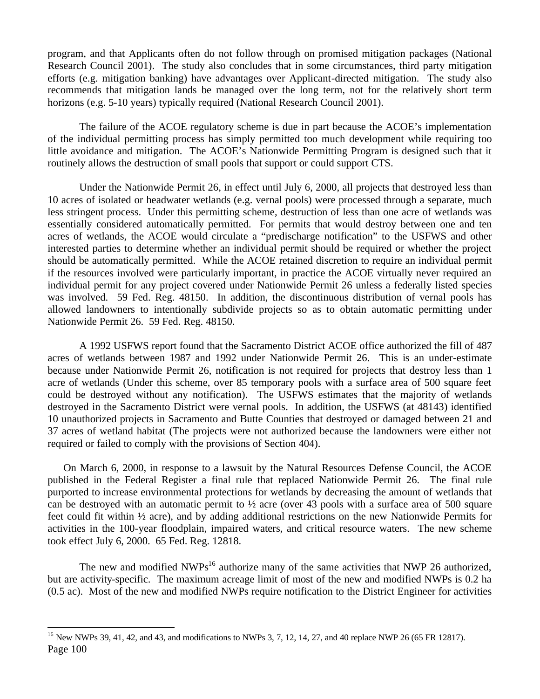program, and that Applicants often do not follow through on promised mitigation packages (National Research Council 2001). The study also concludes that in some circumstances, third party mitigation efforts (e.g. mitigation banking) have advantages over Applicant-directed mitigation. The study also recommends that mitigation lands be managed over the long term, not for the relatively short term horizons (e.g. 5-10 years) typically required (National Research Council 2001).

The failure of the ACOE regulatory scheme is due in part because the ACOE's implementation of the individual permitting process has simply permitted too much development while requiring too little avoidance and mitigation. The ACOE's Nationwide Permitting Program is designed such that it routinely allows the destruction of small pools that support or could support CTS.

Under the Nationwide Permit 26, in effect until July 6, 2000, all projects that destroyed less than 10 acres of isolated or headwater wetlands (e.g. vernal pools) were processed through a separate, much less stringent process. Under this permitting scheme, destruction of less than one acre of wetlands was essentially considered automatically permitted. For permits that would destroy between one and ten acres of wetlands, the ACOE would circulate a "predischarge notification" to the USFWS and other interested parties to determine whether an individual permit should be required or whether the project should be automatically permitted. While the ACOE retained discretion to require an individual permit if the resources involved were particularly important, in practice the ACOE virtually never required an individual permit for any project covered under Nationwide Permit 26 unless a federally listed species was involved. 59 Fed. Reg. 48150. In addition, the discontinuous distribution of vernal pools has allowed landowners to intentionally subdivide projects so as to obtain automatic permitting under Nationwide Permit 26. 59 Fed. Reg. 48150.

A 1992 USFWS report found that the Sacramento District ACOE office authorized the fill of 487 acres of wetlands between 1987 and 1992 under Nationwide Permit 26. This is an under-estimate because under Nationwide Permit 26, notification is not required for projects that destroy less than 1 acre of wetlands (Under this scheme, over 85 temporary pools with a surface area of 500 square feet could be destroyed without any notification). The USFWS estimates that the majority of wetlands destroyed in the Sacramento District were vernal pools. In addition, the USFWS (at 48143) identified 10 unauthorized projects in Sacramento and Butte Counties that destroyed or damaged between 21 and 37 acres of wetland habitat (The projects were not authorized because the landowners were either not required or failed to comply with the provisions of Section 404).

On March 6, 2000, in response to a lawsuit by the Natural Resources Defense Council, the ACOE published in the Federal Register a final rule that replaced Nationwide Permit 26. The final rule purported to increase environmental protections for wetlands by decreasing the amount of wetlands that can be destroyed with an automatic permit to ½ acre (over 43 pools with a surface area of 500 square feet could fit within ½ acre), and by adding additional restrictions on the new Nationwide Permits for activities in the 100-year floodplain, impaired waters, and critical resource waters. The new scheme took effect July 6, 2000. 65 Fed. Reg. 12818.

The new and modified  $NWPs^{16}$  authorize many of the same activities that NWP 26 authorized, but are activity-specific. The maximum acreage limit of most of the new and modified NWPs is 0.2 ha (0.5 ac). Most of the new and modified NWPs require notification to the District Engineer for activities

<u>.</u>

Page 100 <sup>16</sup> New NWPs 39, 41, 42, and 43, and modifications to NWPs 3, 7, 12, 14, 27, and 40 replace NWP 26 (65 FR 12817).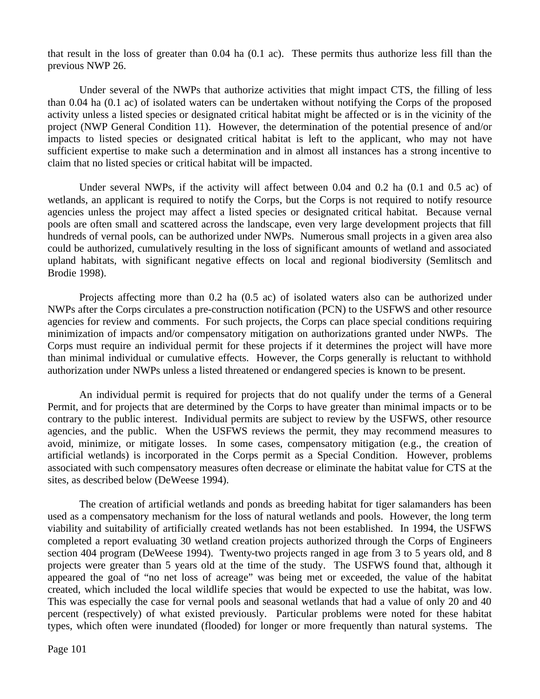that result in the loss of greater than 0.04 ha (0.1 ac). These permits thus authorize less fill than the previous NWP 26.

Under several of the NWPs that authorize activities that might impact CTS, the filling of less than 0.04 ha (0.1 ac) of isolated waters can be undertaken without notifying the Corps of the proposed activity unless a listed species or designated critical habitat might be affected or is in the vicinity of the project (NWP General Condition 11). However, the determination of the potential presence of and/or impacts to listed species or designated critical habitat is left to the applicant, who may not have sufficient expertise to make such a determination and in almost all instances has a strong incentive to claim that no listed species or critical habitat will be impacted.

Under several NWPs, if the activity will affect between 0.04 and 0.2 ha (0.1 and 0.5 ac) of wetlands, an applicant is required to notify the Corps, but the Corps is not required to notify resource agencies unless the project may affect a listed species or designated critical habitat. Because vernal pools are often small and scattered across the landscape, even very large development projects that fill hundreds of vernal pools, can be authorized under NWPs. Numerous small projects in a given area also could be authorized, cumulatively resulting in the loss of significant amounts of wetland and associated upland habitats, with significant negative effects on local and regional biodiversity (Semlitsch and Brodie 1998).

Projects affecting more than 0.2 ha (0.5 ac) of isolated waters also can be authorized under NWPs after the Corps circulates a pre-construction notification (PCN) to the USFWS and other resource agencies for review and comments. For such projects, the Corps can place special conditions requiring minimization of impacts and/or compensatory mitigation on authorizations granted under NWPs. The Corps must require an individual permit for these projects if it determines the project will have more than minimal individual or cumulative effects. However, the Corps generally is reluctant to withhold authorization under NWPs unless a listed threatened or endangered species is known to be present.

An individual permit is required for projects that do not qualify under the terms of a General Permit, and for projects that are determined by the Corps to have greater than minimal impacts or to be contrary to the public interest. Individual permits are subject to review by the USFWS, other resource agencies, and the public. When the USFWS reviews the permit, they may recommend measures to avoid, minimize, or mitigate losses. In some cases, compensatory mitigation (e.g., the creation of artificial wetlands) is incorporated in the Corps permit as a Special Condition. However, problems associated with such compensatory measures often decrease or eliminate the habitat value for CTS at the sites, as described below (DeWeese 1994).

The creation of artificial wetlands and ponds as breeding habitat for tiger salamanders has been used as a compensatory mechanism for the loss of natural wetlands and pools. However, the long term viability and suitability of artificially created wetlands has not been established. In 1994, the USFWS completed a report evaluating 30 wetland creation projects authorized through the Corps of Engineers section 404 program (DeWeese 1994). Twenty-two projects ranged in age from 3 to 5 years old, and 8 projects were greater than 5 years old at the time of the study. The USFWS found that, although it appeared the goal of "no net loss of acreage" was being met or exceeded, the value of the habitat created, which included the local wildlife species that would be expected to use the habitat, was low. This was especially the case for vernal pools and seasonal wetlands that had a value of only 20 and 40 percent (respectively) of what existed previously. Particular problems were noted for these habitat types, which often were inundated (flooded) for longer or more frequently than natural systems. The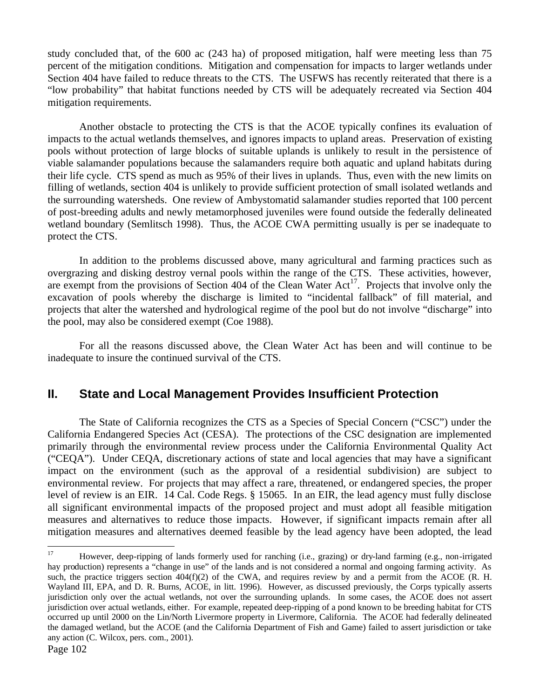study concluded that, of the 600 ac (243 ha) of proposed mitigation, half were meeting less than 75 percent of the mitigation conditions. Mitigation and compensation for impacts to larger wetlands under Section 404 have failed to reduce threats to the CTS. The USFWS has recently reiterated that there is a "low probability" that habitat functions needed by CTS will be adequately recreated via Section 404 mitigation requirements.

Another obstacle to protecting the CTS is that the ACOE typically confines its evaluation of impacts to the actual wetlands themselves, and ignores impacts to upland areas. Preservation of existing pools without protection of large blocks of suitable uplands is unlikely to result in the persistence of viable salamander populations because the salamanders require both aquatic and upland habitats during their life cycle. CTS spend as much as 95% of their lives in uplands. Thus, even with the new limits on filling of wetlands, section 404 is unlikely to provide sufficient protection of small isolated wetlands and the surrounding watersheds. One review of Ambystomatid salamander studies reported that 100 percent of post-breeding adults and newly metamorphosed juveniles were found outside the federally delineated wetland boundary (Semlitsch 1998). Thus, the ACOE CWA permitting usually is per se inadequate to protect the CTS.

In addition to the problems discussed above, many agricultural and farming practices such as overgrazing and disking destroy vernal pools within the range of the CTS. These activities, however, are exempt from the provisions of Section 404 of the Clean Water  $Act^{17}$ . Projects that involve only the excavation of pools whereby the discharge is limited to "incidental fallback" of fill material, and projects that alter the watershed and hydrological regime of the pool but do not involve "discharge" into the pool, may also be considered exempt (Coe 1988).

For all the reasons discussed above, the Clean Water Act has been and will continue to be inadequate to insure the continued survival of the CTS.

## **II. State and Local Management Provides Insufficient Protection**

The State of California recognizes the CTS as a Species of Special Concern ("CSC") under the California Endangered Species Act (CESA). The protections of the CSC designation are implemented primarily through the environmental review process under the California Environmental Quality Act ("CEQA"). Under CEQA, discretionary actions of state and local agencies that may have a significant impact on the environment (such as the approval of a residential subdivision) are subject to environmental review. For projects that may affect a rare, threatened, or endangered species, the proper level of review is an EIR. 14 Cal. Code Regs. § 15065. In an EIR, the lead agency must fully disclose all significant environmental impacts of the proposed project and must adopt all feasible mitigation measures and alternatives to reduce those impacts. However, if significant impacts remain after all mitigation measures and alternatives deemed feasible by the lead agency have been adopted, the lead

 $17$ <sup>17</sup> However, deep-ripping of lands formerly used for ranching (i.e., grazing) or dry-land farming (e.g., non-irrigated hay production) represents a "change in use" of the lands and is not considered a normal and ongoing farming activity. As such, the practice triggers section 404(f)(2) of the CWA, and requires review by and a permit from the ACOE (R. H. Wayland III, EPA, and D. R. Burns, ACOE, in litt. 1996). However, as discussed previously, the Corps typically asserts jurisdiction only over the actual wetlands, not over the surrounding uplands. In some cases, the ACOE does not assert jurisdiction over actual wetlands, either. For example, repeated deep-ripping of a pond known to be breeding habitat for CTS occurred up until 2000 on the Lin/North Livermore property in Livermore, California. The ACOE had federally delineated the damaged wetland, but the ACOE (and the California Department of Fish and Game) failed to assert jurisdiction or take any action (C. Wilcox, pers. com., 2001).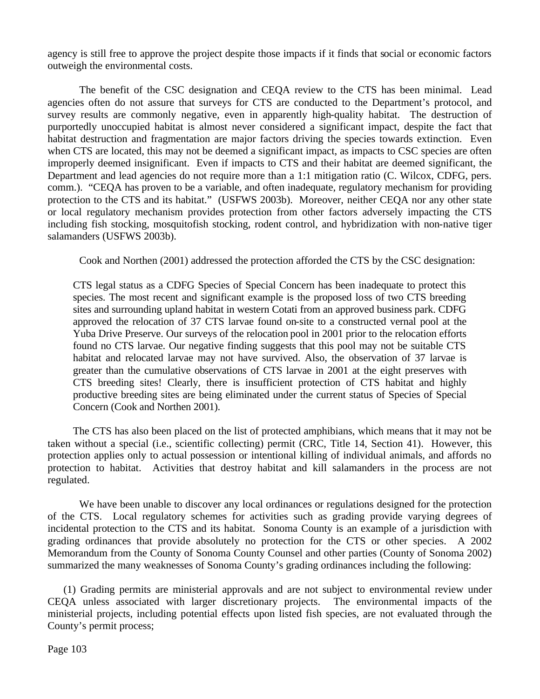agency is still free to approve the project despite those impacts if it finds that social or economic factors outweigh the environmental costs.

The benefit of the CSC designation and CEQA review to the CTS has been minimal. Lead agencies often do not assure that surveys for CTS are conducted to the Department's protocol, and survey results are commonly negative, even in apparently high-quality habitat. The destruction of purportedly unoccupied habitat is almost never considered a significant impact, despite the fact that habitat destruction and fragmentation are major factors driving the species towards extinction. Even when CTS are located, this may not be deemed a significant impact, as impacts to CSC species are often improperly deemed insignificant. Even if impacts to CTS and their habitat are deemed significant, the Department and lead agencies do not require more than a 1:1 mitigation ratio (C. Wilcox, CDFG, pers. comm.). "CEQA has proven to be a variable, and often inadequate, regulatory mechanism for providing protection to the CTS and its habitat." (USFWS 2003b). Moreover, neither CEQA nor any other state or local regulatory mechanism provides protection from other factors adversely impacting the CTS including fish stocking, mosquitofish stocking, rodent control, and hybridization with non-native tiger salamanders (USFWS 2003b).

Cook and Northen (2001) addressed the protection afforded the CTS by the CSC designation:

CTS legal status as a CDFG Species of Special Concern has been inadequate to protect this species. The most recent and significant example is the proposed loss of two CTS breeding sites and surrounding upland habitat in western Cotati from an approved business park. CDFG approved the relocation of 37 CTS larvae found on-site to a constructed vernal pool at the Yuba Drive Preserve. Our surveys of the relocation pool in 2001 prior to the relocation efforts found no CTS larvae. Our negative finding suggests that this pool may not be suitable CTS habitat and relocated larvae may not have survived. Also, the observation of 37 larvae is greater than the cumulative observations of CTS larvae in 2001 at the eight preserves with CTS breeding sites! Clearly, there is insufficient protection of CTS habitat and highly productive breeding sites are being eliminated under the current status of Species of Special Concern (Cook and Northen 2001).

The CTS has also been placed on the list of protected amphibians, which means that it may not be taken without a special (i.e., scientific collecting) permit (CRC, Title 14, Section 41). However, this protection applies only to actual possession or intentional killing of individual animals, and affords no protection to habitat. Activities that destroy habitat and kill salamanders in the process are not regulated.

We have been unable to discover any local ordinances or regulations designed for the protection of the CTS. Local regulatory schemes for activities such as grading provide varying degrees of incidental protection to the CTS and its habitat. Sonoma County is an example of a jurisdiction with grading ordinances that provide absolutely no protection for the CTS or other species. A 2002 Memorandum from the County of Sonoma County Counsel and other parties (County of Sonoma 2002) summarized the many weaknesses of Sonoma County's grading ordinances including the following:

(1) Grading permits are ministerial approvals and are not subject to environmental review under CEQA unless associated with larger discretionary projects. The environmental impacts of the ministerial projects, including potential effects upon listed fish species, are not evaluated through the County's permit process;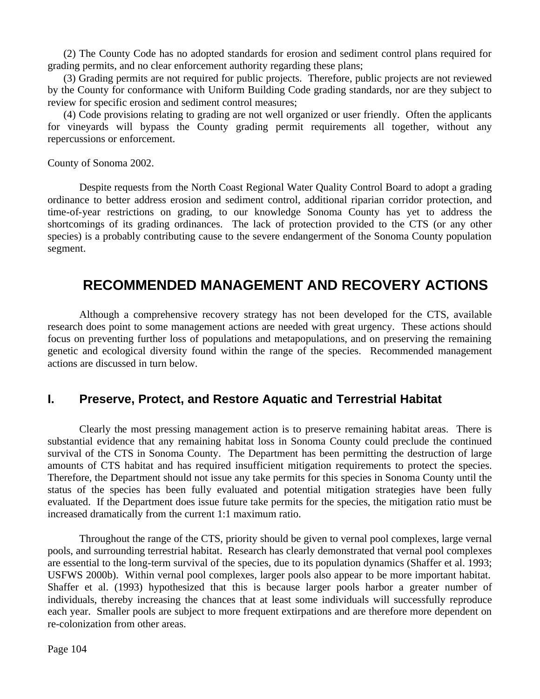(2) The County Code has no adopted standards for erosion and sediment control plans required for grading permits, and no clear enforcement authority regarding these plans;

(3) Grading permits are not required for public projects. Therefore, public projects are not reviewed by the County for conformance with Uniform Building Code grading standards, nor are they subject to review for specific erosion and sediment control measures;

(4) Code provisions relating to grading are not well organized or user friendly. Often the applicants for vineyards will bypass the County grading permit requirements all together, without any repercussions or enforcement.

County of Sonoma 2002.

Despite requests from the North Coast Regional Water Quality Control Board to adopt a grading ordinance to better address erosion and sediment control, additional riparian corridor protection, and time-of-year restrictions on grading, to our knowledge Sonoma County has yet to address the shortcomings of its grading ordinances. The lack of protection provided to the CTS (or any other species) is a probably contributing cause to the severe endangerment of the Sonoma County population segment.

## **RECOMMENDED MANAGEMENT AND RECOVERY ACTIONS**

Although a comprehensive recovery strategy has not been developed for the CTS, available research does point to some management actions are needed with great urgency. These actions should focus on preventing further loss of populations and metapopulations, and on preserving the remaining genetic and ecological diversity found within the range of the species. Recommended management actions are discussed in turn below.

## **I. Preserve, Protect, and Restore Aquatic and Terrestrial Habitat**

Clearly the most pressing management action is to preserve remaining habitat areas. There is substantial evidence that any remaining habitat loss in Sonoma County could preclude the continued survival of the CTS in Sonoma County. The Department has been permitting the destruction of large amounts of CTS habitat and has required insufficient mitigation requirements to protect the species. Therefore, the Department should not issue any take permits for this species in Sonoma County until the status of the species has been fully evaluated and potential mitigation strategies have been fully evaluated. If the Department does issue future take permits for the species, the mitigation ratio must be increased dramatically from the current 1:1 maximum ratio.

Throughout the range of the CTS, priority should be given to vernal pool complexes, large vernal pools, and surrounding terrestrial habitat. Research has clearly demonstrated that vernal pool complexes are essential to the long-term survival of the species, due to its population dynamics (Shaffer et al. 1993; USFWS 2000b). Within vernal pool complexes, larger pools also appear to be more important habitat. Shaffer et al. (1993) hypothesized that this is because larger pools harbor a greater number of individuals, thereby increasing the chances that at least some individuals will successfully reproduce each year. Smaller pools are subject to more frequent extirpations and are therefore more dependent on re-colonization from other areas.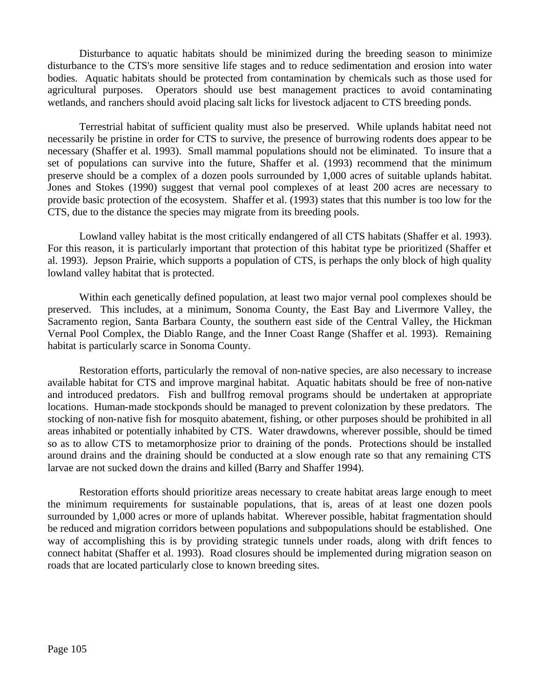Disturbance to aquatic habitats should be minimized during the breeding season to minimize disturbance to the CTS's more sensitive life stages and to reduce sedimentation and erosion into water bodies. Aquatic habitats should be protected from contamination by chemicals such as those used for agricultural purposes. Operators should use best management practices to avoid contaminating wetlands, and ranchers should avoid placing salt licks for livestock adjacent to CTS breeding ponds.

Terrestrial habitat of sufficient quality must also be preserved. While uplands habitat need not necessarily be pristine in order for CTS to survive, the presence of burrowing rodents does appear to be necessary (Shaffer et al. 1993). Small mammal populations should not be eliminated. To insure that a set of populations can survive into the future, Shaffer et al. (1993) recommend that the minimum preserve should be a complex of a dozen pools surrounded by 1,000 acres of suitable uplands habitat. Jones and Stokes (1990) suggest that vernal pool complexes of at least 200 acres are necessary to provide basic protection of the ecosystem. Shaffer et al. (1993) states that this number is too low for the CTS, due to the distance the species may migrate from its breeding pools.

Lowland valley habitat is the most critically endangered of all CTS habitats (Shaffer et al. 1993). For this reason, it is particularly important that protection of this habitat type be prioritized (Shaffer et al. 1993). Jepson Prairie, which supports a population of CTS, is perhaps the only block of high quality lowland valley habitat that is protected.

Within each genetically defined population, at least two major vernal pool complexes should be preserved. This includes, at a minimum, Sonoma County, the East Bay and Livermore Valley, the Sacramento region, Santa Barbara County, the southern east side of the Central Valley, the Hickman Vernal Pool Complex, the Diablo Range, and the Inner Coast Range (Shaffer et al. 1993). Remaining habitat is particularly scarce in Sonoma County.

Restoration efforts, particularly the removal of non-native species, are also necessary to increase available habitat for CTS and improve marginal habitat. Aquatic habitats should be free of non-native and introduced predators. Fish and bullfrog removal programs should be undertaken at appropriate locations. Human-made stockponds should be managed to prevent colonization by these predators. The stocking of non-native fish for mosquito abatement, fishing, or other purposes should be prohibited in all areas inhabited or potentially inhabited by CTS. Water drawdowns, wherever possible, should be timed so as to allow CTS to metamorphosize prior to draining of the ponds. Protections should be installed around drains and the draining should be conducted at a slow enough rate so that any remaining CTS larvae are not sucked down the drains and killed (Barry and Shaffer 1994).

Restoration efforts should prioritize areas necessary to create habitat areas large enough to meet the minimum requirements for sustainable populations, that is, areas of at least one dozen pools surrounded by 1,000 acres or more of uplands habitat. Wherever possible, habitat fragmentation should be reduced and migration corridors between populations and subpopulations should be established. One way of accomplishing this is by providing strategic tunnels under roads, along with drift fences to connect habitat (Shaffer et al. 1993). Road closures should be implemented during migration season on roads that are located particularly close to known breeding sites.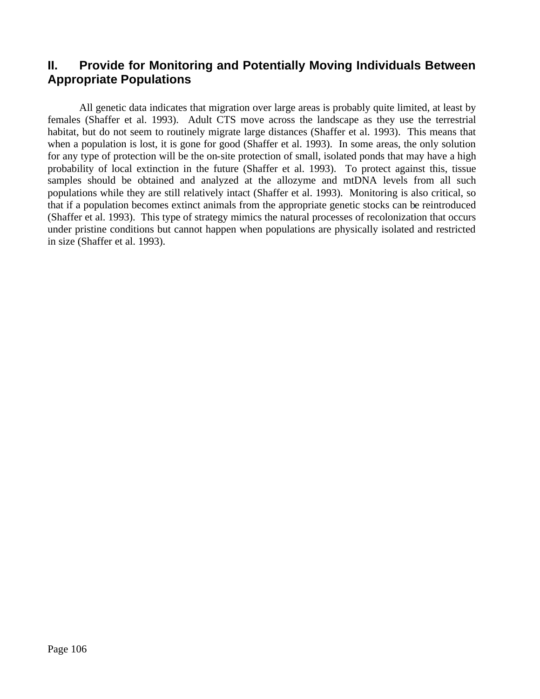### **II. Provide for Monitoring and Potentially Moving Individuals Between Appropriate Populations**

All genetic data indicates that migration over large areas is probably quite limited, at least by females (Shaffer et al. 1993). Adult CTS move across the landscape as they use the terrestrial habitat, but do not seem to routinely migrate large distances (Shaffer et al. 1993). This means that when a population is lost, it is gone for good (Shaffer et al. 1993). In some areas, the only solution for any type of protection will be the on-site protection of small, isolated ponds that may have a high probability of local extinction in the future (Shaffer et al. 1993). To protect against this, tissue samples should be obtained and analyzed at the allozyme and mtDNA levels from all such populations while they are still relatively intact (Shaffer et al. 1993). Monitoring is also critical, so that if a population becomes extinct animals from the appropriate genetic stocks can be reintroduced (Shaffer et al. 1993). This type of strategy mimics the natural processes of recolonization that occurs under pristine conditions but cannot happen when populations are physically isolated and restricted in size (Shaffer et al. 1993).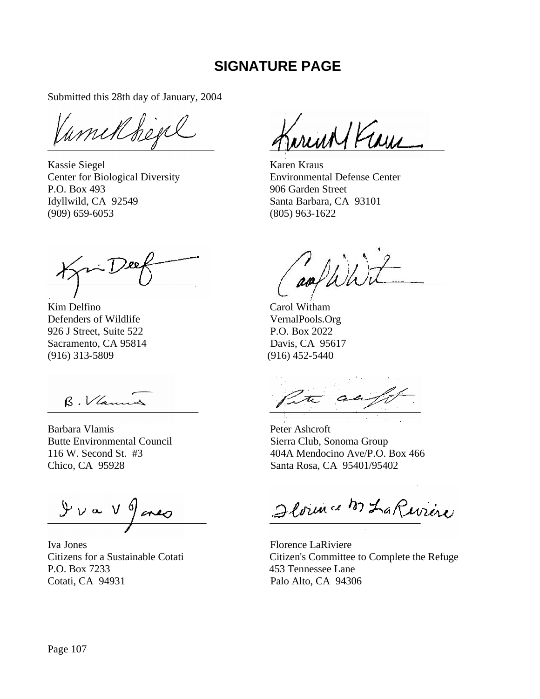## **SIGNATURE PAGE**

Submitted this 28th day of January, 2004

Vamilbegel

Kassie Siegel Karen Kraus P.O. Box 493 906 Garden Street Idyllwild, CA 92549 Santa Barbara, CA 93101 (909) 659-6053 (805) 963-1622

Kim Delfino Carol Witham Defenders of Wildlife VernalPools.Org 926 J Street, Suite 522 P.O. Box 2022 Sacramento, CA 95814 Davis, CA 95617 (916) 313-5809 (916) 452-5440

B. Vlamas

Barbara Vlamis Peter Ashcroft Butte Environmental Council Sierra Club, Sonoma Group

 $9v = V9$  area

Iva Jones Florence LaRiviere P.O. Box 7233 453 Tennessee Lane Cotati, CA 94931 Palo Alto, CA 94306

Jarent Verne

Center for Biological Diversity Environmental Defense Center

an

116 W. Second St. #3 404A Mendocino Ave/P.O. Box 466 Chico, CA 95928 Santa Rosa, CA 95401/95402

Ilorence M La Rivière

Citizens for a Sustainable Cotati Citizen's Committee to Complete the Refuge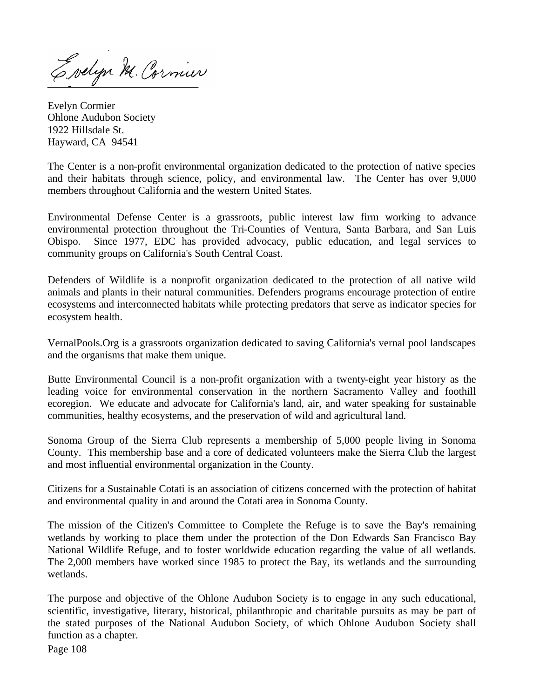Evelyn M. Cornier

Evelyn Cormier Ohlone Audubon Society 1922 Hillsdale St. Hayward, CA 94541

The Center is a non-profit environmental organization dedicated to the protection of native species and their habitats through science, policy, and environmental law. The Center has over 9,000 members throughout California and the western United States.

Environmental Defense Center is a grassroots, public interest law firm working to advance environmental protection throughout the Tri-Counties of Ventura, Santa Barbara, and San Luis Obispo. Since 1977, EDC has provided advocacy, public education, and legal services to community groups on California's South Central Coast.

Defenders of Wildlife is a nonprofit organization dedicated to the protection of all native wild animals and plants in their natural communities. Defenders programs encourage protection of entire ecosystems and interconnected habitats while protecting predators that serve as indicator species for ecosystem health.

VernalPools.Org is a grassroots organization dedicated to saving California's vernal pool landscapes and the organisms that make them unique.

Butte Environmental Council is a non-profit organization with a twenty-eight year history as the leading voice for environmental conservation in the northern Sacramento Valley and foothill ecoregion. We educate and advocate for California's land, air, and water speaking for sustainable communities, healthy ecosystems, and the preservation of wild and agricultural land.

Sonoma Group of the Sierra Club represents a membership of 5,000 people living in Sonoma County. This membership base and a core of dedicated volunteers make the Sierra Club the largest and most influential environmental organization in the County.

Citizens for a Sustainable Cotati is an association of citizens concerned with the protection of habitat and environmental quality in and around the Cotati area in Sonoma County.

The mission of the Citizen's Committee to Complete the Refuge is to save the Bay's remaining wetlands by working to place them under the protection of the Don Edwards San Francisco Bay National Wildlife Refuge, and to foster worldwide education regarding the value of all wetlands. The 2,000 members have worked since 1985 to protect the Bay, its wetlands and the surrounding wetlands.

The purpose and objective of the Ohlone Audubon Society is to engage in any such educational, scientific, investigative, literary, historical, philanthropic and charitable pursuits as may be part of the stated purposes of the National Audubon Society, of which Ohlone Audubon Society shall function as a chapter.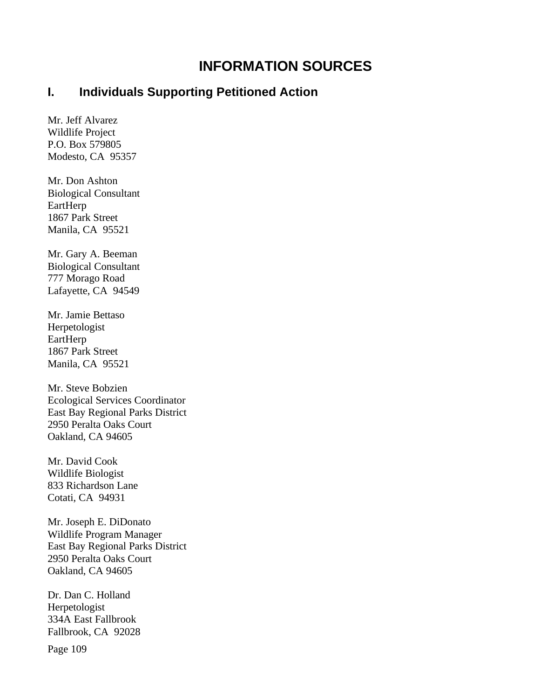# **INFORMATION SOURCES**

#### **I. Individuals Supporting Petitioned Action**

Mr. Jeff Alvarez Wildlife Project P.O. Box 579805 Modesto, CA 95357

Mr. Don Ashton Biological Consultant EartHerp 1867 Park Street Manila, CA 95521

Mr. Gary A. Beeman Biological Consultant 777 Morago Road Lafayette, CA 94549

Mr. Jamie Bettaso Herpetologist EartHerp 1867 Park Street Manila, CA 95521

Mr. Steve Bobzien Ecological Services Coordinator East Bay Regional Parks District 2950 Peralta Oaks Court Oakland, CA 94605

Mr. David Cook Wildlife Biologist 833 Richardson Lane Cotati, CA 94931

Mr. Joseph E. DiDonato Wildlife Program Manager East Bay Regional Parks District 2950 Peralta Oaks Court Oakland, CA 94605

Dr. Dan C. Holland Herpetologist 334A East Fallbrook Fallbrook, CA 92028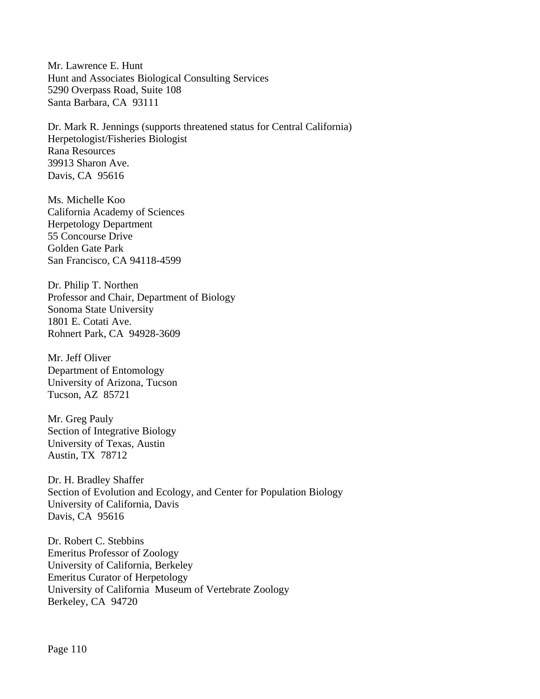Mr. Lawrence E. Hunt Hunt and Associates Biological Consulting Services 5290 Overpass Road, Suite 108 Santa Barbara, CA 93111

Dr. Mark R. Jennings (supports threatened status for Central California) Herpetologist/Fisheries Biologist Rana Resources 39913 Sharon Ave. Davis, CA 95616

Ms. Michelle Koo California Academy of Sciences Herpetology Department 55 Concourse Drive Golden Gate Park San Francisco, CA 94118-4599

Dr. Philip T. Northen Professor and Chair, Department of Biology Sonoma State University 1801 E. Cotati Ave. Rohnert Park, CA 94928-3609

Mr. Jeff Oliver Department of Entomology University of Arizona, Tucson Tucson, AZ 85721

Mr. Greg Pauly Section of Integrative Biology University of Texas, Austin Austin, TX 78712

Dr. H. Bradley Shaffer Section of Evolution and Ecology, and Center for Population Biology University of California, Davis Davis, CA 95616

Dr. Robert C. Stebbins Emeritus Professor of Zoology University of California, Berkeley Emeritus Curator of Herpetology University of California Museum of Vertebrate Zoology Berkeley, CA 94720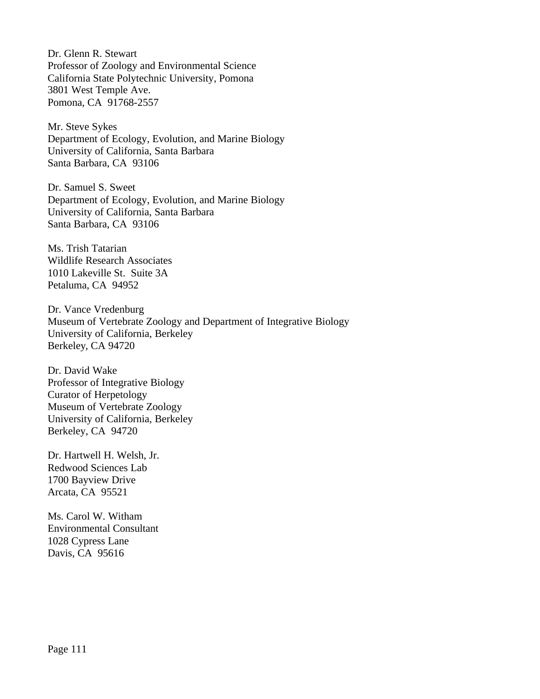Dr. Glenn R. Stewart Professor of Zoology and Environmental Science California State Polytechnic University, Pomona 3801 West Temple Ave. Pomona, CA 91768-2557

Mr. Steve Sykes Department of Ecology, Evolution, and Marine Biology University of California, Santa Barbara Santa Barbara, CA 93106

Dr. Samuel S. Sweet Department of Ecology, Evolution, and Marine Biology University of California, Santa Barbara Santa Barbara, CA 93106

Ms. Trish Tatarian Wildlife Research Associates 1010 Lakeville St. Suite 3A Petaluma, CA 94952

Dr. Vance Vredenburg Museum of Vertebrate Zoology and Department of Integrative Biology University of California, Berkeley Berkeley, CA 94720

Dr. David Wake Professor of Integrative Biology Curator of Herpetology Museum of Vertebrate Zoology University of California, Berkeley Berkeley, CA 94720

Dr. Hartwell H. Welsh, Jr. Redwood Sciences Lab 1700 Bayview Drive Arcata, CA 95521

Ms. Carol W. Witham Environmental Consultant 1028 Cypress Lane Davis, CA 95616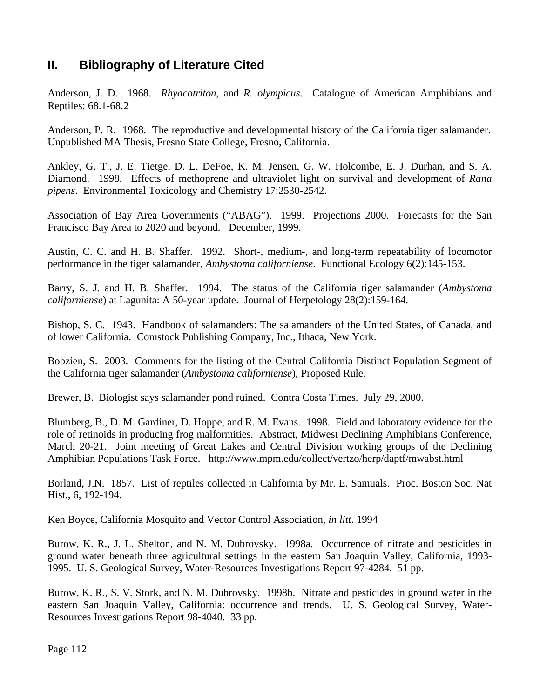### **II. Bibliography of Literature Cited**

Anderson, J. D. 1968. *Rhyacotriton*, and *R. olympicus*. Catalogue of American Amphibians and Reptiles: 68.1-68.2

Anderson, P. R. 1968. The reproductive and developmental history of the California tiger salamander. Unpublished MA Thesis, Fresno State College, Fresno, California.

Ankley, G. T., J. E. Tietge, D. L. DeFoe, K. M. Jensen, G. W. Holcombe, E. J. Durhan, and S. A. Diamond. 1998. Effects of methoprene and ultraviolet light on survival and development of *Rana pipens*. Environmental Toxicology and Chemistry 17:2530-2542.

Association of Bay Area Governments ("ABAG"). 1999. Projections 2000. Forecasts for the San Francisco Bay Area to 2020 and beyond. December, 1999.

Austin, C. C. and H. B. Shaffer. 1992. Short-, medium-, and long-term repeatability of locomotor performance in the tiger salamander, *Ambystoma californiense*. Functional Ecology 6(2):145-153.

Barry, S. J. and H. B. Shaffer. 1994. The status of the California tiger salamander (*Ambystoma californiense*) at Lagunita: A 50-year update. Journal of Herpetology 28(2):159-164.

Bishop, S. C. 1943. Handbook of salamanders: The salamanders of the United States, of Canada, and of lower California. Comstock Publishing Company, Inc., Ithaca, New York.

Bobzien, S. 2003. Comments for the listing of the Central California Distinct Population Segment of the California tiger salamander (*Ambystoma californiense*), Proposed Rule.

Brewer, B. Biologist says salamander pond ruined. Contra Costa Times. July 29, 2000.

Blumberg, B., D. M. Gardiner, D. Hoppe, and R. M. Evans. 1998. Field and laboratory evidence for the role of retinoids in producing frog malformities. Abstract, Midwest Declining Amphibians Conference, March 20-21. Joint meeting of Great Lakes and Central Division working groups of the Declining Amphibian Populations Task Force. http://www.mpm.edu/collect/vertzo/herp/daptf/mwabst.html

Borland, J.N. 1857. List of reptiles collected in California by Mr. E. Samuals. Proc. Boston Soc. Nat Hist., 6, 192-194.

Ken Boyce, California Mosquito and Vector Control Association, *in litt*. 1994

Burow, K. R., J. L. Shelton, and N. M. Dubrovsky. 1998a. Occurrence of nitrate and pesticides in ground water beneath three agricultural settings in the eastern San Joaquin Valley, California, 1993- 1995. U. S. Geological Survey, Water-Resources Investigations Report 97-4284. 51 pp.

Burow, K. R., S. V. Stork, and N. M. Dubrovsky. 1998b. Nitrate and pesticides in ground water in the eastern San Joaquin Valley, California: occurrence and trends. U. S. Geological Survey, Water-Resources Investigations Report 98-4040. 33 pp.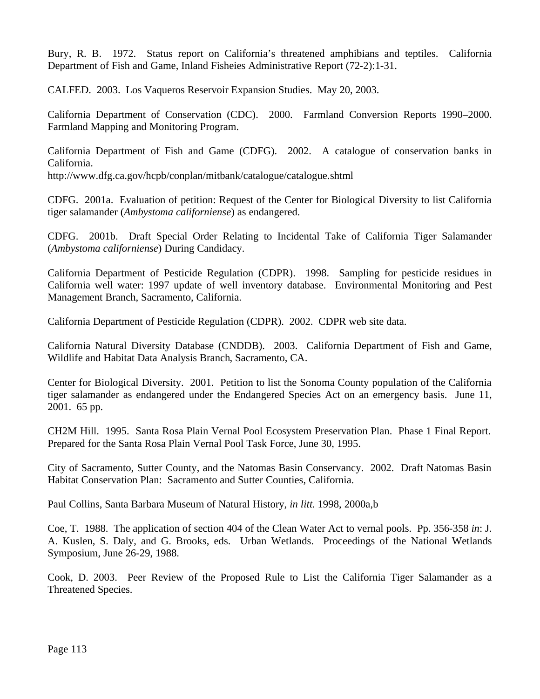Bury, R. B. 1972. Status report on California's threatened amphibians and teptiles. California Department of Fish and Game, Inland Fisheies Administrative Report (72-2):1-31.

CALFED. 2003. Los Vaqueros Reservoir Expansion Studies. May 20, 2003.

California Department of Conservation (CDC). 2000. Farmland Conversion Reports 1990–2000. Farmland Mapping and Monitoring Program.

California Department of Fish and Game (CDFG). 2002. A catalogue of conservation banks in California.

http://www.dfg.ca.gov/hcpb/conplan/mitbank/catalogue/catalogue.shtml

CDFG. 2001a. Evaluation of petition: Request of the Center for Biological Diversity to list California tiger salamander (*Ambystoma californiense*) as endangered.

CDFG. 2001b. Draft Special Order Relating to Incidental Take of California Tiger Salamander (*Ambystoma californiense*) During Candidacy.

California Department of Pesticide Regulation (CDPR). 1998. Sampling for pesticide residues in California well water: 1997 update of well inventory database. Environmental Monitoring and Pest Management Branch, Sacramento, California.

California Department of Pesticide Regulation (CDPR). 2002. CDPR web site data.

California Natural Diversity Database (CNDDB). 2003. California Department of Fish and Game, Wildlife and Habitat Data Analysis Branch, Sacramento, CA.

Center for Biological Diversity. 2001. Petition to list the Sonoma County population of the California tiger salamander as endangered under the Endangered Species Act on an emergency basis. June 11, 2001. 65 pp.

CH2M Hill. 1995. Santa Rosa Plain Vernal Pool Ecosystem Preservation Plan. Phase 1 Final Report. Prepared for the Santa Rosa Plain Vernal Pool Task Force, June 30, 1995.

City of Sacramento, Sutter County, and the Natomas Basin Conservancy. 2002. Draft Natomas Basin Habitat Conservation Plan: Sacramento and Sutter Counties, California.

Paul Collins, Santa Barbara Museum of Natural History, *in litt*. 1998, 2000a,b

Coe, T. 1988. The application of section 404 of the Clean Water Act to vernal pools. Pp. 356-358 *in*: J. A. Kuslen, S. Daly, and G. Brooks, eds. Urban Wetlands. Proceedings of the National Wetlands Symposium, June 26-29, 1988.

Cook, D. 2003. Peer Review of the Proposed Rule to List the California Tiger Salamander as a Threatened Species.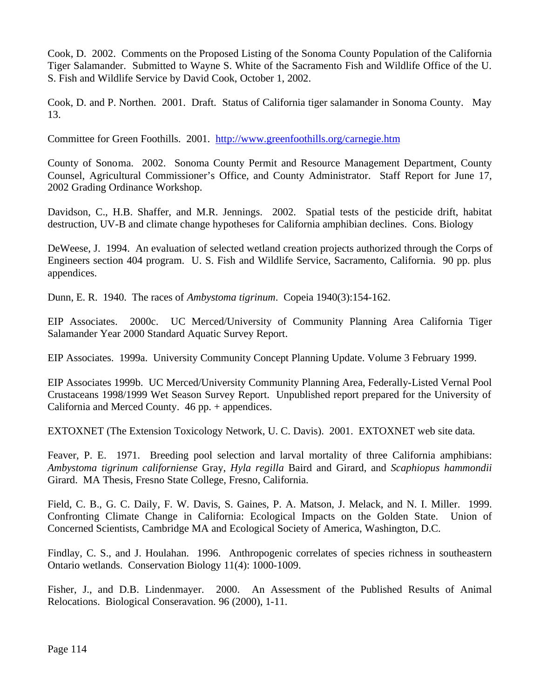Cook, D. 2002. Comments on the Proposed Listing of the Sonoma County Population of the California Tiger Salamander. Submitted to Wayne S. White of the Sacramento Fish and Wildlife Office of the U. S. Fish and Wildlife Service by David Cook, October 1, 2002.

Cook, D. and P. Northen. 2001. Draft. Status of California tiger salamander in Sonoma County. May 13.

Committee for Green Foothills. 2001. http://www.greenfoothills.org/carnegie.htm

County of Sonoma. 2002. Sonoma County Permit and Resource Management Department, County Counsel, Agricultural Commissioner's Office, and County Administrator. Staff Report for June 17, 2002 Grading Ordinance Workshop.

Davidson, C., H.B. Shaffer, and M.R. Jennings. 2002. Spatial tests of the pesticide drift, habitat destruction, UV-B and climate change hypotheses for California amphibian declines. Cons. Biology

DeWeese, J. 1994. An evaluation of selected wetland creation projects authorized through the Corps of Engineers section 404 program. U. S. Fish and Wildlife Service, Sacramento, California. 90 pp. plus appendices.

Dunn, E. R. 1940. The races of *Ambystoma tigrinum*. Copeia 1940(3):154-162.

EIP Associates. 2000c. UC Merced/University of Community Planning Area California Tiger Salamander Year 2000 Standard Aquatic Survey Report.

EIP Associates. 1999a. University Community Concept Planning Update. Volume 3 February 1999.

EIP Associates 1999b. UC Merced/University Community Planning Area, Federally-Listed Vernal Pool Crustaceans 1998/1999 Wet Season Survey Report. Unpublished report prepared for the University of California and Merced County. 46 pp. + appendices.

EXTOXNET (The Extension Toxicology Network, U. C. Davis). 2001. EXTOXNET web site data.

Feaver, P. E. 1971. Breeding pool selection and larval mortality of three California amphibians: *Ambystoma tigrinum californiense* Gray, *Hyla regilla* Baird and Girard, and *Scaphiopus hammondii* Girard. MA Thesis, Fresno State College, Fresno, California.

Field, C. B., G. C. Daily, F. W. Davis, S. Gaines, P. A. Matson, J. Melack, and N. I. Miller. 1999. Confronting Climate Change in California: Ecological Impacts on the Golden State. Union of Concerned Scientists, Cambridge MA and Ecological Society of America, Washington, D.C.

Findlay, C. S., and J. Houlahan. 1996. Anthropogenic correlates of species richness in southeastern Ontario wetlands. Conservation Biology 11(4): 1000-1009.

Fisher, J., and D.B. Lindenmayer. 2000. An Assessment of the Published Results of Animal Relocations. Biological Conseravation. 96 (2000), 1-11.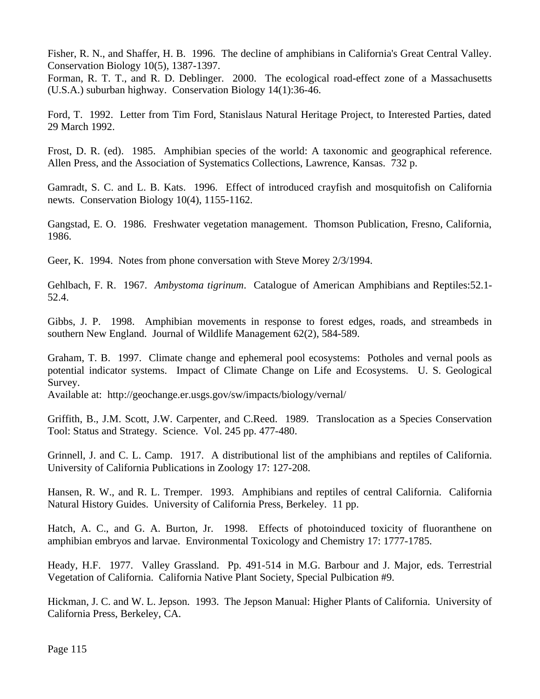Fisher, R. N., and Shaffer, H. B. 1996. The decline of amphibians in California's Great Central Valley. Conservation Biology 10(5), 1387-1397.

Forman, R. T. T., and R. D. Deblinger. 2000. The ecological road-effect zone of a Massachusetts (U.S.A.) suburban highway. Conservation Biology 14(1):36-46.

Ford, T. 1992. Letter from Tim Ford, Stanislaus Natural Heritage Project, to Interested Parties, dated 29 March 1992.

Frost, D. R. (ed). 1985. Amphibian species of the world: A taxonomic and geographical reference. Allen Press, and the Association of Systematics Collections, Lawrence, Kansas. 732 p.

Gamradt, S. C. and L. B. Kats. 1996. Effect of introduced crayfish and mosquitofish on California newts. Conservation Biology 10(4), 1155-1162.

Gangstad, E. O. 1986. Freshwater vegetation management. Thomson Publication, Fresno, California, 1986.

Geer, K. 1994. Notes from phone conversation with Steve Morey 2/3/1994.

Gehlbach, F. R. 1967. *Ambystoma tigrinum*. Catalogue of American Amphibians and Reptiles:52.1- 52.4.

Gibbs, J. P. 1998. Amphibian movements in response to forest edges, roads, and streambeds in southern New England. Journal of Wildlife Management 62(2), 584-589.

Graham, T. B. 1997. Climate change and ephemeral pool ecosystems: Potholes and vernal pools as potential indicator systems. Impact of Climate Change on Life and Ecosystems. U. S. Geological Survey.

Available at: http://geochange.er.usgs.gov/sw/impacts/biology/vernal/

Griffith, B., J.M. Scott, J.W. Carpenter, and C.Reed. 1989. Translocation as a Species Conservation Tool: Status and Strategy. Science. Vol. 245 pp. 477-480.

Grinnell, J. and C. L. Camp. 1917. A distributional list of the amphibians and reptiles of California. University of California Publications in Zoology 17: 127-208.

Hansen, R. W., and R. L. Tremper. 1993. Amphibians and reptiles of central California. California Natural History Guides. University of California Press, Berkeley. 11 pp.

Hatch, A. C., and G. A. Burton, Jr. 1998. Effects of photoinduced toxicity of fluoranthene on amphibian embryos and larvae. Environmental Toxicology and Chemistry 17: 1777-1785.

Heady, H.F. 1977. Valley Grassland. Pp. 491-514 in M.G. Barbour and J. Major, eds. Terrestrial Vegetation of California. California Native Plant Society, Special Pulbication #9.

Hickman, J. C. and W. L. Jepson. 1993. The Jepson Manual: Higher Plants of California. University of California Press, Berkeley, CA.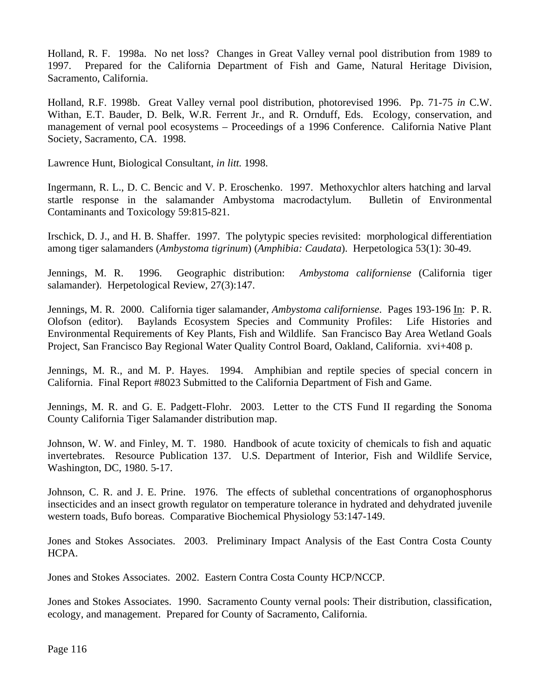Holland, R. F. 1998a. No net loss? Changes in Great Valley vernal pool distribution from 1989 to 1997. Prepared for the California Department of Fish and Game, Natural Heritage Division, Sacramento, California.

Holland, R.F. 1998b. Great Valley vernal pool distribution, photorevised 1996. Pp. 71-75 *in* C.W. Withan, E.T. Bauder, D. Belk, W.R. Ferrent Jr., and R. Ornduff, Eds. Ecology, conservation, and management of vernal pool ecosystems – Proceedings of a 1996 Conference. California Native Plant Society, Sacramento, CA. 1998.

Lawrence Hunt, Biological Consultant, *in litt*. 1998.

Ingermann, R. L., D. C. Bencic and V. P. Eroschenko. 1997. Methoxychlor alters hatching and larval startle response in the salamander Ambystoma macrodactylum. Bulletin of Environmental Contaminants and Toxicology 59:815-821.

Irschick, D. J., and H. B. Shaffer. 1997. The polytypic species revisited: morphological differentiation among tiger salamanders (*Ambystoma tigrinum*) (*Amphibia: Caudata*). Herpetologica 53(1): 30-49.

Jennings, M. R. 1996. Geographic distribution: *Ambystoma californiense* (California tiger salamander). Herpetological Review, 27(3):147.

Jennings, M. R. 2000. California tiger salamander, *Ambystoma californiense*. Pages 193-196 In: P. R. Olofson (editor). Baylands Ecosystem Species and Community Profiles: Life Histories and Environmental Requirements of Key Plants, Fish and Wildlife. San Francisco Bay Area Wetland Goals Project, San Francisco Bay Regional Water Quality Control Board, Oakland, California. xvi+408 p.

Jennings, M. R., and M. P. Hayes. 1994. Amphibian and reptile species of special concern in California. Final Report #8023 Submitted to the California Department of Fish and Game.

Jennings, M. R. and G. E. Padgett-Flohr. 2003. Letter to the CTS Fund II regarding the Sonoma County California Tiger Salamander distribution map.

Johnson, W. W. and Finley, M. T. 1980. Handbook of acute toxicity of chemicals to fish and aquatic invertebrates. Resource Publication 137. U.S. Department of Interior, Fish and Wildlife Service, Washington, DC, 1980. 5-17.

Johnson, C. R. and J. E. Prine. 1976. The effects of sublethal concentrations of organophosphorus insecticides and an insect growth regulator on temperature tolerance in hydrated and dehydrated juvenile western toads, Bufo boreas. Comparative Biochemical Physiology 53:147-149.

Jones and Stokes Associates. 2003. Preliminary Impact Analysis of the East Contra Costa County HCPA.

Jones and Stokes Associates. 2002. Eastern Contra Costa County HCP/NCCP.

Jones and Stokes Associates. 1990. Sacramento County vernal pools: Their distribution, classification, ecology, and management. Prepared for County of Sacramento, California.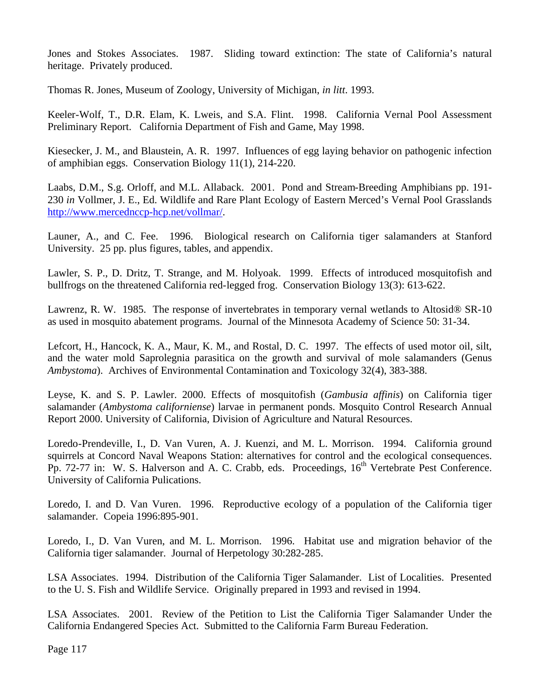Jones and Stokes Associates. 1987. Sliding toward extinction: The state of California's natural heritage. Privately produced.

Thomas R. Jones, Museum of Zoology, University of Michigan, *in litt*. 1993.

Keeler-Wolf, T., D.R. Elam, K. Lweis, and S.A. Flint. 1998. California Vernal Pool Assessment Preliminary Report. California Department of Fish and Game, May 1998.

Kiesecker, J. M., and Blaustein, A. R. 1997. Influences of egg laying behavior on pathogenic infection of amphibian eggs. Conservation Biology 11(1), 214-220.

Laabs, D.M., S.g. Orloff, and M.L. Allaback. 2001. Pond and Stream-Breeding Amphibians pp. 191- 230 *in* Vollmer, J. E., Ed. Wildlife and Rare Plant Ecology of Eastern Merced's Vernal Pool Grasslands http://www.mercednccp-hcp.net/vollmar/.

Launer, A., and C. Fee. 1996. Biological research on California tiger salamanders at Stanford University. 25 pp. plus figures, tables, and appendix.

Lawler, S. P., D. Dritz, T. Strange, and M. Holyoak. 1999. Effects of introduced mosquitofish and bullfrogs on the threatened California red-legged frog. Conservation Biology 13(3): 613-622.

Lawrenz, R. W. 1985. The response of invertebrates in temporary vernal wetlands to Altosid® SR-10 as used in mosquito abatement programs. Journal of the Minnesota Academy of Science 50: 31-34.

Lefcort, H., Hancock, K. A., Maur, K. M., and Rostal, D. C. 1997. The effects of used motor oil, silt, and the water mold Saprolegnia parasitica on the growth and survival of mole salamanders (Genus *Ambystoma*). Archives of Environmental Contamination and Toxicology 32(4), 383-388.

Leyse, K. and S. P. Lawler. 2000. Effects of mosquitofish (*Gambusia affinis*) on California tiger salamander (*Ambystoma californiense*) larvae in permanent ponds. Mosquito Control Research Annual Report 2000. University of California, Division of Agriculture and Natural Resources.

Loredo-Prendeville, I., D. Van Vuren, A. J. Kuenzi, and M. L. Morrison. 1994. California ground squirrels at Concord Naval Weapons Station: alternatives for control and the ecological consequences. Pp. 72-77 in: W. S. Halverson and A. C. Crabb, eds. Proceedings, 16<sup>th</sup> Vertebrate Pest Conference. University of California Pulications.

Loredo, I. and D. Van Vuren. 1996. Reproductive ecology of a population of the California tiger salamander. Copeia 1996:895-901.

Loredo, I., D. Van Vuren, and M. L. Morrison. 1996. Habitat use and migration behavior of the California tiger salamander. Journal of Herpetology 30:282-285.

LSA Associates. 1994. Distribution of the California Tiger Salamander. List of Localities. Presented to the U. S. Fish and Wildlife Service. Originally prepared in 1993 and revised in 1994.

LSA Associates. 2001. Review of the Petition to List the California Tiger Salamander Under the California Endangered Species Act. Submitted to the California Farm Bureau Federation.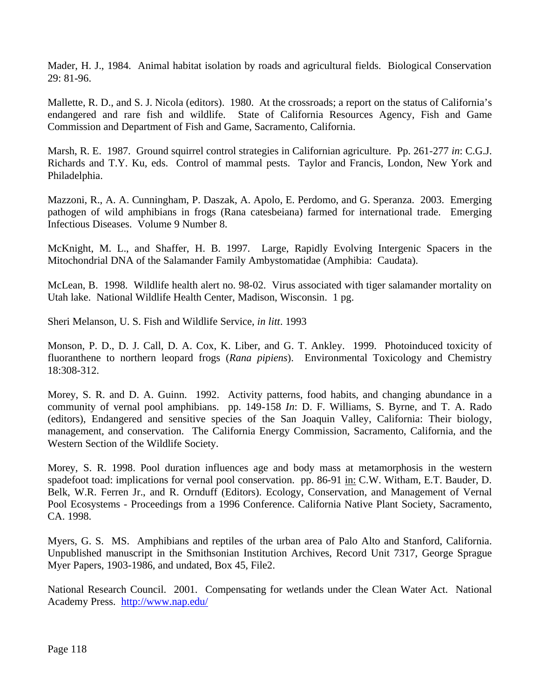Mader, H. J., 1984. Animal habitat isolation by roads and agricultural fields. Biological Conservation 29: 81-96.

Mallette, R. D., and S. J. Nicola (editors). 1980. At the crossroads; a report on the status of California's endangered and rare fish and wildlife. State of California Resources Agency, Fish and Game Commission and Department of Fish and Game, Sacramento, California.

Marsh, R. E. 1987. Ground squirrel control strategies in Californian agriculture. Pp. 261-277 *in*: C.G.J. Richards and T.Y. Ku, eds. Control of mammal pests. Taylor and Francis, London, New York and Philadelphia.

Mazzoni, R., A. A. Cunningham, P. Daszak, A. Apolo, E. Perdomo, and G. Speranza. 2003. Emerging pathogen of wild amphibians in frogs (Rana catesbeiana) farmed for international trade. Emerging Infectious Diseases. Volume 9 Number 8.

McKnight, M. L., and Shaffer, H. B. 1997. Large, Rapidly Evolving Intergenic Spacers in the Mitochondrial DNA of the Salamander Family Ambystomatidae (Amphibia: Caudata).

McLean, B. 1998. Wildlife health alert no. 98-02. Virus associated with tiger salamander mortality on Utah lake. National Wildlife Health Center, Madison, Wisconsin. 1 pg.

Sheri Melanson, U. S. Fish and Wildlife Service, *in litt*. 1993

Monson, P. D., D. J. Call, D. A. Cox, K. Liber, and G. T. Ankley. 1999. Photoinduced toxicity of fluoranthene to northern leopard frogs (*Rana pipiens*). Environmental Toxicology and Chemistry 18:308-312.

Morey, S. R. and D. A. Guinn. 1992. Activity patterns, food habits, and changing abundance in a community of vernal pool amphibians. pp. 149-158 *In*: D. F. Williams, S. Byrne, and T. A. Rado (editors), Endangered and sensitive species of the San Joaquin Valley, California: Their biology, management, and conservation. The California Energy Commission, Sacramento, California, and the Western Section of the Wildlife Society.

Morey, S. R. 1998. Pool duration influences age and body mass at metamorphosis in the western spadefoot toad: implications for vernal pool conservation. pp. 86-91 in: C.W. Witham, E.T. Bauder, D. Belk, W.R. Ferren Jr., and R. Ornduff (Editors). Ecology, Conservation, and Management of Vernal Pool Ecosystems - Proceedings from a 1996 Conference. California Native Plant Society, Sacramento, CA. 1998.

Myers, G. S. MS. Amphibians and reptiles of the urban area of Palo Alto and Stanford, California. Unpublished manuscript in the Smithsonian Institution Archives, Record Unit 7317, George Sprague Myer Papers, 1903-1986, and undated, Box 45, File2.

National Research Council. 2001. Compensating for wetlands under the Clean Water Act. National Academy Press. http://www.nap.edu/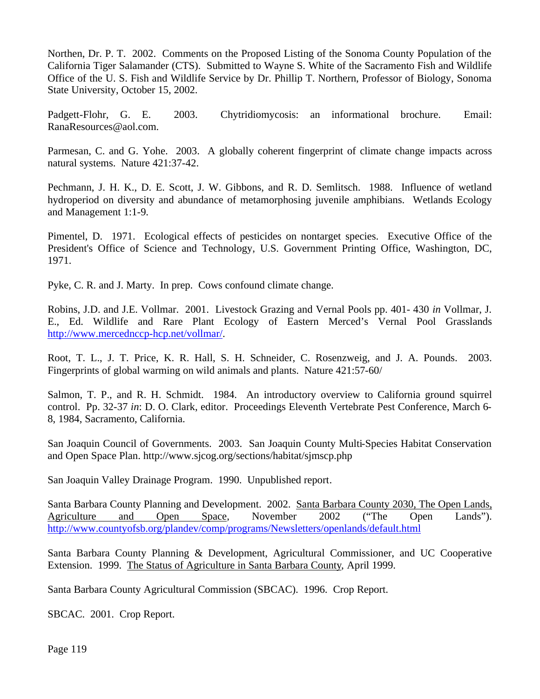Northen, Dr. P. T. 2002. Comments on the Proposed Listing of the Sonoma County Population of the California Tiger Salamander (CTS). Submitted to Wayne S. White of the Sacramento Fish and Wildlife Office of the U. S. Fish and Wildlife Service by Dr. Phillip T. Northern, Professor of Biology, Sonoma State University, October 15, 2002.

Padgett-Flohr, G. E. 2003. Chytridiomycosis: an informational brochure. Email: RanaResources@aol.com.

Parmesan, C. and G. Yohe. 2003. A globally coherent fingerprint of climate change impacts across natural systems. Nature 421:37-42.

Pechmann, J. H. K., D. E. Scott, J. W. Gibbons, and R. D. Semlitsch. 1988. Influence of wetland hydroperiod on diversity and abundance of metamorphosing juvenile amphibians. Wetlands Ecology and Management 1:1-9.

Pimentel, D. 1971. Ecological effects of pesticides on nontarget species. Executive Office of the President's Office of Science and Technology, U.S. Government Printing Office, Washington, DC, 1971.

Pyke, C. R. and J. Marty. In prep. Cows confound climate change.

Robins, J.D. and J.E. Vollmar. 2001. Livestock Grazing and Vernal Pools pp. 401- 430 *in* Vollmar, J. E., Ed. Wildlife and Rare Plant Ecology of Eastern Merced's Vernal Pool Grasslands http://www.mercednccp-hcp.net/vollmar/.

Root, T. L., J. T. Price, K. R. Hall, S. H. Schneider, C. Rosenzweig, and J. A. Pounds. 2003. Fingerprints of global warming on wild animals and plants. Nature 421:57-60/

Salmon, T. P., and R. H. Schmidt. 1984. An introductory overview to California ground squirrel control. Pp. 32-37 *in*: D. O. Clark, editor. Proceedings Eleventh Vertebrate Pest Conference, March 6- 8, 1984, Sacramento, California.

San Joaquin Council of Governments. 2003. San Joaquin County Multi-Species Habitat Conservation and Open Space Plan. http://www.sjcog.org/sections/habitat/sjmscp.php

San Joaquin Valley Drainage Program. 1990. Unpublished report.

Santa Barbara County Planning and Development. 2002. Santa Barbara County 2030, The Open Lands, Agriculture and Open Space, November 2002 ("The Open Lands"). http://www.countyofsb.org/plandev/comp/programs/Newsletters/openlands/default.html

Santa Barbara County Planning & Development, Agricultural Commissioner, and UC Cooperative Extension. 1999. The Status of Agriculture in Santa Barbara County, April 1999.

Santa Barbara County Agricultural Commission (SBCAC). 1996. Crop Report.

SBCAC. 2001. Crop Report.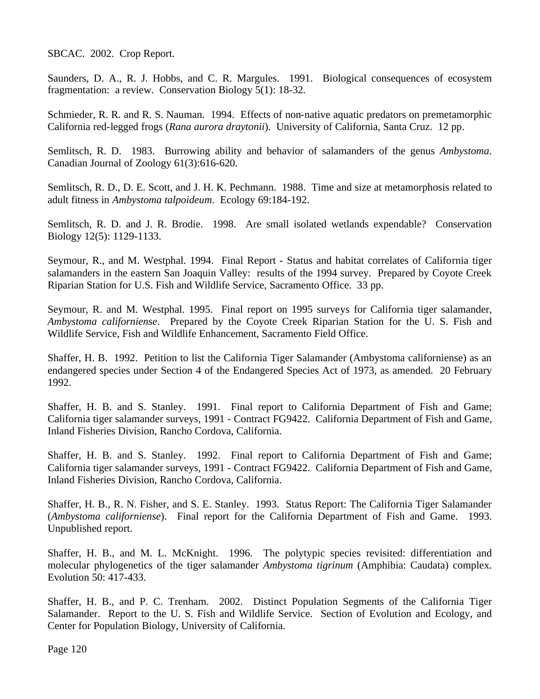SBCAC. 2002. Crop Report.

Saunders, D. A., R. J. Hobbs, and C. R. Margules. 1991. Biological consequences of ecosystem fragmentation: a review. Conservation Biology 5(1): 18-32.

Schmieder, R. R. and R. S. Nauman. 1994. Effects of non-native aquatic predators on premetamorphic California red-legged frogs (*Rana aurora draytonii*). University of California, Santa Cruz. 12 pp.

Semlitsch, R. D. 1983. Burrowing ability and behavior of salamanders of the genus *Ambystoma*. Canadian Journal of Zoology 61(3):616-620.

Semlitsch, R. D., D. E. Scott, and J. H. K. Pechmann. 1988. Time and size at metamorphosis related to adult fitness in *Ambystoma talpoideum*. Ecology 69:184-192.

Semlitsch, R. D. and J. R. Brodie. 1998. Are small isolated wetlands expendable? Conservation Biology 12(5): 1129-1133.

Seymour, R., and M. Westphal. 1994. Final Report - Status and habitat correlates of California tiger salamanders in the eastern San Joaquin Valley: results of the 1994 survey. Prepared by Coyote Creek Riparian Station for U.S. Fish and Wildlife Service, Sacramento Office. 33 pp.

Seymour, R. and M. Westphal. 1995. Final report on 1995 surveys for California tiger salamander, *Ambystoma californiense*. Prepared by the Coyote Creek Riparian Station for the U. S. Fish and Wildlife Service, Fish and Wildlife Enhancement, Sacramento Field Office.

Shaffer, H. B. 1992. Petition to list the California Tiger Salamander (Ambystoma californiense) as an endangered species under Section 4 of the Endangered Species Act of 1973, as amended. 20 February 1992.

Shaffer, H. B. and S. Stanley. 1991. Final report to California Department of Fish and Game; California tiger salamander surveys, 1991 - Contract FG9422. California Department of Fish and Game, Inland Fisheries Division, Rancho Cordova, California.

Shaffer, H. B. and S. Stanley. 1992. Final report to California Department of Fish and Game; California tiger salamander surveys, 1991 - Contract FG9422. California Department of Fish and Game, Inland Fisheries Division, Rancho Cordova, California.

Shaffer, H. B., R. N. Fisher, and S. E. Stanley. 1993. Status Report: The California Tiger Salamander (*Ambystoma californiense*). Final report for the California Department of Fish and Game. 1993. Unpublished report.

Shaffer, H. B., and M. L. McKnight. 1996. The polytypic species revisited: differentiation and molecular phylogenetics of the tiger salamander *Ambystoma tigrinum* (Amphibia: Caudata) complex. Evolution 50: 417-433.

Shaffer, H. B., and P. C. Trenham. 2002. Distinct Population Segments of the California Tiger Salamander. Report to the U. S. Fish and Wildlife Service. Section of Evolution and Ecology, and Center for Population Biology, University of California.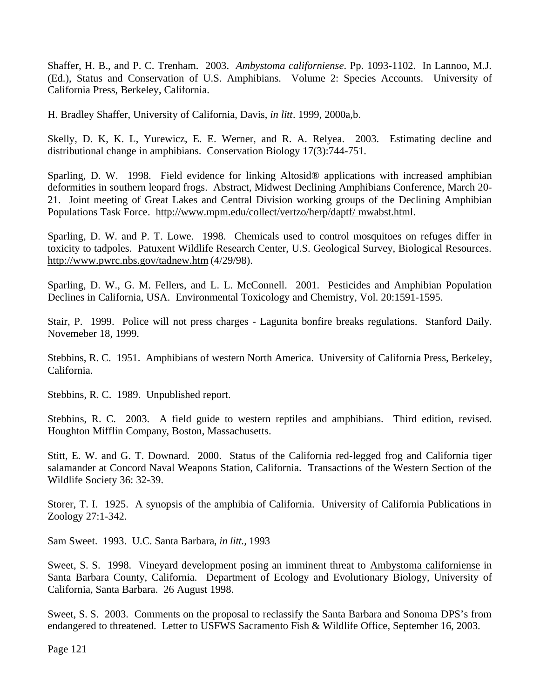Shaffer, H. B., and P. C. Trenham. 2003. *Ambystoma californiense*. Pp. 1093-1102. In Lannoo, M.J. (Ed.), Status and Conservation of U.S. Amphibians. Volume 2: Species Accounts. University of California Press, Berkeley, California.

H. Bradley Shaffer, University of California, Davis, *in litt*. 1999, 2000a,b.

Skelly, D. K, K. L, Yurewicz, E. E. Werner, and R. A. Relyea. 2003. Estimating decline and distributional change in amphibians. Conservation Biology 17(3):744-751.

Sparling, D. W. 1998. Field evidence for linking Altosid® applications with increased amphibian deformities in southern leopard frogs. Abstract, Midwest Declining Amphibians Conference, March 20- 21. Joint meeting of Great Lakes and Central Division working groups of the Declining Amphibian Populations Task Force. http://www.mpm.edu/collect/vertzo/herp/daptf/ mwabst.html.

Sparling, D. W. and P. T. Lowe. 1998. Chemicals used to control mosquitoes on refuges differ in toxicity to tadpoles. Patuxent Wildlife Research Center, U.S. Geological Survey, Biological Resources. http://www.pwrc.nbs.gov/tadnew.htm (4/29/98).

Sparling, D. W., G. M. Fellers, and L. L. McConnell. 2001. Pesticides and Amphibian Population Declines in California, USA. Environmental Toxicology and Chemistry, Vol. 20:1591-1595.

Stair, P. 1999. Police will not press charges - Lagunita bonfire breaks regulations. Stanford Daily. Novemeber 18, 1999.

Stebbins, R. C. 1951. Amphibians of western North America. University of California Press, Berkeley, California.

Stebbins, R. C. 1989. Unpublished report.

Stebbins, R. C. 2003. A field guide to western reptiles and amphibians. Third edition, revised. Houghton Mifflin Company, Boston, Massachusetts.

Stitt, E. W. and G. T. Downard. 2000. Status of the California red-legged frog and California tiger salamander at Concord Naval Weapons Station, California. Transactions of the Western Section of the Wildlife Society 36: 32-39.

Storer, T. I. 1925. A synopsis of the amphibia of California. University of California Publications in Zoology 27:1-342.

Sam Sweet. 1993. U.C. Santa Barbara, *in litt.,* 1993

Sweet, S. S. 1998. Vineyard development posing an imminent threat to Ambystoma californiense in Santa Barbara County, California. Department of Ecology and Evolutionary Biology, University of California, Santa Barbara. 26 August 1998.

Sweet, S. S. 2003. Comments on the proposal to reclassify the Santa Barbara and Sonoma DPS's from endangered to threatened. Letter to USFWS Sacramento Fish & Wildlife Office, September 16, 2003.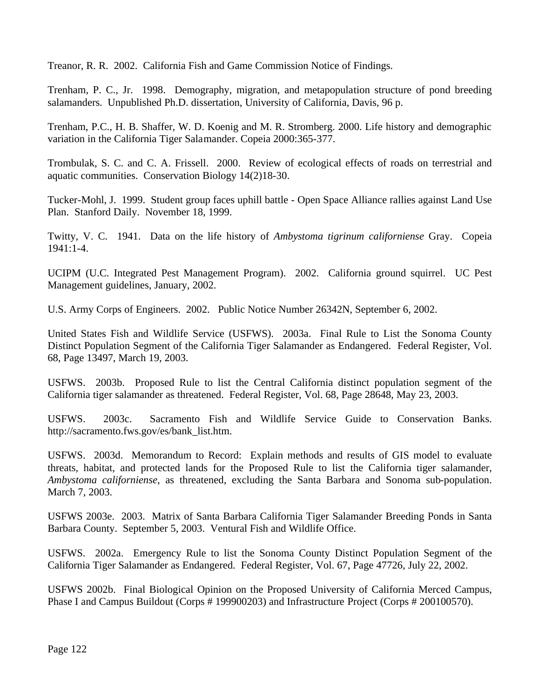Treanor, R. R. 2002. California Fish and Game Commission Notice of Findings.

Trenham, P. C., Jr. 1998. Demography, migration, and metapopulation structure of pond breeding salamanders. Unpublished Ph.D. dissertation, University of California, Davis, 96 p.

Trenham, P.C., H. B. Shaffer, W. D. Koenig and M. R. Stromberg. 2000. Life history and demographic variation in the California Tiger Salamander. Copeia 2000:365-377.

Trombulak, S. C. and C. A. Frissell. 2000. Review of ecological effects of roads on terrestrial and aquatic communities. Conservation Biology 14(2)18-30.

Tucker-Mohl, J. 1999. Student group faces uphill battle - Open Space Alliance rallies against Land Use Plan. Stanford Daily. November 18, 1999.

Twitty, V. C. 1941. Data on the life history of *Ambystoma tigrinum californiense* Gray. Copeia 1941:1-4.

UCIPM (U.C. Integrated Pest Management Program). 2002. California ground squirrel. UC Pest Management guidelines, January, 2002.

U.S. Army Corps of Engineers. 2002. Public Notice Number 26342N, September 6, 2002.

United States Fish and Wildlife Service (USFWS). 2003a. Final Rule to List the Sonoma County Distinct Population Segment of the California Tiger Salamander as Endangered. Federal Register, Vol. 68, Page 13497, March 19, 2003.

USFWS. 2003b. Proposed Rule to list the Central California distinct population segment of the California tiger salamander as threatened. Federal Register, Vol. 68, Page 28648, May 23, 2003.

USFWS. 2003c. Sacramento Fish and Wildlife Service Guide to Conservation Banks. http://sacramento.fws.gov/es/bank\_list.htm.

USFWS. 2003d. Memorandum to Record: Explain methods and results of GIS model to evaluate threats, habitat, and protected lands for the Proposed Rule to list the California tiger salamander, *Ambystoma californiense*, as threatened, excluding the Santa Barbara and Sonoma sub-population. March 7, 2003.

USFWS 2003e. 2003. Matrix of Santa Barbara California Tiger Salamander Breeding Ponds in Santa Barbara County. September 5, 2003. Ventural Fish and Wildlife Office.

USFWS. 2002a. Emergency Rule to list the Sonoma County Distinct Population Segment of the California Tiger Salamander as Endangered. Federal Register, Vol. 67, Page 47726, July 22, 2002.

USFWS 2002b. Final Biological Opinion on the Proposed University of California Merced Campus, Phase I and Campus Buildout (Corps # 199900203) and Infrastructure Project (Corps # 200100570).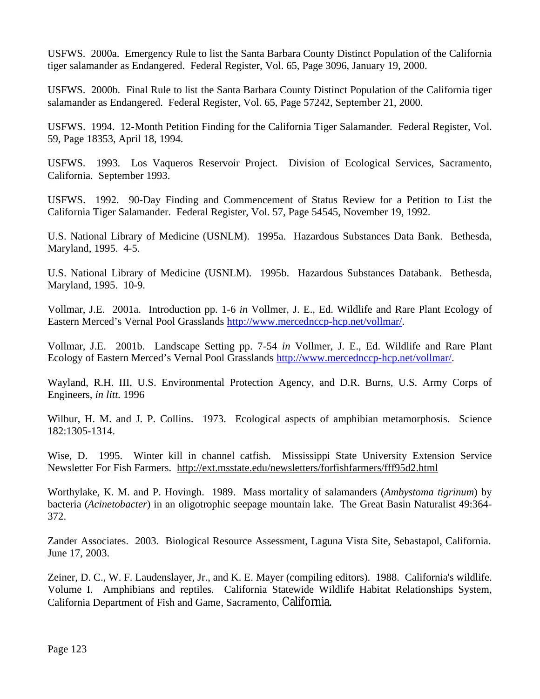USFWS. 2000a. Emergency Rule to list the Santa Barbara County Distinct Population of the California tiger salamander as Endangered. Federal Register, Vol. 65, Page 3096, January 19, 2000.

USFWS. 2000b. Final Rule to list the Santa Barbara County Distinct Population of the California tiger salamander as Endangered. Federal Register, Vol. 65, Page 57242, September 21, 2000.

USFWS. 1994. 12-Month Petition Finding for the California Tiger Salamander. Federal Register, Vol. 59, Page 18353, April 18, 1994.

USFWS. 1993. Los Vaqueros Reservoir Project. Division of Ecological Services, Sacramento, California. September 1993.

USFWS. 1992. 90-Day Finding and Commencement of Status Review for a Petition to List the California Tiger Salamander. Federal Register, Vol. 57, Page 54545, November 19, 1992.

U.S. National Library of Medicine (USNLM). 1995a. Hazardous Substances Data Bank. Bethesda, Maryland, 1995. 4-5.

U.S. National Library of Medicine (USNLM). 1995b. Hazardous Substances Databank. Bethesda, Maryland, 1995. 10-9.

Vollmar, J.E. 2001a. Introduction pp. 1-6 *in* Vollmer, J. E., Ed. Wildlife and Rare Plant Ecology of Eastern Merced's Vernal Pool Grasslands http://www.mercednccp-hcp.net/vollmar/.

Vollmar, J.E. 2001b. Landscape Setting pp. 7-54 *in* Vollmer, J. E., Ed. Wildlife and Rare Plant Ecology of Eastern Merced's Vernal Pool Grasslands http://www.mercednccp-hcp.net/vollmar/.

Wayland, R.H. III, U.S. Environmental Protection Agency, and D.R. Burns, U.S. Army Corps of Engineers, *in litt*. 1996

Wilbur, H. M. and J. P. Collins. 1973. Ecological aspects of amphibian metamorphosis. Science 182:1305-1314.

Wise, D. 1995. Winter kill in channel catfish. Mississippi State University Extension Service Newsletter For Fish Farmers. http://ext.msstate.edu/newsletters/forfishfarmers/fff95d2.html

Worthylake, K. M. and P. Hovingh. 1989. Mass mortality of salamanders (*Ambystoma tigrinum*) by bacteria (*Acinetobacter*) in an oligotrophic seepage mountain lake. The Great Basin Naturalist 49:364- 372.

Zander Associates. 2003. Biological Resource Assessment, Laguna Vista Site, Sebastapol, California. June 17, 2003.

Zeiner, D. C., W. F. Laudenslayer, Jr., and K. E. Mayer (compiling editors). 1988. California's wildlife. Volume I. Amphibians and reptiles. California Statewide Wildlife Habitat Relationships System, California Department of Fish and Game, Sacramento, California.